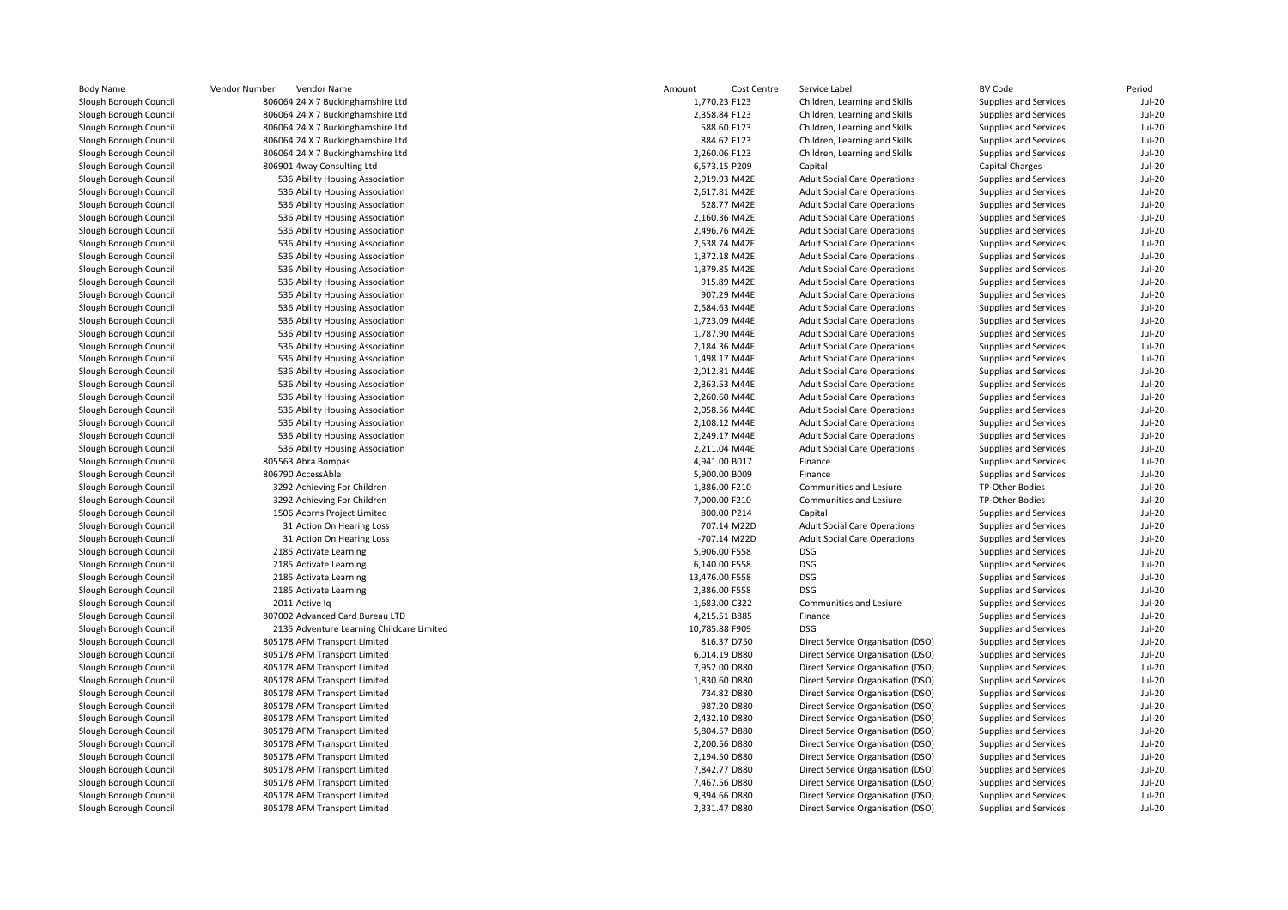| Body Name              | Vendor Number<br>Vendor Name              | Amount<br>Cost Centre | Service Label                       | <b>BV Code</b>        | Period        |
|------------------------|-------------------------------------------|-----------------------|-------------------------------------|-----------------------|---------------|
| Slough Borough Council | 806064 24 X 7 Buckinghamshire Ltd         | 1,770.23 F123         | Children, Learning and Skills       | Supplies and Services | <b>Jul-20</b> |
| Slough Borough Council | 806064 24 X 7 Buckinghamshire Ltd         | 2,358.84 F123         | Children, Learning and Skills       | Supplies and Services | <b>Jul-20</b> |
| Slough Borough Council | 806064 24 X 7 Buckinghamshire Ltd         | 588.60 F123           | Children, Learning and Skills       | Supplies and Services | <b>Jul-20</b> |
| Slough Borough Council | 806064 24 X 7 Buckinghamshire Ltd         | 884.62 F123           | Children, Learning and Skills       | Supplies and Services | <b>Jul-20</b> |
| Slough Borough Council | 806064 24 X 7 Buckinghamshire Ltd         | 2,260.06 F123         | Children, Learning and Skills       | Supplies and Services | <b>Jul-20</b> |
| Slough Borough Council | 806901 4way Consulting Ltd                | 6,573.15 P209         | Capital                             | Capital Charges       | <b>Jul-20</b> |
| Slough Borough Council | 536 Ability Housing Association           | 2,919.93 M42E         | <b>Adult Social Care Operations</b> | Supplies and Services | <b>Jul-20</b> |
| Slough Borough Council | 536 Ability Housing Association           | 2,617.81 M42E         | <b>Adult Social Care Operations</b> | Supplies and Services | <b>Jul-20</b> |
| Slough Borough Council | 536 Ability Housing Association           | 528.77 M42E           | <b>Adult Social Care Operations</b> | Supplies and Services | <b>Jul-20</b> |
| Slough Borough Council | 536 Ability Housing Association           | 2,160.36 M42E         | <b>Adult Social Care Operations</b> | Supplies and Services | <b>Jul-20</b> |
| Slough Borough Council | 536 Ability Housing Association           | 2,496.76 M42E         | <b>Adult Social Care Operations</b> | Supplies and Services | <b>Jul-20</b> |
| Slough Borough Council | 536 Ability Housing Association           | 2,538.74 M42E         | <b>Adult Social Care Operations</b> | Supplies and Services | <b>Jul-20</b> |
| Slough Borough Council | 536 Ability Housing Association           | 1,372.18 M42E         | <b>Adult Social Care Operations</b> | Supplies and Services | <b>Jul-20</b> |
| Slough Borough Council | 536 Ability Housing Association           | 1,379.85 M42E         | <b>Adult Social Care Operations</b> | Supplies and Services | <b>Jul-20</b> |
| Slough Borough Council | 536 Ability Housing Association           | 915.89 M42E           | <b>Adult Social Care Operations</b> | Supplies and Services | <b>Jul-20</b> |
| Slough Borough Council | 536 Ability Housing Association           | 907.29 M44E           | <b>Adult Social Care Operations</b> | Supplies and Services | <b>Jul-20</b> |
| Slough Borough Council | 536 Ability Housing Association           | 2,584.63 M44E         | <b>Adult Social Care Operations</b> | Supplies and Services | <b>Jul-20</b> |
| Slough Borough Council | 536 Ability Housing Association           | 1,723.09 M44E         | <b>Adult Social Care Operations</b> | Supplies and Services | <b>Jul-20</b> |
| Slough Borough Council | 536 Ability Housing Association           | 1,787.90 M44E         | <b>Adult Social Care Operations</b> | Supplies and Services | $Jul-20$      |
| Slough Borough Council | 536 Ability Housing Association           | 2,184.36 M44E         | <b>Adult Social Care Operations</b> | Supplies and Services | <b>Jul-20</b> |
| Slough Borough Council | 536 Ability Housing Association           | 1,498.17 M44E         | <b>Adult Social Care Operations</b> | Supplies and Services | <b>Jul-20</b> |
| Slough Borough Council | 536 Ability Housing Association           | 2,012.81 M44E         | <b>Adult Social Care Operations</b> | Supplies and Services | <b>Jul-20</b> |
| Slough Borough Council | 536 Ability Housing Association           | 2,363.53 M44E         | <b>Adult Social Care Operations</b> | Supplies and Services | <b>Jul-20</b> |
| Slough Borough Council | 536 Ability Housing Association           | 2,260.60 M44E         | <b>Adult Social Care Operations</b> | Supplies and Services | <b>Jul-20</b> |
| Slough Borough Council | 536 Ability Housing Association           | 2,058.56 M44E         | <b>Adult Social Care Operations</b> | Supplies and Services | <b>Jul-20</b> |
| Slough Borough Council | 536 Ability Housing Association           | 2,108.12 M44E         | <b>Adult Social Care Operations</b> | Supplies and Services | <b>Jul-20</b> |
| Slough Borough Council | 536 Ability Housing Association           | 2,249.17 M44E         | <b>Adult Social Care Operations</b> | Supplies and Services | <b>Jul-20</b> |
| Slough Borough Council | 536 Ability Housing Association           | 2,211.04 M44E         | <b>Adult Social Care Operations</b> | Supplies and Services | <b>Jul-20</b> |
| Slough Borough Council | 805563 Abra Bompas                        | 4,941.00 B017         | Finance                             | Supplies and Services | <b>Jul-20</b> |
| Slough Borough Council | 806790 AccessAble                         | 5,900.00 B009         | Finance                             | Supplies and Services | <b>Jul-20</b> |
| Slough Borough Council | 3292 Achieving For Children               | 1,386.00 F210         | Communities and Lesiure             | TP-Other Bodies       | <b>Jul-20</b> |
| Slough Borough Council | 3292 Achieving For Children               | 7,000.00 F210         | Communities and Lesiure             | TP-Other Bodies       | <b>Jul-20</b> |
| Slough Borough Council | 1506 Acorns Project Limited               | 800.00 P214           | Capital                             | Supplies and Services | <b>Jul-20</b> |
| Slough Borough Council | 31 Action On Hearing Loss                 | 707.14 M22D           | <b>Adult Social Care Operations</b> | Supplies and Services | <b>Jul-20</b> |
| Slough Borough Council | 31 Action On Hearing Loss                 | -707.14 M22D          | <b>Adult Social Care Operations</b> | Supplies and Services | <b>Jul-20</b> |
| Slough Borough Council | 2185 Activate Learning                    | 5,906.00 F558         | <b>DSG</b>                          | Supplies and Services | $Jul-20$      |
| Slough Borough Council | 2185 Activate Learning                    | 6,140.00 F558         | <b>DSG</b>                          | Supplies and Services | <b>Jul-20</b> |
| Slough Borough Council | 2185 Activate Learning                    | 13,476.00 F558        | <b>DSG</b>                          | Supplies and Services | <b>Jul-20</b> |
| Slough Borough Council | 2185 Activate Learning                    | 2,386.00 F558         | <b>DSG</b>                          | Supplies and Services | $Jul-20$      |
| Slough Borough Council | 2011 Active Iq                            | 1,683.00 C322         | Communities and Lesiure             | Supplies and Services | <b>Jul-20</b> |
| Slough Borough Council | 807002 Advanced Card Bureau LTD           | 4,215.51 B885         | Finance                             | Supplies and Services | <b>Jul-20</b> |
| Slough Borough Council | 2135 Adventure Learning Childcare Limited | 10,785.88 F909        | <b>DSG</b>                          | Supplies and Services | <b>Jul-20</b> |
| Slough Borough Council | 805178 AFM Transport Limited              | 816.37 D750           | Direct Service Organisation (DSO)   | Supplies and Services | <b>Jul-20</b> |
| Slough Borough Council | 805178 AFM Transport Limited              | 6,014.19 D880         | Direct Service Organisation (DSO)   | Supplies and Services | $Jul-20$      |
| Slough Borough Council | 805178 AFM Transport Limited              | 7,952.00 D880         | Direct Service Organisation (DSO)   | Supplies and Services | <b>Jul-20</b> |
| Slough Borough Council | 805178 AFM Transport Limited              | 1,830.60 D880         | Direct Service Organisation (DSO)   | Supplies and Services | <b>Jul-20</b> |
| Slough Borough Council | 805178 AFM Transport Limited              | 734.82 D880           | Direct Service Organisation (DSO)   | Supplies and Services | $Jul-20$      |
| Slough Borough Council | 805178 AFM Transport Limited              | 987.20 D880           | Direct Service Organisation (DSO)   | Supplies and Services | <b>Jul-20</b> |
| Slough Borough Council | 805178 AFM Transport Limited              | 2,432.10 D880         | Direct Service Organisation (DSO)   | Supplies and Services | <b>Jul-20</b> |
| Slough Borough Council | 805178 AFM Transport Limited              | 5,804.57 D880         | Direct Service Organisation (DSO)   | Supplies and Services | <b>Jul-20</b> |
| Slough Borough Council | 805178 AFM Transport Limited              | 2,200.56 D880         | Direct Service Organisation (DSO)   | Supplies and Services | <b>Jul-20</b> |
| Slough Borough Council | 805178 AFM Transport Limited              | 2,194.50 D880         | Direct Service Organisation (DSO)   | Supplies and Services | <b>Jul-20</b> |
| Slough Borough Council | 805178 AFM Transport Limited              | 7,842.77 D880         | Direct Service Organisation (DSO)   | Supplies and Services | <b>Jul-20</b> |
| Slough Borough Council | 805178 AFM Transport Limited              | 7,467.56 D880         | Direct Service Organisation (DSO)   | Supplies and Services | $Jul-20$      |
| Slough Borough Council | 805178 AFM Transport Limited              | 9,394.66 D880         | Direct Service Organisation (DSO)   | Supplies and Services | $Jul-20$      |
| Slough Borough Council | 805178 AFM Transport Limited              | 2,331.47 D880         | Direct Service Organisation (DSO)   | Supplies and Services | <b>Jul-20</b> |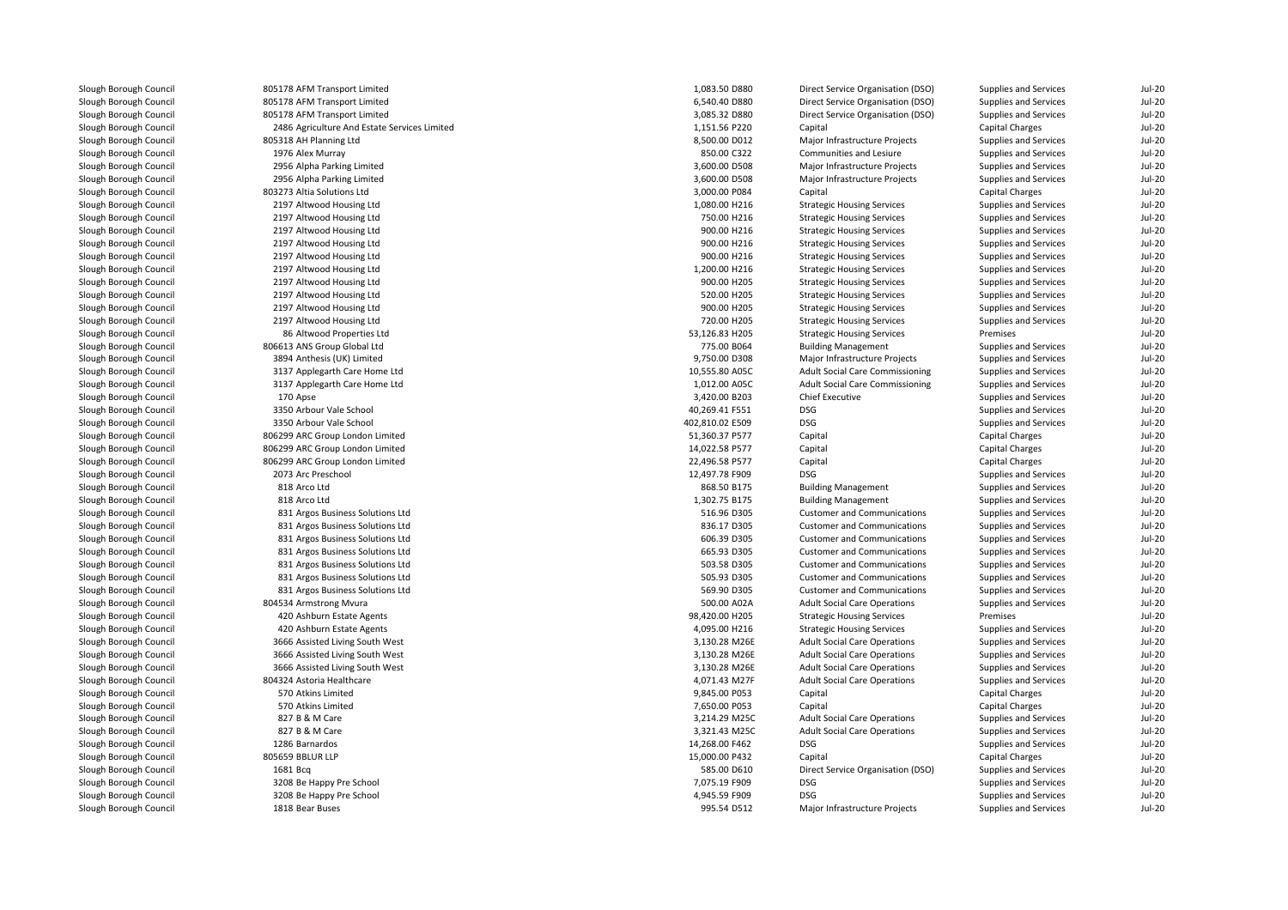| Slough Borough Council | 805178 AFM Transport Limited                 | 1,083.50 D880   | Direct Service Organisation (DSO)      | Supplies and Services | <b>Jul-20</b> |
|------------------------|----------------------------------------------|-----------------|----------------------------------------|-----------------------|---------------|
| Slough Borough Council | 805178 AFM Transport Limited                 | 6,540.40 D880   | Direct Service Organisation (DSO)      | Supplies and Services | <b>Jul-20</b> |
| Slough Borough Council | 805178 AFM Transport Limited                 | 3,085.32 D880   | Direct Service Organisation (DSO)      | Supplies and Services | Jul-20        |
| Slough Borough Council | 2486 Agriculture And Estate Services Limited | 1,151.56 P220   | Capital                                | Capital Charges       | <b>Jul-20</b> |
| Slough Borough Council | 805318 AH Planning Ltd                       | 8,500.00 D012   | Major Infrastructure Projects          | Supplies and Services | <b>Jul-20</b> |
| Slough Borough Council | 1976 Alex Murray                             | 850.00 C322     | Communities and Lesiure                | Supplies and Services | Jul-20        |
| Slough Borough Council | 2956 Alpha Parking Limited                   | 3,600.00 D508   | Major Infrastructure Projects          | Supplies and Services | $Jul-20$      |
| Slough Borough Council | 2956 Alpha Parking Limited                   | 3,600.00 D508   | Major Infrastructure Projects          | Supplies and Services | <b>Jul-20</b> |
| Slough Borough Council | 803273 Altia Solutions Ltd                   | 3,000.00 P084   | Capital                                | Capital Charges       | <b>Jul-20</b> |
| Slough Borough Council | 2197 Altwood Housing Ltd                     | 1,080.00 H216   | <b>Strategic Housing Services</b>      | Supplies and Services | $Jul-20$      |
| Slough Borough Council | 2197 Altwood Housing Ltd                     | 750.00 H216     | <b>Strategic Housing Services</b>      | Supplies and Services | <b>Jul-20</b> |
| Slough Borough Council | 2197 Altwood Housing Ltd                     | 900.00 H216     | <b>Strategic Housing Services</b>      | Supplies and Services | <b>Jul-20</b> |
| Slough Borough Council | 2197 Altwood Housing Ltd                     | 900.00 H216     | <b>Strategic Housing Services</b>      | Supplies and Services | <b>Jul-20</b> |
| Slough Borough Council | 2197 Altwood Housing Ltd                     | 900.00 H216     | <b>Strategic Housing Services</b>      | Supplies and Services | <b>Jul-20</b> |
| Slough Borough Council | 2197 Altwood Housing Ltd                     | 1,200.00 H216   | <b>Strategic Housing Services</b>      | Supplies and Services | <b>Jul-20</b> |
| Slough Borough Council | 2197 Altwood Housing Ltd                     | 900.00 H205     | <b>Strategic Housing Services</b>      | Supplies and Services | <b>Jul-20</b> |
| Slough Borough Council | 2197 Altwood Housing Ltd                     | 520.00 H205     | <b>Strategic Housing Services</b>      | Supplies and Services | <b>Jul-20</b> |
| Slough Borough Council | 2197 Altwood Housing Ltd                     | 900.00 H205     | <b>Strategic Housing Services</b>      | Supplies and Services | <b>Jul-20</b> |
| Slough Borough Council | 2197 Altwood Housing Ltd                     | 720.00 H205     | <b>Strategic Housing Services</b>      | Supplies and Services | Jul-20        |
| Slough Borough Council | 86 Altwood Properties Ltd                    | 53,126.83 H205  | <b>Strategic Housing Services</b>      | Premises              | <b>Jul-20</b> |
| Slough Borough Council | 806613 ANS Group Global Ltd                  | 775.00 B064     | <b>Building Management</b>             | Supplies and Services | Jul-20        |
| Slough Borough Council | 3894 Anthesis (UK) Limited                   | 9,750.00 D308   | Major Infrastructure Projects          | Supplies and Services | <b>Jul-20</b> |
| Slough Borough Council | 3137 Applegarth Care Home Ltd                | 10,555.80 A05C  | Adult Social Care Commissioning        | Supplies and Services | <b>Jul-20</b> |
| Slough Borough Council | 3137 Applegarth Care Home Ltd                | 1.012.00 A05C   | <b>Adult Social Care Commissioning</b> | Supplies and Services | Jul-20        |
| Slough Borough Council | 170 Apse                                     | 3,420.00 B203   | <b>Chief Executive</b>                 | Supplies and Services | <b>Jul-20</b> |
| Slough Borough Council | 3350 Arbour Vale School                      | 40,269.41 F551  | DSG                                    | Supplies and Services | <b>Jul-20</b> |
| Slough Borough Council | 3350 Arbour Vale School                      | 402,810.02 E509 | DSG                                    | Supplies and Services | <b>Jul-20</b> |
| Slough Borough Council | 806299 ARC Group London Limited              | 51,360.37 P577  | Capital                                | Capital Charges       | $Jul-20$      |
| Slough Borough Council | 806299 ARC Group London Limited              | 14,022.58 P577  | Capital                                | Capital Charges       | <b>Jul-20</b> |
| Slough Borough Council | 806299 ARC Group London Limited              | 22,496.58 P577  | Capital                                | Capital Charges       | <b>Jul-20</b> |
| Slough Borough Council | 2073 Arc Preschool                           | 12,497.78 F909  | <b>DSG</b>                             | Supplies and Services | $Jul-20$      |
| Slough Borough Council | 818 Arco Ltd                                 | 868.50 B175     | <b>Building Management</b>             | Supplies and Services | <b>Jul-20</b> |
| Slough Borough Council | 818 Arco Ltd                                 | 1,302.75 B175   | <b>Building Management</b>             | Supplies and Services | <b>Jul-20</b> |
| Slough Borough Council | 831 Argos Business Solutions Ltd             | 516.96 D305     | <b>Customer and Communications</b>     | Supplies and Services | <b>Jul-20</b> |
| Slough Borough Council | 831 Argos Business Solutions Ltd             | 836.17 D305     | <b>Customer and Communications</b>     | Supplies and Services | <b>Jul-20</b> |
| Slough Borough Council | 831 Argos Business Solutions Ltd             | 606.39 D305     | <b>Customer and Communications</b>     | Supplies and Services | <b>Jul-20</b> |
| Slough Borough Council | 831 Argos Business Solutions Ltd             | 665.93 D305     | <b>Customer and Communications</b>     | Supplies and Services | <b>Jul-20</b> |
| Slough Borough Council | 831 Argos Business Solutions Ltd             | 503.58 D305     | <b>Customer and Communications</b>     | Supplies and Services | <b>Jul-20</b> |
| Slough Borough Council | 831 Argos Business Solutions Ltd             | 505.93 D305     | <b>Customer and Communications</b>     | Supplies and Services | Jul-20        |
| Slough Borough Council | 831 Argos Business Solutions Ltd             | 569.90 D305     | <b>Customer and Communications</b>     | Supplies and Services | Jul-20        |
| Slough Borough Council | 804534 Armstrong Mvura                       | 500.00 A02A     | <b>Adult Social Care Operations</b>    | Supplies and Services | Jul-20        |
| Slough Borough Council | 420 Ashburn Estate Agents                    | 98,420.00 H205  | <b>Strategic Housing Services</b>      | Premises              | <b>Jul-20</b> |
| Slough Borough Council | 420 Ashburn Estate Agents                    | 4,095.00 H216   | <b>Strategic Housing Services</b>      | Supplies and Services | Jul-20        |
| Slough Borough Council | 3666 Assisted Living South West              | 3,130.28 M26E   | <b>Adult Social Care Operations</b>    | Supplies and Services | <b>Jul-20</b> |
| Slough Borough Council | 3666 Assisted Living South West              | 3,130.28 M26E   | <b>Adult Social Care Operations</b>    | Supplies and Services | Jul-20        |
| Slough Borough Council | 3666 Assisted Living South West              | 3,130.28 M26E   | <b>Adult Social Care Operations</b>    | Supplies and Services | $Jul-20$      |
| Slough Borough Council | 804324 Astoria Healthcare                    | 4,071.43 M27F   | <b>Adult Social Care Operations</b>    | Supplies and Services | <b>Jul-20</b> |
| Slough Borough Council | 570 Atkins Limited                           | 9,845.00 P053   | Capital                                | Capital Charges       | <b>Jul-20</b> |
| Slough Borough Council | 570 Atkins Limited                           | 7,650.00 P053   | Capital                                | Capital Charges       | $Jul-20$      |
| Slough Borough Council | 827 B & M Care                               | 3,214.29 M25C   | <b>Adult Social Care Operations</b>    | Supplies and Services | <b>Jul-20</b> |
| Slough Borough Council | 827 B & M Care                               | 3,321.43 M25C   | <b>Adult Social Care Operations</b>    | Supplies and Services | <b>Jul-20</b> |
| Slough Borough Council | 1286 Barnardos                               | 14,268.00 F462  | <b>DSG</b>                             | Supplies and Services | $Jul-20$      |
| Slough Borough Council | 805659 BBLUR LLP                             | 15,000.00 P432  | Capital                                | Capital Charges       | $Jul-20$      |
| Slough Borough Council | 1681 Bcg                                     | 585.00 D610     | Direct Service Organisation (DSO)      | Supplies and Services | <b>Jul-20</b> |
| Slough Borough Council | 3208 Be Happy Pre School                     | 7,075.19 F909   | <b>DSG</b>                             | Supplies and Services | <b>Jul-20</b> |
| Slough Borough Council | 3208 Be Happy Pre School                     | 4,945.59 F909   | <b>DSG</b>                             | Supplies and Services | <b>Jul-20</b> |
|                        |                                              |                 |                                        |                       |               |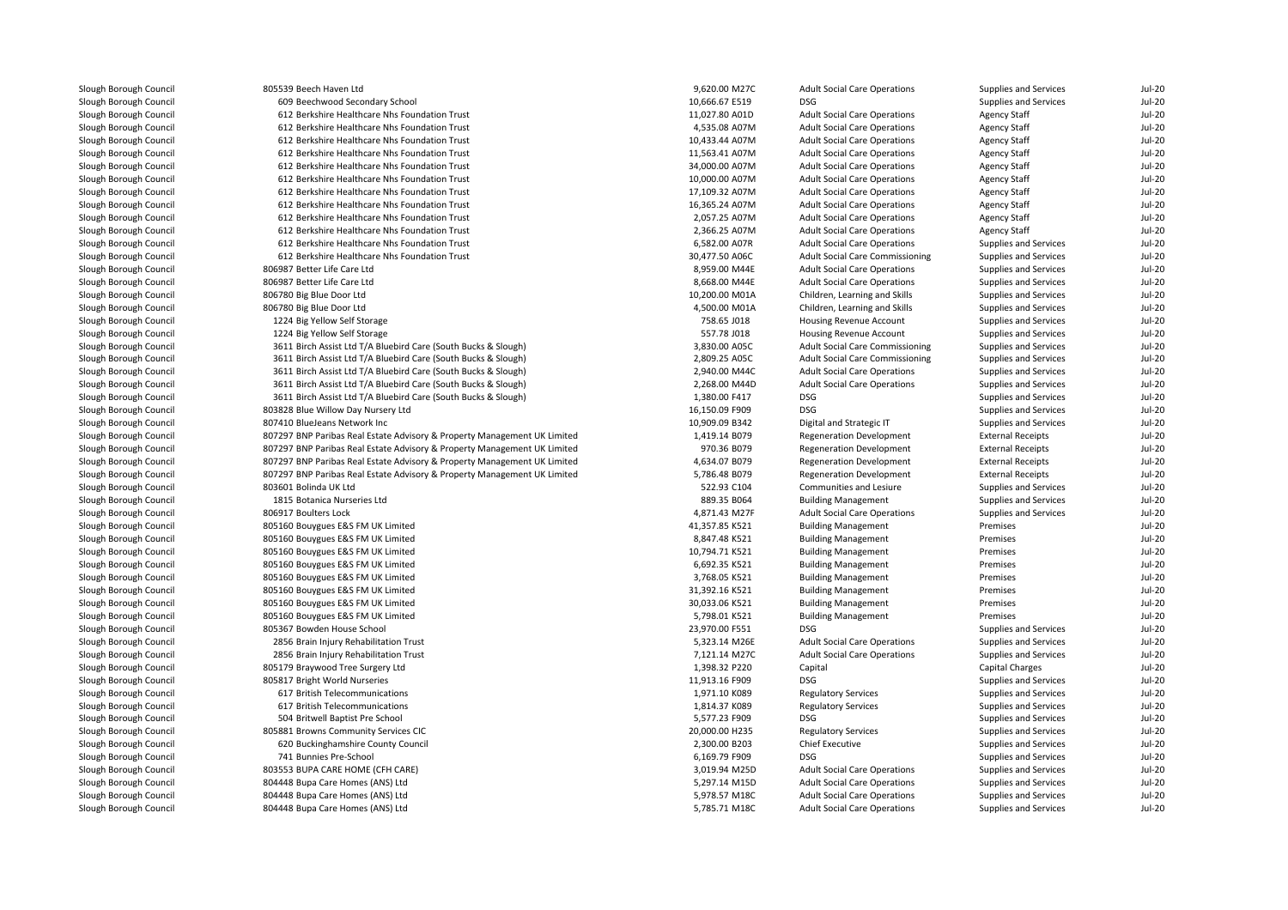| Slough Borough Council | 805539 Beech Haven Ltd                                                   | 9,620.00 M27C  | <b>Adult Social Care Operations</b>    | Supplies and Services    | $Jul-20$      |
|------------------------|--------------------------------------------------------------------------|----------------|----------------------------------------|--------------------------|---------------|
| Slough Borough Council | 609 Beechwood Secondary School                                           | 10,666.67 E519 | <b>DSG</b>                             | Supplies and Services    | <b>Jul-20</b> |
| Slough Borough Council | 612 Berkshire Healthcare Nhs Foundation Trust                            | 11,027.80 A01D | <b>Adult Social Care Operations</b>    | <b>Agency Staff</b>      | <b>Jul-20</b> |
| Slough Borough Council | 612 Berkshire Healthcare Nhs Foundation Trust                            | 4,535.08 A07M  | <b>Adult Social Care Operations</b>    | <b>Agency Staff</b>      | $Jul-20$      |
| Slough Borough Council | 612 Berkshire Healthcare Nhs Foundation Trust                            | 10,433.44 A07M | <b>Adult Social Care Operations</b>    | <b>Agency Staff</b>      | $Jul-20$      |
| Slough Borough Council | 612 Berkshire Healthcare Nhs Foundation Trust                            | 11,563.41 A07M | <b>Adult Social Care Operations</b>    | <b>Agency Staff</b>      | <b>Jul-20</b> |
| Slough Borough Council | 612 Berkshire Healthcare Nhs Foundation Trust                            | 34,000.00 A07M | <b>Adult Social Care Operations</b>    | <b>Agency Staff</b>      | $Jul-20$      |
| Slough Borough Council | 612 Berkshire Healthcare Nhs Foundation Trust                            | 10,000.00 A07M | <b>Adult Social Care Operations</b>    | <b>Agency Staff</b>      | $Jul-20$      |
| Slough Borough Council | 612 Berkshire Healthcare Nhs Foundation Trust                            | 17,109.32 A07M | <b>Adult Social Care Operations</b>    | <b>Agency Staff</b>      | $Jul-20$      |
| Slough Borough Council | 612 Berkshire Healthcare Nhs Foundation Trust                            | 16,365.24 A07M | <b>Adult Social Care Operations</b>    | <b>Agency Staff</b>      | $Jul-20$      |
| Slough Borough Council | 612 Berkshire Healthcare Nhs Foundation Trust                            | 2,057.25 A07M  | <b>Adult Social Care Operations</b>    | Agency Staff             | $Jul-20$      |
| Slough Borough Council | 612 Berkshire Healthcare Nhs Foundation Trust                            | 2,366.25 A07M  | <b>Adult Social Care Operations</b>    | <b>Agency Staff</b>      | <b>Jul-20</b> |
| Slough Borough Council | 612 Berkshire Healthcare Nhs Foundation Trust                            | 6,582.00 A07R  | <b>Adult Social Care Operations</b>    | Supplies and Services    | $Jul-20$      |
| Slough Borough Council | 612 Berkshire Healthcare Nhs Foundation Trust                            | 30,477.50 A06C | Adult Social Care Commissioning        | Supplies and Services    | <b>Jul-20</b> |
| Slough Borough Council | 806987 Better Life Care Ltd                                              | 8,959.00 M44E  | <b>Adult Social Care Operations</b>    | Supplies and Services    | <b>Jul-20</b> |
| Slough Borough Council | 806987 Better Life Care Ltd                                              | 8,668.00 M44E  | <b>Adult Social Care Operations</b>    | Supplies and Services    | <b>Jul-20</b> |
| Slough Borough Council | 806780 Big Blue Door Ltd                                                 | 10,200.00 M01A | Children, Learning and Skills          | Supplies and Services    | <b>Jul-20</b> |
| Slough Borough Council | 806780 Big Blue Door Ltd                                                 | 4,500.00 M01A  | Children, Learning and Skills          | Supplies and Services    | <b>Jul-20</b> |
| Slough Borough Council | 1224 Big Yellow Self Storage                                             | 758.65 J018    | Housing Revenue Account                | Supplies and Services    | $Jul-20$      |
| Slough Borough Council | 1224 Big Yellow Self Storage                                             | 557.78 J018    | Housing Revenue Account                | Supplies and Services    | $Jul-20$      |
| Slough Borough Council | 3611 Birch Assist Ltd T/A Bluebird Care (South Bucks & Slough)           | 3,830.00 A05C  | Adult Social Care Commissioning        | Supplies and Services    | $Jul-20$      |
|                        |                                                                          |                |                                        |                          |               |
| Slough Borough Council | 3611 Birch Assist Ltd T/A Bluebird Care (South Bucks & Slough)           | 2,809.25 A05C  | <b>Adult Social Care Commissioning</b> | Supplies and Services    | $Jul-20$      |
| Slough Borough Council | 3611 Birch Assist Ltd T/A Bluebird Care (South Bucks & Slough)           | 2,940.00 M44C  | <b>Adult Social Care Operations</b>    | Supplies and Services    | $Jul-20$      |
| Slough Borough Council | 3611 Birch Assist Ltd T/A Bluebird Care (South Bucks & Slough)           | 2,268.00 M44D  | <b>Adult Social Care Operations</b>    | Supplies and Services    | <b>Jul-20</b> |
| Slough Borough Council | 3611 Birch Assist Ltd T/A Bluebird Care (South Bucks & Slough)           | 1,380.00 F417  | DSG                                    | Supplies and Services    | $Jul-20$      |
| Slough Borough Council | 803828 Blue Willow Day Nursery Ltd                                       | 16,150.09 F909 | DSG                                    | Supplies and Services    | <b>Jul-20</b> |
| Slough Borough Council | 807410 BlueJeans Network Inc                                             | 10,909.09 B342 | Digital and Strategic IT               | Supplies and Services    | $Jul-20$      |
| Slough Borough Council | 807297 BNP Paribas Real Estate Advisory & Property Management UK Limited | 1,419.14 B079  | <b>Regeneration Development</b>        | <b>External Receipts</b> | $Jul-20$      |
| Slough Borough Council | 807297 BNP Paribas Real Estate Advisory & Property Management UK Limited | 970.36 B079    | <b>Regeneration Development</b>        | <b>External Receipts</b> | <b>Jul-20</b> |
| Slough Borough Council | 807297 BNP Paribas Real Estate Advisory & Property Management UK Limited | 4,634.07 B079  | <b>Regeneration Development</b>        | <b>External Receipts</b> | <b>Jul-20</b> |
| Slough Borough Council | 807297 BNP Paribas Real Estate Advisory & Property Management UK Limited | 5,786.48 B079  | <b>Regeneration Development</b>        | <b>External Receipts</b> | <b>Jul-20</b> |
| Slough Borough Council | 803601 Bolinda UK Ltd                                                    | 522.93 C104    | Communities and Lesiure                | Supplies and Services    | <b>Jul-20</b> |
| Slough Borough Council | 1815 Botanica Nurseries Ltd                                              | 889.35 B064    | <b>Building Management</b>             | Supplies and Services    | <b>Jul-20</b> |
| Slough Borough Council | 806917 Boulters Lock                                                     | 4,871.43 M27F  | <b>Adult Social Care Operations</b>    | Supplies and Services    | $Jul-20$      |
| Slough Borough Council | 805160 Bouygues E&S FM UK Limited                                        | 41,357.85 K521 | <b>Building Management</b>             | Premises                 | $Jul-20$      |
| Slough Borough Council | 805160 Bouygues E&S FM UK Limited                                        | 8,847.48 K521  | <b>Building Management</b>             | Premises                 | <b>Jul-20</b> |
| Slough Borough Council | 805160 Bouygues E&S FM UK Limited                                        | 10,794.71 K521 | <b>Building Management</b>             | Premises                 | $Jul-20$      |
| Slough Borough Council | 805160 Bouygues E&S FM UK Limited                                        | 6,692.35 K521  | <b>Building Management</b>             | Premises                 | $Jul-20$      |
| Slough Borough Council | 805160 Bouygues E&S FM UK Limited                                        | 3,768.05 K521  | <b>Building Management</b>             | Premises                 | <b>Jul-20</b> |
| Slough Borough Council | 805160 Bouygues E&S FM UK Limited                                        | 31,392.16 K521 | <b>Building Management</b>             | Premises                 | $Jul-20$      |
| Slough Borough Council | 805160 Bouygues E&S FM UK Limited                                        | 30,033.06 K521 | <b>Building Management</b>             | Premises                 | $Jul-20$      |
| Slough Borough Council | 805160 Bouygues E&S FM UK Limited                                        | 5,798.01 K521  | <b>Building Management</b>             | Premises                 | <b>Jul-20</b> |
| Slough Borough Council | 805367 Bowden House School                                               | 23,970.00 F551 | <b>DSG</b>                             | Supplies and Services    | $Jul-20$      |
| Slough Borough Council | 2856 Brain Injury Rehabilitation Trust                                   | 5,323.14 M26E  | <b>Adult Social Care Operations</b>    | Supplies and Services    | <b>Jul-20</b> |
| Slough Borough Council | 2856 Brain Injury Rehabilitation Trust                                   | 7,121.14 M27C  | <b>Adult Social Care Operations</b>    | Supplies and Services    | <b>Jul-20</b> |
| Slough Borough Council | 805179 Braywood Tree Surgery Ltd                                         | 1,398.32 P220  | Capital                                | Capital Charges          | <b>Jul-20</b> |
| Slough Borough Council | 805817 Bright World Nurseries                                            | 11,913.16 F909 | <b>DSG</b>                             | Supplies and Services    | <b>Jul-20</b> |
| Slough Borough Council | 617 British Telecommunications                                           | 1,971.10 K089  | <b>Regulatory Services</b>             | Supplies and Services    | <b>Jul-20</b> |
| Slough Borough Council | 617 British Telecommunications                                           | 1,814.37 K089  | <b>Regulatory Services</b>             | Supplies and Services    | $Jul-20$      |
| Slough Borough Council | 504 Britwell Baptist Pre School                                          | 5,577.23 F909  | DSG                                    | Supplies and Services    | <b>Jul-20</b> |
| Slough Borough Council | 805881 Browns Community Services CIC                                     | 20,000.00 H235 | <b>Regulatory Services</b>             | Supplies and Services    | <b>Jul-20</b> |
| Slough Borough Council | 620 Buckinghamshire County Council                                       | 2,300.00 B203  | Chief Executive                        | Supplies and Services    | $Jul-20$      |
| Slough Borough Council | 741 Bunnies Pre-School                                                   | 6,169.79 F909  | DSG                                    | Supplies and Services    | <b>Jul-20</b> |
| Slough Borough Council | 803553 BUPA CARE HOME (CFH CARE)                                         | 3,019.94 M25D  | <b>Adult Social Care Operations</b>    | Supplies and Services    | <b>Jul-20</b> |
| Slough Borough Council | 804448 Bupa Care Homes (ANS) Ltd                                         | 5,297.14 M15D  | <b>Adult Social Care Operations</b>    | Supplies and Services    | $Jul-20$      |
| Slough Borough Council | 804448 Bupa Care Homes (ANS) Ltd                                         | 5,978.57 M18C  | <b>Adult Social Care Operations</b>    | Supplies and Services    | <b>Jul-20</b> |
|                        |                                                                          |                |                                        |                          |               |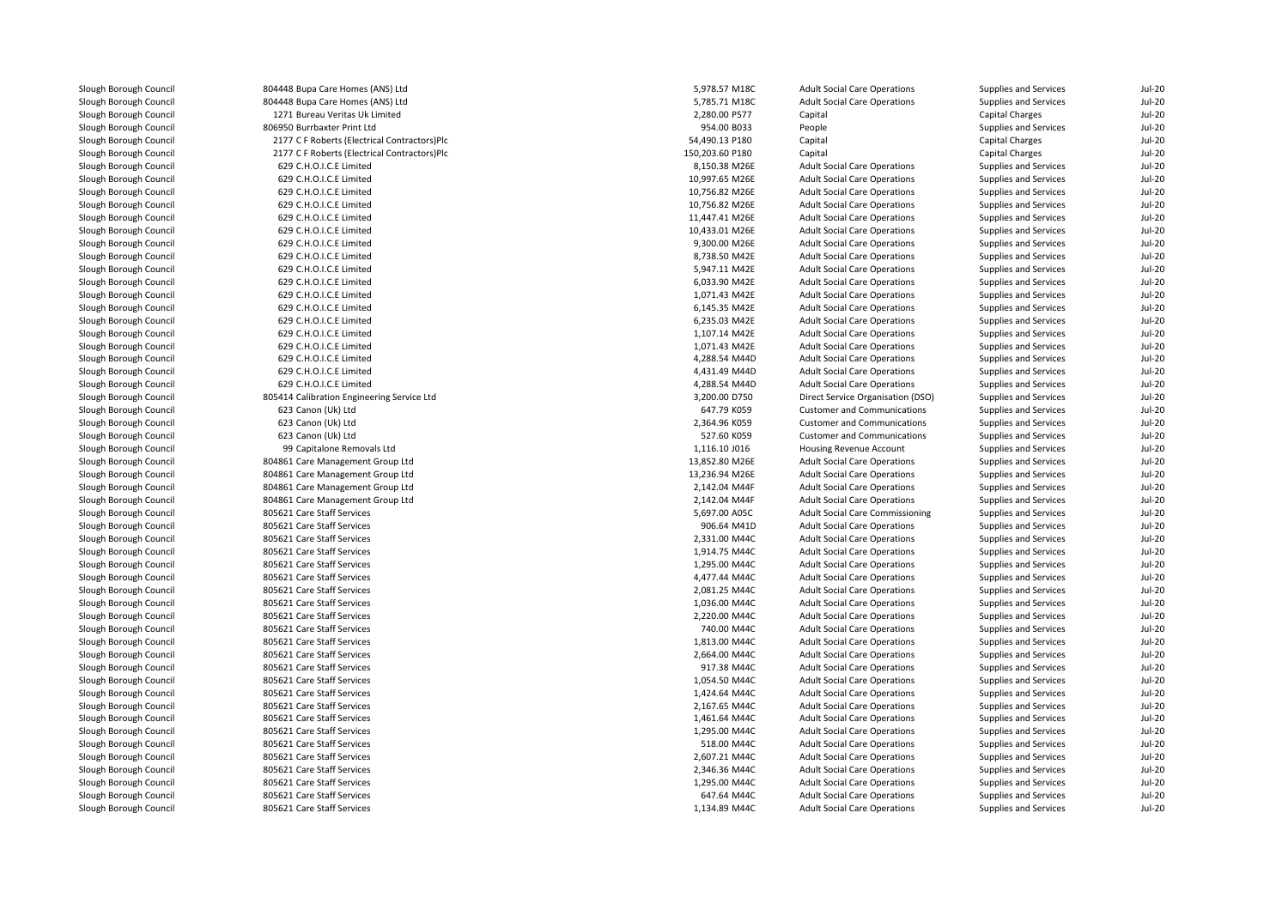| Slough Borough Council | 804448 Bupa Care Homes (ANS) Ltd             | 5,978.57 M18C   | <b>Adult Social Care Operations</b> | Supplies and Services        | <b>Jul-20</b>             |
|------------------------|----------------------------------------------|-----------------|-------------------------------------|------------------------------|---------------------------|
| Slough Borough Council | 804448 Bupa Care Homes (ANS) Ltd             | 5,785.71 M18C   | <b>Adult Social Care Operations</b> | Supplies and Services        | <b>Jul-20</b>             |
| Slough Borough Council | 1271 Bureau Veritas Uk Limited               | 2,280.00 P577   | Capital                             | Capital Charges              | <b>Jul-20</b>             |
| Slough Borough Council | 806950 Burrbaxter Print Ltd                  | 954.00 B033     | People                              | Supplies and Services        | <b>Jul-20</b>             |
| Slough Borough Council | 2177 C F Roberts (Electrical Contractors)Plc | 54,490.13 P180  | Capital                             | <b>Capital Charges</b>       | <b>Jul-20</b>             |
| Slough Borough Council | 2177 C F Roberts (Electrical Contractors)Plc | 150,203.60 P180 | Capital                             | Capital Charges              | $Jul-20$                  |
| Slough Borough Council | 629 C.H.O.I.C.E Limited                      | 8,150.38 M26E   | <b>Adult Social Care Operations</b> | Supplies and Services        | $Jul-20$                  |
| Slough Borough Council | 629 C.H.O.I.C.E Limited                      | 10,997.65 M26E  | <b>Adult Social Care Operations</b> | Supplies and Services        | <b>Jul-20</b>             |
| Slough Borough Council | 629 C.H.O.I.C.E Limited                      | 10,756.82 M26E  | <b>Adult Social Care Operations</b> | Supplies and Services        | <b>Jul-20</b>             |
| Slough Borough Council | 629 C.H.O.I.C.E Limited                      | 10,756.82 M26E  | <b>Adult Social Care Operations</b> | Supplies and Services        | <b>Jul-20</b>             |
| Slough Borough Council | 629 C.H.O.I.C.E Limited                      | 11,447.41 M26E  | <b>Adult Social Care Operations</b> | Supplies and Services        | <b>Jul-20</b>             |
| Slough Borough Council | 629 C.H.O.I.C.E Limited                      | 10,433.01 M26E  | <b>Adult Social Care Operations</b> | Supplies and Services        | <b>Jul-20</b>             |
| Slough Borough Council | 629 C.H.O.I.C.E Limited                      | 9,300.00 M26E   | <b>Adult Social Care Operations</b> | Supplies and Services        | <b>Jul-20</b>             |
| Slough Borough Council | 629 C.H.O.I.C.E Limited                      | 8,738.50 M42E   | <b>Adult Social Care Operations</b> | Supplies and Services        | <b>Jul-20</b>             |
| Slough Borough Council | 629 C.H.O.I.C.E Limited                      | 5,947.11 M42E   | <b>Adult Social Care Operations</b> | Supplies and Services        | <b>Jul-20</b>             |
| Slough Borough Council | 629 C.H.O.I.C.E Limited                      | 6,033.90 M42E   | <b>Adult Social Care Operations</b> | Supplies and Services        | $Jul-20$                  |
| Slough Borough Council | 629 C.H.O.I.C.E Limited                      | 1,071.43 M42E   | <b>Adult Social Care Operations</b> | Supplies and Services        | <b>Jul-20</b>             |
| Slough Borough Council | 629 C.H.O.I.C.E Limited                      | 6,145.35 M42E   | <b>Adult Social Care Operations</b> | Supplies and Services        | <b>Jul-20</b>             |
|                        | 629 C.H.O.I.C.E Limited                      | 6,235.03 M42E   |                                     |                              | $Jul-20$                  |
| Slough Borough Council | 629 C.H.O.I.C.E Limited                      |                 | <b>Adult Social Care Operations</b> | Supplies and Services        |                           |
| Slough Borough Council |                                              | 1,107.14 M42E   | <b>Adult Social Care Operations</b> | Supplies and Services        | <b>Jul-20</b><br>$Jul-20$ |
| Slough Borough Council | 629 C.H.O.I.C.E Limited                      | 1,071.43 M42E   | <b>Adult Social Care Operations</b> | Supplies and Services        |                           |
| Slough Borough Council | 629 C.H.O.I.C.E Limited                      | 4,288.54 M44D   | <b>Adult Social Care Operations</b> | Supplies and Services        | <b>Jul-20</b>             |
| Slough Borough Council | 629 C.H.O.I.C.E Limited                      | 4,431.49 M44D   | <b>Adult Social Care Operations</b> | Supplies and Services        | <b>Jul-20</b>             |
| Slough Borough Council | 629 C.H.O.I.C.E Limited                      | 4,288.54 M44D   | <b>Adult Social Care Operations</b> | Supplies and Services        | <b>Jul-20</b>             |
| Slough Borough Council | 805414 Calibration Engineering Service Ltd   | 3,200.00 D750   | Direct Service Organisation (DSO)   | Supplies and Services        | $Jul-20$                  |
| Slough Borough Council | 623 Canon (Uk) Ltd                           | 647.79 K059     | Customer and Communications         | Supplies and Services        | <b>Jul-20</b>             |
| Slough Borough Council | 623 Canon (Uk) Ltd                           | 2,364.96 K059   | <b>Customer and Communications</b>  | Supplies and Services        | <b>Jul-20</b>             |
| Slough Borough Council | 623 Canon (Uk) Ltd                           | 527.60 K059     | <b>Customer and Communications</b>  | Supplies and Services        | <b>Jul-20</b>             |
| Slough Borough Council | 99 Capitalone Removals Ltd                   | 1,116.10 J016   | Housing Revenue Account             | Supplies and Services        | <b>Jul-20</b>             |
| Slough Borough Council | 804861 Care Management Group Ltd             | 13,852.80 M26E  | <b>Adult Social Care Operations</b> | Supplies and Services        | <b>Jul-20</b>             |
| Slough Borough Council | 804861 Care Management Group Ltd             | 13,236.94 M26E  | <b>Adult Social Care Operations</b> | Supplies and Services        | <b>Jul-20</b>             |
| Slough Borough Council | 804861 Care Management Group Ltd             | 2,142.04 M44F   | <b>Adult Social Care Operations</b> | Supplies and Services        | <b>Jul-20</b>             |
| Slough Borough Council | 804861 Care Management Group Ltd             | 2,142.04 M44F   | <b>Adult Social Care Operations</b> | Supplies and Services        | <b>Jul-20</b>             |
| Slough Borough Council | 805621 Care Staff Services                   | 5,697.00 A05C   | Adult Social Care Commissioning     | Supplies and Services        | <b>Jul-20</b>             |
| Slough Borough Council | 805621 Care Staff Services                   | 906.64 M41D     | <b>Adult Social Care Operations</b> | Supplies and Services        | <b>Jul-20</b>             |
| Slough Borough Council | 805621 Care Staff Services                   | 2,331.00 M44C   | <b>Adult Social Care Operations</b> | Supplies and Services        | <b>Jul-20</b>             |
| Slough Borough Council | 805621 Care Staff Services                   | 1,914.75 M44C   | <b>Adult Social Care Operations</b> | <b>Supplies and Services</b> | $Jul-20$                  |
| Slough Borough Council | 805621 Care Staff Services                   | 1,295.00 M44C   | <b>Adult Social Care Operations</b> | <b>Supplies and Services</b> | $Jul-20$                  |
| Slough Borough Council | 805621 Care Staff Services                   | 4,477.44 M44C   | <b>Adult Social Care Operations</b> | Supplies and Services        | <b>Jul-20</b>             |
| Slough Borough Council | 805621 Care Staff Services                   | 2,081.25 M44C   | <b>Adult Social Care Operations</b> | Supplies and Services        | $Jul-20$                  |
| Slough Borough Council | 805621 Care Staff Services                   | 1,036.00 M44C   | <b>Adult Social Care Operations</b> | Supplies and Services        | <b>Jul-20</b>             |
| Slough Borough Council | 805621 Care Staff Services                   | 2,220.00 M44C   | <b>Adult Social Care Operations</b> | Supplies and Services        | <b>Jul-20</b>             |
| Slough Borough Council | 805621 Care Staff Services                   | 740.00 M44C     | <b>Adult Social Care Operations</b> | Supplies and Services        | <b>Jul-20</b>             |
| Slough Borough Council | 805621 Care Staff Services                   | 1,813.00 M44C   | <b>Adult Social Care Operations</b> | Supplies and Services        | <b>Jul-20</b>             |
| Slough Borough Council | 805621 Care Staff Services                   | 2,664.00 M44C   | <b>Adult Social Care Operations</b> | Supplies and Services        | <b>Jul-20</b>             |
| Slough Borough Council | 805621 Care Staff Services                   | 917.38 M44C     | <b>Adult Social Care Operations</b> | Supplies and Services        | <b>Jul-20</b>             |
| Slough Borough Council | 805621 Care Staff Services                   | 1,054.50 M44C   | <b>Adult Social Care Operations</b> | Supplies and Services        | <b>Jul-20</b>             |
| Slough Borough Council | 805621 Care Staff Services                   | 1,424.64 M44C   | <b>Adult Social Care Operations</b> | Supplies and Services        | <b>Jul-20</b>             |
| Slough Borough Council | 805621 Care Staff Services                   | 2,167.65 M44C   | <b>Adult Social Care Operations</b> | Supplies and Services        | <b>Jul-20</b>             |
| Slough Borough Council | 805621 Care Staff Services                   | 1,461.64 M44C   | <b>Adult Social Care Operations</b> | Supplies and Services        | $Jul-20$                  |
| Slough Borough Council | 805621 Care Staff Services                   | 1,295.00 M44C   | <b>Adult Social Care Operations</b> | Supplies and Services        | <b>Jul-20</b>             |
| Slough Borough Council | 805621 Care Staff Services                   | 518.00 M44C     | <b>Adult Social Care Operations</b> | Supplies and Services        | <b>Jul-20</b>             |
| Slough Borough Council | 805621 Care Staff Services                   | 2,607.21 M44C   | <b>Adult Social Care Operations</b> | Supplies and Services        | <b>Jul-20</b>             |
| Slough Borough Council | 805621 Care Staff Services                   | 2,346.36 M44C   | <b>Adult Social Care Operations</b> | Supplies and Services        | <b>Jul-20</b>             |
| Slough Borough Council | 805621 Care Staff Services                   | 1,295.00 M44C   | <b>Adult Social Care Operations</b> | Supplies and Services        | $Jul-20$                  |
| Slough Borough Council | 805621 Care Staff Services                   | 647.64 M44C     | <b>Adult Social Care Operations</b> | Supplies and Services        | <b>Jul-20</b>             |
| Slough Borough Council | 805621 Care Staff Services                   | 1 134 89 MAAC   | Adult Social Care Operations        | Sunnlies and Services        | $11 - 20$                 |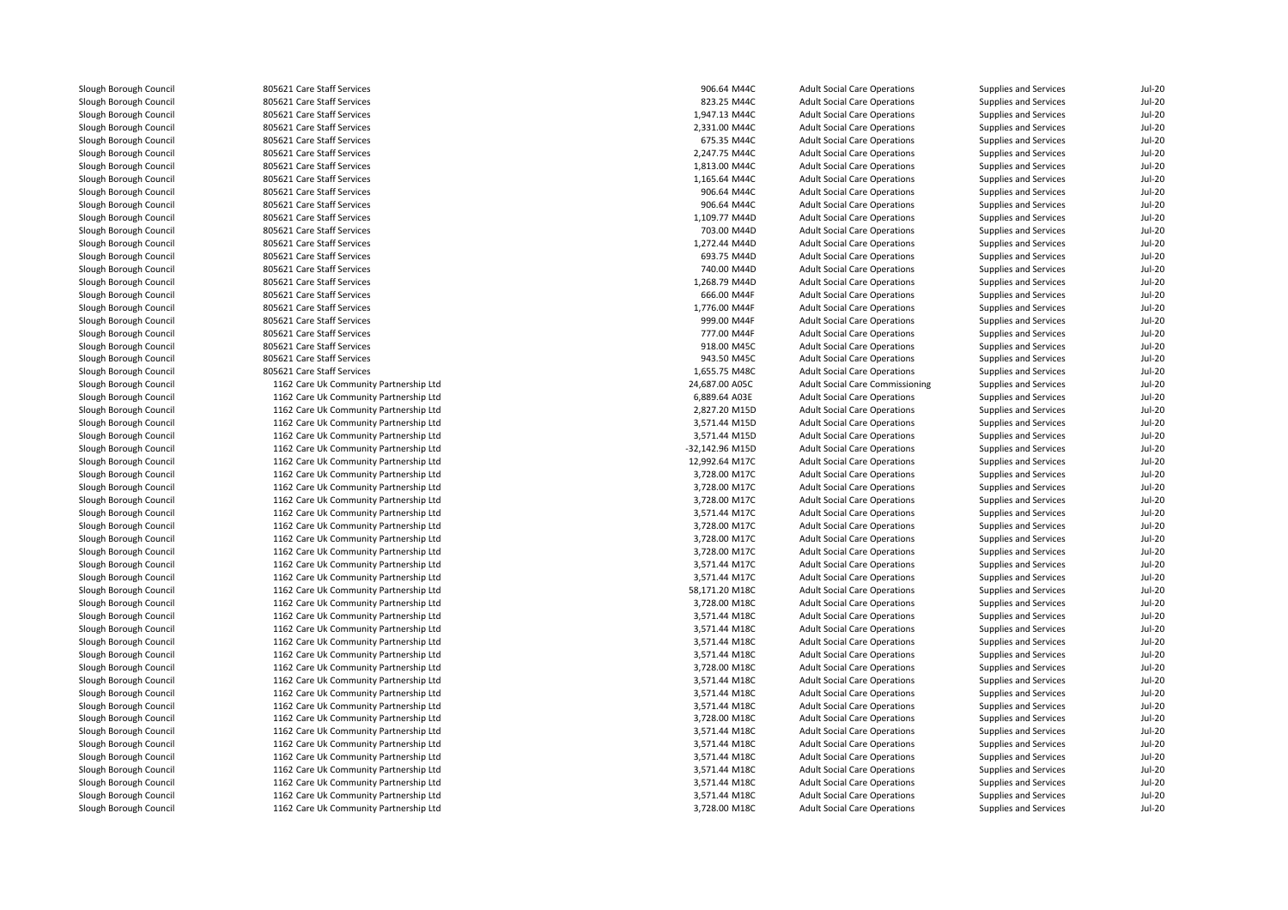| Slough Borough Council                           | 805621 Care Staff Services             | 906.64 M44C     | <b>Adult Social Care Operations</b>                                        | Supplies and Services                          | $Jul-20$      |
|--------------------------------------------------|----------------------------------------|-----------------|----------------------------------------------------------------------------|------------------------------------------------|---------------|
| Slough Borough Council                           | 805621 Care Staff Services             | 823.25 M44C     | <b>Adult Social Care Operations</b>                                        | Supplies and Services                          | <b>Jul-20</b> |
| Slough Borough Council                           | 805621 Care Staff Services             | 1,947.13 M44C   | <b>Adult Social Care Operations</b>                                        | Supplies and Services                          | <b>Jul-20</b> |
| Slough Borough Council                           | 805621 Care Staff Services             | 2,331.00 M44C   | <b>Adult Social Care Operations</b>                                        | Supplies and Services                          | <b>Jul-20</b> |
| Slough Borough Council                           | 805621 Care Staff Services             | 675.35 M44C     | <b>Adult Social Care Operations</b>                                        | Supplies and Services                          | $Jul-20$      |
| Slough Borough Council                           | 805621 Care Staff Services             | 2,247.75 M44C   | <b>Adult Social Care Operations</b>                                        | Supplies and Services                          | $Jul-20$      |
| Slough Borough Council                           | 805621 Care Staff Services             | 1,813.00 M44C   | <b>Adult Social Care Operations</b>                                        | Supplies and Services                          | <b>Jul-20</b> |
| Slough Borough Council                           | 805621 Care Staff Services             | 1,165.64 M44C   | <b>Adult Social Care Operations</b>                                        | Supplies and Services                          | <b>Jul-20</b> |
| Slough Borough Council                           | 805621 Care Staff Services             | 906.64 M44C     | <b>Adult Social Care Operations</b>                                        | Supplies and Services                          | <b>Jul-20</b> |
| Slough Borough Council                           | 805621 Care Staff Services             | 906.64 M44C     | <b>Adult Social Care Operations</b>                                        | Supplies and Services                          | <b>Jul-20</b> |
| Slough Borough Council                           | 805621 Care Staff Services             | 1,109.77 M44D   | <b>Adult Social Care Operations</b>                                        | Supplies and Services                          | $Jul-20$      |
|                                                  | 805621 Care Staff Services             | 703.00 M44D     |                                                                            |                                                | <b>Jul-20</b> |
| Slough Borough Council<br>Slough Borough Council | 805621 Care Staff Services             | 1,272.44 M44D   | <b>Adult Social Care Operations</b><br><b>Adult Social Care Operations</b> | Supplies and Services<br>Supplies and Services | $Jul-20$      |
|                                                  |                                        |                 |                                                                            |                                                |               |
| Slough Borough Council                           | 805621 Care Staff Services             | 693.75 M44D     | <b>Adult Social Care Operations</b>                                        | Supplies and Services                          | $Jul-20$      |
| Slough Borough Council                           | 805621 Care Staff Services             | 740.00 M44D     | <b>Adult Social Care Operations</b>                                        | Supplies and Services                          | <b>Jul-20</b> |
| Slough Borough Council                           | 805621 Care Staff Services             | 1,268.79 M44D   | <b>Adult Social Care Operations</b>                                        | Supplies and Services                          | <b>Jul-20</b> |
| Slough Borough Council                           | 805621 Care Staff Services             | 666.00 M44F     | <b>Adult Social Care Operations</b>                                        | Supplies and Services                          | $Jul-20$      |
| Slough Borough Council                           | 805621 Care Staff Services             | 1,776.00 M44F   | <b>Adult Social Care Operations</b>                                        | Supplies and Services                          | <b>Jul-20</b> |
| Slough Borough Council                           | 805621 Care Staff Services             | 999.00 M44F     | <b>Adult Social Care Operations</b>                                        | Supplies and Services                          | <b>Jul-20</b> |
| Slough Borough Council                           | 805621 Care Staff Services             | 777.00 M44F     | <b>Adult Social Care Operations</b>                                        | Supplies and Services                          | <b>Jul-20</b> |
| Slough Borough Council                           | 805621 Care Staff Services             | 918.00 M45C     | <b>Adult Social Care Operations</b>                                        | Supplies and Services                          | $Jul-20$      |
| Slough Borough Council                           | 805621 Care Staff Services             | 943.50 M45C     | <b>Adult Social Care Operations</b>                                        | Supplies and Services                          | $Jul-20$      |
| Slough Borough Council                           | 805621 Care Staff Services             | 1,655.75 M48C   | <b>Adult Social Care Operations</b>                                        | Supplies and Services                          | <b>Jul-20</b> |
| Slough Borough Council                           | 1162 Care Uk Community Partnership Ltd | 24,687.00 A05C  | Adult Social Care Commissioning                                            | Supplies and Services                          | $Jul-20$      |
| Slough Borough Council                           | 1162 Care Uk Community Partnership Ltd | 6,889.64 A03E   | <b>Adult Social Care Operations</b>                                        | Supplies and Services                          | $Jul-20$      |
| Slough Borough Council                           | 1162 Care Uk Community Partnership Ltd | 2,827.20 M15D   | <b>Adult Social Care Operations</b>                                        | Supplies and Services                          | <b>Jul-20</b> |
| Slough Borough Council                           | 1162 Care Uk Community Partnership Ltd | 3,571.44 M15D   | <b>Adult Social Care Operations</b>                                        | Supplies and Services                          | $Jul-20$      |
| Slough Borough Council                           | 1162 Care Uk Community Partnership Ltd | 3,571.44 M15D   | <b>Adult Social Care Operations</b>                                        | Supplies and Services                          | $Jul-20$      |
| Slough Borough Council                           | 1162 Care Uk Community Partnership Ltd | -32,142.96 M15D | <b>Adult Social Care Operations</b>                                        | Supplies and Services                          | <b>Jul-20</b> |
| Slough Borough Council                           | 1162 Care Uk Community Partnership Ltd | 12,992.64 M17C  | <b>Adult Social Care Operations</b>                                        | Supplies and Services                          | <b>Jul-20</b> |
| Slough Borough Council                           | 1162 Care Uk Community Partnership Ltd | 3,728.00 M17C   | <b>Adult Social Care Operations</b>                                        | Supplies and Services                          | $Jul-20$      |
| Slough Borough Council                           | 1162 Care Uk Community Partnership Ltd | 3,728.00 M17C   | <b>Adult Social Care Operations</b>                                        | Supplies and Services                          | <b>Jul-20</b> |
| Slough Borough Council                           | 1162 Care Uk Community Partnership Ltd | 3,728.00 M17C   | <b>Adult Social Care Operations</b>                                        | Supplies and Services                          | <b>Jul-20</b> |
| Slough Borough Council                           | 1162 Care Uk Community Partnership Ltd | 3,571.44 M17C   | <b>Adult Social Care Operations</b>                                        | Supplies and Services                          | $Jul-20$      |
| Slough Borough Council                           | 1162 Care Uk Community Partnership Ltd | 3,728.00 M17C   | <b>Adult Social Care Operations</b>                                        | Supplies and Services                          | $Jul-20$      |
| Slough Borough Council                           | 1162 Care Uk Community Partnership Ltd | 3,728.00 M17C   | <b>Adult Social Care Operations</b>                                        | Supplies and Services                          | $Jul-20$      |
| Slough Borough Council                           | 1162 Care Uk Community Partnership Ltd | 3.728.00 M17C   | <b>Adult Social Care Operations</b>                                        | Supplies and Services                          | <b>Jul-20</b> |
| Slough Borough Council                           | 1162 Care Uk Community Partnership Ltd | 3,571.44 M17C   | <b>Adult Social Care Operations</b>                                        | Supplies and Services                          | $Jul-20$      |
| Slough Borough Council                           | 1162 Care Uk Community Partnership Ltd | 3,571.44 M17C   | <b>Adult Social Care Operations</b>                                        | Supplies and Services                          | $Jul-20$      |
| Slough Borough Council                           | 1162 Care Uk Community Partnership Ltd | 58,171.20 M18C  | <b>Adult Social Care Operations</b>                                        | Supplies and Services                          | <b>Jul-20</b> |
| Slough Borough Council                           | 1162 Care Uk Community Partnership Ltd | 3,728.00 M18C   | <b>Adult Social Care Operations</b>                                        | Supplies and Services                          | $Jul-20$      |
| Slough Borough Council                           | 1162 Care Uk Community Partnership Ltd | 3,571.44 M18C   | <b>Adult Social Care Operations</b>                                        | Supplies and Services                          | $Jul-20$      |
| Slough Borough Council                           | 1162 Care Uk Community Partnership Ltd | 3,571.44 M18C   | <b>Adult Social Care Operations</b>                                        | Supplies and Services                          | <b>Jul-20</b> |
| Slough Borough Council                           | 1162 Care Uk Community Partnership Ltd | 3,571.44 M18C   | <b>Adult Social Care Operations</b>                                        | Supplies and Services                          | <b>Jul-20</b> |
| Slough Borough Council                           | 1162 Care Uk Community Partnership Ltd | 3,571.44 M18C   | <b>Adult Social Care Operations</b>                                        | Supplies and Services                          | $Jul-20$      |
| Slough Borough Council                           | 1162 Care Uk Community Partnership Ltd | 3,728.00 M18C   | <b>Adult Social Care Operations</b>                                        | Supplies and Services                          | <b>Jul-20</b> |
| Slough Borough Council                           | 1162 Care Uk Community Partnership Ltd | 3,571.44 M18C   | <b>Adult Social Care Operations</b>                                        | Supplies and Services                          | $Jul-20$      |
| Slough Borough Council                           | 1162 Care Uk Community Partnership Ltd | 3,571.44 M18C   | <b>Adult Social Care Operations</b>                                        | Supplies and Services                          | <b>Jul-20</b> |
| Slough Borough Council                           | 1162 Care Uk Community Partnership Ltd | 3,571.44 M18C   | <b>Adult Social Care Operations</b>                                        | Supplies and Services                          | <b>Jul-20</b> |
| Slough Borough Council                           | 1162 Care Uk Community Partnership Ltd | 3,728.00 M18C   | <b>Adult Social Care Operations</b>                                        | Supplies and Services                          | <b>Jul-20</b> |
| Slough Borough Council                           | 1162 Care Uk Community Partnership Ltd | 3,571.44 M18C   | <b>Adult Social Care Operations</b>                                        | Supplies and Services                          | <b>Jul-20</b> |
| Slough Borough Council                           | 1162 Care Uk Community Partnership Ltd | 3,571.44 M18C   | <b>Adult Social Care Operations</b>                                        | Supplies and Services                          | $Jul-20$      |
| Slough Borough Council                           | 1162 Care Uk Community Partnership Ltd | 3,571.44 M18C   | <b>Adult Social Care Operations</b>                                        | Supplies and Services                          | <b>Jul-20</b> |
| Slough Borough Council                           | 1162 Care Uk Community Partnership Ltd | 3,571.44 M18C   | <b>Adult Social Care Operations</b>                                        | Supplies and Services                          | <b>Jul-20</b> |
| Slough Borough Council                           | 1162 Care Uk Community Partnership Ltd | 3,571.44 M18C   | <b>Adult Social Care Operations</b>                                        | Supplies and Services                          | <b>Jul-20</b> |
| Slough Borough Council                           | 1162 Care Uk Community Partnership Ltd | 3,571.44 M18C   | <b>Adult Social Care Operations</b>                                        | Supplies and Services                          | <b>Jul-20</b> |
| Slough Borough Council                           | 1162 Care Uk Community Partnership Ltd | 3.728.00 M18C   | <b>Adult Social Care Operations</b>                                        | Supplies and Services                          | $Jul-20$      |
|                                                  |                                        |                 |                                                                            |                                                |               |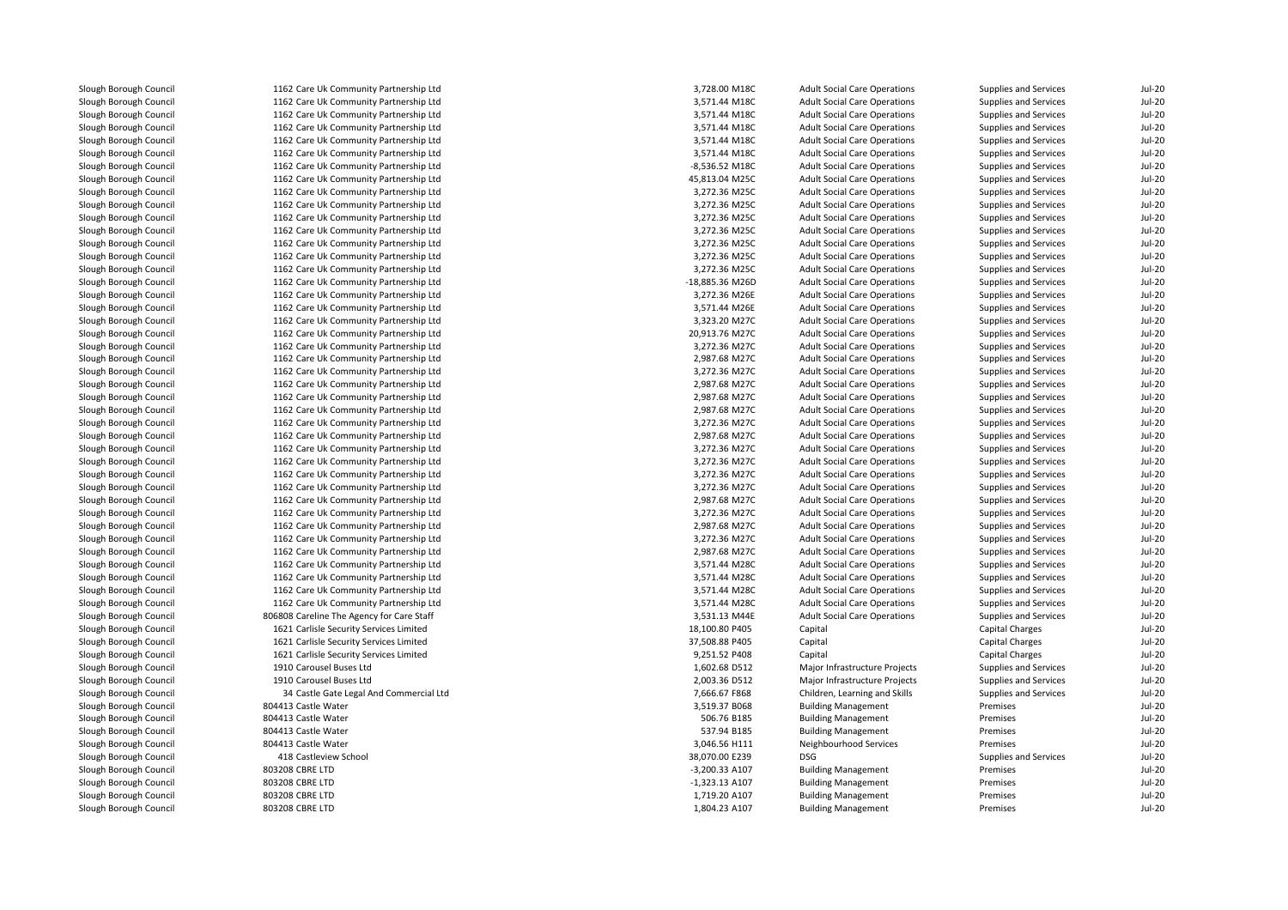| Slough Borough Council                           | 1162 Care Uk Community Partnership Ltd    | 3,728.00 M18C                | <b>Adult Social Care Operations</b>                  | Supplies and Services | <b>Jul-20</b>             |
|--------------------------------------------------|-------------------------------------------|------------------------------|------------------------------------------------------|-----------------------|---------------------------|
| Slough Borough Council                           | 1162 Care Uk Community Partnership Ltd    | 3,571.44 M18C                | <b>Adult Social Care Operations</b>                  | Supplies and Services | <b>Jul-20</b>             |
| Slough Borough Council                           | 1162 Care Uk Community Partnership Ltd    | 3,571.44 M18C                | <b>Adult Social Care Operations</b>                  | Supplies and Services | <b>Jul-20</b>             |
| Slough Borough Council                           | 1162 Care Uk Community Partnership Ltd    | 3,571.44 M18C                | <b>Adult Social Care Operations</b>                  | Supplies and Services | <b>Jul-20</b>             |
| Slough Borough Council                           | 1162 Care Uk Community Partnership Ltd    | 3,571.44 M18C                | <b>Adult Social Care Operations</b>                  | Supplies and Services | <b>Jul-20</b>             |
| Slough Borough Council                           | 1162 Care Uk Community Partnership Ltd    | 3,571.44 M18C                | <b>Adult Social Care Operations</b>                  | Supplies and Services | $Jul-20$                  |
| Slough Borough Council                           | 1162 Care Uk Community Partnership Ltd    | -8,536.52 M18C               | <b>Adult Social Care Operations</b>                  | Supplies and Services | <b>Jul-20</b>             |
| Slough Borough Council                           | 1162 Care Uk Community Partnership Ltd    | 45,813.04 M25C               | <b>Adult Social Care Operations</b>                  | Supplies and Services | <b>Jul-20</b>             |
| Slough Borough Council                           | 1162 Care Uk Community Partnership Ltd    | 3,272.36 M25C                | <b>Adult Social Care Operations</b>                  | Supplies and Services | $Jul-20$                  |
| Slough Borough Council                           | 1162 Care Uk Community Partnership Ltd    | 3,272.36 M25C                | <b>Adult Social Care Operations</b>                  | Supplies and Services | <b>Jul-20</b>             |
| Slough Borough Council                           | 1162 Care Uk Community Partnership Ltd    | 3,272.36 M25C                | <b>Adult Social Care Operations</b>                  | Supplies and Services | <b>Jul-20</b>             |
| Slough Borough Council                           | 1162 Care Uk Community Partnership Ltd    | 3,272.36 M25C                | <b>Adult Social Care Operations</b>                  | Supplies and Services | $Jul-20$                  |
| Slough Borough Council                           | 1162 Care Uk Community Partnership Ltd    | 3,272.36 M25C                | <b>Adult Social Care Operations</b>                  | Supplies and Services | <b>Jul-20</b>             |
| Slough Borough Council                           | 1162 Care Uk Community Partnership Ltd    | 3,272.36 M25C                | <b>Adult Social Care Operations</b>                  | Supplies and Services | <b>Jul-20</b>             |
| Slough Borough Council                           | 1162 Care Uk Community Partnership Ltd    | 3,272.36 M25C                | <b>Adult Social Care Operations</b>                  | Supplies and Services | <b>Jul-20</b>             |
| Slough Borough Council                           | 1162 Care Uk Community Partnership Ltd    | -18,885.36 M26D              | <b>Adult Social Care Operations</b>                  | Supplies and Services | <b>Jul-20</b>             |
| Slough Borough Council                           | 1162 Care Uk Community Partnership Ltd    | 3,272.36 M26E                | <b>Adult Social Care Operations</b>                  | Supplies and Services | $Jul-20$                  |
| Slough Borough Council                           | 1162 Care Uk Community Partnership Ltd    | 3,571.44 M26E                | <b>Adult Social Care Operations</b>                  | Supplies and Services | <b>Jul-20</b>             |
| Slough Borough Council                           | 1162 Care Uk Community Partnership Ltd    | 3,323.20 M27C                | <b>Adult Social Care Operations</b>                  | Supplies and Services | <b>Jul-20</b>             |
| Slough Borough Council                           | 1162 Care Uk Community Partnership Ltd    | 20,913.76 M27C               | <b>Adult Social Care Operations</b>                  | Supplies and Services | <b>Jul-20</b>             |
|                                                  |                                           |                              |                                                      |                       |                           |
| Slough Borough Council                           | 1162 Care Uk Community Partnership Ltd    | 3,272.36 M27C                | <b>Adult Social Care Operations</b>                  | Supplies and Services | $Jul-20$                  |
| Slough Borough Council                           | 1162 Care Uk Community Partnership Ltd    | 2,987.68 M27C                | <b>Adult Social Care Operations</b>                  | Supplies and Services | <b>Jul-20</b>             |
| Slough Borough Council                           | 1162 Care Uk Community Partnership Ltd    | 3,272.36 M27C                | <b>Adult Social Care Operations</b>                  | Supplies and Services | <b>Jul-20</b>             |
| Slough Borough Council                           | 1162 Care Uk Community Partnership Ltd    | 2,987.68 M27C                | <b>Adult Social Care Operations</b>                  | Supplies and Services | <b>Jul-20</b>             |
| Slough Borough Council                           | 1162 Care Uk Community Partnership Ltd    | 2,987.68 M27C                | <b>Adult Social Care Operations</b>                  | Supplies and Services | $Jul-20$                  |
| Slough Borough Council                           | 1162 Care Uk Community Partnership Ltd    | 2,987.68 M27C                | <b>Adult Social Care Operations</b>                  | Supplies and Services | $Jul-20$                  |
| Slough Borough Council                           | 1162 Care Uk Community Partnership Ltd    | 3,272.36 M27C                | <b>Adult Social Care Operations</b>                  | Supplies and Services | <b>Jul-20</b>             |
| Slough Borough Council                           | 1162 Care Uk Community Partnership Ltd    | 2,987.68 M27C                | <b>Adult Social Care Operations</b>                  | Supplies and Services | $Jul-20$                  |
| Slough Borough Council                           | 1162 Care Uk Community Partnership Ltd    | 3,272.36 M27C                | <b>Adult Social Care Operations</b>                  | Supplies and Services | <b>Jul-20</b>             |
| Slough Borough Council                           | 1162 Care Uk Community Partnership Ltd    | 3,272.36 M27C                | <b>Adult Social Care Operations</b>                  | Supplies and Services | <b>Jul-20</b>             |
| Slough Borough Council                           | 1162 Care Uk Community Partnership Ltd    | 3,272.36 M27C                | <b>Adult Social Care Operations</b>                  | Supplies and Services | $Jul-20$                  |
| Slough Borough Council                           | 1162 Care Uk Community Partnership Ltd    | 3,272.36 M27C                | <b>Adult Social Care Operations</b>                  | Supplies and Services | <b>Jul-20</b>             |
| Slough Borough Council                           | 1162 Care Uk Community Partnership Ltd    | 2,987.68 M27C                | <b>Adult Social Care Operations</b>                  | Supplies and Services | <b>Jul-20</b>             |
| Slough Borough Council                           | 1162 Care Uk Community Partnership Ltd    | 3,272.36 M27C                | <b>Adult Social Care Operations</b>                  | Supplies and Services | $Jul-20$                  |
| Slough Borough Council                           | 1162 Care Uk Community Partnership Ltd    | 2,987.68 M27C                | <b>Adult Social Care Operations</b>                  | Supplies and Services | <b>Jul-20</b>             |
| Slough Borough Council                           | 1162 Care Uk Community Partnership Ltd    | 3,272.36 M27C                | <b>Adult Social Care Operations</b>                  | Supplies and Services | <b>Jul-20</b>             |
| Slough Borough Council                           | 1162 Care Uk Community Partnership Ltd    | 2,987.68 M27C                | <b>Adult Social Care Operations</b>                  | Supplies and Services | $Jul-20$                  |
| Slough Borough Council                           | 1162 Care Uk Community Partnership Ltd    | 3,571.44 M28C                | <b>Adult Social Care Operations</b>                  | Supplies and Services | <b>Jul-20</b>             |
| Slough Borough Council                           | 1162 Care Uk Community Partnership Ltd    | 3,571.44 M28C                | <b>Adult Social Care Operations</b>                  | Supplies and Services | <b>Jul-20</b>             |
| Slough Borough Council                           | 1162 Care Uk Community Partnership Ltd    | 3,571.44 M28C                | <b>Adult Social Care Operations</b>                  | Supplies and Services | $Jul-20$                  |
| Slough Borough Council                           | 1162 Care Uk Community Partnership Ltd    | 3,571.44 M28C                | <b>Adult Social Care Operations</b>                  | Supplies and Services | <b>Jul-20</b>             |
| Slough Borough Council                           | 806808 Careline The Agency for Care Staff | 3,531.13 M44E                | <b>Adult Social Care Operations</b>                  | Supplies and Services | <b>Jul-20</b>             |
| Slough Borough Council                           | 1621 Carlisle Security Services Limited   | 18,100.80 P405               | Capital                                              | Capital Charges       | <b>Jul-20</b>             |
| Slough Borough Council                           | 1621 Carlisle Security Services Limited   | 37,508.88 P405               | Capital                                              | Capital Charges       | <b>Jul-20</b>             |
| Slough Borough Council                           | 1621 Carlisle Security Services Limited   | 9,251.52 P408                | Capital                                              | Capital Charges       | <b>Jul-20</b>             |
| Slough Borough Council                           | 1910 Carousel Buses Ltd                   | 1,602.68 D512                | Major Infrastructure Projects                        | Supplies and Services | <b>Jul-20</b>             |
| Slough Borough Council                           | 1910 Carousel Buses Ltd                   | 2,003.36 D512                | Major Infrastructure Projects                        | Supplies and Services | <b>Jul-20</b>             |
| Slough Borough Council                           | 34 Castle Gate Legal And Commercial Ltd   | 7,666.67 F868                | Children, Learning and Skills                        | Supplies and Services | <b>Jul-20</b>             |
| Slough Borough Council                           | 804413 Castle Water                       | 3,519.37 B068                | <b>Building Management</b>                           | Premises              | <b>Jul-20</b>             |
| Slough Borough Council                           | 804413 Castle Water                       | 506.76 B185                  | <b>Building Management</b>                           | Premises              | <b>Jul-20</b>             |
|                                                  |                                           |                              |                                                      |                       |                           |
| Slough Borough Council<br>Slough Borough Council | 804413 Castle Water                       | 537.94 B185<br>3,046.56 H111 | <b>Building Management</b><br>Neighbourhood Services | Premises<br>Premises  | <b>Jul-20</b><br>$Jul-20$ |
|                                                  | 804413 Castle Water                       |                              | <b>DSG</b>                                           |                       |                           |
| Slough Borough Council                           | 418 Castleview School                     | 38,070.00 E239               |                                                      | Supplies and Services | <b>Jul-20</b>             |
| Slough Borough Council                           | 803208 CBRE LTD                           | -3,200.33 A107               | <b>Building Management</b>                           | Premises              | <b>Jul-20</b>             |
| Slough Borough Council                           | 803208 CBRE LTD                           | $-1,323.13$ A107             | <b>Building Management</b>                           | Premises              | $Jul-20$                  |
| Slough Borough Council                           | 803208 CBRE LTD                           | 1,719.20 A107                | <b>Building Management</b>                           | Premises              | <b>Jul-20</b>             |
| Slough Borough Council                           | 803208 CBRE LTD                           | 1,804.23 A107                | <b>Building Management</b>                           | Premises              | <b>Jul-20</b>             |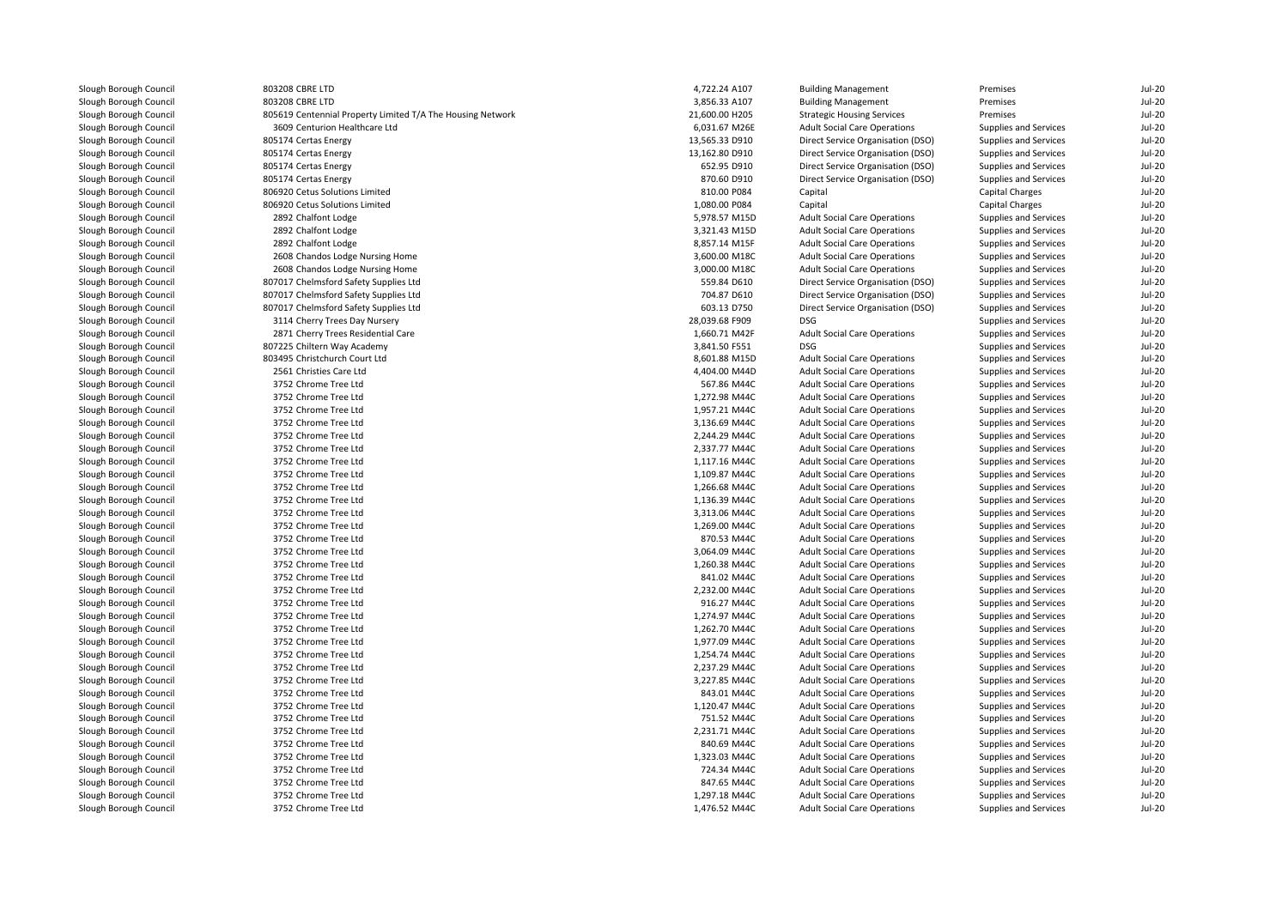| Slough Borough Council | 803208 CBRE LTD                                            | 4,722.24 A107  | <b>Building Management</b>          | Premises               | Jul-20        |
|------------------------|------------------------------------------------------------|----------------|-------------------------------------|------------------------|---------------|
| Slough Borough Council | 803208 CBRE LTD                                            | 3,856.33 A107  | <b>Building Management</b>          | Premises               | $Jul-20$      |
| Slough Borough Council | 805619 Centennial Property Limited T/A The Housing Network | 21,600.00 H205 | <b>Strategic Housing Services</b>   | Premises               | $Jul-20$      |
| Slough Borough Council | 3609 Centurion Healthcare Ltd                              | 6,031.67 M26E  | <b>Adult Social Care Operations</b> | Supplies and Services  | <b>Jul-20</b> |
| Slough Borough Council | 805174 Certas Energy                                       | 13,565.33 D910 | Direct Service Organisation (DSO)   | Supplies and Services  | <b>Jul-20</b> |
| Slough Borough Council | 805174 Certas Energy                                       | 13,162.80 D910 | Direct Service Organisation (DSO)   | Supplies and Services  | <b>Jul-20</b> |
| Slough Borough Council | 805174 Certas Energy                                       | 652.95 D910    | Direct Service Organisation (DSO)   | Supplies and Services  | <b>Jul-20</b> |
| Slough Borough Council | 805174 Certas Energy                                       | 870.60 D910    | Direct Service Organisation (DSO)   | Supplies and Services  | <b>Jul-20</b> |
| Slough Borough Council | 806920 Cetus Solutions Limited                             | 810.00 P084    | Capital                             | Capital Charges        | $Jul-20$      |
| Slough Borough Council | 806920 Cetus Solutions Limited                             | 1,080.00 P084  | Capital                             | <b>Capital Charges</b> | <b>Jul-20</b> |
| Slough Borough Council | 2892 Chalfont Lodge                                        | 5,978.57 M15D  | <b>Adult Social Care Operations</b> | Supplies and Services  | <b>Jul-20</b> |
| Slough Borough Council | 2892 Chalfont Lodge                                        | 3,321.43 M15D  | <b>Adult Social Care Operations</b> | Supplies and Services  | <b>Jul-20</b> |
| Slough Borough Council | 2892 Chalfont Lodge                                        | 8,857.14 M15F  | <b>Adult Social Care Operations</b> | Supplies and Services  | $Jul-20$      |
| Slough Borough Council | 2608 Chandos Lodge Nursing Home                            | 3,600.00 M18C  | <b>Adult Social Care Operations</b> | Supplies and Services  | <b>Jul-20</b> |
| Slough Borough Council | 2608 Chandos Lodge Nursing Home                            | 3,000.00 M18C  | <b>Adult Social Care Operations</b> | Supplies and Services  | <b>Jul-20</b> |
| Slough Borough Council | 807017 Chelmsford Safety Supplies Ltd                      | 559.84 D610    | Direct Service Organisation (DSO)   | Supplies and Services  | <b>Jul-20</b> |
| Slough Borough Council | 807017 Chelmsford Safety Supplies Ltd                      | 704.87 D610    | Direct Service Organisation (DSO)   | Supplies and Services  | <b>Jul-20</b> |
| Slough Borough Council | 807017 Chelmsford Safety Supplies Ltd                      | 603.13 D750    | Direct Service Organisation (DSO)   | Supplies and Services  | <b>Jul-20</b> |
| Slough Borough Council | 3114 Cherry Trees Day Nursery                              | 28,039.68 F909 | DSG                                 | Supplies and Services  | $Jul-20$      |
| Slough Borough Council | 2871 Cherry Trees Residential Care                         | 1,660.71 M42F  | <b>Adult Social Care Operations</b> | Supplies and Services  | $Jul-20$      |
| Slough Borough Council | 807225 Chiltern Way Academy                                | 3,841.50 F551  | <b>DSG</b>                          |                        | <b>Jul-20</b> |
| Slough Borough Council | 803495 Christchurch Court Ltd                              | 8,601.88 M15D  |                                     | Supplies and Services  | $Jul-20$      |
|                        |                                                            | 4,404.00 M44D  | <b>Adult Social Care Operations</b> | Supplies and Services  | $Jul-20$      |
| Slough Borough Council | 2561 Christies Care Ltd                                    |                | <b>Adult Social Care Operations</b> | Supplies and Services  |               |
| Slough Borough Council | 3752 Chrome Tree Ltd                                       | 567.86 M44C    | <b>Adult Social Care Operations</b> | Supplies and Services  | <b>Jul-20</b> |
| Slough Borough Council | 3752 Chrome Tree Ltd                                       | 1,272.98 M44C  | <b>Adult Social Care Operations</b> | Supplies and Services  | $Jul-20$      |
| Slough Borough Council | 3752 Chrome Tree Ltd                                       | 1,957.21 M44C  | <b>Adult Social Care Operations</b> | Supplies and Services  | <b>Jul-20</b> |
| Slough Borough Council | 3752 Chrome Tree Ltd                                       | 3,136.69 M44C  | <b>Adult Social Care Operations</b> | Supplies and Services  | <b>Jul-20</b> |
| Slough Borough Council | 3752 Chrome Tree Ltd                                       | 2,244.29 M44C  | <b>Adult Social Care Operations</b> | Supplies and Services  | <b>Jul-20</b> |
| Slough Borough Council | 3752 Chrome Tree Ltd                                       | 2,337.77 M44C  | <b>Adult Social Care Operations</b> | Supplies and Services  | <b>Jul-20</b> |
| Slough Borough Council | 3752 Chrome Tree Ltd                                       | 1,117.16 M44C  | <b>Adult Social Care Operations</b> | Supplies and Services  | <b>Jul-20</b> |
| Slough Borough Council | 3752 Chrome Tree Ltd                                       | 1,109.87 M44C  | <b>Adult Social Care Operations</b> | Supplies and Services  | <b>Jul-20</b> |
| Slough Borough Council | 3752 Chrome Tree Ltd                                       | 1,266.68 M44C  | <b>Adult Social Care Operations</b> | Supplies and Services  | <b>Jul-20</b> |
| Slough Borough Council | 3752 Chrome Tree Ltd                                       | 1,136.39 M44C  | <b>Adult Social Care Operations</b> | Supplies and Services  | <b>Jul-20</b> |
| Slough Borough Council | 3752 Chrome Tree Ltd                                       | 3,313.06 M44C  | <b>Adult Social Care Operations</b> | Supplies and Services  | <b>Jul-20</b> |
| Slough Borough Council | 3752 Chrome Tree Ltd                                       | 1,269.00 M44C  | <b>Adult Social Care Operations</b> | Supplies and Services  | <b>Jul-20</b> |
| Slough Borough Council | 3752 Chrome Tree Ltd                                       | 870.53 M44C    | <b>Adult Social Care Operations</b> | Supplies and Services  | <b>Jul-20</b> |
| Slough Borough Council | 3752 Chrome Tree Ltd                                       | 3,064.09 M44C  | <b>Adult Social Care Operations</b> | Supplies and Services  | <b>Jul-20</b> |
| Slough Borough Council | 3752 Chrome Tree Ltd                                       | 1,260.38 M44C  | <b>Adult Social Care Operations</b> | Supplies and Services  | $Jul-20$      |
| Slough Borough Council | 3752 Chrome Tree Ltd                                       | 841.02 M44C    | <b>Adult Social Care Operations</b> | Supplies and Services  | <b>Jul-20</b> |
| Slough Borough Council | 3752 Chrome Tree Ltd                                       | 2,232.00 M44C  | <b>Adult Social Care Operations</b> | Supplies and Services  | <b>Jul-20</b> |
| Slough Borough Council | 3752 Chrome Tree Ltd                                       | 916.27 M44C    | <b>Adult Social Care Operations</b> | Supplies and Services  | $Jul-20$      |
| Slough Borough Council | 3752 Chrome Tree Ltd                                       | 1,274.97 M44C  | <b>Adult Social Care Operations</b> | Supplies and Services  | <b>Jul-20</b> |
| Slough Borough Council | 3752 Chrome Tree Ltd                                       | 1,262.70 M44C  | <b>Adult Social Care Operations</b> | Supplies and Services  | <b>Jul-20</b> |
| Slough Borough Council | 3752 Chrome Tree Ltd                                       | 1,977.09 M44C  | <b>Adult Social Care Operations</b> | Supplies and Services  | <b>Jul-20</b> |
| Slough Borough Council | 3752 Chrome Tree Ltd                                       | 1,254.74 M44C  | <b>Adult Social Care Operations</b> | Supplies and Services  | <b>Jul-20</b> |
| Slough Borough Council | 3752 Chrome Tree Ltd                                       | 2,237.29 M44C  | <b>Adult Social Care Operations</b> | Supplies and Services  | <b>Jul-20</b> |
| Slough Borough Council | 3752 Chrome Tree Ltd                                       | 3,227.85 M44C  | <b>Adult Social Care Operations</b> | Supplies and Services  | $Jul-20$      |
| Slough Borough Council | 3752 Chrome Tree Ltd                                       | 843.01 M44C    | <b>Adult Social Care Operations</b> | Supplies and Services  | <b>Jul-20</b> |
| Slough Borough Council | 3752 Chrome Tree Ltd                                       | 1,120.47 M44C  | <b>Adult Social Care Operations</b> | Supplies and Services  | <b>Jul-20</b> |
| Slough Borough Council | 3752 Chrome Tree Ltd                                       | 751.52 M44C    | <b>Adult Social Care Operations</b> | Supplies and Services  | <b>Jul-20</b> |
| Slough Borough Council | 3752 Chrome Tree Ltd                                       | 2,231.71 M44C  | <b>Adult Social Care Operations</b> | Supplies and Services  | <b>Jul-20</b> |
| Slough Borough Council | 3752 Chrome Tree Ltd                                       | 840.69 M44C    | <b>Adult Social Care Operations</b> | Supplies and Services  | <b>Jul-20</b> |
| Slough Borough Council | 3752 Chrome Tree Ltd                                       | 1,323.03 M44C  | <b>Adult Social Care Operations</b> | Supplies and Services  | <b>Jul-20</b> |
| Slough Borough Council | 3752 Chrome Tree Ltd                                       | 724.34 M44C    | <b>Adult Social Care Operations</b> | Supplies and Services  | <b>Jul-20</b> |
| Slough Borough Council | 3752 Chrome Tree Ltd                                       | 847.65 M44C    | <b>Adult Social Care Operations</b> | Supplies and Services  | <b>Jul-20</b> |
| Slough Borough Council | 3752 Chrome Tree Ltd                                       | 1,297.18 M44C  | <b>Adult Social Care Operations</b> | Supplies and Services  | <b>Jul-20</b> |
| Slough Borough Council | 3752 Chrome Tree Ltd                                       | 1,476.52 M44C  | <b>Adult Social Care Operations</b> |                        | <b>Jul-20</b> |
|                        |                                                            |                |                                     | Supplies and Services  |               |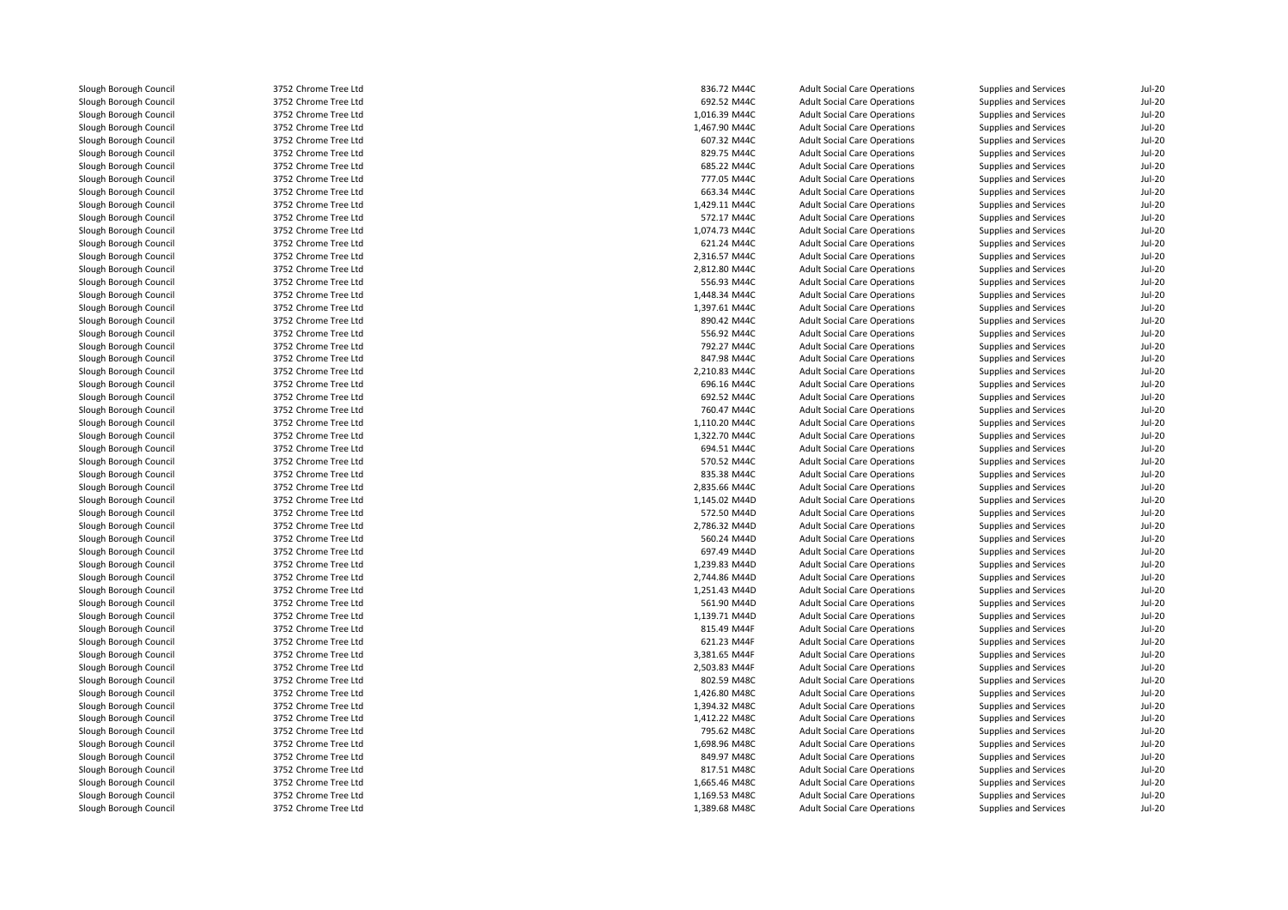Slough Borough Council 3752 Chrome Tree Ltd<br>
Slough Borough Council 3752 Chrome Tree Ltd Slough Borough Council <sup>3752</sup> Chrome Tree LtdSlough Borough Council and the Same Tree Ltd Slough Borough Council 3752 Chrome Tree Ltd Slough Borough Council and the Same Tree Ltd Slough Borough Council and the Same Tree Ltd Slough Borough Council Slough Borough Council 3752 Chrome Tree Ltd<br>
Slough Borough Council 3752 Chrome Tree Ltd Slough Borough Council <sup>3752</sup> Chrome Tree LtdSlough Borough Council 3752 Chrome Tree Ltd<br>Slough Borough Council 3752 Chrome Tree Ltd Slough Borough Council <sup>3752</sup> Chrome Tree LtdSlough Borough Council and the Same Tree Ltd Slough Borough Council 3752 Chrome Tree Ltd Slough Borough Council <sup>3752</sup> Chrome Tree LtdSlough Borough Council 3752 Chrome Tree Ltd<br>
Slough Borough Council 3752 Chrome Tree Ltd Slough Borough Council 3752 Chrome Tree Ltd<br>Slough Borough Council 3752 Chrome Tree Ltd Slough Borough Council <sup>3752</sup> Chrome Tree LtdSlough Borough Council and the Same Tree Ltd Slough Borough Council and the Same Tree Ltd Slough Borough Council Slough Borough Council 3752 Chrome Tree Ltd<br>
Slough Borough Council 3752 Chrome Tree Ltd Slough Borough Council 3752 Chrome Tree Ltd<br>
Slough Borough Council 3752 Chrome Tree Ltd Slough Borough Council 3752 Chrome Tree Ltd<br>Slough Borough Council 3752 Chrome Tree Ltd Slough Borough Council <sup>3752</sup> Chrome Tree LtdSlough Borough Council and the State of the Slough Borough Council 3752 Chrome Tree Ltd<br>3752 Chrome Tree Ltd Slough Borough Council 3752 Chrome Tree Ltd<br>
Slough Borough Council 3752 Chrome Tree Ltd Slough Borough Council <sup>3752</sup> Chrome Tree LtdSlough Borough Council 3752 Chrome Tree Ltd<br>
Slough Borough Council 3752 Chrome Tree Ltd Slough Borough Council and the State of the Slough Borough Council 3752 Chrome Tree Ltd<br>3752 Chrome Tree Ltd Slough Borough Council and the Same Tree Ltd Slough Borough Council 3752 Chrome Tree Ltd Slough Borough Council 3752 Chrome Tree Ltd<br>
Slough Borough Council 3752 Chrome Tree Ltd Slough Borough Council 3752 Chrome Tree Ltd<br>
Slough Borough Council 3752 Chrome Tree Ltd Slough Borough Council <sup>3752</sup> Chrome Tree LtdSlough Borough Council and the Same Tree Ltd Slough Borough Council 3752 Chrome Tree Ltd Slough Borough Council and the Same Tree Ltd Slough Borough Council 3752 Chrome Tree Ltd Slough Borough Council 3752 Chrome Tree Ltd<br>
Slough Borough Council 3752 Chrome Tree Ltd Slough Borough Council <sup>3752</sup> Chrome Tree LtdSlough Borough Council and the State of the Slough Borough Council 3752 Chrome Tree Ltd Slough Borough Council and the Same Tree Ltd 3752 Chrome Tree Ltd 3000 Slough Borough Council 3752 Chrome Tree Ltd Slough Borough Council and the Same Tree Ltd 3752 Chrome Tree Ltd 3000 Slough Borough Council 3752 Chrome Tree Ltd Slough Borough Council <sup>3752</sup> Chrome Tree LtdSlough Borough Council 3752 Chrome Tree Ltd<br>
3752 Chrome Tree Ltd<br>
3752 Chrome Tree Ltd Slough Borough Council and the Same Tree Ltd Slough Borough Council 3752 Chrome Tree Ltd Slough Borough Council and the Same Tree Ltd 3752 Chrome Tree Ltd 3000 Slough Borough Council 3752 Chrome Tree Ltd Slough Borough Council 3752 Chrome Tree Ltd<br>
Slough Borough Council 3752 Chrome Tree Ltd Slough Borough Council 3752 Chrome Tree Ltd<br>
3752 Chrome Tree Ltd<br>
3752 Chrome Tree Ltd Slough Borough Council 3752 Chrome Tree Ltd<br>
3752 Chrome Tree Ltd<br>
3752 Chrome Tree Ltd Slough Borough Council and the Same Tree Ltd Slough Borough Council 3752 Chrome Tree Ltd Slough Borough Council and the Same Tree Ltd 3752 Chrome Tree Ltd 3000 Slough Borough Council 3752 Chrome Tree Ltd Slough Borough Council and Same Tree Ltd 3752 Chrome Tree Ltd<br>3752 Chrome Tree Ltd Slough Borough Council 3752 Chrome Tree Ltd<br>
Slough Borough Council 3752 Chrome Tree Ltd Slough Borough Council <sup>3752</sup> Chrome Tree LtdSlough Borough Council and the Same Tree Ltd Slough Borough Council 3752 Chrome Tree Ltd Slough Borough Council 3752 Chrome Tree Ltd<br>
3752 Chrome Tree Ltd Slough Borough Council 3752 Chrome Tree Ltd<br>
Slough Borough Council 3752 Chrome Tree Ltd Slough Borough Council 3752 Chrome Tree Ltd<br>
Slough Borough Council 3752 Chrome Tree Ltd Slough Borough Council <sup>3752</sup> Chrome Tree LtdSlough Borough Council and Same Tree Ltd 3752 Chrome Tree Ltd<br>
3752 Chrome Tree Ltd Slough Borough Council and the State of the Slough Borough Council 3752 Chrome Tree Ltd<br>3752 Chrome Tree Ltd Slough Borough Council 3752 Chrome Tree Ltd<br>
Slough Borough Council 3752 Chrome Tree Ltd Slough Borough Council 3752 Chrome Tree Ltd<br>
Slough Borough Council 3752 Chrome Tree Ltd Slough Borough Council

Slough Borough Council 3752 Chrome Tree Ltd<br>
Slough Borough Council 3752 Chrome Tree Ltd

| d | 836.72 M44C   | <b>Adult Social Care Operations</b> | Supplies and Services | Jul-20   |
|---|---------------|-------------------------------------|-----------------------|----------|
| d | 692.52 M44C   | <b>Adult Social Care Operations</b> | Supplies and Services | $Jul-2C$ |
| d | 1,016.39 M44C | <b>Adult Social Care Operations</b> | Supplies and Services | $Jul-2C$ |
| d | 1,467.90 M44C | <b>Adult Social Care Operations</b> | Supplies and Services | $Jul-2C$ |
| d | 607.32 M44C   | <b>Adult Social Care Operations</b> | Supplies and Services | $Jul-20$ |
| d | 829.75 M44C   | <b>Adult Social Care Operations</b> | Supplies and Services | $Jul-2C$ |
| d | 685.22 M44C   | <b>Adult Social Care Operations</b> | Supplies and Services | $Jul-2C$ |
| d | 777.05 M44C   | <b>Adult Social Care Operations</b> | Supplies and Services | $Jul-2C$ |
| d | 663.34 M44C   | <b>Adult Social Care Operations</b> | Supplies and Services | $Jul-20$ |
| d | 1,429.11 M44C | <b>Adult Social Care Operations</b> | Supplies and Services | $Jul-2C$ |
| d | 572.17 M44C   | <b>Adult Social Care Operations</b> | Supplies and Services | $Jul-2C$ |
| d | 1,074.73 M44C | <b>Adult Social Care Operations</b> | Supplies and Services | $Jul-2C$ |
| d | 621.24 M44C   | <b>Adult Social Care Operations</b> | Supplies and Services | $Jul-20$ |
| d | 2,316.57 M44C | <b>Adult Social Care Operations</b> | Supplies and Services | $Jul-2C$ |
|   | 2,812.80 M44C | <b>Adult Social Care Operations</b> | Supplies and Services | $Jul-2C$ |
| d | 556.93 M44C   | <b>Adult Social Care Operations</b> | Supplies and Services | $Jul-2C$ |
| d | 1,448.34 M44C | <b>Adult Social Care Operations</b> | Supplies and Services | $Jul-2C$ |
| d | 1,397.61 M44C | <b>Adult Social Care Operations</b> | Supplies and Services | $Jul-2C$ |
| d | 890.42 M44C   | <b>Adult Social Care Operations</b> | Supplies and Services | $Jul-2C$ |
| d | 556.92 M44C   | <b>Adult Social Care Operations</b> | Supplies and Services | $Jul-20$ |
| d | 792.27 M44C   | <b>Adult Social Care Operations</b> | Supplies and Services | $Jul-20$ |
| d | 847.98 M44C   | <b>Adult Social Care Operations</b> | Supplies and Services | $Jul-2C$ |
|   | 2,210.83 M44C | <b>Adult Social Care Operations</b> | Supplies and Services | $Jul-2C$ |
| d | 696.16 M44C   | <b>Adult Social Care Operations</b> | Supplies and Services | $Jul-2C$ |
| d | 692.52 M44C   | <b>Adult Social Care Operations</b> | Supplies and Services | $Jul-2C$ |
| d | 760.47 M44C   | <b>Adult Social Care Operations</b> | Supplies and Services | $Jul-2C$ |
| d | 1,110.20 M44C | <b>Adult Social Care Operations</b> | Supplies and Services | $Jul-2C$ |
| d | 1,322.70 M44C | <b>Adult Social Care Operations</b> | Supplies and Services | $Jul-2C$ |
| d | 694.51 M44C   | <b>Adult Social Care Operations</b> | Supplies and Services | $Jul-2C$ |
| d | 570.52 M44C   | <b>Adult Social Care Operations</b> | Supplies and Services | $Jul-2C$ |
|   | 835.38 M44C   | <b>Adult Social Care Operations</b> | Supplies and Services | $Jul-2C$ |
| d | 2,835.66 M44C | <b>Adult Social Care Operations</b> | Supplies and Services | $Jul-20$ |
| d | 1,145.02 M44D | <b>Adult Social Care Operations</b> | Supplies and Services | $Jul-2C$ |
|   | 572.50 M44D   | <b>Adult Social Care Operations</b> | Supplies and Services | $Jul-2C$ |
| d | 2,786.32 M44D | <b>Adult Social Care Operations</b> | Supplies and Services | $Jul-2C$ |
| d | 560.24 M44D   | <b>Adult Social Care Operations</b> | Supplies and Services | $Jul-2C$ |
| d | 697.49 M44D   | <b>Adult Social Care Operations</b> | Supplies and Services | $Jul-2C$ |
| d | 1,239.83 M44D | <b>Adult Social Care Operations</b> | Supplies and Services | $Jul-2C$ |
| d | 2,744.86 M44D | <b>Adult Social Care Operations</b> | Supplies and Services | $Jul-20$ |
| d | 1,251.43 M44D | <b>Adult Social Care Operations</b> | Supplies and Services | $Jul-20$ |
| d | 561.90 M44D   | <b>Adult Social Care Operations</b> | Supplies and Services | $Jul-2C$ |
|   | 1,139.71 M44D | <b>Adult Social Care Operations</b> | Supplies and Services | $Jul-2C$ |
| d | 815.49 M44F   | <b>Adult Social Care Operations</b> | Supplies and Services | $Jul-2C$ |
| d | 621.23 M44F   | <b>Adult Social Care Operations</b> | Supplies and Services | $Jul-2C$ |
| d | 3,381.65 M44F | <b>Adult Social Care Operations</b> | Supplies and Services | $Jul-20$ |
| d | 2,503.83 M44F | <b>Adult Social Care Operations</b> | Supplies and Services | $Jul-2C$ |
| d | 802.59 M48C   | <b>Adult Social Care Operations</b> | Supplies and Services | $Jul-2C$ |
| d | 1,426.80 M48C | <b>Adult Social Care Operations</b> | Supplies and Services | $Jul-20$ |
| d | 1,394.32 M48C | <b>Adult Social Care Operations</b> | Supplies and Services | $Jul-2C$ |
|   | 1,412.22 M48C | <b>Adult Social Care Operations</b> | Supplies and Services | $Jul-2C$ |
| d | 795.62 M48C   | <b>Adult Social Care Operations</b> | Supplies and Services | $Jul-20$ |
| d | 1,698.96 M48C | <b>Adult Social Care Operations</b> | Supplies and Services | $Jul-2C$ |
| d | 849.97 M48C   | <b>Adult Social Care Operations</b> | Supplies and Services | $Jul-2C$ |
| d | 817.51 M48C   | <b>Adult Social Care Operations</b> | Supplies and Services | $Jul-2C$ |
| d | 1,665.46 M48C | <b>Adult Social Care Operations</b> | Supplies and Services | $Jul-2C$ |
| d | 1,169.53 M48C | <b>Adult Social Care Operations</b> | Supplies and Services | $Jul-2C$ |
|   | 1,389.68 M48C | <b>Adult Social Care Operations</b> | Supplies and Services | $Jul-2C$ |
|   |               |                                     |                       |          |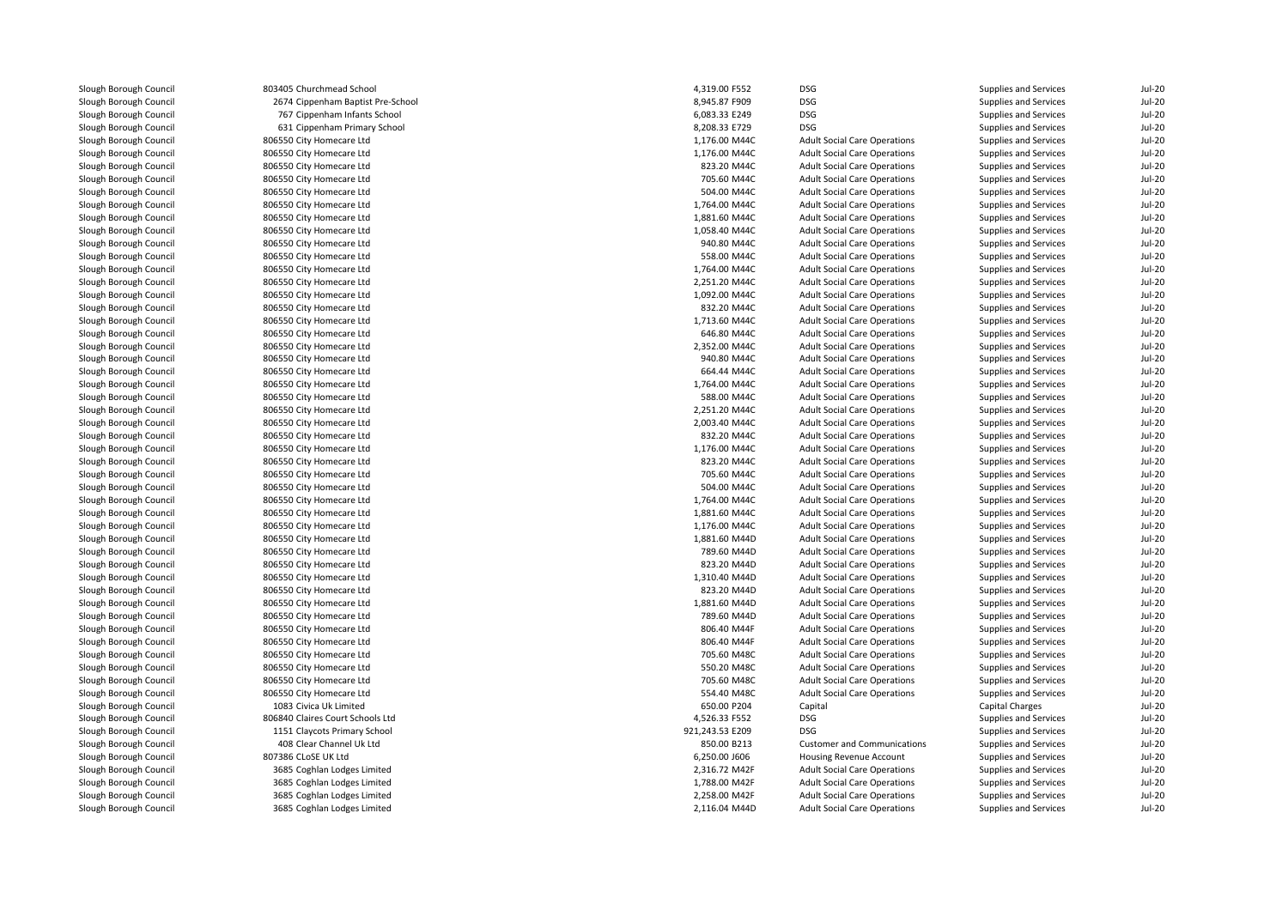Slough Borough Council **806550 City Homecare Ltd**<br>806550 City Homecare Ltd Slough Borough Council and Superinte and Sound Borough Council and Superinte Council 806550 City Homecare Ltd Slough Borough Council and the Superson City Homecare Ltd<br>806550 City Homecare Ltd Slough Borough Council and the Superson City Homecare Ltd<br>806550 City Homecare Ltd<br>806550 City Homecare Ltd Slough Borough Council **806550 City Homecare Ltd**<br>Slough Borough Council **806550 City Homecare Ltd** Slough Borough Council and the Superson City Homecare Ltd<br>Slough Borough Council and the Superson City Homecare Ltd Slough Borough Council and the Superson City Homecare Ltd<br>806550 City Homecare Ltd Slough Borough Council **806550 City Homecare Ltd**<br>Slough Borough Council **806550 City Homecare Ltd** Slough Borough Council<br>Slough Borough Council Slough Borough Council and the Superson City Homecare Ltd<br>Slough Borough Council and the Superson City Homecare Ltd Slough Borough Council **806550 City Homecare Ltd**<br>Slough Borough Council **806550 City Homecare Ltd** Slough Borough Council **806550 City Homecare Ltd**<br>Slough Borough Council **806550 City Homecare Ltd** Slough Borough Council and the Superson City Homecare Ltd<br>Slough Borough Council and Superson City Homecare Ltd Slough Borough Council **806550 City Homecare Ltd**<br>Slough Borough Council **806550 City Homecare Ltd** Slough Borough Council **806550 City Homecare Ltd**<br>806550 City Homecare Ltd Slough Borough Council<br>Slough Borough Council Slough Borough Council **806550 City Homecare Ltd**<br>Slough Borough Council **806550 City Homecare Ltd** Slough Borough Council **806550 City Homecare Ltd**<br>806550 City Homecare Ltd Slough Borough Council **806550 City Homecare Ltd**<br>806550 City Homecare Ltd Slough Borough Council and the Superson City Homecare Ltd<br>806550 City Homecare Ltd Slough Borough Council **806550 City Homecare Ltd**<br>806550 City Homecare Ltd Slough Borough Council and the Superson City Homecare Ltd<br>Slough Borough Council and the Superson City Homecare Ltd Slough Borough Council **806550 City Homecare Ltd**<br>806550 City Homecare Ltd Slough Borough Council and the Superson City Homecare Ltd<br>806550 City Homecare Ltd Slough Borough Council and Superinte and Sound Borough Council and Superinte Council 806550 City Homecare Ltd Slough Borough Council **806550 City Homecare Ltd**<br>806550 City Homecare Ltd Slough Borough Council and the Superson City Homecare Ltd<br>806550 City Homecare Ltd<br>806550 City Homecare Ltd Slough Borough Council and the Superson City Homecare Ltd<br>806550 City Homecare Ltd Slough Borough Council and the Superson City Homecare Ltd<br>Slough Borough Council and the Superson City Homecare Ltd Slough Borough Council and the Superson City Homecare Ltd<br>806550 City Homecare Ltd Slough Borough Council and the Superson City Homecare Ltd<br>806550 City Homecare Ltd Slough Borough Council and the Superson City Homecare Ltd<br>Slough Borough Council and the Superson City Homecare Ltd Slough Borough Council and the Superson City Homecare Ltd<br>806550 City Homecare Ltd Slough Borough Council and Superinte and Sound Borough Council and Superinte Council 806550 City Homecare Ltd Slough Borough Council **806550 City Homecare Ltd**<br>806550 City Homecare Ltd Slough Borough Council and Superinte and Sound Borough Council and Superinte Superinte Superinte Superinte Superinte Superinte Superinte Superinte Superinte Superinte Superinte Superinte Superinte Superinte Superinte Super Slough Borough Council and the Superson City Homecare Ltd<br>Slough Borough Council and the Superson City Homecare Ltd Slough Borough Council and the Superson City Homecare Ltd<br>Slough Borough Council and the Superson City Homecare Ltd Slough Borough Council and Suppose the Sound Borough Council and Suppose the Sound Borough Council and Suppose S Slough Borough Council and Superinte and Sound Borough Council and Superinte Council and Sound Borough Council Borough Superinte Council and Superinte Council and Superinte Council and Superinte Council and Superinte Counc Slough Borough Council and the Sound Borough Council and the Slove Borough Slove City Homecare Ltd Slough Borough Council and the Slove City Homecare Ltd Slough Borough Council and the Slove City Homecare City Homecare Ltd Slough Borough Council<br>Slough Borough Council Slough Borough Council<br>Slough Borough Council

Slough Borough Council <sup>803405</sup> Churchmead School 4,319.00 F552 DSGSlough Borough Council <sup>2674</sup> Cippenham Baptist Pre-School 8,945.87 F909 DSGSlough Borough Council **767 Cippenham Infants School** 6, 33.33 E249 DSG, 6083.33 E249 DSG, 6083.33 E249 DSG, 6083<br>33 Slough Borough Council 631 Cippenham Primary School 6, 33.4 E249 DSG, 88.33 E249 DSG, 6083.33 E249 DSG, 6 Slough Borough Council <sup>631</sup> Cippenham Primary School 8,208.33 E729 DSG806550 City Homecare Ltd<br>806550 City Homecare Ltd 806550 City Homecare Ltd<br>806550 City Homecare Ltd 806550 City Homecare Ltd<br>806550 City Homecare Ltd Slough Borough Council <sup>806840</sup> Claires Court Schools LtdSlough Borough Council **1151 Claycots Primary School** 1151 Claycots Primary School 1151 Claycots Primary School 1 Slough Borough Council 1992 108 Clear Channel Uk Ltd<br>
408 ClosE UK Ltd<br>
407386 CLoSE UK Ltd Slough Borough Council <sup>3685</sup> Coghlan Lodges LimitedSlough Borough Council <sup>3685</sup> Coghlan Lodges LimitedSlough Borough Council <sup>3685</sup> Coghlan Lodges Limited3685 Coghlan Lodges Limited

| d School                  | 4,319.00 F552   | DSG                                 | Supplies and Services        | $Jul-20$ |
|---------------------------|-----------------|-------------------------------------|------------------------------|----------|
| <b>Baptist Pre-School</b> | 8,945.87 F909   | <b>DSG</b>                          | Supplies and Services        | $Jul-20$ |
| Infants School            | 6,083.33 E249   | <b>DSG</b>                          | Supplies and Services        | $Jul-20$ |
| Primary School            | 8,208.33 E729   | <b>DSG</b>                          | Supplies and Services        | $Jul-2C$ |
| are Ltd                   | 1,176.00 M44C   | <b>Adult Social Care Operations</b> | Supplies and Services        | $Jul-2C$ |
| are Ltd                   | 1,176.00 M44C   | <b>Adult Social Care Operations</b> | Supplies and Services        | $Jul-20$ |
| are Ltd                   | 823.20 M44C     | <b>Adult Social Care Operations</b> | Supplies and Services        | $Jul-2C$ |
| are Ltd                   | 705.60 M44C     | <b>Adult Social Care Operations</b> | Supplies and Services        | $Jul-2C$ |
| are Ltd                   | 504.00 M44C     | <b>Adult Social Care Operations</b> | Supplies and Services        | $Jul-2C$ |
| are Ltd                   | 1,764.00 M44C   | <b>Adult Social Care Operations</b> | Supplies and Services        | $Jul-20$ |
| are Ltd                   | 1,881.60 M44C   | <b>Adult Social Care Operations</b> | Supplies and Services        | $Jul-20$ |
| are Ltd                   | 1.058.40 M44C   | <b>Adult Social Care Operations</b> | Supplies and Services        | $Jul-20$ |
| are Ltd                   | 940.80 M44C     | <b>Adult Social Care Operations</b> | Supplies and Services        | $Jul-2C$ |
| are Ltd                   | 558.00 M44C     | <b>Adult Social Care Operations</b> | Supplies and Services        | $Jul-20$ |
| are Ltd                   | 1,764.00 M44C   | <b>Adult Social Care Operations</b> | Supplies and Services        | $Jul-20$ |
| are Ltd                   | 2,251.20 M44C   | <b>Adult Social Care Operations</b> | Supplies and Services        | $Jul-2C$ |
| are Ltd                   | 1,092.00 M44C   | <b>Adult Social Care Operations</b> | Supplies and Services        | Jul-20   |
| are Ltd                   | 832.20 M44C     | <b>Adult Social Care Operations</b> | Supplies and Services        | $Jul-20$ |
| are Ltd                   | 1,713.60 M44C   | <b>Adult Social Care Operations</b> | Supplies and Services        | $Jul-2C$ |
| are Ltd                   | 646.80 M44C     | <b>Adult Social Care Operations</b> | Supplies and Services        | Jul-20   |
| are Ltd                   | 2,352.00 M44C   | <b>Adult Social Care Operations</b> | Supplies and Services        | $Jul-20$ |
|                           | 940.80 M44C     |                                     |                              | $Jul-20$ |
| are Ltd                   |                 | <b>Adult Social Care Operations</b> | Supplies and Services        | $Jul-20$ |
| are Ltd                   | 664.44 M44C     | <b>Adult Social Care Operations</b> | Supplies and Services        |          |
| are Ltd                   | 1,764.00 M44C   | <b>Adult Social Care Operations</b> | Supplies and Services        | $Jul-2C$ |
| are Ltd                   | 588.00 M44C     | <b>Adult Social Care Operations</b> | Supplies and Services        | $Jul-20$ |
| are Ltd                   | 2,251.20 M44C   | <b>Adult Social Care Operations</b> | Supplies and Services        | $Jul-20$ |
| are Ltd                   | 2,003.40 M44C   | <b>Adult Social Care Operations</b> | Supplies and Services        | $Jul-2C$ |
| are Ltd                   | 832.20 M44C     | <b>Adult Social Care Operations</b> | Supplies and Services        | Jul-20   |
| are Ltd                   | 1,176.00 M44C   | <b>Adult Social Care Operations</b> | Supplies and Services        | $Jul-20$ |
| are Ltd                   | 823.20 M44C     | <b>Adult Social Care Operations</b> | Supplies and Services        | $Jul-20$ |
| are Ltd                   | 705.60 M44C     | <b>Adult Social Care Operations</b> | Supplies and Services        | $Jul-2C$ |
| are Ltd                   | 504.00 M44C     | <b>Adult Social Care Operations</b> | Supplies and Services        | $Jul-20$ |
| are Ltd                   | 1,764.00 M44C   | <b>Adult Social Care Operations</b> | Supplies and Services        | $Jul-20$ |
| are Ltd                   | 1,881.60 M44C   | <b>Adult Social Care Operations</b> | Supplies and Services        | $Jul-20$ |
| are Ltd                   | 1,176.00 M44C   | <b>Adult Social Care Operations</b> | Supplies and Services        | $Jul-2C$ |
| are Ltd                   | 1,881.60 M44D   | <b>Adult Social Care Operations</b> | Supplies and Services        | $Jul-2C$ |
| are Ltd                   | 789.60 M44D     | <b>Adult Social Care Operations</b> | Supplies and Services        | $Jul-20$ |
| are Ltd                   | 823.20 M44D     | <b>Adult Social Care Operations</b> | Supplies and Services        | $Jul-20$ |
| are Ltd                   | 1,310.40 M44D   | <b>Adult Social Care Operations</b> | Supplies and Services        | Jul-20   |
| are Ltd                   | 823.20 M44D     | <b>Adult Social Care Operations</b> | Supplies and Services        | $Jul-20$ |
| are Ltd                   | 1,881.60 M44D   | <b>Adult Social Care Operations</b> | <b>Supplies and Services</b> | $Jul-20$ |
| are Ltd                   | 789.60 M44D     | <b>Adult Social Care Operations</b> | Supplies and Services        | $Jul-20$ |
| are Ltd                   | 806.40 M44F     | <b>Adult Social Care Operations</b> | Supplies and Services        | $Jul-20$ |
| are Ltd                   | 806.40 M44F     | <b>Adult Social Care Operations</b> | Supplies and Services        | $Jul-20$ |
| are Ltd                   | 705.60 M48C     | <b>Adult Social Care Operations</b> | Supplies and Services        | $Jul-20$ |
| are Ltd                   | 550.20 M48C     | <b>Adult Social Care Operations</b> | Supplies and Services        | $Jul-2C$ |
| are Ltd                   | 705.60 M48C     | <b>Adult Social Care Operations</b> | Supplies and Services        | Jul-20   |
| are Ltd                   | 554.40 M48C     | <b>Adult Social Care Operations</b> | Supplies and Services        | Jul-20   |
| nited                     | 650.00 P204     | Capital                             | <b>Capital Charges</b>       | Jul-20   |
| t Schools Ltd             | 4,526.33 F552   | <b>DSG</b>                          | Supplies and Services        | $Jul-2C$ |
| mary School               | 921,243.53 E209 | <b>DSG</b>                          | Supplies and Services        | $Jul-2C$ |
| el Uk Ltd                 | 850.00 B213     | <b>Customer and Communications</b>  | Supplies and Services        | $Jul-20$ |
| d                         | 6,250.00 J606   | Housing Revenue Account             | Supplies and Services        | $Jul-20$ |
| lges Limited              | 2,316.72 M42F   | <b>Adult Social Care Operations</b> | Supplies and Services        | $Jul-2C$ |
| lges Limited              | 1,788.00 M42F   | <b>Adult Social Care Operations</b> | Supplies and Services        | $Jul-2C$ |
| lges Limited              | 2,258.00 M42F   | <b>Adult Social Care Operations</b> | Supplies and Services        | $Jul-20$ |
| lges Limited              | 2,116.04 M44D   | <b>Adult Social Care Operations</b> | Supplies and Services        | $Jul-2C$ |
|                           |                 |                                     |                              |          |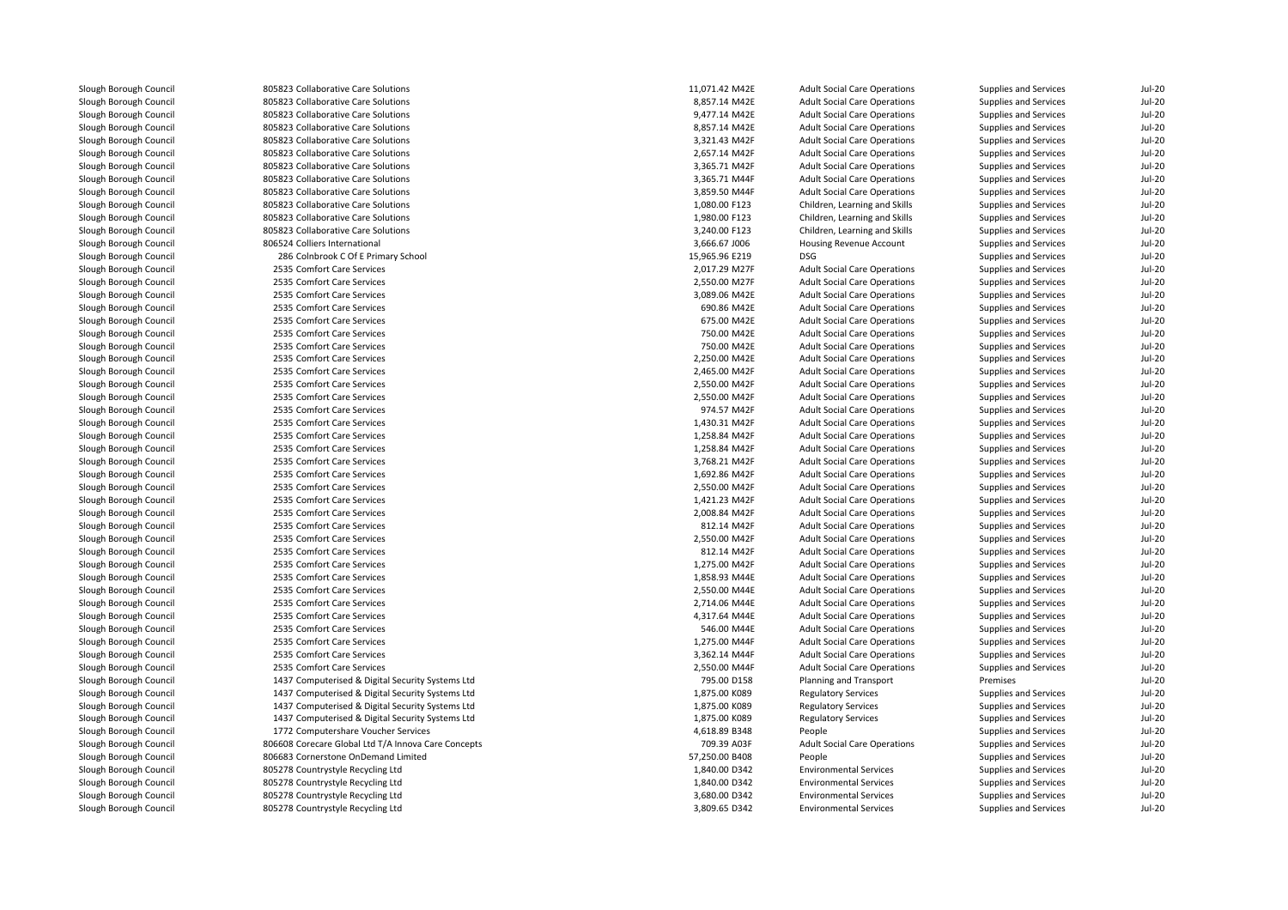| Slough Borough Council | 805823 Collaborative Care Solutions                 | 11,071.42 M42E | <b>Adult Social Care Operations</b> | Supplies and Services | Jul-20        |
|------------------------|-----------------------------------------------------|----------------|-------------------------------------|-----------------------|---------------|
| Slough Borough Council | 805823 Collaborative Care Solutions                 | 8,857.14 M42E  | <b>Adult Social Care Operations</b> | Supplies and Services | <b>Jul-20</b> |
| Slough Borough Council | 805823 Collaborative Care Solutions                 | 9,477.14 M42E  | <b>Adult Social Care Operations</b> | Supplies and Services | <b>Jul-20</b> |
| Slough Borough Council | 805823 Collaborative Care Solutions                 | 8,857.14 M42E  | <b>Adult Social Care Operations</b> | Supplies and Services | <b>Jul-20</b> |
| Slough Borough Council | 805823 Collaborative Care Solutions                 | 3,321.43 M42F  | <b>Adult Social Care Operations</b> | Supplies and Services | <b>Jul-20</b> |
| Slough Borough Council | 805823 Collaborative Care Solutions                 | 2,657.14 M42F  | <b>Adult Social Care Operations</b> | Supplies and Services | <b>Jul-20</b> |
| Slough Borough Council | 805823 Collaborative Care Solutions                 | 3,365.71 M42F  | <b>Adult Social Care Operations</b> | Supplies and Services | Jul-20        |
| Slough Borough Council | 805823 Collaborative Care Solutions                 | 3,365.71 M44F  | <b>Adult Social Care Operations</b> | Supplies and Services | <b>Jul-20</b> |
| Slough Borough Council | 805823 Collaborative Care Solutions                 | 3,859.50 M44F  | <b>Adult Social Care Operations</b> | Supplies and Services | <b>Jul-20</b> |
| Slough Borough Council | 805823 Collaborative Care Solutions                 | 1,080.00 F123  | Children, Learning and Skills       | Supplies and Services | Jul-20        |
| Slough Borough Council | 805823 Collaborative Care Solutions                 | 1,980.00 F123  | Children, Learning and Skills       | Supplies and Services | <b>Jul-20</b> |
| Slough Borough Council | 805823 Collaborative Care Solutions                 | 3,240.00 F123  | Children, Learning and Skills       | Supplies and Services | <b>Jul-20</b> |
| Slough Borough Council | 806524 Colliers International                       | 3,666.67 J006  | Housing Revenue Account             | Supplies and Services | Jul-20        |
| Slough Borough Council | 286 Colnbrook C Of E Primary School                 | 15,965.96 E219 | <b>DSG</b>                          | Supplies and Services | <b>Jul-20</b> |
| Slough Borough Council | 2535 Comfort Care Services                          | 2,017.29 M27F  | <b>Adult Social Care Operations</b> | Supplies and Services | <b>Jul-20</b> |
| Slough Borough Council | 2535 Comfort Care Services                          | 2,550.00 M27F  | <b>Adult Social Care Operations</b> | Supplies and Services | <b>Jul-20</b> |
| Slough Borough Council | 2535 Comfort Care Services                          | 3,089.06 M42E  | <b>Adult Social Care Operations</b> | Supplies and Services | <b>Jul-20</b> |
| Slough Borough Council | 2535 Comfort Care Services                          | 690.86 M42E    | <b>Adult Social Care Operations</b> | Supplies and Services | <b>Jul-20</b> |
| Slough Borough Council | 2535 Comfort Care Services                          | 675.00 M42E    | <b>Adult Social Care Operations</b> | Supplies and Services | <b>Jul-20</b> |
| Slough Borough Council | 2535 Comfort Care Services                          | 750.00 M42E    | <b>Adult Social Care Operations</b> | Supplies and Services | <b>Jul-20</b> |
| Slough Borough Council | 2535 Comfort Care Services                          | 750.00 M42E    | <b>Adult Social Care Operations</b> | Supplies and Services | Jul-20        |
| Slough Borough Council | 2535 Comfort Care Services                          | 2,250.00 M42E  |                                     |                       | <b>Jul-20</b> |
|                        |                                                     | 2,465.00 M42F  | <b>Adult Social Care Operations</b> | Supplies and Services | <b>Jul-20</b> |
| Slough Borough Council | 2535 Comfort Care Services                          |                | <b>Adult Social Care Operations</b> | Supplies and Services |               |
| Slough Borough Council | 2535 Comfort Care Services                          | 2,550.00 M42F  | <b>Adult Social Care Operations</b> | Supplies and Services | <b>Jul-20</b> |
| Slough Borough Council | 2535 Comfort Care Services                          | 2.550.00 M42F  | <b>Adult Social Care Operations</b> | Supplies and Services | <b>Jul-20</b> |
| Slough Borough Council | 2535 Comfort Care Services                          | 974.57 M42F    | <b>Adult Social Care Operations</b> | Supplies and Services | <b>Jul-20</b> |
| Slough Borough Council | 2535 Comfort Care Services                          | 1,430.31 M42F  | <b>Adult Social Care Operations</b> | Supplies and Services | <b>Jul-20</b> |
| Slough Borough Council | 2535 Comfort Care Services                          | 1,258.84 M42F  | <b>Adult Social Care Operations</b> | Supplies and Services | <b>Jul-20</b> |
| Slough Borough Council | 2535 Comfort Care Services                          | 1,258.84 M42F  | <b>Adult Social Care Operations</b> | Supplies and Services | <b>Jul-20</b> |
| Slough Borough Council | 2535 Comfort Care Services                          | 3,768.21 M42F  | <b>Adult Social Care Operations</b> | Supplies and Services | <b>Jul-20</b> |
| Slough Borough Council | 2535 Comfort Care Services                          | 1,692.86 M42F  | <b>Adult Social Care Operations</b> | Supplies and Services | Jul-20        |
| Slough Borough Council | 2535 Comfort Care Services                          | 2,550.00 M42F  | <b>Adult Social Care Operations</b> | Supplies and Services | Jul-20        |
| Slough Borough Council | 2535 Comfort Care Services                          | 1,421.23 M42F  | <b>Adult Social Care Operations</b> | Supplies and Services | <b>Jul-20</b> |
| Slough Borough Council | 2535 Comfort Care Services                          | 2,008.84 M42F  | <b>Adult Social Care Operations</b> | Supplies and Services | <b>Jul-20</b> |
| Slough Borough Council | 2535 Comfort Care Services                          | 812.14 M42F    | <b>Adult Social Care Operations</b> | Supplies and Services | <b>Jul-20</b> |
| Slough Borough Council | 2535 Comfort Care Services                          | 2,550.00 M42F  | <b>Adult Social Care Operations</b> | Supplies and Services | <b>Jul-20</b> |
| Slough Borough Council | 2535 Comfort Care Services                          | 812.14 M42F    | <b>Adult Social Care Operations</b> | Supplies and Services | Jul-20        |
| Slough Borough Council | 2535 Comfort Care Services                          | 1,275.00 M42F  | <b>Adult Social Care Operations</b> | Supplies and Services | $Jul-20$      |
| Slough Borough Council | 2535 Comfort Care Services                          | 1,858.93 M44E  | <b>Adult Social Care Operations</b> | Supplies and Services | <b>Jul-20</b> |
| Slough Borough Council | 2535 Comfort Care Services                          | 2,550.00 M44E  | <b>Adult Social Care Operations</b> | Supplies and Services | Jul-20        |
| Slough Borough Council | 2535 Comfort Care Services                          | 2,714.06 M44E  | <b>Adult Social Care Operations</b> | Supplies and Services | <b>Jul-20</b> |
| Slough Borough Council | 2535 Comfort Care Services                          | 4,317.64 M44E  | <b>Adult Social Care Operations</b> | Supplies and Services | <b>Jul-20</b> |
| Slough Borough Council | 2535 Comfort Care Services                          | 546.00 M44E    | <b>Adult Social Care Operations</b> | Supplies and Services | Jul-20        |
| Slough Borough Council | 2535 Comfort Care Services                          | 1,275.00 M44F  | <b>Adult Social Care Operations</b> | Supplies and Services | <b>Jul-20</b> |
| Slough Borough Council | 2535 Comfort Care Services                          | 3,362.14 M44F  | <b>Adult Social Care Operations</b> | Supplies and Services | <b>Jul-20</b> |
| Slough Borough Council | 2535 Comfort Care Services                          | 2,550.00 M44F  | <b>Adult Social Care Operations</b> | Supplies and Services | Jul-20        |
| Slough Borough Council | 1437 Computerised & Digital Security Systems Ltd    | 795.00 D158    | Planning and Transport              | Premises              | <b>Jul-20</b> |
| Slough Borough Council | 1437 Computerised & Digital Security Systems Ltd    | 1,875.00 K089  | <b>Regulatory Services</b>          | Supplies and Services | <b>Jul-20</b> |
| Slough Borough Council | 1437 Computerised & Digital Security Systems Ltd    | 1,875.00 K089  | <b>Regulatory Services</b>          | Supplies and Services | <b>Jul-20</b> |
| Slough Borough Council | 1437 Computerised & Digital Security Systems Ltd    | 1,875.00 K089  | <b>Regulatory Services</b>          | Supplies and Services | $Jul-20$      |
| Slough Borough Council | 1772 Computershare Voucher Services                 | 4,618.89 B348  | People                              | Supplies and Services | <b>Jul-20</b> |
| Slough Borough Council | 806608 Corecare Global Ltd T/A Innova Care Concepts | 709.39 A03F    | <b>Adult Social Care Operations</b> | Supplies and Services | Jul-20        |
| Slough Borough Council | 806683 Cornerstone OnDemand Limited                 | 57,250.00 B408 | People                              | Supplies and Services | $Jul-20$      |
| Slough Borough Council | 805278 Countrystyle Recycling Ltd                   | 1,840.00 D342  | <b>Environmental Services</b>       | Supplies and Services | <b>Jul-20</b> |
| Slough Borough Council | 805278 Countrystyle Recycling Ltd                   | 1,840.00 D342  | <b>Environmental Services</b>       | Supplies and Services | <b>Jul-20</b> |
| Slough Borough Council | 805278 Countrystyle Recycling Ltd                   | 3,680.00 D342  | <b>Environmental Services</b>       | Supplies and Services | <b>Jul-20</b> |
| Slough Borough Council | 805278 Countrystyle Recycling Ltd                   | 3,809.65 D342  | <b>Environmental Services</b>       | Supplies and Services | <b>Jul-20</b> |
|                        |                                                     |                |                                     |                       |               |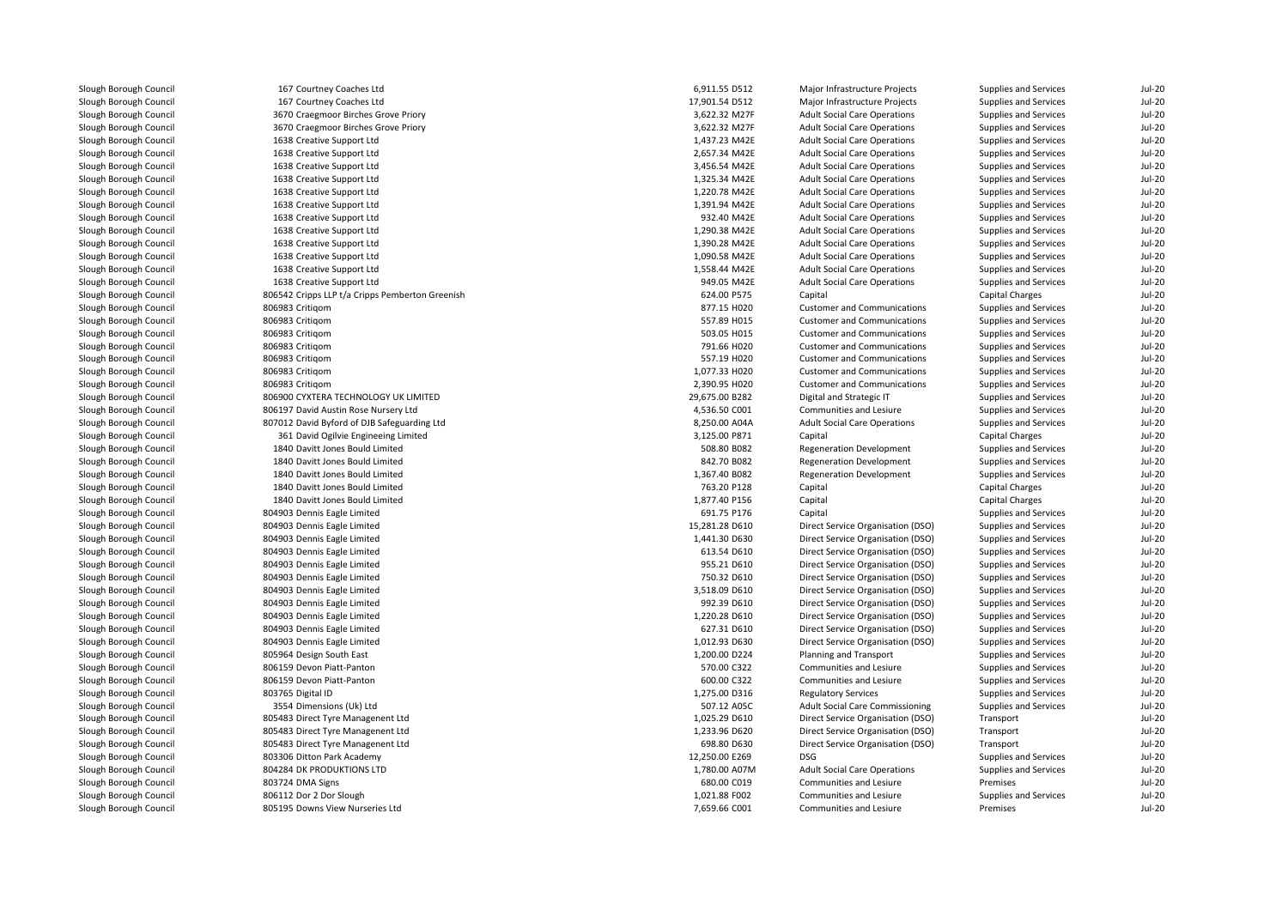| Slough Borough Council | 167 Courtney Coaches Ltd                                                            | 6,911.55 D512  | Major Infrastructure Projects          | Supplies and Services                    | Jul-20        |
|------------------------|-------------------------------------------------------------------------------------|----------------|----------------------------------------|------------------------------------------|---------------|
| Slough Borough Council | 167 Courtney Coaches Ltd                                                            | 17,901.54 D512 | Major Infrastructure Projects          | Supplies and Services                    | <b>Jul-20</b> |
| Slough Borough Council | 3670 Craegmoor Birches Grove Priory                                                 | 3,622.32 M27F  | <b>Adult Social Care Operations</b>    | Supplies and Services                    | <b>Jul-20</b> |
| Slough Borough Council | 3670 Craegmoor Birches Grove Priory                                                 | 3,622.32 M27F  | <b>Adult Social Care Operations</b>    | Supplies and Services                    | <b>Jul-20</b> |
| Slough Borough Council | 1638 Creative Support Ltd                                                           | 1,437.23 M42E  | <b>Adult Social Care Operations</b>    | Supplies and Services                    | <b>Jul-20</b> |
| Slough Borough Council | 1638 Creative Support Ltd                                                           | 2,657.34 M42E  | <b>Adult Social Care Operations</b>    | Supplies and Services                    | <b>Jul-20</b> |
| Slough Borough Council | 1638 Creative Support Ltd                                                           | 3,456.54 M42E  | <b>Adult Social Care Operations</b>    | Supplies and Services                    | <b>Jul-20</b> |
| Slough Borough Council | 1638 Creative Support Ltd                                                           | 1,325.34 M42E  | <b>Adult Social Care Operations</b>    | Supplies and Services                    | <b>Jul-20</b> |
| Slough Borough Council | 1638 Creative Support Ltd                                                           | 1,220.78 M42E  | <b>Adult Social Care Operations</b>    | Supplies and Services                    | <b>Jul-20</b> |
| Slough Borough Council | 1638 Creative Support Ltd                                                           | 1,391.94 M42E  | <b>Adult Social Care Operations</b>    | Supplies and Services                    | <b>Jul-20</b> |
| Slough Borough Council | 1638 Creative Support Ltd                                                           | 932.40 M42E    | <b>Adult Social Care Operations</b>    | Supplies and Services                    | <b>Jul-20</b> |
| Slough Borough Council | 1638 Creative Support Ltd                                                           | 1,290.38 M42E  | <b>Adult Social Care Operations</b>    | Supplies and Services                    | <b>Jul-20</b> |
| Slough Borough Council | 1638 Creative Support Ltd                                                           | 1,390.28 M42E  | <b>Adult Social Care Operations</b>    | Supplies and Services                    | <b>Jul-20</b> |
| Slough Borough Council | 1638 Creative Support Ltd                                                           | 1,090.58 M42E  | <b>Adult Social Care Operations</b>    | Supplies and Services                    | <b>Jul-20</b> |
| Slough Borough Council | 1638 Creative Support Ltd                                                           | 1,558.44 M42E  | <b>Adult Social Care Operations</b>    | Supplies and Services                    | <b>Jul-20</b> |
| Slough Borough Council | 1638 Creative Support Ltd                                                           | 949.05 M42E    | <b>Adult Social Care Operations</b>    | Supplies and Services                    | <b>Jul-20</b> |
| Slough Borough Council | 806542 Cripps LLP t/a Cripps Pemberton Greenish                                     | 624.00 P575    | Capital                                | Capital Charges                          | $Jul-20$      |
| Slough Borough Council | 806983 Critigom                                                                     | 877.15 H020    | <b>Customer and Communications</b>     | Supplies and Services                    | <b>Jul-20</b> |
| Slough Borough Council | 806983 Critigom                                                                     | 557.89 H015    | <b>Customer and Communications</b>     | Supplies and Services                    | <b>Jul-20</b> |
| Slough Borough Council | 806983 Critigom                                                                     | 503.05 H015    | <b>Customer and Communications</b>     | Supplies and Services                    | <b>Jul-20</b> |
| Slough Borough Council | 806983 Critigom                                                                     | 791.66 H020    | <b>Customer and Communications</b>     | Supplies and Services                    | <b>Jul-20</b> |
| Slough Borough Council | 806983 Critigom                                                                     | 557.19 H020    | <b>Customer and Communications</b>     | Supplies and Services                    | <b>Jul-20</b> |
| Slough Borough Council | 806983 Critigom                                                                     | 1,077.33 H020  | <b>Customer and Communications</b>     | Supplies and Services                    | <b>Jul-20</b> |
| Slough Borough Council | 806983 Critigom                                                                     | 2,390.95 H020  | <b>Customer and Communications</b>     | Supplies and Services                    | <b>Jul-20</b> |
| Slough Borough Council | 806900 CYXTERA TECHNOLOGY UK LIMITED                                                | 29,675.00 B282 | Digital and Strategic IT               | <b>Supplies and Services</b>             | <b>Jul-20</b> |
| Slough Borough Council | 806197 David Austin Rose Nursery Ltd                                                | 4,536.50 C001  | Communities and Lesiure                | Supplies and Services                    | <b>Jul-20</b> |
| Slough Borough Council |                                                                                     | 8,250.00 A04A  | <b>Adult Social Care Operations</b>    |                                          | <b>Jul-20</b> |
| Slough Borough Council | 807012 David Byford of DJB Safeguarding Ltd<br>361 David Ogilvie Engineeing Limited | 3,125.00 P871  |                                        | Supplies and Services<br>Capital Charges | <b>Jul-20</b> |
|                        |                                                                                     |                | Capital                                |                                          |               |
| Slough Borough Council | 1840 Davitt Jones Bould Limited                                                     | 508.80 B082    | <b>Regeneration Development</b>        | Supplies and Services                    | <b>Jul-20</b> |
| Slough Borough Council | 1840 Davitt Jones Bould Limited                                                     | 842.70 B082    | <b>Regeneration Development</b>        | Supplies and Services                    | $Jul-20$      |
| Slough Borough Council | 1840 Davitt Jones Bould Limited                                                     | 1,367.40 B082  | <b>Regeneration Development</b>        | Supplies and Services                    | $Jul-20$      |
| Slough Borough Council | 1840 Davitt Jones Bould Limited                                                     | 763.20 P128    | Capital                                | Capital Charges                          | <b>Jul-20</b> |
| Slough Borough Council | 1840 Davitt Jones Bould Limited                                                     | 1,877.40 P156  | Capital                                | Capital Charges                          | $Jul-20$      |
| Slough Borough Council | 804903 Dennis Eagle Limited                                                         | 691.75 P176    | Capital                                | Supplies and Services                    | <b>Jul-20</b> |
| Slough Borough Council | 804903 Dennis Eagle Limited                                                         | 15,281.28 D610 | Direct Service Organisation (DSO)      | Supplies and Services                    | <b>Jul-20</b> |
| Slough Borough Council | 804903 Dennis Eagle Limited                                                         | 1,441.30 D630  | Direct Service Organisation (DSO)      | Supplies and Services                    | <b>Jul-20</b> |
| Slough Borough Council | 804903 Dennis Eagle Limited                                                         | 613.54 D610    | Direct Service Organisation (DSO)      | Supplies and Services                    | <b>Jul-20</b> |
| Slough Borough Council | 804903 Dennis Eagle Limited                                                         | 955.21 D610    | Direct Service Organisation (DSO)      | Supplies and Services                    | <b>Jul-20</b> |
| Slough Borough Council | 804903 Dennis Eagle Limited                                                         | 750.32 D610    | Direct Service Organisation (DSO)      | Supplies and Services                    | <b>Jul-20</b> |
| Slough Borough Council | 804903 Dennis Eagle Limited                                                         | 3,518.09 D610  | Direct Service Organisation (DSO)      | Supplies and Services                    | <b>Jul-20</b> |
| Slough Borough Council | 804903 Dennis Eagle Limited                                                         | 992.39 D610    | Direct Service Organisation (DSO)      | Supplies and Services                    | <b>Jul-20</b> |
| Slough Borough Council | 804903 Dennis Eagle Limited                                                         | 1,220.28 D610  | Direct Service Organisation (DSO)      | Supplies and Services                    | <b>Jul-20</b> |
| Slough Borough Council | 804903 Dennis Eagle Limited                                                         | 627.31 D610    | Direct Service Organisation (DSO)      | Supplies and Services                    | <b>Jul-20</b> |
| Slough Borough Council | 804903 Dennis Eagle Limited                                                         | 1,012.93 D630  | Direct Service Organisation (DSO)      | Supplies and Services                    | <b>Jul-20</b> |
| Slough Borough Council | 805964 Design South East                                                            | 1,200.00 D224  | Planning and Transport                 | Supplies and Services                    | <b>Jul-20</b> |
| Slough Borough Council | 806159 Devon Piatt-Panton                                                           | 570.00 C322    | Communities and Lesiure                | Supplies and Services                    | <b>Jul-20</b> |
| Slough Borough Council | 806159 Devon Piatt-Panton                                                           | 600.00 C322    | Communities and Lesiure                | Supplies and Services                    | <b>Jul-20</b> |
| Slough Borough Council | 803765 Digital ID                                                                   | 1,275.00 D316  | <b>Regulatory Services</b>             | Supplies and Services                    | <b>Jul-20</b> |
| Slough Borough Council | 3554 Dimensions (Uk) Ltd                                                            | 507.12 A05C    | <b>Adult Social Care Commissioning</b> | Supplies and Services                    | <b>Jul-20</b> |
| Slough Borough Council | 805483 Direct Tyre Managenent Ltd                                                   | 1,025.29 D610  | Direct Service Organisation (DSO)      | Transport                                | <b>Jul-20</b> |
| Slough Borough Council | 805483 Direct Tyre Managenent Ltd                                                   | 1,233.96 D620  | Direct Service Organisation (DSO)      | Transport                                | <b>Jul-20</b> |
| Slough Borough Council | 805483 Direct Tyre Managenent Ltd                                                   | 698.80 D630    | Direct Service Organisation (DSO)      | Transport                                | <b>Jul-20</b> |
| Slough Borough Council | 803306 Ditton Park Academy                                                          | 12,250.00 E269 | <b>DSG</b>                             | Supplies and Services                    | <b>Jul-20</b> |
| Slough Borough Council | 804284 DK PRODUKTIONS LTD                                                           | 1,780.00 A07M  | <b>Adult Social Care Operations</b>    | Supplies and Services                    | <b>Jul-20</b> |
| Slough Borough Council | 803724 DMA Signs                                                                    | 680.00 C019    | <b>Communities and Lesiure</b>         | Premises                                 | <b>Jul-20</b> |
| Slough Borough Council | 806112 Dor 2 Dor Slough                                                             | 1,021.88 F002  | Communities and Lesiure                | Supplies and Services                    | $Jul-20$      |
| Slough Borough Council | 805195 Downs View Nurseries Ltd                                                     | 7,659.66 C001  | Communities and Lesiure                | Premises                                 | $Jul-20$      |
|                        |                                                                                     |                |                                        |                                          |               |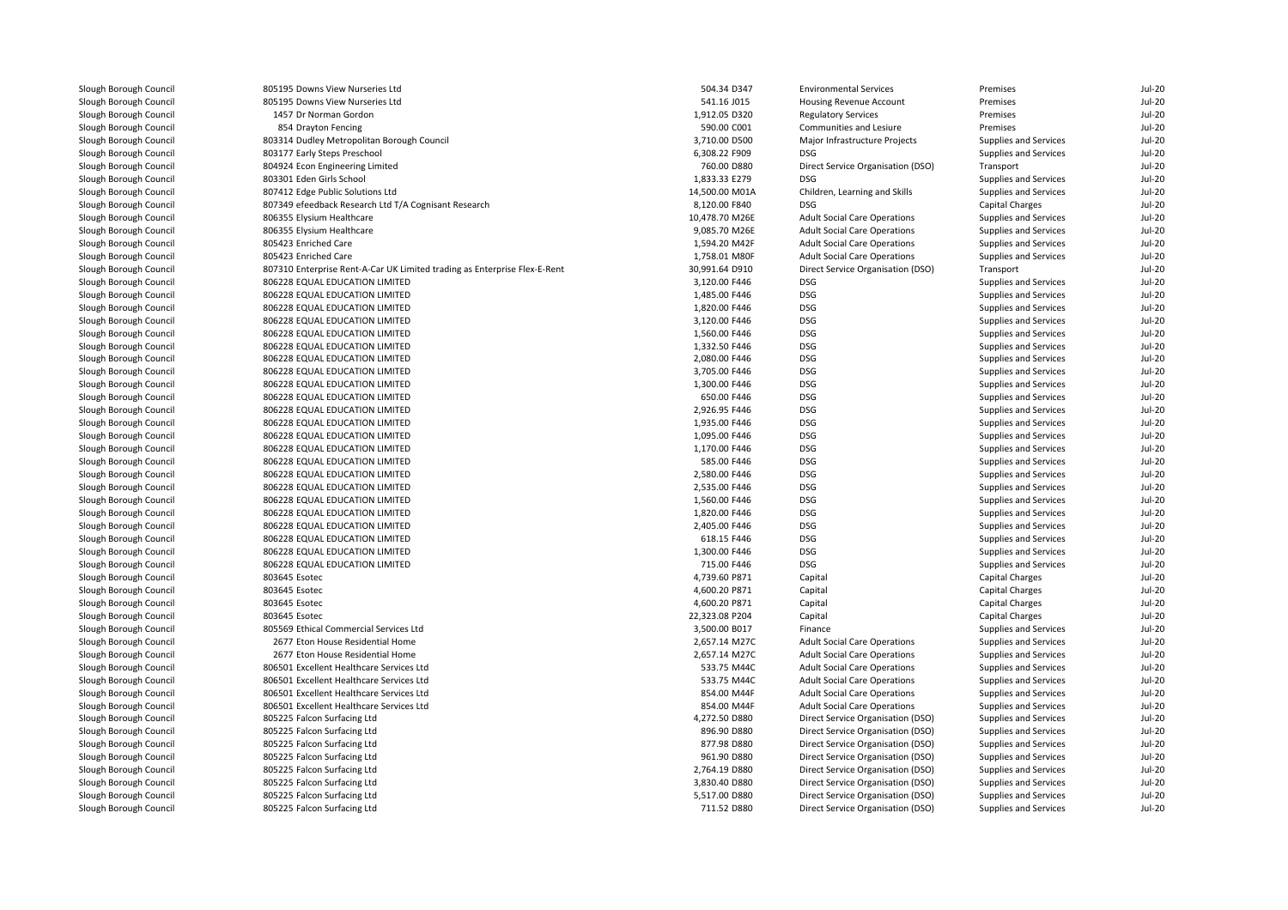| Slough Borough Council                           | 805195 Downs View Nurseries Ltd                                           | 504.34 D347    | <b>Environmental Services</b>       | Premises                                       | Jul-20        |
|--------------------------------------------------|---------------------------------------------------------------------------|----------------|-------------------------------------|------------------------------------------------|---------------|
| Slough Borough Council                           | 805195 Downs View Nurseries Ltd                                           | 541.16 J015    | Housing Revenue Account             | Premises                                       | $Jul-20$      |
| Slough Borough Council                           | 1457 Dr Norman Gordon                                                     | 1,912.05 D320  | <b>Regulatory Services</b>          | Premises                                       | <b>Jul-20</b> |
| Slough Borough Council                           | 854 Drayton Fencing                                                       | 590.00 C001    | Communities and Lesiure             | Premises                                       | <b>Jul-20</b> |
| Slough Borough Council                           | 803314 Dudley Metropolitan Borough Council                                | 3,710.00 D500  | Major Infrastructure Projects       | Supplies and Services                          | <b>Jul-20</b> |
| Slough Borough Council                           | 803177 Early Steps Preschool                                              | 6,308.22 F909  | <b>DSG</b>                          | Supplies and Services                          | <b>Jul-20</b> |
| Slough Borough Council                           | 804924 Econ Engineering Limited                                           | 760.00 D880    | Direct Service Organisation (DSO)   | Transport                                      | <b>Jul-20</b> |
| Slough Borough Council                           | 803301 Eden Girls School                                                  | 1,833.33 E279  | <b>DSG</b>                          | Supplies and Services                          | $Jul-20$      |
| Slough Borough Council                           | 807412 Edge Public Solutions Ltd                                          | 14,500.00 M01A | Children, Learning and Skills       | Supplies and Services                          | <b>Jul-20</b> |
| Slough Borough Council                           | 807349 efeedback Research Ltd T/A Cognisant Research                      | 8,120.00 F840  | <b>DSG</b>                          | Capital Charges                                | <b>Jul-20</b> |
| Slough Borough Council                           | 806355 Elysium Healthcare                                                 | 10,478.70 M26E | <b>Adult Social Care Operations</b> | Supplies and Services                          | <b>Jul-20</b> |
| Slough Borough Council                           | 806355 Elysium Healthcare                                                 | 9,085.70 M26E  | <b>Adult Social Care Operations</b> | Supplies and Services                          | <b>Jul-20</b> |
| Slough Borough Council                           | 805423 Enriched Care                                                      | 1,594.20 M42F  | <b>Adult Social Care Operations</b> | Supplies and Services                          | <b>Jul-20</b> |
| Slough Borough Council                           | 805423 Enriched Care                                                      | 1,758.01 M80F  | <b>Adult Social Care Operations</b> | Supplies and Services                          | <b>Jul-20</b> |
| Slough Borough Council                           | 807310 Enterprise Rent-A-Car UK Limited trading as Enterprise Flex-E-Rent | 30,991.64 D910 | Direct Service Organisation (DSO)   | Transport                                      | <b>Jul-20</b> |
| Slough Borough Council                           | 806228 EQUAL EDUCATION LIMITED                                            | 3,120.00 F446  | <b>DSG</b>                          | Supplies and Services                          | <b>Jul-20</b> |
| Slough Borough Council                           | 806228 EQUAL EDUCATION LIMITED                                            | 1,485.00 F446  | <b>DSG</b>                          | Supplies and Services                          | <b>Jul-20</b> |
| Slough Borough Council                           | 806228 EQUAL EDUCATION LIMITED                                            | 1,820.00 F446  | <b>DSG</b>                          | Supplies and Services                          | <b>Jul-20</b> |
| Slough Borough Council                           | 806228 EQUAL EDUCATION LIMITED                                            | 3,120.00 F446  | <b>DSG</b>                          | Supplies and Services                          | <b>Jul-20</b> |
| Slough Borough Council                           | 806228 EQUAL EDUCATION LIMITED                                            | 1,560.00 F446  | <b>DSG</b>                          | Supplies and Services                          | <b>Jul-20</b> |
| Slough Borough Council                           | 806228 EQUAL EDUCATION LIMITED                                            | 1,332.50 F446  | <b>DSG</b>                          | Supplies and Services                          | <b>Jul-20</b> |
| Slough Borough Council                           | 806228 EQUAL EDUCATION LIMITED                                            | 2,080.00 F446  | <b>DSG</b>                          | Supplies and Services                          | <b>Jul-20</b> |
| Slough Borough Council                           | 806228 EQUAL EDUCATION LIMITED                                            | 3,705.00 F446  | <b>DSG</b>                          | Supplies and Services                          | <b>Jul-20</b> |
| Slough Borough Council                           | 806228 EQUAL EDUCATION LIMITED                                            | 1,300.00 F446  | <b>DSG</b>                          | Supplies and Services                          | <b>Jul-20</b> |
| Slough Borough Council                           | 806228 EQUAL EDUCATION LIMITED                                            | 650.00 F446    | <b>DSG</b>                          | Supplies and Services                          | <b>Jul-20</b> |
| Slough Borough Council                           | 806228 EQUAL EDUCATION LIMITED                                            | 2,926.95 F446  | <b>DSG</b>                          | Supplies and Services                          | <b>Jul-20</b> |
| Slough Borough Council                           | 806228 EQUAL EDUCATION LIMITED                                            | 1,935.00 F446  | <b>DSG</b>                          | Supplies and Services                          | $Jul-20$      |
| Slough Borough Council                           | 806228 EQUAL EDUCATION LIMITED                                            | 1,095.00 F446  | <b>DSG</b>                          | Supplies and Services                          | <b>Jul-20</b> |
| Slough Borough Council                           | 806228 EQUAL EDUCATION LIMITED                                            | 1,170.00 F446  | <b>DSG</b>                          | Supplies and Services                          | <b>Jul-20</b> |
|                                                  | 806228 EQUAL EDUCATION LIMITED                                            | 585.00 F446    | <b>DSG</b>                          |                                                | <b>Jul-20</b> |
| Slough Borough Council<br>Slough Borough Council | 806228 EQUAL EDUCATION LIMITED                                            | 2,580.00 F446  | <b>DSG</b>                          | Supplies and Services<br>Supplies and Services | $Jul-20$      |
| Slough Borough Council                           |                                                                           | 2,535.00 F446  | <b>DSG</b>                          |                                                | <b>Jul-20</b> |
| Slough Borough Council                           | 806228 EQUAL EDUCATION LIMITED<br>806228 EQUAL EDUCATION LIMITED          | 1,560.00 F446  | <b>DSG</b>                          | Supplies and Services                          | <b>Jul-20</b> |
|                                                  |                                                                           |                |                                     | Supplies and Services                          |               |
| Slough Borough Council                           | 806228 EQUAL EDUCATION LIMITED                                            | 1,820.00 F446  | <b>DSG</b>                          | Supplies and Services                          | $Jul-20$      |
| Slough Borough Council                           | 806228 EQUAL EDUCATION LIMITED                                            | 2,405.00 F446  | <b>DSG</b>                          | Supplies and Services                          | <b>Jul-20</b> |
| Slough Borough Council                           | 806228 EQUAL EDUCATION LIMITED                                            | 618.15 F446    | <b>DSG</b>                          | <b>Supplies and Services</b>                   | <b>Jul-20</b> |
| Slough Borough Council                           | 806228 EQUAL EDUCATION LIMITED                                            | 1,300.00 F446  | <b>DSG</b>                          | Supplies and Services                          | $Jul-20$      |
| Slough Borough Council                           | 806228 EQUAL EDUCATION LIMITED                                            | 715.00 F446    | <b>DSG</b>                          | Supplies and Services                          | $Jul-20$      |
| Slough Borough Council                           | 803645 Esotec                                                             | 4,739.60 P871  | Capital                             | <b>Capital Charges</b>                         | <b>Jul-20</b> |
| Slough Borough Council                           | 803645 Esotec                                                             | 4,600.20 P871  | Capital                             | Capital Charges                                | <b>Jul-20</b> |
| Slough Borough Council                           | 803645 Esotec                                                             | 4,600.20 P871  | Capital                             | Capital Charges                                | <b>Jul-20</b> |
| Slough Borough Council                           | 803645 Esotec                                                             | 22,323.08 P204 | Capital                             | <b>Capital Charges</b>                         | $Jul-20$      |
| Slough Borough Council                           | 805569 Ethical Commercial Services Ltd                                    | 3,500.00 B017  | Finance                             | <b>Supplies and Services</b>                   | <b>Jul-20</b> |
| Slough Borough Council                           | 2677 Eton House Residential Home                                          | 2,657.14 M27C  | <b>Adult Social Care Operations</b> | Supplies and Services                          | <b>Jul-20</b> |
| Slough Borough Council                           | 2677 Eton House Residential Home                                          | 2,657.14 M27C  | <b>Adult Social Care Operations</b> | Supplies and Services                          | <b>Jul-20</b> |
| Slough Borough Council                           | 806501 Excellent Healthcare Services Ltd                                  | 533.75 M44C    | <b>Adult Social Care Operations</b> | Supplies and Services                          | <b>Jul-20</b> |
| Slough Borough Council                           | 806501 Excellent Healthcare Services Ltd                                  | 533.75 M44C    | <b>Adult Social Care Operations</b> | Supplies and Services                          | <b>Jul-20</b> |
| Slough Borough Council                           | 806501 Excellent Healthcare Services Ltd                                  | 854.00 M44F    | <b>Adult Social Care Operations</b> | Supplies and Services                          | <b>Jul-20</b> |
| Slough Borough Council                           | 806501 Excellent Healthcare Services Ltd                                  | 854.00 M44F    | <b>Adult Social Care Operations</b> | Supplies and Services                          | <b>Jul-20</b> |
| Slough Borough Council                           | 805225 Falcon Surfacing Ltd                                               | 4,272.50 D880  | Direct Service Organisation (DSO)   | Supplies and Services                          | $Jul-20$      |
| Slough Borough Council                           | 805225 Falcon Surfacing Ltd                                               | 896.90 D880    | Direct Service Organisation (DSO)   | Supplies and Services                          | <b>Jul-20</b> |
| Slough Borough Council                           | 805225 Falcon Surfacing Ltd                                               | 877.98 D880    | Direct Service Organisation (DSO)   | Supplies and Services                          | <b>Jul-20</b> |
| Slough Borough Council                           | 805225 Falcon Surfacing Ltd                                               | 961.90 D880    | Direct Service Organisation (DSO)   | Supplies and Services                          | <b>Jul-20</b> |
| Slough Borough Council                           | 805225 Falcon Surfacing Ltd                                               | 2,764.19 D880  | Direct Service Organisation (DSO)   | Supplies and Services                          | <b>Jul-20</b> |
| Slough Borough Council                           | 805225 Falcon Surfacing Ltd                                               | 3,830.40 D880  | Direct Service Organisation (DSO)   | Supplies and Services                          | <b>Jul-20</b> |
| Slough Borough Council                           | 805225 Falcon Surfacing Ltd                                               | 5,517.00 D880  | Direct Service Organisation (DSO)   | Supplies and Services                          | $Jul-20$      |
| Slough Borough Council                           | 805225 Falcon Surfacing Ltd                                               | 711.52 D880    | Direct Service Organisation (DSO)   | Supplies and Services                          | <b>Jul-20</b> |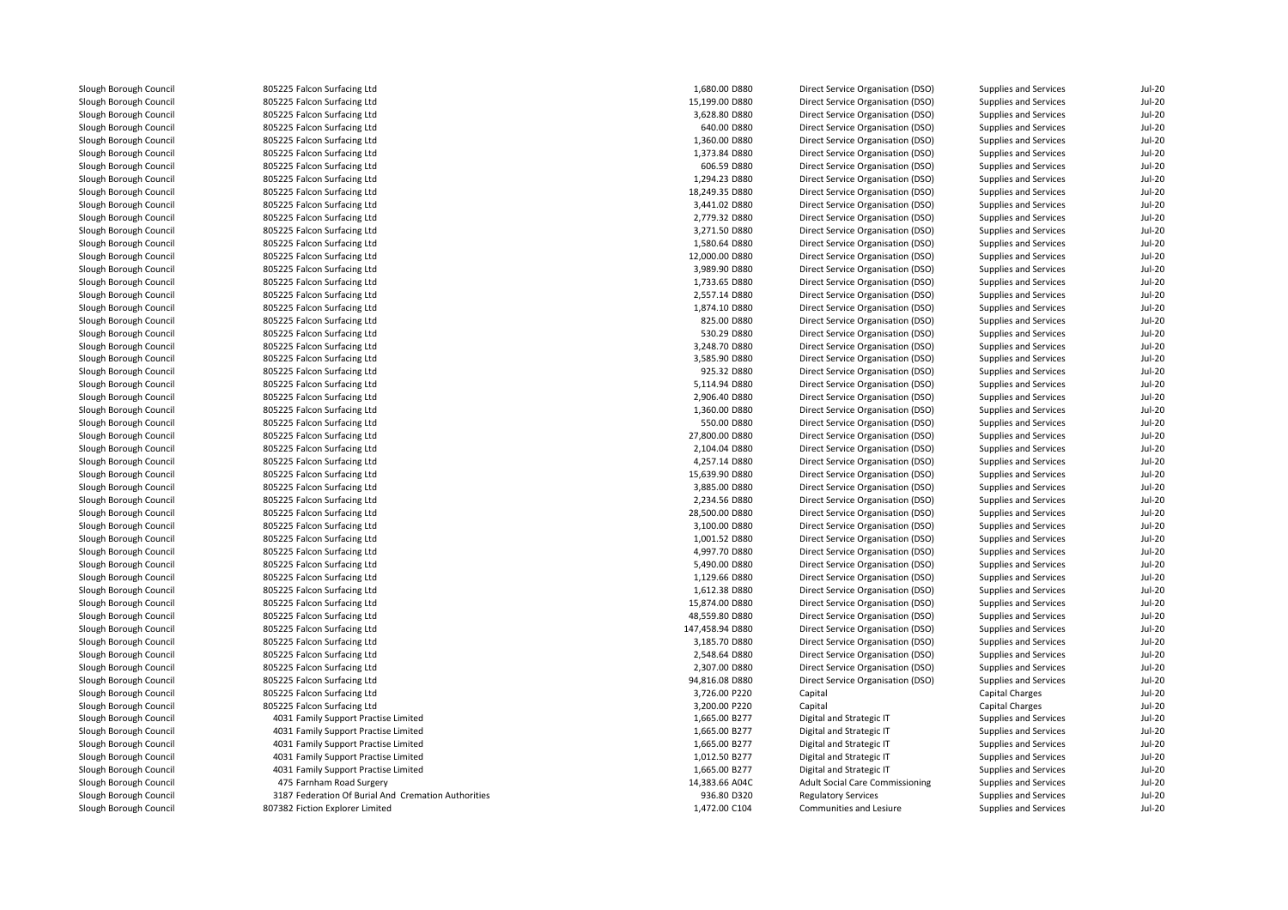| Slough Borough Council | 805225 Falcon Surfacing Ltd                         | 1,680.00 D880   | Direct Service Organisation (DSO)      | Supplies and Services | <b>Jul-20</b> |
|------------------------|-----------------------------------------------------|-----------------|----------------------------------------|-----------------------|---------------|
| Slough Borough Council | 805225 Falcon Surfacing Ltd                         | 15,199.00 D880  | Direct Service Organisation (DSO)      | Supplies and Services | <b>Jul-20</b> |
| Slough Borough Council | 805225 Falcon Surfacing Ltd                         | 3,628.80 D880   | Direct Service Organisation (DSO)      | Supplies and Services | <b>Jul-20</b> |
| Slough Borough Council | 805225 Falcon Surfacing Ltd                         | 640.00 D880     | Direct Service Organisation (DSO)      | Supplies and Services | <b>Jul-20</b> |
| Slough Borough Council | 805225 Falcon Surfacing Ltd                         | 1,360.00 D880   | Direct Service Organisation (DSO)      | Supplies and Services | $Jul-20$      |
| Slough Borough Council | 805225 Falcon Surfacing Ltd                         | 1,373.84 D880   | Direct Service Organisation (DSO)      | Supplies and Services | <b>Jul-20</b> |
| Slough Borough Council | 805225 Falcon Surfacing Ltd                         | 606.59 D880     | Direct Service Organisation (DSO)      | Supplies and Services | $Jul-20$      |
| Slough Borough Council | 805225 Falcon Surfacing Ltd                         | 1,294.23 D880   | Direct Service Organisation (DSO)      | Supplies and Services | <b>Jul-20</b> |
| Slough Borough Council | 805225 Falcon Surfacing Ltd                         | 18,249.35 D880  | Direct Service Organisation (DSO)      | Supplies and Services | <b>Jul-20</b> |
| Slough Borough Council | 805225 Falcon Surfacing Ltd                         | 3,441.02 D880   | Direct Service Organisation (DSO)      | Supplies and Services | <b>Jul-20</b> |
| Slough Borough Council | 805225 Falcon Surfacing Ltd                         | 2,779.32 D880   | Direct Service Organisation (DSO)      | Supplies and Services | <b>Jul-20</b> |
| Slough Borough Council | 805225 Falcon Surfacing Ltd                         | 3,271.50 D880   | Direct Service Organisation (DSO)      | Supplies and Services | <b>Jul-20</b> |
| Slough Borough Council | 805225 Falcon Surfacing Ltd                         | 1,580.64 D880   | Direct Service Organisation (DSO)      | Supplies and Services | <b>Jul-20</b> |
| Slough Borough Council | 805225 Falcon Surfacing Ltd                         | 12,000.00 D880  | Direct Service Organisation (DSO)      | Supplies and Services | <b>Jul-20</b> |
| Slough Borough Council | 805225 Falcon Surfacing Ltd                         | 3,989.90 D880   | Direct Service Organisation (DSO)      | Supplies and Services | <b>Jul-20</b> |
| Slough Borough Council | 805225 Falcon Surfacing Ltd                         | 1,733.65 D880   | Direct Service Organisation (DSO)      | Supplies and Services | <b>Jul-20</b> |
| Slough Borough Council | 805225 Falcon Surfacing Ltd                         | 2,557.14 D880   | Direct Service Organisation (DSO)      | Supplies and Services | <b>Jul-20</b> |
| Slough Borough Council | 805225 Falcon Surfacing Ltd                         | 1,874.10 D880   | Direct Service Organisation (DSO)      | Supplies and Services | <b>Jul-20</b> |
| Slough Borough Council | 805225 Falcon Surfacing Ltd                         | 825.00 D880     | Direct Service Organisation (DSO)      | Supplies and Services | <b>Jul-20</b> |
| Slough Borough Council | 805225 Falcon Surfacing Ltd                         | 530.29 D880     | Direct Service Organisation (DSO)      | Supplies and Services | <b>Jul-20</b> |
| Slough Borough Council | 805225 Falcon Surfacing Ltd                         | 3,248.70 D880   | Direct Service Organisation (DSO)      | Supplies and Services | <b>Jul-20</b> |
| Slough Borough Council | 805225 Falcon Surfacing Ltd                         | 3,585.90 D880   |                                        |                       | <b>Jul-20</b> |
|                        |                                                     |                 | Direct Service Organisation (DSO)      | Supplies and Services |               |
| Slough Borough Council | 805225 Falcon Surfacing Ltd                         | 925.32 D880     | Direct Service Organisation (DSO)      | Supplies and Services | <b>Jul-20</b> |
| Slough Borough Council | 805225 Falcon Surfacing Ltd                         | 5,114.94 D880   | Direct Service Organisation (DSO)      | Supplies and Services | <b>Jul-20</b> |
| Slough Borough Council | 805225 Falcon Surfacing Ltd                         | 2,906.40 D880   | Direct Service Organisation (DSO)      | Supplies and Services | <b>Jul-20</b> |
| Slough Borough Council | 805225 Falcon Surfacing Ltd                         | 1,360.00 D880   | Direct Service Organisation (DSO)      | Supplies and Services | <b>Jul-20</b> |
| Slough Borough Council | 805225 Falcon Surfacing Ltd                         | 550.00 D880     | Direct Service Organisation (DSO)      | Supplies and Services | <b>Jul-20</b> |
| Slough Borough Council | 805225 Falcon Surfacing Ltd                         | 27,800.00 D880  | Direct Service Organisation (DSO)      | Supplies and Services | <b>Jul-20</b> |
| Slough Borough Council | 805225 Falcon Surfacing Ltd                         | 2,104.04 D880   | Direct Service Organisation (DSO)      | Supplies and Services | <b>Jul-20</b> |
| Slough Borough Council | 805225 Falcon Surfacing Ltd                         | 4,257.14 D880   | Direct Service Organisation (DSO)      | Supplies and Services | $Jul-20$      |
| Slough Borough Council | 805225 Falcon Surfacing Ltd                         | 15,639.90 D880  | Direct Service Organisation (DSO)      | Supplies and Services | <b>Jul-20</b> |
| Slough Borough Council | 805225 Falcon Surfacing Ltd                         | 3,885.00 D880   | Direct Service Organisation (DSO)      | Supplies and Services | <b>Jul-20</b> |
| Slough Borough Council | 805225 Falcon Surfacing Ltd                         | 2,234.56 D880   | Direct Service Organisation (DSO)      | Supplies and Services | $Jul-20$      |
| Slough Borough Council | 805225 Falcon Surfacing Ltd                         | 28,500.00 D880  | Direct Service Organisation (DSO)      | Supplies and Services | $Jul-20$      |
| Slough Borough Council | 805225 Falcon Surfacing Ltd                         | 3,100.00 D880   | Direct Service Organisation (DSO)      | Supplies and Services | <b>Jul-20</b> |
| Slough Borough Council | 805225 Falcon Surfacing Ltd                         | 1,001.52 D880   | Direct Service Organisation (DSO)      | Supplies and Services | <b>Jul-20</b> |
| Slough Borough Council | 805225 Falcon Surfacing Ltd                         | 4,997.70 D880   | Direct Service Organisation (DSO)      | Supplies and Services | <b>Jul-20</b> |
| Slough Borough Council | 805225 Falcon Surfacing Ltd                         | 5,490.00 D880   | Direct Service Organisation (DSO)      | Supplies and Services | <b>Jul-20</b> |
| Slough Borough Council | 805225 Falcon Surfacing Ltd                         | 1,129.66 D880   | Direct Service Organisation (DSO)      | Supplies and Services | <b>Jul-20</b> |
| Slough Borough Council | 805225 Falcon Surfacing Ltd                         | 1,612.38 D880   | Direct Service Organisation (DSO)      | Supplies and Services | <b>Jul-20</b> |
| Slough Borough Council | 805225 Falcon Surfacing Ltd                         | 15,874.00 D880  | Direct Service Organisation (DSO)      | Supplies and Services | <b>Jul-20</b> |
| Slough Borough Council | 805225 Falcon Surfacing Ltd                         | 48,559.80 D880  | Direct Service Organisation (DSO)      | Supplies and Services | $Jul-20$      |
| Slough Borough Council | 805225 Falcon Surfacing Ltd                         | 147,458.94 D880 | Direct Service Organisation (DSO)      | Supplies and Services | <b>Jul-20</b> |
| Slough Borough Council | 805225 Falcon Surfacing Ltd                         | 3,185.70 D880   | Direct Service Organisation (DSO)      | Supplies and Services | <b>Jul-20</b> |
| Slough Borough Council | 805225 Falcon Surfacing Ltd                         | 2,548.64 D880   | Direct Service Organisation (DSO)      | Supplies and Services | <b>Jul-20</b> |
| Slough Borough Council | 805225 Falcon Surfacing Ltd                         | 2,307.00 D880   | Direct Service Organisation (DSO)      | Supplies and Services | <b>Jul-20</b> |
| Slough Borough Council | 805225 Falcon Surfacing Ltd                         | 94,816.08 D880  | Direct Service Organisation (DSO)      | Supplies and Services | <b>Jul-20</b> |
| Slough Borough Council | 805225 Falcon Surfacing Ltd                         | 3,726.00 P220   | Capital                                | Capital Charges       | <b>Jul-20</b> |
| Slough Borough Council | 805225 Falcon Surfacing Ltd                         | 3,200.00 P220   | Capital                                | Capital Charges       | <b>Jul-20</b> |
| Slough Borough Council | 4031 Family Support Practise Limited                | 1,665.00 B277   | Digital and Strategic IT               | Supplies and Services | <b>Jul-20</b> |
| Slough Borough Council | 4031 Family Support Practise Limited                | 1,665.00 B277   | Digital and Strategic IT               | Supplies and Services | <b>Jul-20</b> |
| Slough Borough Council | 4031 Family Support Practise Limited                | 1,665.00 B277   | Digital and Strategic IT               | Supplies and Services | $Jul-20$      |
| Slough Borough Council | 4031 Family Support Practise Limited                | 1,012.50 B277   | Digital and Strategic IT               | Supplies and Services | <b>Jul-20</b> |
| Slough Borough Council | 4031 Family Support Practise Limited                | 1,665.00 B277   | Digital and Strategic IT               | Supplies and Services | <b>Jul-20</b> |
| Slough Borough Council | 475 Farnham Road Surgery                            | 14,383.66 A04C  | <b>Adult Social Care Commissioning</b> | Supplies and Services | <b>Jul-20</b> |
| Slough Borough Council | 3187 Federation Of Burial And Cremation Authorities | 936.80 D320     | <b>Regulatory Services</b>             | Supplies and Services | $Jul-20$      |
| Slough Borough Council | 807382 Fiction Explorer Limited                     | 1,472.00 C104   | Communities and Lesiure                | Supplies and Services | <b>Jul-20</b> |
|                        |                                                     |                 |                                        |                       |               |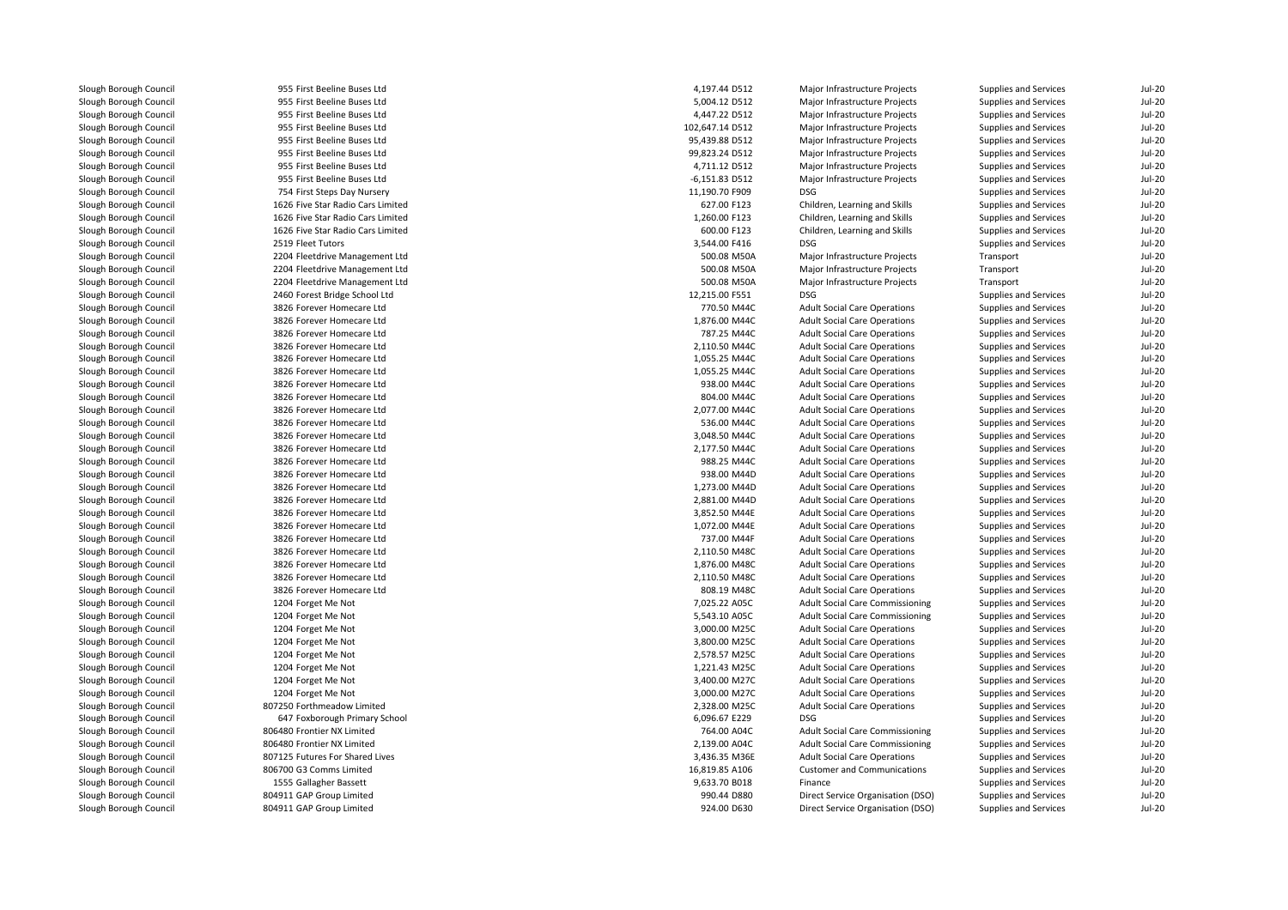| Slough Borough Council | 955 First Beeline Buses Ltd       | 4,197.44 D512    | Major Infrastructure Projects          | Supplies and Services        | <b>Jul-20</b> |
|------------------------|-----------------------------------|------------------|----------------------------------------|------------------------------|---------------|
| Slough Borough Council | 955 First Beeline Buses Ltd       | 5,004.12 D512    | Major Infrastructure Projects          | Supplies and Services        | <b>Jul-20</b> |
| Slough Borough Council | 955 First Beeline Buses Ltd       | 4,447.22 D512    | Major Infrastructure Projects          | Supplies and Services        | <b>Jul-20</b> |
| Slough Borough Council | 955 First Beeline Buses Ltd       | 102,647.14 D512  | Major Infrastructure Projects          | Supplies and Services        | $Jul-20$      |
| Slough Borough Council | 955 First Beeline Buses Ltd       | 95,439.88 D512   | Major Infrastructure Projects          | Supplies and Services        | <b>Jul-20</b> |
| Slough Borough Council | 955 First Beeline Buses Ltd       | 99,823.24 D512   | Major Infrastructure Projects          | Supplies and Services        | <b>Jul-20</b> |
| Slough Borough Council | 955 First Beeline Buses Ltd       | 4,711.12 D512    | Major Infrastructure Projects          | Supplies and Services        | <b>Jul-20</b> |
| Slough Borough Council | 955 First Beeline Buses Ltd       | $-6,151.83$ D512 | Major Infrastructure Projects          | Supplies and Services        | $Jul-20$      |
| Slough Borough Council | 754 First Steps Day Nursery       | 11,190.70 F909   | <b>DSG</b>                             | Supplies and Services        | <b>Jul-20</b> |
| Slough Borough Council | 1626 Five Star Radio Cars Limited | 627.00 F123      | Children, Learning and Skills          | Supplies and Services        | <b>Jul-20</b> |
| Slough Borough Council | 1626 Five Star Radio Cars Limited | 1,260.00 F123    | Children, Learning and Skills          | Supplies and Services        | <b>Jul-20</b> |
| Slough Borough Council | 1626 Five Star Radio Cars Limited | 600.00 F123      | Children, Learning and Skills          | Supplies and Services        | <b>Jul-20</b> |
| Slough Borough Council | 2519 Fleet Tutors                 | 3,544.00 F416    | <b>DSG</b>                             | Supplies and Services        | <b>Jul-20</b> |
| Slough Borough Council | 2204 Fleetdrive Management Ltd    | 500.08 M50A      | Major Infrastructure Projects          | Transport                    | $Jul-20$      |
| Slough Borough Council | 2204 Fleetdrive Management Ltd    | 500.08 M50A      | Major Infrastructure Projects          | Transport                    | <b>Jul-20</b> |
| Slough Borough Council | 2204 Fleetdrive Management Ltd    | 500.08 M50A      | Major Infrastructure Projects          | Transport                    | <b>Jul-20</b> |
| Slough Borough Council | 2460 Forest Bridge School Ltd     | 12,215.00 F551   | <b>DSG</b>                             | Supplies and Services        | <b>Jul-20</b> |
| Slough Borough Council | 3826 Forever Homecare Ltd         | 770.50 M44C      | <b>Adult Social Care Operations</b>    | Supplies and Services        | <b>Jul-20</b> |
| Slough Borough Council | 3826 Forever Homecare Ltd         | 1,876.00 M44C    | <b>Adult Social Care Operations</b>    | Supplies and Services        | <b>Jul-20</b> |
| Slough Borough Council | 3826 Forever Homecare Ltd         | 787.25 M44C      | <b>Adult Social Care Operations</b>    | Supplies and Services        | <b>Jul-20</b> |
| Slough Borough Council | 3826 Forever Homecare Ltd         | 2,110.50 M44C    | <b>Adult Social Care Operations</b>    | Supplies and Services        | <b>Jul-20</b> |
| Slough Borough Council | 3826 Forever Homecare Ltd         | 1,055.25 M44C    | <b>Adult Social Care Operations</b>    | Supplies and Services        | <b>Jul-20</b> |
| Slough Borough Council | 3826 Forever Homecare Ltd         | 1,055.25 M44C    | <b>Adult Social Care Operations</b>    | Supplies and Services        | <b>Jul-20</b> |
| Slough Borough Council | 3826 Forever Homecare Ltd         | 938.00 M44C      | <b>Adult Social Care Operations</b>    | Supplies and Services        | <b>Jul-20</b> |
| Slough Borough Council | 3826 Forever Homecare Ltd         | 804.00 M44C      | <b>Adult Social Care Operations</b>    | Supplies and Services        | $Jul-20$      |
| Slough Borough Council | 3826 Forever Homecare Ltd         | 2,077.00 M44C    | <b>Adult Social Care Operations</b>    | Supplies and Services        | <b>Jul-20</b> |
| Slough Borough Council | 3826 Forever Homecare Ltd         | 536.00 M44C      | <b>Adult Social Care Operations</b>    | Supplies and Services        | <b>Jul-20</b> |
| Slough Borough Council | 3826 Forever Homecare Ltd         | 3,048.50 M44C    | <b>Adult Social Care Operations</b>    | Supplies and Services        | <b>Jul-20</b> |
| Slough Borough Council | 3826 Forever Homecare Ltd         | 2,177.50 M44C    | <b>Adult Social Care Operations</b>    | Supplies and Services        | <b>Jul-20</b> |
| Slough Borough Council | 3826 Forever Homecare Ltd         | 988.25 M44C      | <b>Adult Social Care Operations</b>    | Supplies and Services        | <b>Jul-20</b> |
| Slough Borough Council | 3826 Forever Homecare Ltd         | 938.00 M44D      | <b>Adult Social Care Operations</b>    | Supplies and Services        | <b>Jul-20</b> |
| Slough Borough Council | 3826 Forever Homecare Ltd         | 1.273.00 M44D    | <b>Adult Social Care Operations</b>    | <b>Supplies and Services</b> | <b>Jul-20</b> |
| Slough Borough Council | 3826 Forever Homecare Ltd         | 2,881.00 M44D    | <b>Adult Social Care Operations</b>    | Supplies and Services        | $Jul-20$      |
| Slough Borough Council | 3826 Forever Homecare Ltd         | 3,852.50 M44E    | <b>Adult Social Care Operations</b>    | Supplies and Services        | <b>Jul-20</b> |
| Slough Borough Council | 3826 Forever Homecare Ltd         | 1,072.00 M44E    | <b>Adult Social Care Operations</b>    | Supplies and Services        | <b>Jul-20</b> |
| Slough Borough Council | 3826 Forever Homecare Ltd         | 737.00 M44F      | <b>Adult Social Care Operations</b>    | Supplies and Services        | <b>Jul-20</b> |
| Slough Borough Council | 3826 Forever Homecare Ltd         | 2,110.50 M48C    | <b>Adult Social Care Operations</b>    | Supplies and Services        | <b>Jul-20</b> |
| Slough Borough Council | 3826 Forever Homecare Ltd         | 1,876.00 M48C    | <b>Adult Social Care Operations</b>    | Supplies and Services        | <b>Jul-20</b> |
| Slough Borough Council | 3826 Forever Homecare Ltd         | 2,110.50 M48C    | <b>Adult Social Care Operations</b>    | Supplies and Services        | $Jul-20$      |
| Slough Borough Council | 3826 Forever Homecare Ltd         | 808.19 M48C      | <b>Adult Social Care Operations</b>    | Supplies and Services        | <b>Jul-20</b> |
| Slough Borough Council | 1204 Forget Me Not                | 7,025.22 A05C    | <b>Adult Social Care Commissioning</b> | Supplies and Services        | <b>Jul-20</b> |
| Slough Borough Council | 1204 Forget Me Not                | 5,543.10 A05C    | <b>Adult Social Care Commissioning</b> | Supplies and Services        | <b>Jul-20</b> |
| Slough Borough Council | 1204 Forget Me Not                | 3,000.00 M25C    | <b>Adult Social Care Operations</b>    | Supplies and Services        | <b>Jul-20</b> |
| Slough Borough Council | 1204 Forget Me Not                | 3,800.00 M25C    | <b>Adult Social Care Operations</b>    | Supplies and Services        | $Jul-20$      |
| Slough Borough Council | 1204 Forget Me Not                | 2,578.57 M25C    | <b>Adult Social Care Operations</b>    | Supplies and Services        | <b>Jul-20</b> |
| Slough Borough Council | 1204 Forget Me Not                | 1,221.43 M25C    | <b>Adult Social Care Operations</b>    | Supplies and Services        | <b>Jul-20</b> |
| Slough Borough Council | 1204 Forget Me Not                | 3,400.00 M27C    | <b>Adult Social Care Operations</b>    | Supplies and Services        | <b>Jul-20</b> |
| Slough Borough Council | 1204 Forget Me Not                | 3,000.00 M27C    | <b>Adult Social Care Operations</b>    | Supplies and Services        | <b>Jul-20</b> |
| Slough Borough Council | 807250 Forthmeadow Limited        | 2,328.00 M25C    | <b>Adult Social Care Operations</b>    | Supplies and Services        | <b>Jul-20</b> |
| Slough Borough Council | 647 Foxborough Primary School     | 6,096.67 E229    | DSG                                    | Supplies and Services        | <b>Jul-20</b> |
| Slough Borough Council | 806480 Frontier NX Limited        | 764.00 A04C      | <b>Adult Social Care Commissioning</b> | Supplies and Services        | <b>Jul-20</b> |
| Slough Borough Council | 806480 Frontier NX Limited        | 2,139.00 A04C    | <b>Adult Social Care Commissioning</b> | Supplies and Services        | <b>Jul-20</b> |
| Slough Borough Council | 807125 Futures For Shared Lives   | 3,436.35 M36E    | <b>Adult Social Care Operations</b>    | Supplies and Services        | <b>Jul-20</b> |
| Slough Borough Council | 806700 G3 Comms Limited           | 16,819.85 A106   | <b>Customer and Communications</b>     | Supplies and Services        | <b>Jul-20</b> |
| Slough Borough Council | 1555 Gallagher Bassett            | 9,633.70 B018    | Finance                                | Supplies and Services        | <b>Jul-20</b> |
| Slough Borough Council | 804911 GAP Group Limited          | 990.44 D880      | Direct Service Organisation (DSO)      | Supplies and Services        | <b>Jul-20</b> |
| Slough Borough Council | 804911 GAP Group Limited          | 924.00 D630      | Direct Service Organisation (DSO)      | Supplies and Services        | <b>Jul-20</b> |
|                        |                                   |                  |                                        |                              |               |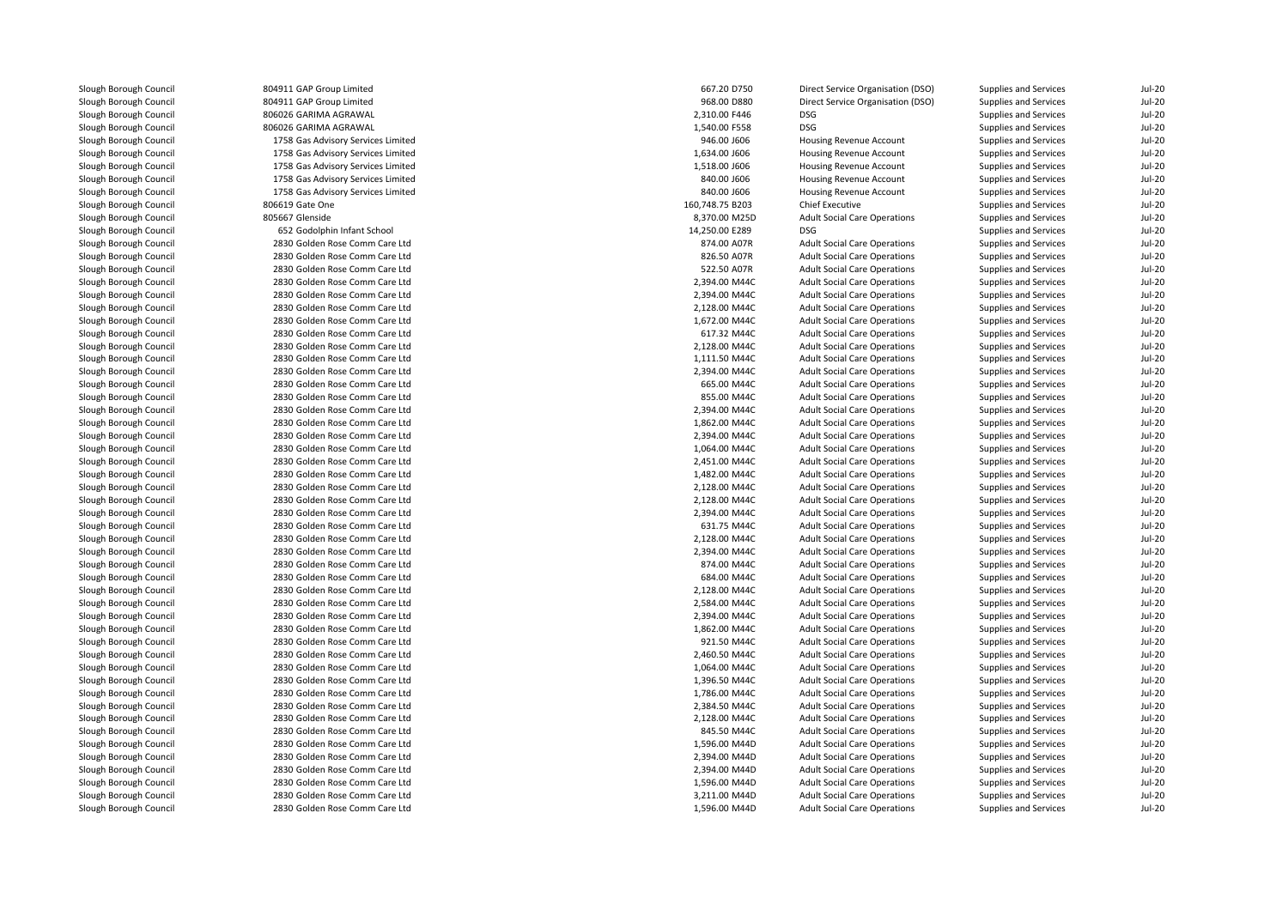| Slough Borough Council | 804911 GAP Group Limited           | 667.20 D750     | Direct Service Organisation (DSO)   | Supplies and Services        | $Jul-20$      |
|------------------------|------------------------------------|-----------------|-------------------------------------|------------------------------|---------------|
| Slough Borough Council | 804911 GAP Group Limited           | 968.00 D880     | Direct Service Organisation (DSO)   | Supplies and Services        | <b>Jul-20</b> |
| Slough Borough Council | 806026 GARIMA AGRAWAL              | 2,310.00 F446   | <b>DSG</b>                          | Supplies and Services        | <b>Jul-20</b> |
| Slough Borough Council | 806026 GARIMA AGRAWAL              | 1,540.00 F558   | <b>DSG</b>                          | Supplies and Services        | $Jul-20$      |
| Slough Borough Council | 1758 Gas Advisory Services Limited | 946.00 J606     | Housing Revenue Account             | Supplies and Services        | <b>Jul-20</b> |
| Slough Borough Council | 1758 Gas Advisory Services Limited | 1,634.00 J606   | Housing Revenue Account             | Supplies and Services        | <b>Jul-20</b> |
| Slough Borough Council | 1758 Gas Advisory Services Limited | 1,518.00 J606   | Housing Revenue Account             | Supplies and Services        | <b>Jul-20</b> |
| Slough Borough Council | 1758 Gas Advisory Services Limited | 840.00 J606     | Housing Revenue Account             | Supplies and Services        | <b>Jul-20</b> |
| Slough Borough Council | 1758 Gas Advisory Services Limited | 840.00 J606     | Housing Revenue Account             | Supplies and Services        | <b>Jul-20</b> |
| Slough Borough Council | 806619 Gate One                    | 160,748.75 B203 | <b>Chief Executive</b>              | Supplies and Services        | $Jul-20$      |
| Slough Borough Council | 805667 Glenside                    | 8,370.00 M25D   | <b>Adult Social Care Operations</b> | Supplies and Services        | <b>Jul-20</b> |
| Slough Borough Council | 652 Godolphin Infant School        | 14,250.00 E289  | <b>DSG</b>                          | Supplies and Services        | <b>Jul-20</b> |
| Slough Borough Council | 2830 Golden Rose Comm Care Ltd     | 874.00 A07R     | <b>Adult Social Care Operations</b> | Supplies and Services        | <b>Jul-20</b> |
| Slough Borough Council | 2830 Golden Rose Comm Care Ltd     | 826.50 A07R     | <b>Adult Social Care Operations</b> | Supplies and Services        | <b>Jul-20</b> |
| Slough Borough Council | 2830 Golden Rose Comm Care Ltd     | 522.50 A07R     | <b>Adult Social Care Operations</b> | Supplies and Services        | <b>Jul-20</b> |
| Slough Borough Council | 2830 Golden Rose Comm Care Ltd     | 2,394.00 M44C   | <b>Adult Social Care Operations</b> | Supplies and Services        | <b>Jul-20</b> |
| Slough Borough Council | 2830 Golden Rose Comm Care Ltd     | 2,394.00 M44C   | <b>Adult Social Care Operations</b> | Supplies and Services        | <b>Jul-20</b> |
| Slough Borough Council | 2830 Golden Rose Comm Care Ltd     | 2,128.00 M44C   | <b>Adult Social Care Operations</b> | Supplies and Services        | <b>Jul-20</b> |
| Slough Borough Council | 2830 Golden Rose Comm Care Ltd     | 1.672.00 M44C   | <b>Adult Social Care Operations</b> | Supplies and Services        | <b>Jul-20</b> |
| Slough Borough Council | 2830 Golden Rose Comm Care Ltd     | 617.32 M44C     | <b>Adult Social Care Operations</b> | Supplies and Services        | $Jul-20$      |
| Slough Borough Council | 2830 Golden Rose Comm Care Ltd     | 2,128.00 M44C   | <b>Adult Social Care Operations</b> | Supplies and Services        | <b>Jul-20</b> |
| Slough Borough Council | 2830 Golden Rose Comm Care Ltd     | 1,111.50 M44C   | <b>Adult Social Care Operations</b> | Supplies and Services        | $Jul-20$      |
| Slough Borough Council | 2830 Golden Rose Comm Care Ltd     | 2,394.00 M44C   | <b>Adult Social Care Operations</b> | Supplies and Services        | <b>Jul-20</b> |
| Slough Borough Council | 2830 Golden Rose Comm Care Ltd     | 665.00 M44C     | <b>Adult Social Care Operations</b> | Supplies and Services        | <b>Jul-20</b> |
| Slough Borough Council | 2830 Golden Rose Comm Care Ltd     | 855.00 M44C     | <b>Adult Social Care Operations</b> | Supplies and Services        | $Jul-20$      |
| Slough Borough Council | 2830 Golden Rose Comm Care Ltd     | 2,394.00 M44C   | <b>Adult Social Care Operations</b> | Supplies and Services        | <b>Jul-20</b> |
| Slough Borough Council | 2830 Golden Rose Comm Care Ltd     | 1.862.00 M44C   | <b>Adult Social Care Operations</b> | Supplies and Services        | <b>Jul-20</b> |
| Slough Borough Council | 2830 Golden Rose Comm Care Ltd     | 2,394.00 M44C   | <b>Adult Social Care Operations</b> | Supplies and Services        | $Jul-20$      |
| Slough Borough Council | 2830 Golden Rose Comm Care Ltd     | 1,064.00 M44C   | <b>Adult Social Care Operations</b> | Supplies and Services        | <b>Jul-20</b> |
| Slough Borough Council | 2830 Golden Rose Comm Care Ltd     | 2,451.00 M44C   | <b>Adult Social Care Operations</b> | Supplies and Services        | $Jul-20$      |
| Slough Borough Council | 2830 Golden Rose Comm Care Ltd     | 1,482.00 M44C   | <b>Adult Social Care Operations</b> | Supplies and Services        | <b>Jul-20</b> |
| Slough Borough Council | 2830 Golden Rose Comm Care Ltd     | 2,128.00 M44C   | <b>Adult Social Care Operations</b> | Supplies and Services        | <b>Jul-20</b> |
| Slough Borough Council | 2830 Golden Rose Comm Care Ltd     | 2,128.00 M44C   | <b>Adult Social Care Operations</b> | Supplies and Services        | <b>Jul-20</b> |
| Slough Borough Council | 2830 Golden Rose Comm Care Ltd     | 2,394.00 M44C   | <b>Adult Social Care Operations</b> | Supplies and Services        | <b>Jul-20</b> |
| Slough Borough Council | 2830 Golden Rose Comm Care Ltd     | 631.75 M44C     | <b>Adult Social Care Operations</b> | Supplies and Services        | <b>Jul-20</b> |
| Slough Borough Council | 2830 Golden Rose Comm Care Ltd     | 2,128.00 M44C   | <b>Adult Social Care Operations</b> | Supplies and Services        | $Jul-20$      |
| Slough Borough Council | 2830 Golden Rose Comm Care Ltd     | 2,394.00 M44C   | <b>Adult Social Care Operations</b> | Supplies and Services        | <b>Jul-20</b> |
| Slough Borough Council | 2830 Golden Rose Comm Care Ltd     | 874.00 M44C     | <b>Adult Social Care Operations</b> | Supplies and Services        | $Jul-20$      |
| Slough Borough Council | 2830 Golden Rose Comm Care Ltd     | 684.00 M44C     | <b>Adult Social Care Operations</b> | Supplies and Services        | <b>Jul-20</b> |
| Slough Borough Council | 2830 Golden Rose Comm Care Ltd     | 2,128.00 M44C   | <b>Adult Social Care Operations</b> | Supplies and Services        | <b>Jul-20</b> |
| Slough Borough Council | 2830 Golden Rose Comm Care Ltd     | 2,584.00 M44C   | <b>Adult Social Care Operations</b> | Supplies and Services        | <b>Jul-20</b> |
| Slough Borough Council | 2830 Golden Rose Comm Care Ltd     | 2,394.00 M44C   | <b>Adult Social Care Operations</b> | <b>Supplies and Services</b> | <b>Jul-20</b> |
| Slough Borough Council | 2830 Golden Rose Comm Care Ltd     | 1,862.00 M44C   | <b>Adult Social Care Operations</b> | Supplies and Services        | <b>Jul-20</b> |
| Slough Borough Council | 2830 Golden Rose Comm Care Ltd     | 921.50 M44C     | <b>Adult Social Care Operations</b> | Supplies and Services        | $Jul-20$      |
| Slough Borough Council | 2830 Golden Rose Comm Care Ltd     | 2,460.50 M44C   | <b>Adult Social Care Operations</b> | Supplies and Services        | <b>Jul-20</b> |
| Slough Borough Council | 2830 Golden Rose Comm Care Ltd     | 1,064.00 M44C   | <b>Adult Social Care Operations</b> | Supplies and Services        | <b>Jul-20</b> |
| Slough Borough Council | 2830 Golden Rose Comm Care Ltd     | 1,396.50 M44C   | <b>Adult Social Care Operations</b> | Supplies and Services        | <b>Jul-20</b> |
| Slough Borough Council | 2830 Golden Rose Comm Care Ltd     | 1,786.00 M44C   | <b>Adult Social Care Operations</b> | Supplies and Services        | <b>Jul-20</b> |
| Slough Borough Council | 2830 Golden Rose Comm Care Ltd     | 2,384.50 M44C   | <b>Adult Social Care Operations</b> | Supplies and Services        | <b>Jul-20</b> |
| Slough Borough Council | 2830 Golden Rose Comm Care Ltd     | 2,128.00 M44C   | <b>Adult Social Care Operations</b> | Supplies and Services        | <b>Jul-20</b> |
| Slough Borough Council | 2830 Golden Rose Comm Care Ltd     | 845.50 M44C     | <b>Adult Social Care Operations</b> | Supplies and Services        | <b>Jul-20</b> |
| Slough Borough Council | 2830 Golden Rose Comm Care Ltd     | 1,596.00 M44D   | <b>Adult Social Care Operations</b> | Supplies and Services        | <b>Jul-20</b> |
| Slough Borough Council | 2830 Golden Rose Comm Care Ltd     | 2,394.00 M44D   | <b>Adult Social Care Operations</b> | Supplies and Services        | <b>Jul-20</b> |
| Slough Borough Council | 2830 Golden Rose Comm Care Ltd     | 2,394.00 M44D   | <b>Adult Social Care Operations</b> | Supplies and Services        | <b>Jul-20</b> |
| Slough Borough Council | 2830 Golden Rose Comm Care Ltd     | 1,596.00 M44D   | <b>Adult Social Care Operations</b> | Supplies and Services        | <b>Jul-20</b> |
| Slough Borough Council | 2830 Golden Rose Comm Care Ltd     | 3,211.00 M44D   | <b>Adult Social Care Operations</b> | Supplies and Services        | $Jul-20$      |
| Slough Borough Council | 2830 Golden Rose Comm Care Ltd     | 1,596.00 M44D   | <b>Adult Social Care Operations</b> | Supplies and Services        | <b>Jul-20</b> |
|                        |                                    |                 |                                     |                              |               |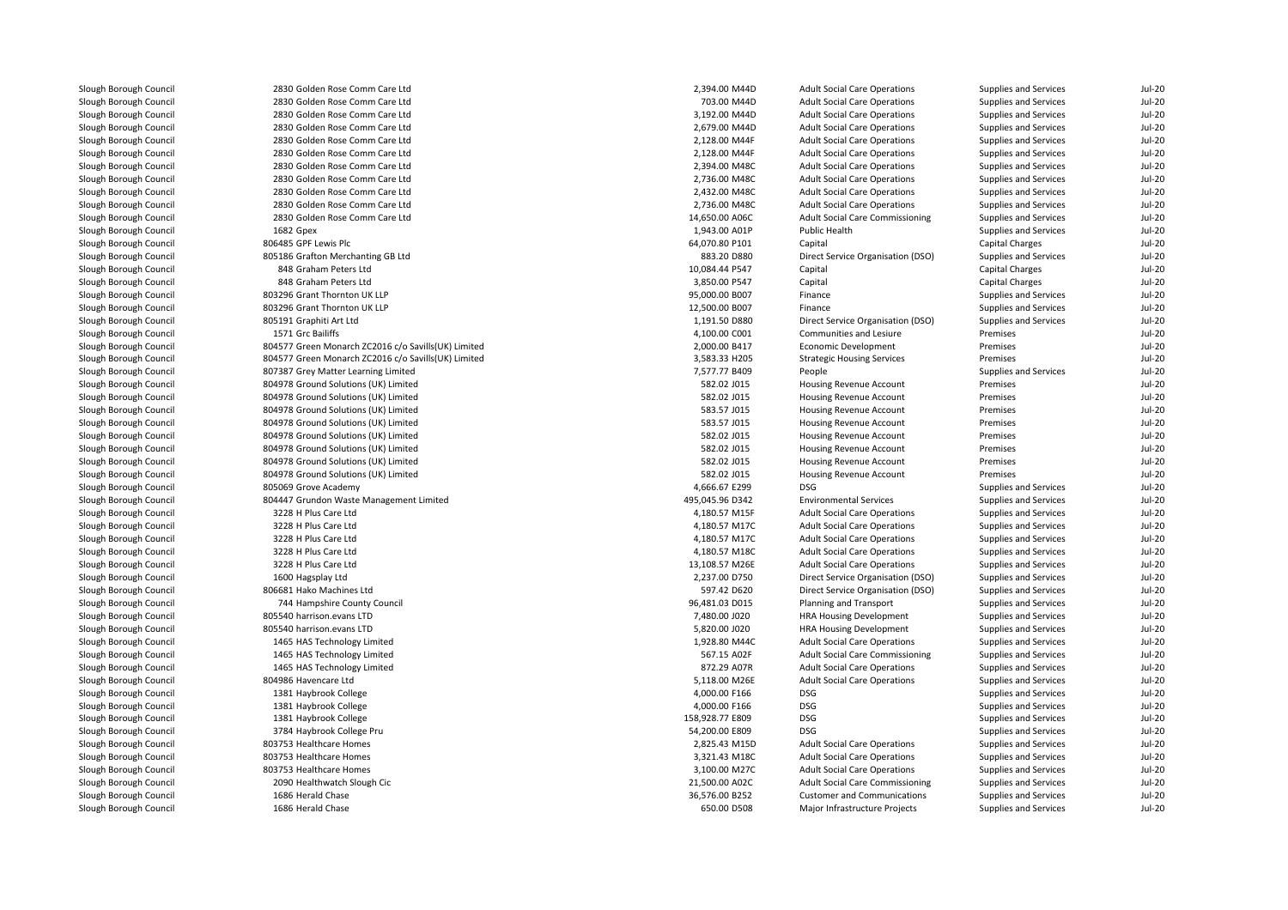| Slough Borough Council | 2830 Golden Rose Comm Care Ltd                      | 2,394.00 M44D   | <b>Adult Social Care Operations</b>    | Supplies and Services | <b>Jul-20</b> |
|------------------------|-----------------------------------------------------|-----------------|----------------------------------------|-----------------------|---------------|
| Slough Borough Council | 2830 Golden Rose Comm Care Ltd                      | 703.00 M44D     | <b>Adult Social Care Operations</b>    | Supplies and Services | <b>Jul-20</b> |
| Slough Borough Council | 2830 Golden Rose Comm Care Ltd                      | 3,192.00 M44D   | <b>Adult Social Care Operations</b>    | Supplies and Services | <b>Jul-20</b> |
| Slough Borough Council | 2830 Golden Rose Comm Care Ltd                      | 2,679.00 M44D   | <b>Adult Social Care Operations</b>    | Supplies and Services | $Jul-20$      |
| Slough Borough Council | 2830 Golden Rose Comm Care Ltd                      | 2,128.00 M44F   | <b>Adult Social Care Operations</b>    | Supplies and Services | <b>Jul-20</b> |
| Slough Borough Council | 2830 Golden Rose Comm Care Ltd                      | 2,128.00 M44F   | <b>Adult Social Care Operations</b>    | Supplies and Services | <b>Jul-20</b> |
| Slough Borough Council | 2830 Golden Rose Comm Care Ltd                      | 2,394.00 M48C   | <b>Adult Social Care Operations</b>    | Supplies and Services | <b>Jul-20</b> |
| Slough Borough Council | 2830 Golden Rose Comm Care Ltd                      | 2,736.00 M48C   | <b>Adult Social Care Operations</b>    | Supplies and Services | <b>Jul-20</b> |
| Slough Borough Council | 2830 Golden Rose Comm Care Ltd                      | 2,432.00 M48C   | <b>Adult Social Care Operations</b>    | Supplies and Services | <b>Jul-20</b> |
| Slough Borough Council | 2830 Golden Rose Comm Care Ltd                      | 2,736.00 M48C   | <b>Adult Social Care Operations</b>    | Supplies and Services | <b>Jul-20</b> |
| Slough Borough Council | 2830 Golden Rose Comm Care Ltd                      | 14,650.00 A06C  | <b>Adult Social Care Commissioning</b> | Supplies and Services | <b>Jul-20</b> |
| Slough Borough Council | 1682 Gpex                                           | 1,943.00 A01P   | Public Health                          | Supplies and Services | <b>Jul-20</b> |
| Slough Borough Council | 806485 GPF Lewis Plc                                | 64,070.80 P101  | Capital                                | Capital Charges       | <b>Jul-20</b> |
| Slough Borough Council | 805186 Grafton Merchanting GB Ltd                   | 883.20 D880     | Direct Service Organisation (DSO)      | Supplies and Services | <b>Jul-20</b> |
| Slough Borough Council | 848 Graham Peters Ltd                               | 10,084.44 P547  | Capital                                | Capital Charges       | <b>Jul-20</b> |
| Slough Borough Council | 848 Graham Peters Ltd                               | 3,850.00 P547   | Capital                                | Capital Charges       | <b>Jul-20</b> |
| Slough Borough Council | 803296 Grant Thornton UK LLP                        | 95,000.00 B007  | Finance                                | Supplies and Services | <b>Jul-20</b> |
| Slough Borough Council | 803296 Grant Thornton UK LLP                        | 12,500.00 B007  | Finance                                | Supplies and Services | <b>Jul-20</b> |
| Slough Borough Council | 805191 Graphiti Art Ltd                             | 1,191.50 D880   | Direct Service Organisation (DSO)      |                       | <b>Jul-20</b> |
|                        | 1571 Grc Bailiffs                                   |                 |                                        | Supplies and Services |               |
| Slough Borough Council |                                                     | 4,100.00 C001   | Communities and Lesiure                | Premises              | <b>Jul-20</b> |
| Slough Borough Council | 804577 Green Monarch ZC2016 c/o Savills(UK) Limited | 2,000.00 B417   | Economic Development                   | Premises              | $Jul-20$      |
| Slough Borough Council | 804577 Green Monarch ZC2016 c/o Savills(UK) Limited | 3,583.33 H205   | <b>Strategic Housing Services</b>      | Premises              | <b>Jul-20</b> |
| Slough Borough Council | 807387 Grey Matter Learning Limited                 | 7,577.77 B409   | People                                 | Supplies and Services | <b>Jul-20</b> |
| Slough Borough Council | 804978 Ground Solutions (UK) Limited                | 582.02 J015     | Housing Revenue Account                | Premises              | $Jul-20$      |
| Slough Borough Council | 804978 Ground Solutions (UK) Limited                | 582.02 J015     | Housing Revenue Account                | Premises              | <b>Jul-20</b> |
| Slough Borough Council | 804978 Ground Solutions (UK) Limited                | 583.57 J015     | <b>Housing Revenue Account</b>         | Premises              | $Jul-20$      |
| Slough Borough Council | 804978 Ground Solutions (UK) Limited                | 583.57 J015     | <b>Housing Revenue Account</b>         | Premises              | <b>Jul-20</b> |
| Slough Borough Council | 804978 Ground Solutions (UK) Limited                | 582.02 J015     | Housing Revenue Account                | Premises              | <b>Jul-20</b> |
| Slough Borough Council | 804978 Ground Solutions (UK) Limited                | 582.02 J015     | Housing Revenue Account                | Premises              | $Jul-20$      |
| Slough Borough Council | 804978 Ground Solutions (UK) Limited                | 582.02 J015     | <b>Housing Revenue Account</b>         | Premises              | <b>Jul-20</b> |
| Slough Borough Council | 804978 Ground Solutions (UK) Limited                | 582.02 J015     | Housing Revenue Account                | Premises              | <b>Jul-20</b> |
| Slough Borough Council | 805069 Grove Academy                                | 4,666.67 E299   | <b>DSG</b>                             | Supplies and Services | <b>Jul-20</b> |
| Slough Borough Council | 804447 Grundon Waste Management Limited             | 495,045.96 D342 | <b>Environmental Services</b>          | Supplies and Services | <b>Jul-20</b> |
| Slough Borough Council | 3228 H Plus Care Ltd                                | 4,180.57 M15F   | <b>Adult Social Care Operations</b>    | Supplies and Services | <b>Jul-20</b> |
| Slough Borough Council | 3228 H Plus Care Ltd                                | 4,180.57 M17C   | <b>Adult Social Care Operations</b>    | Supplies and Services | <b>Jul-20</b> |
| Slough Borough Council | 3228 H Plus Care Ltd                                | 4,180.57 M17C   | <b>Adult Social Care Operations</b>    | Supplies and Services | <b>Jul-20</b> |
| Slough Borough Council | 3228 H Plus Care Ltd                                | 4,180.57 M18C   | <b>Adult Social Care Operations</b>    | Supplies and Services | <b>Jul-20</b> |
| Slough Borough Council | 3228 H Plus Care Ltd                                | 13,108.57 M26E  | <b>Adult Social Care Operations</b>    | Supplies and Services | <b>Jul-20</b> |
| Slough Borough Council | 1600 Hagsplay Ltd                                   | 2,237.00 D750   | Direct Service Organisation (DSO)      | Supplies and Services | <b>Jul-20</b> |
| Slough Borough Council | 806681 Hako Machines Ltd                            | 597.42 D620     | Direct Service Organisation (DSO)      | Supplies and Services | <b>Jul-20</b> |
| Slough Borough Council | 744 Hampshire County Council                        | 96,481.03 D015  | Planning and Transport                 | Supplies and Services | $Jul-20$      |
| Slough Borough Council | 805540 harrison.evans LTD                           | 7,480.00 J020   | <b>HRA Housing Development</b>         | Supplies and Services | <b>Jul-20</b> |
| Slough Borough Council | 805540 harrison.evans LTD                           | 5,820.00 J020   | <b>HRA Housing Development</b>         | Supplies and Services | <b>Jul-20</b> |
| Slough Borough Council | 1465 HAS Technology Limited                         | 1,928.80 M44C   | <b>Adult Social Care Operations</b>    | Supplies and Services | <b>Jul-20</b> |
| Slough Borough Council | 1465 HAS Technology Limited                         | 567.15 A02F     | Adult Social Care Commissioning        | Supplies and Services | <b>Jul-20</b> |
| Slough Borough Council | 1465 HAS Technology Limited                         | 872.29 A07R     | <b>Adult Social Care Operations</b>    | Supplies and Services | <b>Jul-20</b> |
| Slough Borough Council | 804986 Havencare Ltd                                | 5,118.00 M26E   | <b>Adult Social Care Operations</b>    | Supplies and Services | <b>Jul-20</b> |
| Slough Borough Council | 1381 Haybrook College                               | 4,000.00 F166   | <b>DSG</b>                             | Supplies and Services | <b>Jul-20</b> |
| Slough Borough Council | 1381 Haybrook College                               | 4,000.00 F166   | <b>DSG</b>                             | Supplies and Services | <b>Jul-20</b> |
| Slough Borough Council | 1381 Haybrook College                               | 158,928.77 E809 | <b>DSG</b>                             | Supplies and Services | <b>Jul-20</b> |
| Slough Borough Council | 3784 Haybrook College Pru                           | 54,200.00 E809  | <b>DSG</b>                             | Supplies and Services | <b>Jul-20</b> |
| Slough Borough Council | 803753 Healthcare Homes                             | 2,825.43 M15D   | <b>Adult Social Care Operations</b>    | Supplies and Services | <b>Jul-20</b> |
| Slough Borough Council | 803753 Healthcare Homes                             | 3,321.43 M18C   | <b>Adult Social Care Operations</b>    | Supplies and Services | <b>Jul-20</b> |
| Slough Borough Council | 803753 Healthcare Homes                             | 3,100.00 M27C   | <b>Adult Social Care Operations</b>    | Supplies and Services | <b>Jul-20</b> |
| Slough Borough Council | 2090 Healthwatch Slough Cic                         | 21,500.00 A02C  | <b>Adult Social Care Commissioning</b> | Supplies and Services | <b>Jul-20</b> |
| Slough Borough Council | 1686 Herald Chase                                   | 36,576.00 B252  | <b>Customer and Communications</b>     | Supplies and Services | <b>Jul-20</b> |
| Slough Borough Council | 1686 Herald Chase                                   | 650.00 D508     | Major Infrastructure Projects          | Supplies and Services | <b>Jul-20</b> |
|                        |                                                     |                 |                                        |                       |               |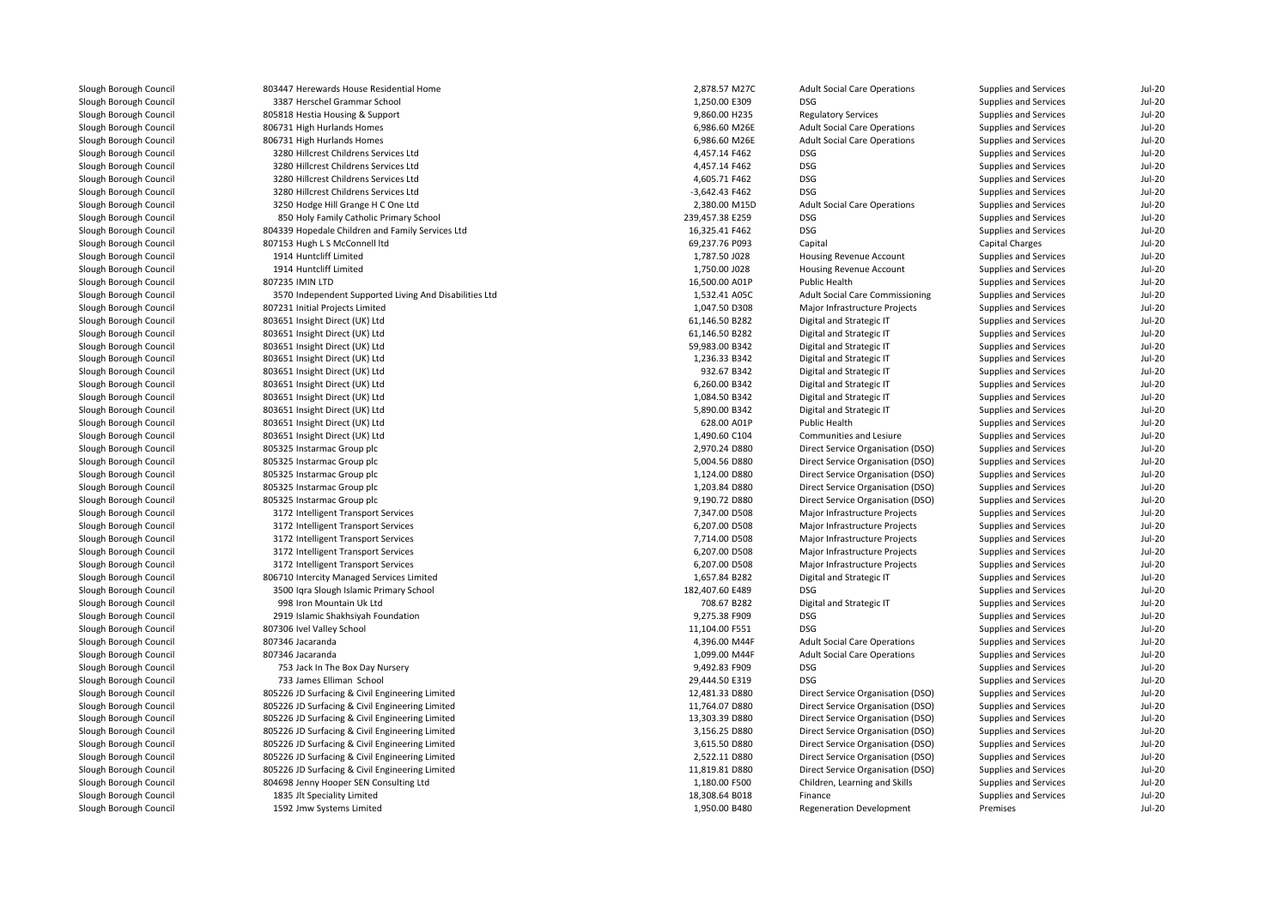| Slough Borough Council | 803447 Herewards House Residential Home                | 2,878.57 M27C   | <b>Adult Social Care Operations</b>             | Supplies and Services | $Jul-20$      |
|------------------------|--------------------------------------------------------|-----------------|-------------------------------------------------|-----------------------|---------------|
| Slough Borough Council | 3387 Herschel Grammar School                           | 1,250.00 E309   | <b>DSG</b>                                      | Supplies and Services | $Jul-20$      |
| Slough Borough Council | 805818 Hestia Housing & Support                        | 9,860.00 H235   | <b>Regulatory Services</b>                      | Supplies and Services | $Jul-20$      |
| Slough Borough Council | 806731 High Hurlands Homes                             | 6,986.60 M26E   | <b>Adult Social Care Operations</b>             | Supplies and Services | <b>Jul-20</b> |
| Slough Borough Council | 806731 High Hurlands Homes                             | 6,986.60 M26E   | <b>Adult Social Care Operations</b>             | Supplies and Services | $Jul-20$      |
| Slough Borough Council | 3280 Hillcrest Childrens Services Ltd                  | 4,457.14 F462   | DSG                                             | Supplies and Services | $Jul-20$      |
| Slough Borough Council | 3280 Hillcrest Childrens Services Ltd                  | 4,457.14 F462   | DSG                                             | Supplies and Services | $Jul-20$      |
| Slough Borough Council | 3280 Hillcrest Childrens Services Ltd                  | 4,605.71 F462   | DSG                                             | Supplies and Services | <b>Jul-20</b> |
| Slough Borough Council | 3280 Hillcrest Childrens Services Ltd                  | -3,642.43 F462  | <b>DSG</b>                                      | Supplies and Services | <b>Jul-20</b> |
| Slough Borough Council | 3250 Hodge Hill Grange H C One Ltd                     | 2,380.00 M15D   | <b>Adult Social Care Operations</b>             | Supplies and Services | <b>Jul-20</b> |
| Slough Borough Council | 850 Holy Family Catholic Primary School                | 239,457.38 E259 | <b>DSG</b>                                      | Supplies and Services | <b>Jul-20</b> |
| Slough Borough Council | 804339 Hopedale Children and Family Services Ltd       | 16,325.41 F462  | <b>DSG</b>                                      | Supplies and Services | <b>Jul-20</b> |
| Slough Borough Council | 807153 Hugh L S McConnell ltd                          | 69,237.76 P093  | Capital                                         | Capital Charges       | $Jul-20$      |
| Slough Borough Council | 1914 Huntcliff Limited                                 | 1,787.50 J028   | Housing Revenue Account                         | Supplies and Services | <b>Jul-20</b> |
|                        | 1914 Huntcliff Limited                                 | 1,750.00 J028   |                                                 |                       | $Jul-20$      |
| Slough Borough Council | 807235 IMIN LTD                                        | 16,500.00 A01P  | Housing Revenue Account<br><b>Public Health</b> | Supplies and Services | <b>Jul-20</b> |
| Slough Borough Council |                                                        |                 |                                                 | Supplies and Services | $Jul-20$      |
| Slough Borough Council | 3570 Independent Supported Living And Disabilities Ltd | 1,532.41 A05C   | <b>Adult Social Care Commissioning</b>          | Supplies and Services |               |
| Slough Borough Council | 807231 Initial Projects Limited                        | 1,047.50 D308   | Major Infrastructure Projects                   | Supplies and Services | <b>Jul-20</b> |
| Slough Borough Council | 803651 Insight Direct (UK) Ltd                         | 61,146.50 B282  | Digital and Strategic IT                        | Supplies and Services | <b>Jul-20</b> |
| Slough Borough Council | 803651 Insight Direct (UK) Ltd                         | 61,146.50 B282  | Digital and Strategic IT                        | Supplies and Services | <b>Jul-20</b> |
| Slough Borough Council | 803651 Insight Direct (UK) Ltd                         | 59,983.00 B342  | Digital and Strategic IT                        | Supplies and Services | <b>Jul-20</b> |
| Slough Borough Council | 803651 Insight Direct (UK) Ltd                         | 1.236.33 B342   | Digital and Strategic IT                        | Supplies and Services | <b>Jul-20</b> |
| Slough Borough Council | 803651 Insight Direct (UK) Ltd                         | 932.67 B342     | Digital and Strategic IT                        | Supplies and Services | $Jul-20$      |
| Slough Borough Council | 803651 Insight Direct (UK) Ltd                         | 6,260.00 B342   | Digital and Strategic IT                        | Supplies and Services | <b>Jul-20</b> |
| Slough Borough Council | 803651 Insight Direct (UK) Ltd                         | 1,084.50 B342   | Digital and Strategic IT                        | Supplies and Services | $Jul-20$      |
| Slough Borough Council | 803651 Insight Direct (UK) Ltd                         | 5,890.00 B342   | Digital and Strategic IT                        | Supplies and Services | $Jul-20$      |
| Slough Borough Council | 803651 Insight Direct (UK) Ltd                         | 628.00 A01P     | Public Health                                   | Supplies and Services | <b>Jul-20</b> |
| Slough Borough Council | 803651 Insight Direct (UK) Ltd                         | 1,490.60 C104   | Communities and Lesiure                         | Supplies and Services | $Jul-20$      |
| Slough Borough Council | 805325 Instarmac Group plc                             | 2,970.24 D880   | Direct Service Organisation (DSO)               | Supplies and Services | $Jul-20$      |
| Slough Borough Council | 805325 Instarmac Group plc                             | 5,004.56 D880   | Direct Service Organisation (DSO)               | Supplies and Services | <b>Jul-20</b> |
| Slough Borough Council | 805325 Instarmac Group plc                             | 1,124.00 D880   | Direct Service Organisation (DSO)               | Supplies and Services | <b>Jul-20</b> |
| Slough Borough Council | 805325 Instarmac Group plc                             | 1,203.84 D880   | Direct Service Organisation (DSO)               | Supplies and Services | <b>Jul-20</b> |
| Slough Borough Council | 805325 Instarmac Group plc                             | 9,190.72 D880   | Direct Service Organisation (DSO)               | Supplies and Services | $Jul-20$      |
| Slough Borough Council | 3172 Intelligent Transport Services                    | 7,347.00 D508   | Major Infrastructure Projects                   | Supplies and Services | <b>Jul-20</b> |
| Slough Borough Council | 3172 Intelligent Transport Services                    | 6,207.00 D508   | Major Infrastructure Projects                   | Supplies and Services | <b>Jul-20</b> |
| Slough Borough Council | 3172 Intelligent Transport Services                    | 7,714.00 D508   | Major Infrastructure Projects                   | Supplies and Services | $Jul-20$      |
| Slough Borough Council | 3172 Intelligent Transport Services                    | 6,207.00 D508   | Major Infrastructure Projects                   | Supplies and Services | $Jul-20$      |
| Slough Borough Council | 3172 Intelligent Transport Services                    | 6,207.00 D508   | Major Infrastructure Projects                   | Supplies and Services | <b>Jul-20</b> |
| Slough Borough Council | 806710 Intercity Managed Services Limited              | 1,657.84 B282   | Digital and Strategic IT                        | Supplies and Services | $Jul-20$      |
| Slough Borough Council | 3500 Iqra Slough Islamic Primary School                | 182,407.60 E489 | DSG                                             | Supplies and Services | <b>Jul-20</b> |
| Slough Borough Council | 998 Iron Mountain Uk Ltd                               | 708.67 B282     | Digital and Strategic IT                        | Supplies and Services | $Jul-20$      |
| Slough Borough Council | 2919 Islamic Shakhsiyah Foundation                     | 9,275.38 F909   | <b>DSG</b>                                      | Supplies and Services | $Jul-20$      |
| Slough Borough Council | 807306 Ivel Valley School                              | 11,104.00 F551  | <b>DSG</b>                                      | Supplies and Services | <b>Jul-20</b> |
| Slough Borough Council | 807346 Jacaranda                                       | 4,396.00 M44F   | <b>Adult Social Care Operations</b>             | Supplies and Services | $Jul-20$      |
| Slough Borough Council | 807346 Jacaranda                                       | 1,099.00 M44F   | <b>Adult Social Care Operations</b>             | Supplies and Services | $Jul-20$      |
|                        |                                                        |                 |                                                 |                       |               |
| Slough Borough Council | 753 Jack In The Box Day Nursery                        | 9,492.83 F909   | <b>DSG</b>                                      | Supplies and Services | <b>Jul-20</b> |
| Slough Borough Council | 733 James Elliman School                               | 29,444.50 E319  | DSG                                             | Supplies and Services | <b>Jul-20</b> |
| Slough Borough Council | 805226 JD Surfacing & Civil Engineering Limited        | 12,481.33 D880  | Direct Service Organisation (DSO)               | Supplies and Services | <b>Jul-20</b> |
| Slough Borough Council | 805226 JD Surfacing & Civil Engineering Limited        | 11,764.07 D880  | Direct Service Organisation (DSO)               | Supplies and Services | $Jul-20$      |
| Slough Borough Council | 805226 JD Surfacing & Civil Engineering Limited        | 13,303.39 D880  | Direct Service Organisation (DSO)               | Supplies and Services | <b>Jul-20</b> |
| Slough Borough Council | 805226 JD Surfacing & Civil Engineering Limited        | 3,156.25 D880   | Direct Service Organisation (DSO)               | Supplies and Services | <b>Jul-20</b> |
| Slough Borough Council | 805226 JD Surfacing & Civil Engineering Limited        | 3,615.50 D880   | Direct Service Organisation (DSO)               | Supplies and Services | $Jul-20$      |
| Slough Borough Council | 805226 JD Surfacing & Civil Engineering Limited        | 2,522.11 D880   | Direct Service Organisation (DSO)               | Supplies and Services | <b>Jul-20</b> |
| Slough Borough Council | 805226 JD Surfacing & Civil Engineering Limited        | 11,819.81 D880  | Direct Service Organisation (DSO)               | Supplies and Services | <b>Jul-20</b> |
| Slough Borough Council | 804698 Jenny Hooper SEN Consulting Ltd                 | 1,180.00 F500   | Children, Learning and Skills                   | Supplies and Services | <b>Jul-20</b> |
| Slough Borough Council | 1835 Jlt Speciality Limited                            | 18,308.64 B018  | Finance                                         | Supplies and Services | <b>Jul-20</b> |
| Slough Borough Council | 1592 Jmw Systems Limited                               | 1,950.00 B480   | <b>Regeneration Development</b>                 | Premises              | $Jul-20$      |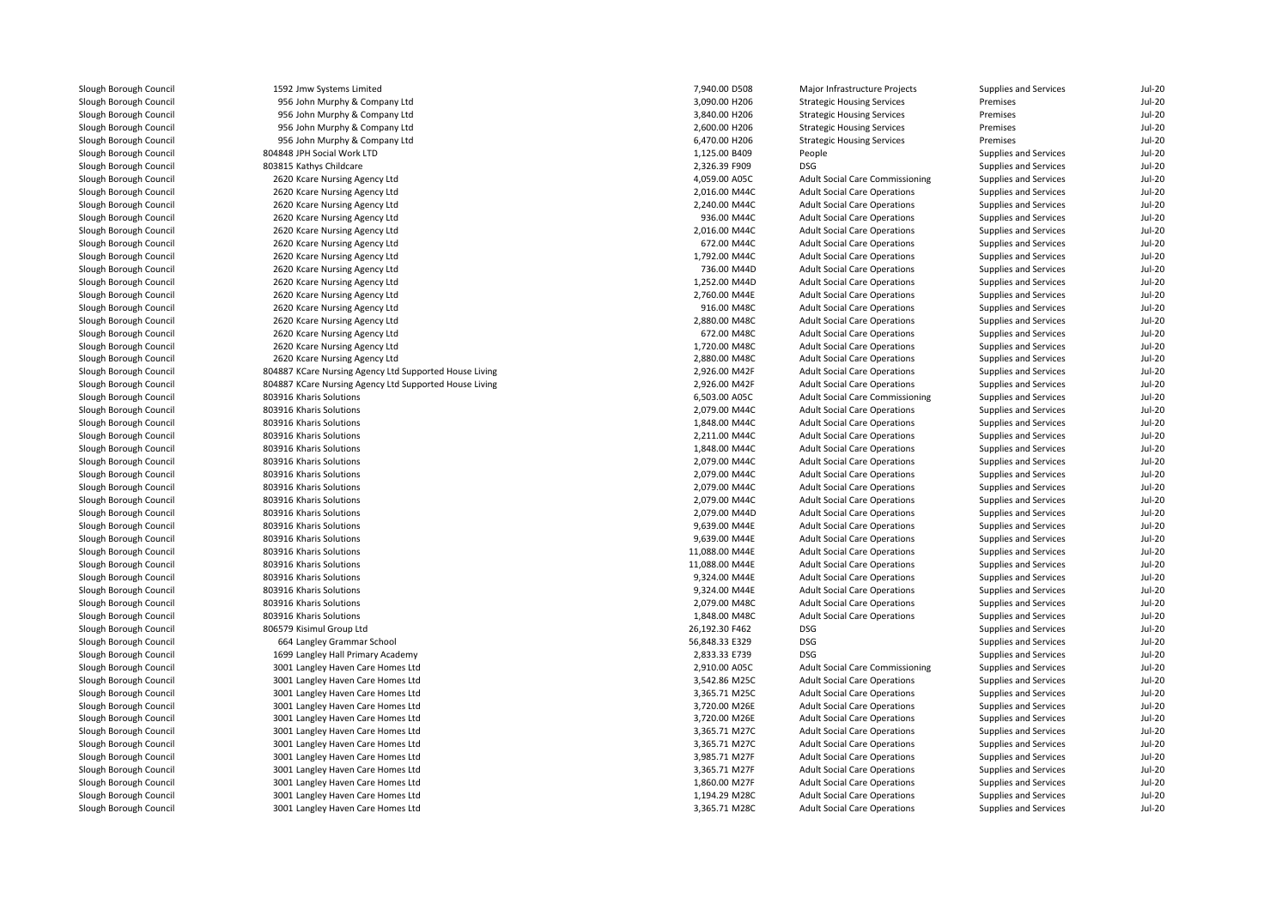| Slough Borough Council | 1592 Jmw Systems Limited                               | 7,940.00 D508  | Major Infrastructure Projects          | Supplies and Services        | <b>Jul-20</b> |
|------------------------|--------------------------------------------------------|----------------|----------------------------------------|------------------------------|---------------|
| Slough Borough Council | 956 John Murphy & Company Ltd                          | 3,090.00 H206  | <b>Strategic Housing Services</b>      | Premises                     | $Jul-20$      |
| Slough Borough Council | 956 John Murphy & Company Ltd                          | 3,840.00 H206  | <b>Strategic Housing Services</b>      | Premises                     | <b>Jul-20</b> |
| Slough Borough Council | 956 John Murphy & Company Ltd                          | 2,600.00 H206  | <b>Strategic Housing Services</b>      | Premises                     | $Jul-20$      |
| Slough Borough Council | 956 John Murphy & Company Ltd                          | 6,470.00 H206  | <b>Strategic Housing Services</b>      | Premises                     | $Jul-20$      |
| Slough Borough Council | 804848 JPH Social Work LTD                             | 1,125.00 B409  | People                                 | Supplies and Services        | <b>Jul-20</b> |
| Slough Borough Council | 803815 Kathys Childcare                                | 2,326.39 F909  | DSG                                    | Supplies and Services        | $Jul-20$      |
| Slough Borough Council | 2620 Kcare Nursing Agency Ltd                          | 4,059.00 A05C  | Adult Social Care Commissioning        | Supplies and Services        | <b>Jul-20</b> |
| Slough Borough Council | 2620 Kcare Nursing Agency Ltd                          | 2,016.00 M44C  | <b>Adult Social Care Operations</b>    | Supplies and Services        | <b>Jul-20</b> |
| Slough Borough Council | 2620 Kcare Nursing Agency Ltd                          | 2,240.00 M44C  | <b>Adult Social Care Operations</b>    | Supplies and Services        | $Jul-20$      |
| Slough Borough Council | 2620 Kcare Nursing Agency Ltd                          | 936.00 M44C    | <b>Adult Social Care Operations</b>    | Supplies and Services        | <b>Jul-20</b> |
| Slough Borough Council | 2620 Kcare Nursing Agency Ltd                          | 2,016.00 M44C  | <b>Adult Social Care Operations</b>    | Supplies and Services        | <b>Jul-20</b> |
| Slough Borough Council | 2620 Kcare Nursing Agency Ltd                          | 672.00 M44C    | <b>Adult Social Care Operations</b>    | Supplies and Services        | $Jul-20$      |
| Slough Borough Council | 2620 Kcare Nursing Agency Ltd                          | 1,792.00 M44C  | <b>Adult Social Care Operations</b>    | Supplies and Services        | <b>Jul-20</b> |
| Slough Borough Council | 2620 Kcare Nursing Agency Ltd                          | 736.00 M44D    | <b>Adult Social Care Operations</b>    | Supplies and Services        | <b>Jul-20</b> |
| Slough Borough Council | 2620 Kcare Nursing Agency Ltd                          | 1,252.00 M44D  | <b>Adult Social Care Operations</b>    | Supplies and Services        | <b>Jul-20</b> |
| Slough Borough Council | 2620 Kcare Nursing Agency Ltd                          | 2,760.00 M44E  | <b>Adult Social Care Operations</b>    | Supplies and Services        | <b>Jul-20</b> |
| Slough Borough Council | 2620 Kcare Nursing Agency Ltd                          | 916.00 M48C    | <b>Adult Social Care Operations</b>    | Supplies and Services        | $Jul-20$      |
| Slough Borough Council | 2620 Kcare Nursing Agency Ltd                          | 2.880.00 M48C  | <b>Adult Social Care Operations</b>    | Supplies and Services        | $Jul-20$      |
| Slough Borough Council |                                                        | 672.00 M48C    |                                        |                              | <b>Jul-20</b> |
|                        | 2620 Kcare Nursing Agency Ltd                          |                | <b>Adult Social Care Operations</b>    | Supplies and Services        |               |
| Slough Borough Council | 2620 Kcare Nursing Agency Ltd                          | 1,720.00 M48C  | <b>Adult Social Care Operations</b>    | Supplies and Services        | <b>Jul-20</b> |
| Slough Borough Council | 2620 Kcare Nursing Agency Ltd                          | 2,880.00 M48C  | <b>Adult Social Care Operations</b>    | Supplies and Services        | $Jul-20$      |
| Slough Borough Council | 804887 KCare Nursing Agency Ltd Supported House Living | 2,926.00 M42F  | <b>Adult Social Care Operations</b>    | Supplies and Services        | $Jul-20$      |
| Slough Borough Council | 804887 KCare Nursing Agency Ltd Supported House Living | 2,926.00 M42F  | <b>Adult Social Care Operations</b>    | Supplies and Services        | <b>Jul-20</b> |
| Slough Borough Council | 803916 Kharis Solutions                                | 6,503.00 A05C  | <b>Adult Social Care Commissioning</b> | Supplies and Services        | $Jul-20$      |
| Slough Borough Council | 803916 Kharis Solutions                                | 2,079.00 M44C  | <b>Adult Social Care Operations</b>    | Supplies and Services        | $Jul-20$      |
| Slough Borough Council | 803916 Kharis Solutions                                | 1,848.00 M44C  | <b>Adult Social Care Operations</b>    | Supplies and Services        | $Jul-20$      |
| Slough Borough Council | 803916 Kharis Solutions                                | 2,211.00 M44C  | <b>Adult Social Care Operations</b>    | Supplies and Services        | $Jul-20$      |
| Slough Borough Council | 803916 Kharis Solutions                                | 1,848.00 M44C  | <b>Adult Social Care Operations</b>    | Supplies and Services        | <b>Jul-20</b> |
| Slough Borough Council | 803916 Kharis Solutions                                | 2,079.00 M44C  | <b>Adult Social Care Operations</b>    | Supplies and Services        | $Jul-20$      |
| Slough Borough Council | 803916 Kharis Solutions                                | 2,079.00 M44C  | <b>Adult Social Care Operations</b>    | Supplies and Services        | <b>Jul-20</b> |
| Slough Borough Council | 803916 Kharis Solutions                                | 2,079.00 M44C  | <b>Adult Social Care Operations</b>    | Supplies and Services        | <b>Jul-20</b> |
| Slough Borough Council | 803916 Kharis Solutions                                | 2,079.00 M44C  | <b>Adult Social Care Operations</b>    | Supplies and Services        | <b>Jul-20</b> |
| Slough Borough Council | 803916 Kharis Solutions                                | 2,079.00 M44D  | <b>Adult Social Care Operations</b>    | Supplies and Services        | <b>Jul-20</b> |
| Slough Borough Council | 803916 Kharis Solutions                                | 9,639.00 M44E  | <b>Adult Social Care Operations</b>    | Supplies and Services        | $Jul-20$      |
| Slough Borough Council | 803916 Kharis Solutions                                | 9,639.00 M44E  | <b>Adult Social Care Operations</b>    | Supplies and Services        | <b>Jul-20</b> |
| Slough Borough Council | 803916 Kharis Solutions                                | 11,088.00 M44E | <b>Adult Social Care Operations</b>    | Supplies and Services        | <b>Jul-20</b> |
| Slough Borough Council | 803916 Kharis Solutions                                | 11,088.00 M44E | <b>Adult Social Care Operations</b>    | Supplies and Services        | $Jul-20$      |
| Slough Borough Council | 803916 Kharis Solutions                                | 9,324.00 M44E  | <b>Adult Social Care Operations</b>    | Supplies and Services        | <b>Jul-20</b> |
| Slough Borough Council | 803916 Kharis Solutions                                | 9,324.00 M44E  | <b>Adult Social Care Operations</b>    | Supplies and Services        | <b>Jul-20</b> |
| Slough Borough Council | 803916 Kharis Solutions                                | 2,079.00 M48C  | <b>Adult Social Care Operations</b>    | Supplies and Services        | <b>Jul-20</b> |
| Slough Borough Council | 803916 Kharis Solutions                                | 1,848.00 M48C  | <b>Adult Social Care Operations</b>    | Supplies and Services        | $Jul-20$      |
| Slough Borough Council | 806579 Kisimul Group Ltd                               | 26,192.30 F462 | <b>DSG</b>                             | Supplies and Services        | $Jul-20$      |
| Slough Borough Council | 664 Langley Grammar School                             | 56,848.33 E329 | DSG                                    | Supplies and Services        | $Jul-20$      |
| Slough Borough Council | 1699 Langley Hall Primary Academy                      | 2,833.33 E739  | <b>DSG</b>                             | Supplies and Services        | <b>Jul-20</b> |
| Slough Borough Council | 3001 Langley Haven Care Homes Ltd                      | 2,910.00 A05C  | <b>Adult Social Care Commissioning</b> | Supplies and Services        | <b>Jul-20</b> |
| Slough Borough Council | 3001 Langley Haven Care Homes Ltd                      | 3,542.86 M25C  | <b>Adult Social Care Operations</b>    | <b>Supplies and Services</b> | <b>Jul-20</b> |
| Slough Borough Council | 3001 Langley Haven Care Homes Ltd                      | 3,365.71 M25C  | <b>Adult Social Care Operations</b>    | Supplies and Services        | <b>Jul-20</b> |
| Slough Borough Council | 3001 Langley Haven Care Homes Ltd                      | 3,720.00 M26E  | <b>Adult Social Care Operations</b>    | Supplies and Services        | <b>Jul-20</b> |
| Slough Borough Council | 3001 Langley Haven Care Homes Ltd                      | 3,720.00 M26E  | <b>Adult Social Care Operations</b>    | Supplies and Services        | <b>Jul-20</b> |
| Slough Borough Council | 3001 Langley Haven Care Homes Ltd                      | 3,365.71 M27C  | <b>Adult Social Care Operations</b>    | Supplies and Services        | <b>Jul-20</b> |
| Slough Borough Council | 3001 Langley Haven Care Homes Ltd                      | 3,365.71 M27C  | <b>Adult Social Care Operations</b>    | <b>Supplies and Services</b> | $Jul-20$      |
| Slough Borough Council | 3001 Langley Haven Care Homes Ltd                      | 3,985.71 M27F  | <b>Adult Social Care Operations</b>    | Supplies and Services        | <b>Jul-20</b> |
| Slough Borough Council | 3001 Langley Haven Care Homes Ltd                      | 3,365.71 M27F  | <b>Adult Social Care Operations</b>    | Supplies and Services        | $Jul-20$      |
| Slough Borough Council | 3001 Langley Haven Care Homes Ltd                      | 1,860.00 M27F  | <b>Adult Social Care Operations</b>    | <b>Supplies and Services</b> | <b>Jul-20</b> |
| Slough Borough Council | 3001 Langley Haven Care Homes Ltd                      | 1,194.29 M28C  | <b>Adult Social Care Operations</b>    | Supplies and Services        | <b>Jul-20</b> |
| Slough Borough Council | 3001 Langley Haven Care Homes Ltd                      | 3,365.71 M28C  | <b>Adult Social Care Operations</b>    | Supplies and Services        | <b>Jul-20</b> |
|                        |                                                        |                |                                        |                              |               |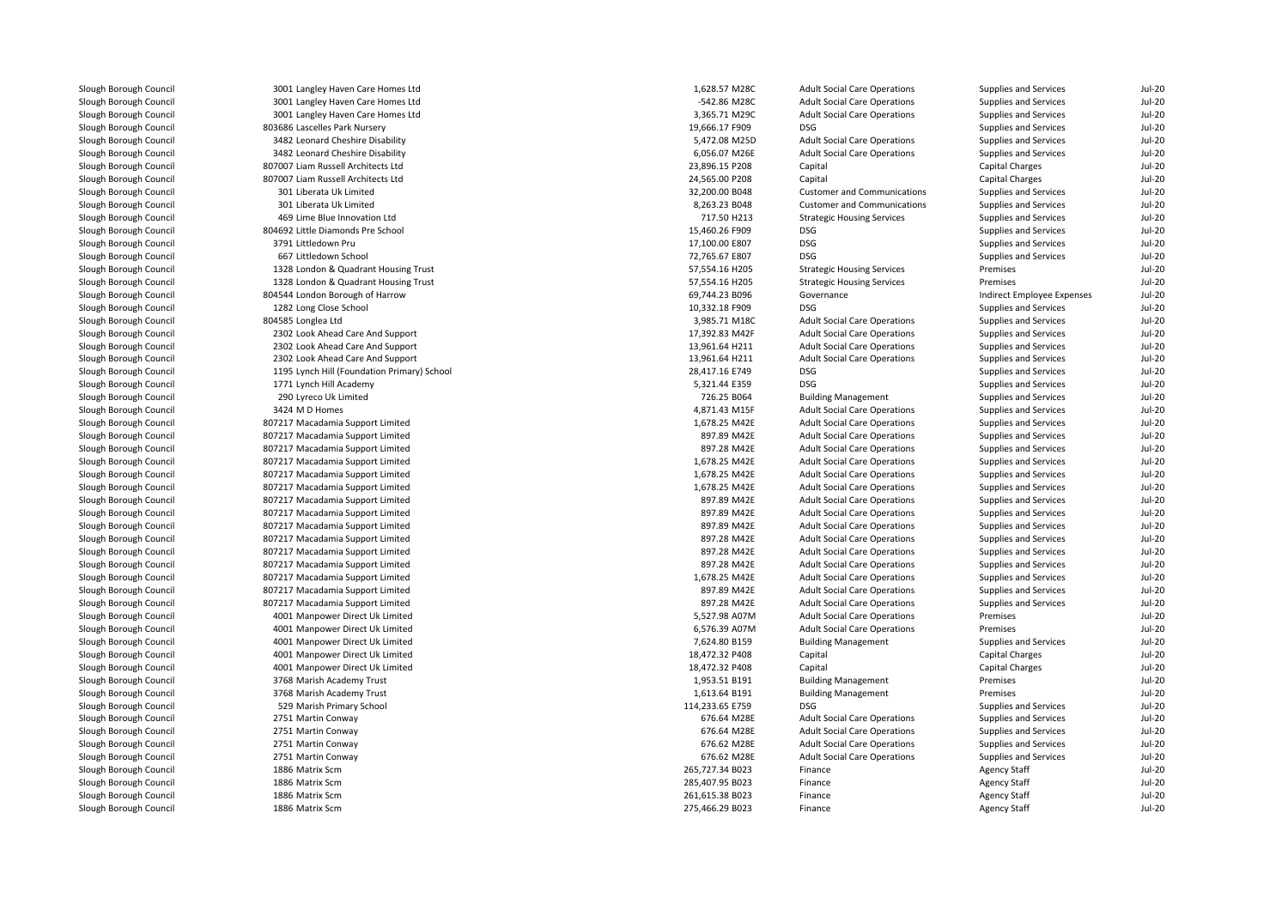| Slough Borough Council | 3001 Langley Haven Care Homes Ltd           | 1,628.57 M28C   | <b>Adult Social Care Operations</b> | Supplies and Services        | $Jul-20$      |
|------------------------|---------------------------------------------|-----------------|-------------------------------------|------------------------------|---------------|
| Slough Borough Council | 3001 Langley Haven Care Homes Ltd           | -542.86 M28C    | <b>Adult Social Care Operations</b> | Supplies and Services        | <b>Jul-20</b> |
| Slough Borough Council | 3001 Langley Haven Care Homes Ltd           | 3,365.71 M29C   | <b>Adult Social Care Operations</b> | Supplies and Services        | <b>Jul-20</b> |
| Slough Borough Council | 803686 Lascelles Park Nursery               | 19,666.17 F909  | DSG                                 | Supplies and Services        | $Jul-20$      |
| Slough Borough Council | 3482 Leonard Cheshire Disability            | 5,472.08 M25D   | <b>Adult Social Care Operations</b> | Supplies and Services        | <b>Jul-20</b> |
| Slough Borough Council | 3482 Leonard Cheshire Disability            | 6,056.07 M26E   | <b>Adult Social Care Operations</b> | Supplies and Services        | <b>Jul-20</b> |
| Slough Borough Council | 807007 Liam Russell Architects Ltd          | 23,896.15 P208  | Capital                             | Capital Charges              | $Jul-20$      |
| Slough Borough Council | 807007 Liam Russell Architects Ltd          | 24,565.00 P208  | Capital                             | Capital Charges              | <b>Jul-20</b> |
| Slough Borough Council | 301 Liberata Uk Limited                     | 32,200.00 B048  | <b>Customer and Communications</b>  | <b>Supplies and Services</b> | $Jul-20$      |
| Slough Borough Council | 301 Liberata Uk Limited                     | 8,263.23 B048   | <b>Customer and Communications</b>  | Supplies and Services        | <b>Jul-20</b> |
| Slough Borough Council | 469 Lime Blue Innovation Ltd                | 717.50 H213     | <b>Strategic Housing Services</b>   | Supplies and Services        | $Jul-20$      |
| Slough Borough Council | 804692 Little Diamonds Pre School           | 15,460.26 F909  | DSG                                 | Supplies and Services        | <b>Jul-20</b> |
| Slough Borough Council | 3791 Littledown Pru                         | 17,100.00 E807  | <b>DSG</b>                          | Supplies and Services        | <b>Jul-20</b> |
| Slough Borough Council | 667 Littledown School                       | 72,765.67 E807  | <b>DSG</b>                          | Supplies and Services        | <b>Jul-20</b> |
| Slough Borough Council | 1328 London & Quadrant Housing Trust        | 57,554.16 H205  | <b>Strategic Housing Services</b>   | Premises                     | $Jul-20$      |
| Slough Borough Council | 1328 London & Quadrant Housing Trust        | 57,554.16 H205  | <b>Strategic Housing Services</b>   | Premises                     | $Jul-20$      |
| Slough Borough Council | 804544 London Borough of Harrow             | 69,744.23 B096  | Governance                          | Indirect Employee Expenses   | <b>Jul-20</b> |
| Slough Borough Council | 1282 Long Close School                      | 10,332.18 F909  | <b>DSG</b>                          | Supplies and Services        | <b>Jul-20</b> |
| Slough Borough Council | 804585 Longlea Ltd                          | 3,985.71 M18C   | <b>Adult Social Care Operations</b> | Supplies and Services        | $Jul-20$      |
| Slough Borough Council | 2302 Look Ahead Care And Support            | 17,392.83 M42F  | <b>Adult Social Care Operations</b> | Supplies and Services        | $Jul-20$      |
| Slough Borough Council | 2302 Look Ahead Care And Support            | 13,961.64 H211  | <b>Adult Social Care Operations</b> | Supplies and Services        | <b>Jul-20</b> |
| Slough Borough Council | 2302 Look Ahead Care And Support            | 13,961.64 H211  | <b>Adult Social Care Operations</b> | <b>Supplies and Services</b> | <b>Jul-20</b> |
| Slough Borough Council | 1195 Lynch Hill (Foundation Primary) School | 28,417.16 E749  | <b>DSG</b>                          | Supplies and Services        | <b>Jul-20</b> |
| Slough Borough Council | 1771 Lynch Hill Academy                     | 5,321.44 E359   | DSG                                 | Supplies and Services        | $Jul-20$      |
| Slough Borough Council | 290 Lyreco Uk Limited                       | 726.25 B064     | <b>Building Management</b>          | Supplies and Services        | $Jul-20$      |
| Slough Borough Council | 3424 M D Homes                              | 4,871.43 M15F   | <b>Adult Social Care Operations</b> | Supplies and Services        | $Jul-20$      |
| Slough Borough Council | 807217 Macadamia Support Limited            | 1,678.25 M42E   | <b>Adult Social Care Operations</b> | Supplies and Services        | $Jul-20$      |
| Slough Borough Council |                                             | 897.89 M42E     |                                     |                              | <b>Jul-20</b> |
|                        | 807217 Macadamia Support Limited            |                 | <b>Adult Social Care Operations</b> | Supplies and Services        |               |
| Slough Borough Council | 807217 Macadamia Support Limited            | 897.28 M42E     | <b>Adult Social Care Operations</b> | <b>Supplies and Services</b> | <b>Jul-20</b> |
| Slough Borough Council | 807217 Macadamia Support Limited            | 1,678.25 M42E   | <b>Adult Social Care Operations</b> | Supplies and Services        | $Jul-20$      |
| Slough Borough Council | 807217 Macadamia Support Limited            | 1,678.25 M42E   | <b>Adult Social Care Operations</b> | Supplies and Services        | <b>Jul-20</b> |
| Slough Borough Council | 807217 Macadamia Support Limited            | 1,678.25 M42E   | <b>Adult Social Care Operations</b> | Supplies and Services        | <b>Jul-20</b> |
| Slough Borough Council | 807217 Macadamia Support Limited            | 897.89 M42E     | <b>Adult Social Care Operations</b> | Supplies and Services        | $Jul-20$      |
| Slough Borough Council | 807217 Macadamia Support Limited            | 897.89 M42E     | <b>Adult Social Care Operations</b> | Supplies and Services        | <b>Jul-20</b> |
| Slough Borough Council | 807217 Macadamia Support Limited            | 897.89 M42E     | <b>Adult Social Care Operations</b> | Supplies and Services        | <b>Jul-20</b> |
| Slough Borough Council | 807217 Macadamia Support Limited            | 897.28 M42E     | <b>Adult Social Care Operations</b> | Supplies and Services        | $Jul-20$      |
| Slough Borough Council | 807217 Macadamia Support Limited            | 897.28 M42E     | <b>Adult Social Care Operations</b> | Supplies and Services        | <b>Jul-20</b> |
| Slough Borough Council | 807217 Macadamia Support Limited            | 897.28 M42E     | <b>Adult Social Care Operations</b> | Supplies and Services        | <b>Jul-20</b> |
| Slough Borough Council | 807217 Macadamia Support Limited            | 1,678.25 M42E   | <b>Adult Social Care Operations</b> | Supplies and Services        | <b>Jul-20</b> |
| Slough Borough Council | 807217 Macadamia Support Limited            | 897.89 M42E     | <b>Adult Social Care Operations</b> | Supplies and Services        | $Jul-20$      |
| Slough Borough Council | 807217 Macadamia Support Limited            | 897.28 M42E     | <b>Adult Social Care Operations</b> | Supplies and Services        | <b>Jul-20</b> |
| Slough Borough Council | 4001 Manpower Direct Uk Limited             | 5,527.98 A07M   | <b>Adult Social Care Operations</b> | Premises                     | <b>Jul-20</b> |
| Slough Borough Council | 4001 Manpower Direct Uk Limited             | 6,576.39 A07M   | <b>Adult Social Care Operations</b> | Premises                     | $Jul-20$      |
| Slough Borough Council | 4001 Manpower Direct Uk Limited             | 7,624.80 B159   | <b>Building Management</b>          | Supplies and Services        | <b>Jul-20</b> |
| Slough Borough Council | 4001 Manpower Direct Uk Limited             | 18,472.32 P408  | Capital                             | Capital Charges              | $Jul-20$      |
| Slough Borough Council | 4001 Manpower Direct Uk Limited             | 18,472.32 P408  | Capital                             | Capital Charges              | $Jul-20$      |
| Slough Borough Council | 3768 Marish Academy Trust                   | 1,953.51 B191   | <b>Building Management</b>          | Premises                     | <b>Jul-20</b> |
| Slough Borough Council | 3768 Marish Academy Trust                   | 1,613.64 B191   | <b>Building Management</b>          | Premises                     | $Jul-20$      |
| Slough Borough Council | 529 Marish Primary School                   | 114,233.65 E759 | <b>DSG</b>                          | Supplies and Services        | $Jul-20$      |
| Slough Borough Council | 2751 Martin Conway                          | 676.64 M28E     | <b>Adult Social Care Operations</b> | Supplies and Services        | <b>Jul-20</b> |
| Slough Borough Council | 2751 Martin Conway                          | 676.64 M28E     | <b>Adult Social Care Operations</b> | Supplies and Services        | <b>Jul-20</b> |
| Slough Borough Council | 2751 Martin Conway                          | 676.62 M28E     | <b>Adult Social Care Operations</b> | Supplies and Services        | <b>Jul-20</b> |
| Slough Borough Council | 2751 Martin Conway                          | 676.62 M28E     | <b>Adult Social Care Operations</b> | Supplies and Services        | <b>Jul-20</b> |
| Slough Borough Council | 1886 Matrix Scm                             | 265,727.34 B023 | Finance                             | Agency Staff                 | $Jul-20$      |
| Slough Borough Council | 1886 Matrix Scm                             | 285,407.95 B023 | Finance                             | <b>Agency Staff</b>          | <b>Jul-20</b> |
| Slough Borough Council | 1886 Matrix Scm                             | 261,615.38 B023 | Finance                             | Agency Staff                 | $Jul-20$      |
| Slough Borough Council | 1886 Matrix Scm                             | 275,466.29 B023 | Finance                             | <b>Agency Staff</b>          | $Jul-20$      |
|                        |                                             |                 |                                     |                              |               |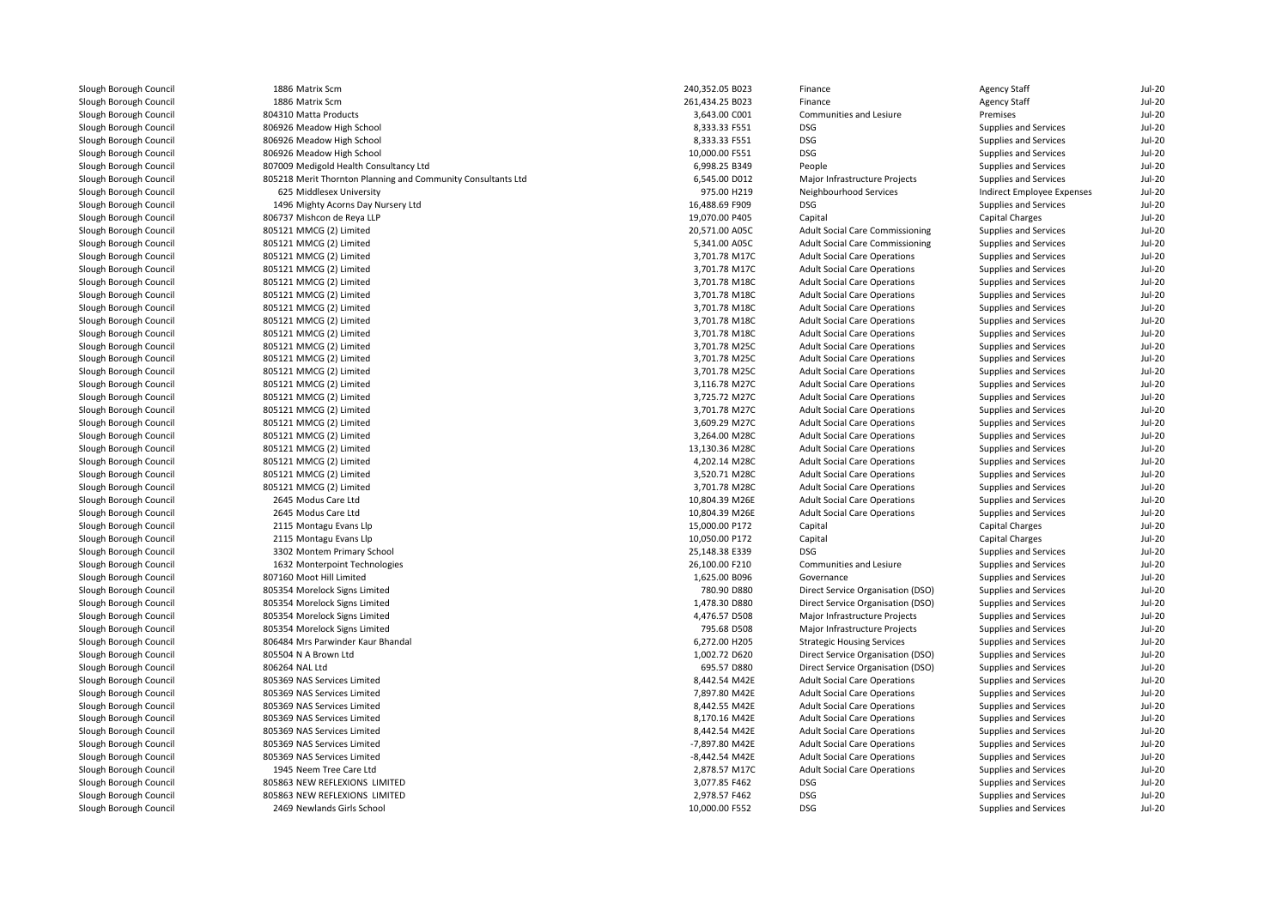| Slough Borough Council | 1886 Matrix Scm                                              | 240,352.05 B023 | Finance                                                                    | <b>Agency Staff</b>          | $Jul-20$             |
|------------------------|--------------------------------------------------------------|-----------------|----------------------------------------------------------------------------|------------------------------|----------------------|
| Slough Borough Council | 1886 Matrix Scm                                              | 261,434.25 B023 | Finance                                                                    | Agency Staff                 | $Jul-20$             |
| Slough Borough Council | 804310 Matta Products                                        | 3,643.00 C001   | Communities and Lesiure                                                    | Premises                     | <b>Jul-20</b>        |
| Slough Borough Council | 806926 Meadow High School                                    | 8,333.33 F551   | <b>DSG</b>                                                                 | Supplies and Services        | <b>Jul-20</b>        |
| Slough Borough Council | 806926 Meadow High School                                    | 8,333.33 F551   | <b>DSG</b>                                                                 | Supplies and Services        | <b>Jul-20</b>        |
| Slough Borough Council | 806926 Meadow High School                                    | 10,000.00 F551  | <b>DSG</b>                                                                 | Supplies and Services        | <b>Jul-20</b>        |
| Slough Borough Council | 807009 Medigold Health Consultancy Ltd                       | 6,998.25 B349   | People                                                                     | Supplies and Services        | <b>Jul-20</b>        |
| Slough Borough Council | 805218 Merit Thornton Planning and Community Consultants Ltd | 6,545.00 D012   | Major Infrastructure Projects                                              | Supplies and Services        | <b>Jul-20</b>        |
| Slough Borough Council | 625 Middlesex University                                     | 975.00 H219     | Neighbourhood Services                                                     | Indirect Employee Expenses   | <b>Jul-20</b>        |
| Slough Borough Council | 1496 Mighty Acorns Day Nursery Ltd                           | 16,488.69 F909  | <b>DSG</b>                                                                 | Supplies and Services        | <b>Jul-20</b>        |
| Slough Borough Council | 806737 Mishcon de Reya LLP                                   | 19,070.00 P405  | Capital                                                                    | Capital Charges              | $Jul-20$             |
| Slough Borough Council | 805121 MMCG (2) Limited                                      | 20,571.00 A05C  | <b>Adult Social Care Commissioning</b>                                     | Supplies and Services        | <b>Jul-20</b>        |
| Slough Borough Council | 805121 MMCG (2) Limited                                      | 5,341.00 A05C   | <b>Adult Social Care Commissioning</b>                                     | Supplies and Services        | <b>Jul-20</b>        |
| Slough Borough Council | 805121 MMCG (2) Limited                                      | 3,701.78 M17C   | <b>Adult Social Care Operations</b>                                        | Supplies and Services        | <b>Jul-20</b>        |
| Slough Borough Council | 805121 MMCG (2) Limited                                      | 3,701.78 M17C   | <b>Adult Social Care Operations</b>                                        | Supplies and Services        | <b>Jul-20</b>        |
| Slough Borough Council | 805121 MMCG (2) Limited                                      | 3,701.78 M18C   | <b>Adult Social Care Operations</b>                                        | Supplies and Services        | <b>Jul-20</b>        |
| Slough Borough Council | 805121 MMCG (2) Limited                                      | 3,701.78 M18C   | <b>Adult Social Care Operations</b>                                        | Supplies and Services        | <b>Jul-20</b>        |
| Slough Borough Council | 805121 MMCG (2) Limited                                      | 3,701.78 M18C   | <b>Adult Social Care Operations</b>                                        | Supplies and Services        | <b>Jul-20</b>        |
| Slough Borough Council | 805121 MMCG (2) Limited                                      | 3,701.78 M18C   | <b>Adult Social Care Operations</b>                                        | Supplies and Services        | <b>Jul-20</b>        |
| Slough Borough Council | 805121 MMCG (2) Limited                                      | 3,701.78 M18C   | <b>Adult Social Care Operations</b>                                        | Supplies and Services        | <b>Jul-20</b>        |
| Slough Borough Council | 805121 MMCG (2) Limited                                      | 3,701.78 M25C   | <b>Adult Social Care Operations</b>                                        | Supplies and Services        | <b>Jul-20</b>        |
| Slough Borough Council | 805121 MMCG (2) Limited                                      | 3,701.78 M25C   | <b>Adult Social Care Operations</b>                                        | Supplies and Services        | <b>Jul-20</b>        |
| Slough Borough Council | 805121 MMCG (2) Limited                                      | 3,701.78 M25C   | <b>Adult Social Care Operations</b>                                        | Supplies and Services        | <b>Jul-20</b>        |
| Slough Borough Council |                                                              | 3,116.78 M27C   |                                                                            |                              | <b>Jul-20</b>        |
| Slough Borough Council | 805121 MMCG (2) Limited<br>805121 MMCG (2) Limited           | 3,725.72 M27C   | <b>Adult Social Care Operations</b>                                        | Supplies and Services        | <b>Jul-20</b>        |
| Slough Borough Council |                                                              | 3,701.78 M27C   | <b>Adult Social Care Operations</b><br><b>Adult Social Care Operations</b> | Supplies and Services        | <b>Jul-20</b>        |
|                        | 805121 MMCG (2) Limited                                      |                 |                                                                            | Supplies and Services        |                      |
| Slough Borough Council | 805121 MMCG (2) Limited                                      | 3,609.29 M27C   | <b>Adult Social Care Operations</b>                                        | Supplies and Services        | <b>Jul-20</b>        |
| Slough Borough Council | 805121 MMCG (2) Limited                                      | 3,264.00 M28C   | <b>Adult Social Care Operations</b>                                        | Supplies and Services        | <b>Jul-20</b>        |
| Slough Borough Council | 805121 MMCG (2) Limited                                      | 13,130.36 M28C  | <b>Adult Social Care Operations</b>                                        | Supplies and Services        | <b>Jul-20</b>        |
| Slough Borough Council | 805121 MMCG (2) Limited                                      | 4,202.14 M28C   | <b>Adult Social Care Operations</b>                                        | Supplies and Services        | <b>Jul-20</b>        |
| Slough Borough Council | 805121 MMCG (2) Limited                                      | 3,520.71 M28C   | <b>Adult Social Care Operations</b>                                        | Supplies and Services        | <b>Jul-20</b>        |
| Slough Borough Council | 805121 MMCG (2) Limited                                      | 3,701.78 M28C   | <b>Adult Social Care Operations</b>                                        | Supplies and Services        | <b>Jul-20</b>        |
| Slough Borough Council | 2645 Modus Care Ltd                                          | 10,804.39 M26E  | <b>Adult Social Care Operations</b>                                        | <b>Supplies and Services</b> | <b>Jul-20</b>        |
| Slough Borough Council | 2645 Modus Care Ltd                                          | 10,804.39 M26E  | <b>Adult Social Care Operations</b>                                        | Supplies and Services        | <b>Jul-20</b>        |
| Slough Borough Council | 2115 Montagu Evans Llp                                       | 15,000.00 P172  | Capital                                                                    | Capital Charges              | $Jul-20$<br>$Jul-20$ |
| Slough Borough Council | 2115 Montagu Evans Llp                                       | 10,050.00 P172  | Capital                                                                    | Capital Charges              |                      |
| Slough Borough Council | 3302 Montem Primary School                                   | 25.148.38 E339  | <b>DSG</b>                                                                 | Supplies and Services        | <b>Jul-20</b>        |
| Slough Borough Council | 1632 Monterpoint Technologies                                | 26,100.00 F210  | Communities and Lesiure                                                    | Supplies and Services        | <b>Jul-20</b>        |
| Slough Borough Council | 807160 Moot Hill Limited                                     | 1,625.00 B096   | Governance                                                                 | Supplies and Services        | <b>Jul-20</b>        |
| Slough Borough Council | 805354 Morelock Signs Limited                                | 780.90 D880     | Direct Service Organisation (DSO)                                          | Supplies and Services        | <b>Jul-20</b>        |
| Slough Borough Council | 805354 Morelock Signs Limited                                | 1,478.30 D880   | Direct Service Organisation (DSO)                                          | Supplies and Services        | <b>Jul-20</b>        |
| Slough Borough Council | 805354 Morelock Signs Limited                                | 4,476.57 D508   | Major Infrastructure Projects                                              | Supplies and Services        | <b>Jul-20</b>        |
| Slough Borough Council | 805354 Morelock Signs Limited                                | 795.68 D508     | Major Infrastructure Projects                                              | Supplies and Services        | $Jul-20$             |
| Slough Borough Council | 806484 Mrs Parwinder Kaur Bhandal                            | 6,272.00 H205   | <b>Strategic Housing Services</b>                                          | Supplies and Services        | $Jul-20$             |
| Slough Borough Council | 805504 N A Brown Ltd                                         | 1,002.72 D620   | Direct Service Organisation (DSO)                                          | Supplies and Services        | <b>Jul-20</b>        |
| Slough Borough Council | 806264 NAL Ltd                                               | 695.57 D880     | Direct Service Organisation (DSO)                                          | Supplies and Services        | <b>Jul-20</b>        |
| Slough Borough Council | 805369 NAS Services Limited                                  | 8,442.54 M42E   | <b>Adult Social Care Operations</b>                                        | Supplies and Services        | <b>Jul-20</b>        |
| Slough Borough Council | 805369 NAS Services Limited                                  | 7,897.80 M42E   | <b>Adult Social Care Operations</b>                                        | Supplies and Services        | <b>Jul-20</b>        |
| Slough Borough Council | 805369 NAS Services Limited                                  | 8,442.55 M42E   | <b>Adult Social Care Operations</b>                                        | Supplies and Services        | <b>Jul-20</b>        |
| Slough Borough Council | 805369 NAS Services Limited                                  | 8,170.16 M42E   | <b>Adult Social Care Operations</b>                                        | Supplies and Services        | <b>Jul-20</b>        |
| Slough Borough Council | 805369 NAS Services Limited                                  | 8,442.54 M42E   | <b>Adult Social Care Operations</b>                                        | Supplies and Services        | <b>Jul-20</b>        |
| Slough Borough Council | 805369 NAS Services Limited                                  | -7,897.80 M42E  | <b>Adult Social Care Operations</b>                                        | Supplies and Services        | <b>Jul-20</b>        |
| Slough Borough Council | 805369 NAS Services Limited                                  | -8,442.54 M42E  | <b>Adult Social Care Operations</b>                                        | Supplies and Services        | <b>Jul-20</b>        |
| Slough Borough Council | 1945 Neem Tree Care Ltd                                      | 2,878.57 M17C   | <b>Adult Social Care Operations</b>                                        | Supplies and Services        | <b>Jul-20</b>        |
| Slough Borough Council | 805863 NEW REFLEXIONS LIMITED                                | 3,077.85 F462   | <b>DSG</b>                                                                 | Supplies and Services        | <b>Jul-20</b>        |
| Slough Borough Council | 805863 NEW REFLEXIONS LIMITED                                | 2,978.57 F462   | <b>DSG</b>                                                                 | Supplies and Services        | $Jul-20$             |
| Slough Borough Council | 2469 Newlands Girls School                                   | 10.000.00 F552  | <b>DSG</b>                                                                 | Supplies and Services        | $Jul-20$             |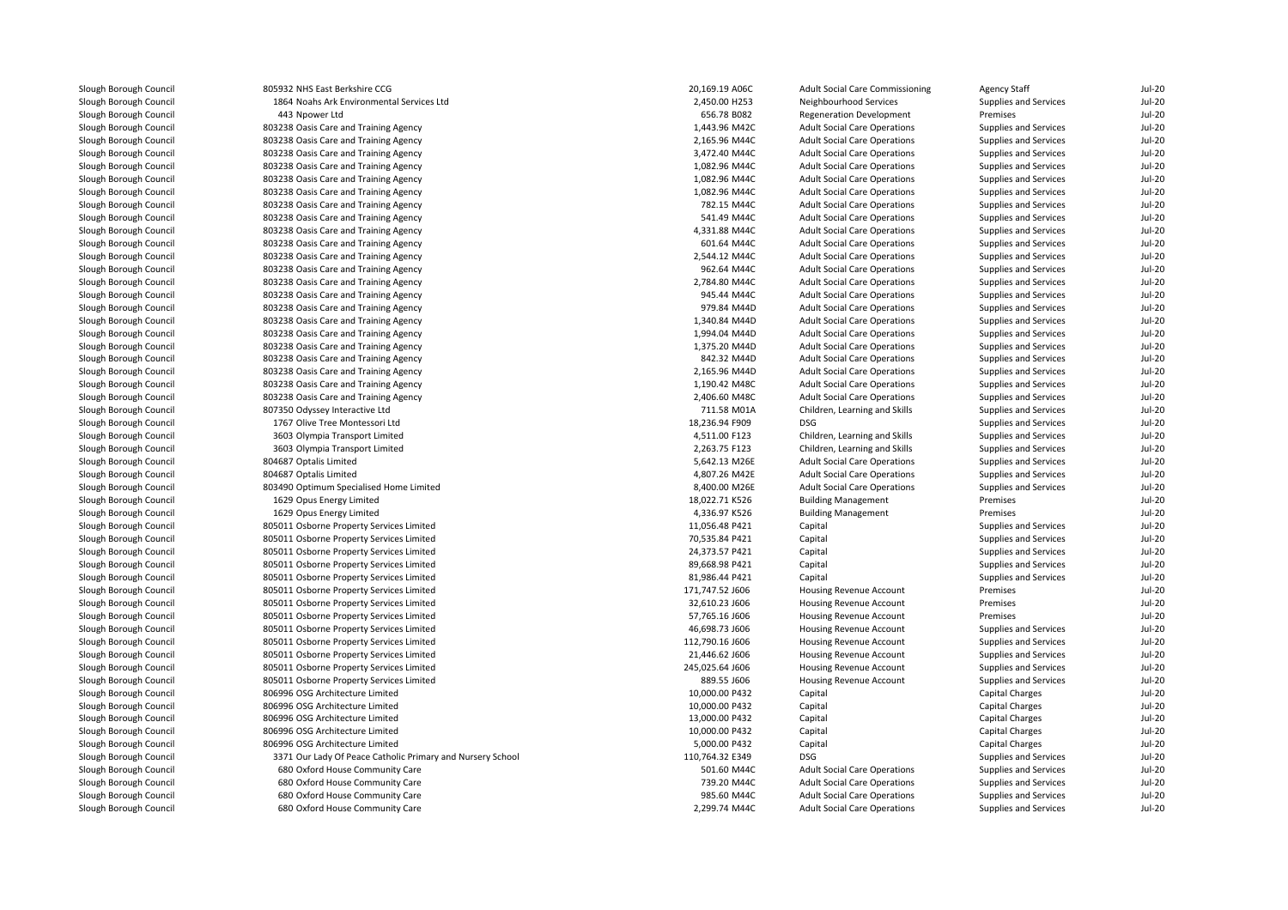| Slough Borough Council | 805932 NHS East Berkshire CCG                              | 20,169.19 A06C  | <b>Adult Social Care Commissioning</b> | <b>Agency Staff</b>    | Jul-20        |
|------------------------|------------------------------------------------------------|-----------------|----------------------------------------|------------------------|---------------|
| Slough Borough Council | 1864 Noahs Ark Environmental Services Ltd                  | 2,450.00 H253   | Neighbourhood Services                 | Supplies and Services  | $Jul-20$      |
| Slough Borough Council | 443 Npower Ltd                                             | 656.78 B082     | <b>Regeneration Development</b>        | Premises               | <b>Jul-20</b> |
| Slough Borough Council | 803238 Oasis Care and Training Agency                      | 1,443.96 M42C   | <b>Adult Social Care Operations</b>    | Supplies and Services  | <b>Jul-20</b> |
| Slough Borough Council | 803238 Oasis Care and Training Agency                      | 2,165.96 M44C   | <b>Adult Social Care Operations</b>    | Supplies and Services  | <b>Jul-20</b> |
| Slough Borough Council | 803238 Oasis Care and Training Agency                      | 3,472.40 M44C   | <b>Adult Social Care Operations</b>    | Supplies and Services  | <b>Jul-20</b> |
| Slough Borough Council | 803238 Oasis Care and Training Agency                      | 1.082.96 M44C   | <b>Adult Social Care Operations</b>    | Supplies and Services  | <b>Jul-20</b> |
| Slough Borough Council | 803238 Oasis Care and Training Agency                      | 1,082.96 M44C   | <b>Adult Social Care Operations</b>    | Supplies and Services  | <b>Jul-20</b> |
| Slough Borough Council | 803238 Oasis Care and Training Agency                      | 1,082.96 M44C   | <b>Adult Social Care Operations</b>    | Supplies and Services  | <b>Jul-20</b> |
| Slough Borough Council | 803238 Oasis Care and Training Agency                      | 782.15 M44C     | <b>Adult Social Care Operations</b>    | Supplies and Services  | Jul-20        |
| Slough Borough Council | 803238 Oasis Care and Training Agency                      | 541.49 M44C     | <b>Adult Social Care Operations</b>    | Supplies and Services  | <b>Jul-20</b> |
| Slough Borough Council | 803238 Oasis Care and Training Agency                      | 4,331.88 M44C   | <b>Adult Social Care Operations</b>    | Supplies and Services  | <b>Jul-20</b> |
| Slough Borough Council | 803238 Oasis Care and Training Agency                      | 601.64 M44C     | <b>Adult Social Care Operations</b>    | Supplies and Services  | Jul-20        |
| Slough Borough Council | 803238 Oasis Care and Training Agency                      | 2,544.12 M44C   | <b>Adult Social Care Operations</b>    | Supplies and Services  | <b>Jul-20</b> |
| Slough Borough Council | 803238 Oasis Care and Training Agency                      | 962.64 M44C     | <b>Adult Social Care Operations</b>    | Supplies and Services  | <b>Jul-20</b> |
| Slough Borough Council | 803238 Oasis Care and Training Agency                      | 2,784.80 M44C   | <b>Adult Social Care Operations</b>    | Supplies and Services  | $Jul-20$      |
| Slough Borough Council | 803238 Oasis Care and Training Agency                      | 945.44 M44C     | <b>Adult Social Care Operations</b>    | Supplies and Services  | <b>Jul-20</b> |
| Slough Borough Council | 803238 Oasis Care and Training Agency                      | 979.84 M44D     | <b>Adult Social Care Operations</b>    | Supplies and Services  | <b>Jul-20</b> |
| Slough Borough Council | 803238 Oasis Care and Training Agency                      | 1,340.84 M44D   | <b>Adult Social Care Operations</b>    | Supplies and Services  | <b>Jul-20</b> |
| Slough Borough Council | 803238 Oasis Care and Training Agency                      | 1,994.04 M44D   | <b>Adult Social Care Operations</b>    | Supplies and Services  | <b>Jul-20</b> |
| Slough Borough Council | 803238 Oasis Care and Training Agency                      | 1,375.20 M44D   | <b>Adult Social Care Operations</b>    | Supplies and Services  | Jul-20        |
| Slough Borough Council | 803238 Oasis Care and Training Agency                      | 842.32 M44D     | <b>Adult Social Care Operations</b>    | Supplies and Services  | $Jul-20$      |
| Slough Borough Council | 803238 Oasis Care and Training Agency                      | 2,165.96 M44D   | <b>Adult Social Care Operations</b>    | Supplies and Services  | <b>Jul-20</b> |
| Slough Borough Council | 803238 Oasis Care and Training Agency                      | 1,190.42 M48C   | <b>Adult Social Care Operations</b>    | Supplies and Services  | <b>Jul-20</b> |
| Slough Borough Council | 803238 Oasis Care and Training Agency                      | 2,406.60 M48C   | <b>Adult Social Care Operations</b>    | Supplies and Services  | <b>Jul-20</b> |
| Slough Borough Council | 807350 Odyssey Interactive Ltd                             | 711.58 M01A     | Children, Learning and Skills          | Supplies and Services  | <b>Jul-20</b> |
| Slough Borough Council | 1767 Olive Tree Montessori Ltd                             | 18,236.94 F909  | DSG                                    | Supplies and Services  | <b>Jul-20</b> |
| Slough Borough Council | 3603 Olympia Transport Limited                             | 4,511.00 F123   | Children, Learning and Skills          | Supplies and Services  | Jul-20        |
| Slough Borough Council | 3603 Olympia Transport Limited                             | 2,263.75 F123   | Children, Learning and Skills          | Supplies and Services  | <b>Jul-20</b> |
| Slough Borough Council | 804687 Optalis Limited                                     | 5,642.13 M26E   | <b>Adult Social Care Operations</b>    | Supplies and Services  | <b>Jul-20</b> |
| Slough Borough Council | 804687 Optalis Limited                                     | 4,807.26 M42E   | <b>Adult Social Care Operations</b>    | Supplies and Services  | Jul-20        |
| Slough Borough Council | 803490 Optimum Specialised Home Limited                    | 8,400.00 M26E   | <b>Adult Social Care Operations</b>    | Supplies and Services  | Jul-20        |
| Slough Borough Council | 1629 Opus Energy Limited                                   | 18,022.71 K526  | <b>Building Management</b>             | Premises               | <b>Jul-20</b> |
| Slough Borough Council | 1629 Opus Energy Limited                                   | 4,336.97 K526   | <b>Building Management</b>             | Premises               | <b>Jul-20</b> |
| Slough Borough Council | 805011 Osborne Property Services Limited                   | 11,056.48 P421  | Capital                                | Supplies and Services  | <b>Jul-20</b> |
| Slough Borough Council | 805011 Osborne Property Services Limited                   | 70,535.84 P421  | Capital                                | Supplies and Services  | <b>Jul-20</b> |
| Slough Borough Council | 805011 Osborne Property Services Limited                   | 24,373.57 P421  | Capital                                | Supplies and Services  | Jul-20        |
| Slough Borough Council | 805011 Osborne Property Services Limited                   | 89,668.98 P421  | Capital                                | Supplies and Services  | <b>Jul-20</b> |
| Slough Borough Council | 805011 Osborne Property Services Limited                   | 81,986.44 P421  | Capital                                | Supplies and Services  | <b>Jul-20</b> |
| Slough Borough Council | 805011 Osborne Property Services Limited                   | 171,747.52 J606 | Housing Revenue Account                | Premises               | <b>Jul-20</b> |
| Slough Borough Council | 805011 Osborne Property Services Limited                   | 32,610.23 J606  | Housing Revenue Account                | Premises               | <b>Jul-20</b> |
| Slough Borough Council | 805011 Osborne Property Services Limited                   | 57,765.16 J606  | Housing Revenue Account                | Premises               | <b>Jul-20</b> |
| Slough Borough Council | 805011 Osborne Property Services Limited                   | 46,698.73 J606  | Housing Revenue Account                | Supplies and Services  | Jul-20        |
| Slough Borough Council | 805011 Osborne Property Services Limited                   | 112,790.16 J606 | Housing Revenue Account                | Supplies and Services  | <b>Jul-20</b> |
| Slough Borough Council | 805011 Osborne Property Services Limited                   | 21,446.62 J606  | Housing Revenue Account                | Supplies and Services  | <b>Jul-20</b> |
| Slough Borough Council | 805011 Osborne Property Services Limited                   | 245,025.64 J606 | Housing Revenue Account                | Supplies and Services  | Jul-20        |
| Slough Borough Council | 805011 Osborne Property Services Limited                   | 889.55 J606     | Housing Revenue Account                | Supplies and Services  | <b>Jul-20</b> |
| Slough Borough Council | 806996 OSG Architecture Limited                            | 10,000.00 P432  | Capital                                | Capital Charges        | <b>Jul-20</b> |
| Slough Borough Council | 806996 OSG Architecture Limited                            | 10,000.00 P432  | Capital                                | <b>Capital Charges</b> | <b>Jul-20</b> |
| Slough Borough Council | 806996 OSG Architecture Limited                            | 13,000.00 P432  | Capital                                | Capital Charges        | $Jul-20$      |
| Slough Borough Council | 806996 OSG Architecture Limited                            | 10,000.00 P432  | Capital                                | <b>Capital Charges</b> | <b>Jul-20</b> |
| Slough Borough Council | 806996 OSG Architecture Limited                            | 5,000.00 P432   | Capital                                | Capital Charges        | <b>Jul-20</b> |
| Slough Borough Council | 3371 Our Lady Of Peace Catholic Primary and Nursery School | 110,764.32 E349 | <b>DSG</b>                             | Supplies and Services  | <b>Jul-20</b> |
| Slough Borough Council | 680 Oxford House Community Care                            | 501.60 M44C     | <b>Adult Social Care Operations</b>    | Supplies and Services  | <b>Jul-20</b> |
| Slough Borough Council | 680 Oxford House Community Care                            | 739.20 M44C     | <b>Adult Social Care Operations</b>    | Supplies and Services  | <b>Jul-20</b> |
| Slough Borough Council | 680 Oxford House Community Care                            | 985.60 M44C     | <b>Adult Social Care Operations</b>    | Supplies and Services  | <b>Jul-20</b> |
| Slough Borough Council | 680 Oxford House Community Care                            | 2,299.74 M44C   | <b>Adult Social Care Operations</b>    | Supplies and Services  | <b>Jul-20</b> |
|                        |                                                            |                 |                                        |                        |               |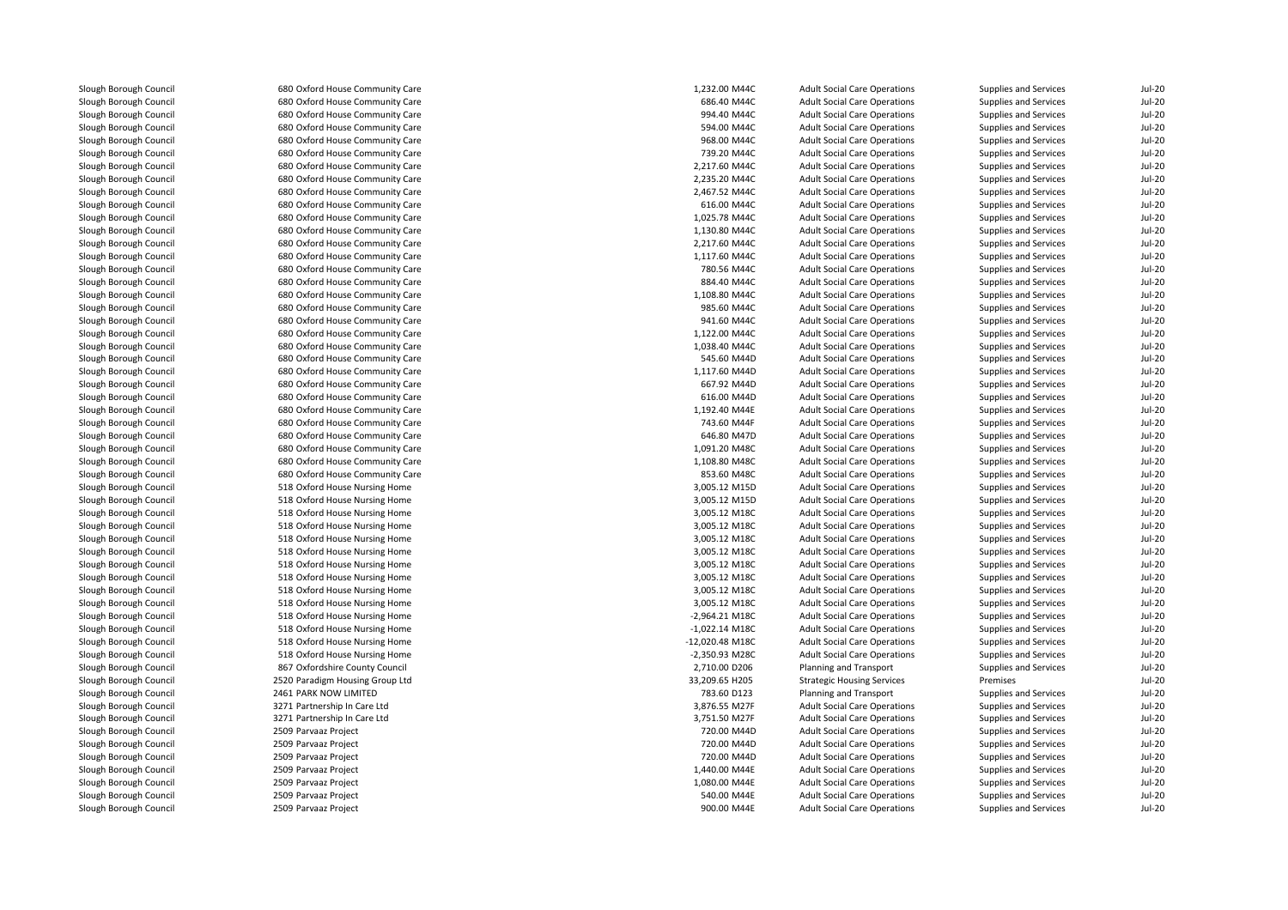| Slough Borough Council | 680 Oxford House Community Care | 1,232.00 M44C    | <b>Adult Social Care Operations</b> | Supplies and Services | <b>Jul-20</b> |
|------------------------|---------------------------------|------------------|-------------------------------------|-----------------------|---------------|
| Slough Borough Council | 680 Oxford House Community Care | 686.40 M44C      | <b>Adult Social Care Operations</b> | Supplies and Services | <b>Jul-20</b> |
| Slough Borough Council | 680 Oxford House Community Care | 994.40 M44C      | <b>Adult Social Care Operations</b> | Supplies and Services | <b>Jul-20</b> |
| Slough Borough Council | 680 Oxford House Community Care | 594.00 M44C      | <b>Adult Social Care Operations</b> | Supplies and Services | Jul-20        |
| Slough Borough Council | 680 Oxford House Community Care | 968.00 M44C      | <b>Adult Social Care Operations</b> | Supplies and Services | <b>Jul-20</b> |
| Slough Borough Council | 680 Oxford House Community Care | 739.20 M44C      | <b>Adult Social Care Operations</b> | Supplies and Services | <b>Jul-20</b> |
| Slough Borough Council | 680 Oxford House Community Care | 2,217.60 M44C    | <b>Adult Social Care Operations</b> | Supplies and Services | <b>Jul-20</b> |
| Slough Borough Council | 680 Oxford House Community Care | 2,235.20 M44C    | <b>Adult Social Care Operations</b> | Supplies and Services | Jul-20        |
| Slough Borough Council | 680 Oxford House Community Care | 2,467.52 M44C    | <b>Adult Social Care Operations</b> | Supplies and Services | <b>Jul-20</b> |
| Slough Borough Council | 680 Oxford House Community Care | 616.00 M44C      | <b>Adult Social Care Operations</b> | Supplies and Services | <b>Jul-20</b> |
| Slough Borough Council | 680 Oxford House Community Care | 1,025.78 M44C    | <b>Adult Social Care Operations</b> | Supplies and Services | <b>Jul-20</b> |
| Slough Borough Council | 680 Oxford House Community Care | 1.130.80 M44C    | <b>Adult Social Care Operations</b> | Supplies and Services | Jul-20        |
| Slough Borough Council | 680 Oxford House Community Care | 2,217.60 M44C    | <b>Adult Social Care Operations</b> | Supplies and Services | <b>Jul-20</b> |
| Slough Borough Council | 680 Oxford House Community Care | 1,117.60 M44C    | <b>Adult Social Care Operations</b> | Supplies and Services | <b>Jul-20</b> |
| Slough Borough Council | 680 Oxford House Community Care | 780.56 M44C      | <b>Adult Social Care Operations</b> | Supplies and Services | <b>Jul-20</b> |
| Slough Borough Council | 680 Oxford House Community Care | 884.40 M44C      | <b>Adult Social Care Operations</b> | Supplies and Services | <b>Jul-20</b> |
| Slough Borough Council | 680 Oxford House Community Care | 1,108.80 M44C    | <b>Adult Social Care Operations</b> | Supplies and Services | <b>Jul-20</b> |
| Slough Borough Council | 680 Oxford House Community Care | 985.60 M44C      | <b>Adult Social Care Operations</b> | Supplies and Services | <b>Jul-20</b> |
|                        | 680 Oxford House Community Care | 941.60 M44C      |                                     |                       | <b>Jul-20</b> |
| Slough Borough Council |                                 |                  | <b>Adult Social Care Operations</b> | Supplies and Services |               |
| Slough Borough Council | 680 Oxford House Community Care | 1,122.00 M44C    | <b>Adult Social Care Operations</b> | Supplies and Services | Jul-20        |
| Slough Borough Council | 680 Oxford House Community Care | 1,038.40 M44C    | <b>Adult Social Care Operations</b> | Supplies and Services | <b>Jul-20</b> |
| Slough Borough Council | 680 Oxford House Community Care | 545.60 M44D      | <b>Adult Social Care Operations</b> | Supplies and Services | <b>Jul-20</b> |
| Slough Borough Council | 680 Oxford House Community Care | 1,117.60 M44D    | <b>Adult Social Care Operations</b> | Supplies and Services | <b>Jul-20</b> |
| Slough Borough Council | 680 Oxford House Community Care | 667.92 M44D      | <b>Adult Social Care Operations</b> | Supplies and Services | <b>Jul-20</b> |
| Slough Borough Council | 680 Oxford House Community Care | 616.00 M44D      | <b>Adult Social Care Operations</b> | Supplies and Services | <b>Jul-20</b> |
| Slough Borough Council | 680 Oxford House Community Care | 1,192.40 M44E    | <b>Adult Social Care Operations</b> | Supplies and Services | <b>Jul-20</b> |
| Slough Borough Council | 680 Oxford House Community Care | 743.60 M44F      | <b>Adult Social Care Operations</b> | Supplies and Services | <b>Jul-20</b> |
| Slough Borough Council | 680 Oxford House Community Care | 646.80 M47D      | <b>Adult Social Care Operations</b> | Supplies and Services | <b>Jul-20</b> |
| Slough Borough Council | 680 Oxford House Community Care | 1,091.20 M48C    | <b>Adult Social Care Operations</b> | Supplies and Services | Jul-20        |
| Slough Borough Council | 680 Oxford House Community Care | 1,108.80 M48C    | <b>Adult Social Care Operations</b> | Supplies and Services | <b>Jul-20</b> |
| Slough Borough Council | 680 Oxford House Community Care | 853.60 M48C      | <b>Adult Social Care Operations</b> | Supplies and Services | <b>Jul-20</b> |
| Slough Borough Council | 518 Oxford House Nursing Home   | 3,005.12 M15D    | <b>Adult Social Care Operations</b> | Supplies and Services | Jul-20        |
| Slough Borough Council | 518 Oxford House Nursing Home   | 3,005.12 M15D    | <b>Adult Social Care Operations</b> | Supplies and Services | <b>Jul-20</b> |
| Slough Borough Council | 518 Oxford House Nursing Home   | 3,005.12 M18C    | <b>Adult Social Care Operations</b> | Supplies and Services | <b>Jul-20</b> |
| Slough Borough Council | 518 Oxford House Nursing Home   | 3,005.12 M18C    | <b>Adult Social Care Operations</b> | Supplies and Services | <b>Jul-20</b> |
| Slough Borough Council | 518 Oxford House Nursing Home   | 3,005.12 M18C    | <b>Adult Social Care Operations</b> | Supplies and Services | Jul-20        |
| Slough Borough Council | 518 Oxford House Nursing Home   | 3,005.12 M18C    | <b>Adult Social Care Operations</b> | Supplies and Services | <b>Jul-20</b> |
| Slough Borough Council | 518 Oxford House Nursing Home   | 3,005.12 M18C    | <b>Adult Social Care Operations</b> | Supplies and Services | <b>Jul-20</b> |
| Slough Borough Council | 518 Oxford House Nursing Home   | 3,005.12 M18C    | <b>Adult Social Care Operations</b> | Supplies and Services | <b>Jul-20</b> |
| Slough Borough Council | 518 Oxford House Nursing Home   | 3,005.12 M18C    | <b>Adult Social Care Operations</b> | Supplies and Services | Jul-20        |
| Slough Borough Council | 518 Oxford House Nursing Home   | 3,005.12 M18C    | <b>Adult Social Care Operations</b> | Supplies and Services | <b>Jul-20</b> |
| Slough Borough Council | 518 Oxford House Nursing Home   | $-2,964.21$ M18C | <b>Adult Social Care Operations</b> | Supplies and Services | <b>Jul-20</b> |
| Slough Borough Council | 518 Oxford House Nursing Home   | $-1,022.14$ M18C | <b>Adult Social Care Operations</b> | Supplies and Services | <b>Jul-20</b> |
| Slough Borough Council | 518 Oxford House Nursing Home   | -12,020.48 M18C  | <b>Adult Social Care Operations</b> | Supplies and Services | <b>Jul-20</b> |
| Slough Borough Council | 518 Oxford House Nursing Home   | -2,350.93 M28C   | <b>Adult Social Care Operations</b> | Supplies and Services | <b>Jul-20</b> |
| Slough Borough Council | 867 Oxfordshire County Council  | 2,710.00 D206    | Planning and Transport              | Supplies and Services | <b>Jul-20</b> |
| Slough Borough Council | 2520 Paradigm Housing Group Ltd | 33,209.65 H205   | <b>Strategic Housing Services</b>   | Premises              | <b>Jul-20</b> |
| Slough Borough Council | 2461 PARK NOW LIMITED           | 783.60 D123      | Planning and Transport              | Supplies and Services | Jul-20        |
| Slough Borough Council | 3271 Partnership In Care Ltd    | 3,876.55 M27F    | <b>Adult Social Care Operations</b> | Supplies and Services | <b>Jul-20</b> |
| Slough Borough Council | 3271 Partnership In Care Ltd    | 3,751.50 M27F    | <b>Adult Social Care Operations</b> | Supplies and Services | $Jul-20$      |
| Slough Borough Council | 2509 Parvaaz Project            | 720.00 M44D      | <b>Adult Social Care Operations</b> | Supplies and Services | <b>Jul-20</b> |
| Slough Borough Council | 2509 Parvaaz Project            | 720.00 M44D      | <b>Adult Social Care Operations</b> | Supplies and Services | Jul-20        |
| Slough Borough Council | 2509 Parvaaz Project            | 720.00 M44D      | <b>Adult Social Care Operations</b> | Supplies and Services | Jul-20        |
| Slough Borough Council | 2509 Parvaaz Project            | 1,440.00 M44E    | <b>Adult Social Care Operations</b> | Supplies and Services | <b>Jul-20</b> |
| Slough Borough Council | 2509 Parvaaz Project            | 1,080.00 M44E    | <b>Adult Social Care Operations</b> | Supplies and Services | $Jul-20$      |
| Slough Borough Council | 2509 Parvaaz Project            | 540.00 M44E      | <b>Adult Social Care Operations</b> | Supplies and Services | <b>Jul-20</b> |
| Slough Borough Council | 2509 Parvaaz Project            | 900.00 MAAF      | Adult Social Care Operations        | Sunnlies and Services | $11 - 20$     |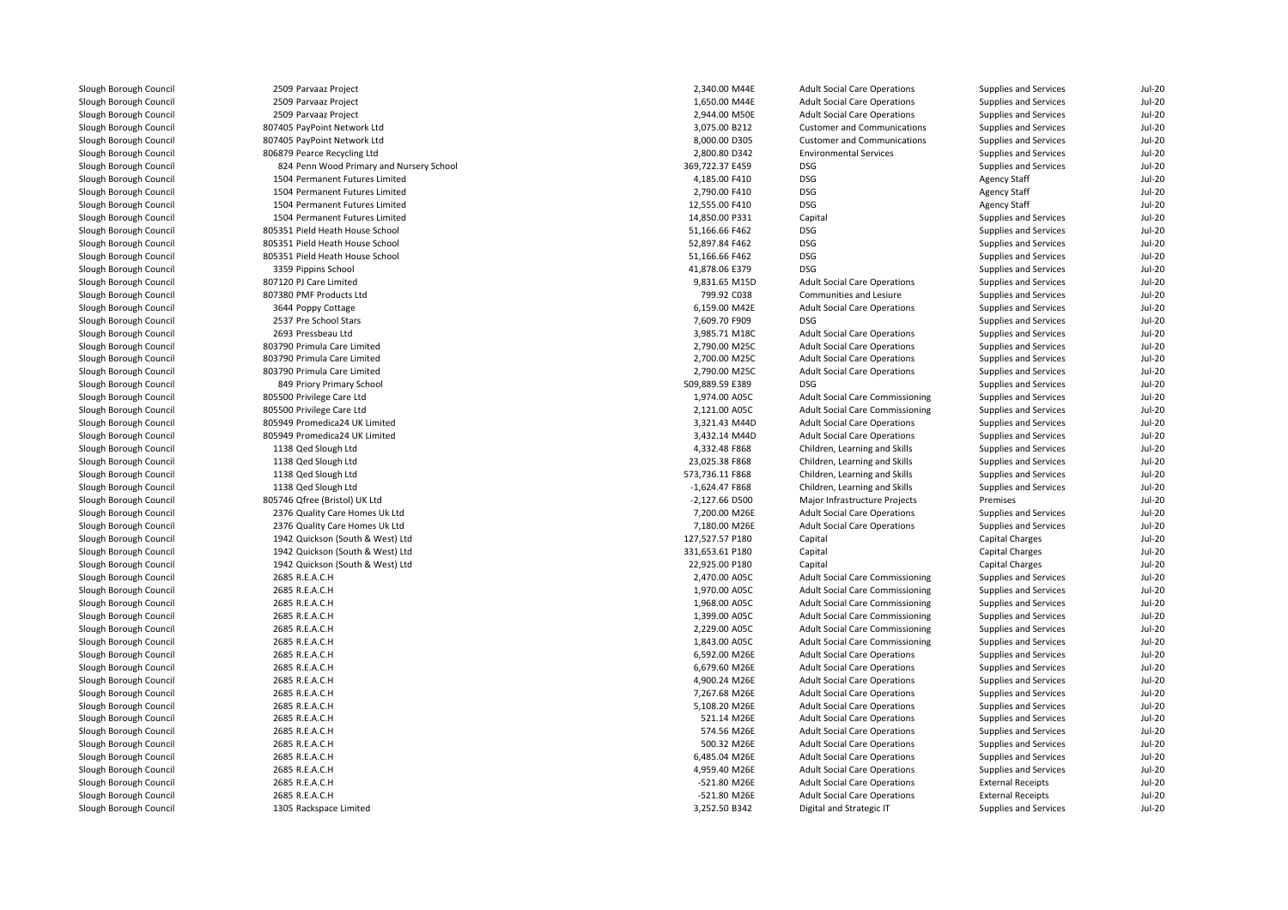| Slough Borough Council | 2509 Parvaaz Project                     | 2,340.00 M44E   | <b>Adult Social Care Operations</b>    | Supplies and Services        | $Jul-20$      |
|------------------------|------------------------------------------|-----------------|----------------------------------------|------------------------------|---------------|
| Slough Borough Council | 2509 Parvaaz Project                     | 1,650.00 M44E   | <b>Adult Social Care Operations</b>    | Supplies and Services        | $Jul-20$      |
| Slough Borough Council | 2509 Parvaaz Project                     | 2,944.00 M50E   | <b>Adult Social Care Operations</b>    | Supplies and Services        | <b>Jul-20</b> |
| Slough Borough Council | 807405 PayPoint Network Ltd              | 3,075.00 B212   | <b>Customer and Communications</b>     | Supplies and Services        | <b>Jul-20</b> |
|                        |                                          |                 | <b>Customer and Communications</b>     |                              |               |
| Slough Borough Council | 807405 PayPoint Network Ltd              | 8,000.00 D305   |                                        | Supplies and Services        | <b>Jul-20</b> |
| Slough Borough Council | 806879 Pearce Recycling Ltd              | 2,800.80 D342   | <b>Environmental Services</b>          | Supplies and Services        | <b>Jul-20</b> |
| Slough Borough Council | 824 Penn Wood Primary and Nursery School | 369,722.37 E459 | <b>DSG</b>                             | Supplies and Services        | <b>Jul-20</b> |
| Slough Borough Council | 1504 Permanent Futures Limited           | 4,185.00 F410   | <b>DSG</b>                             | <b>Agency Staff</b>          | $Jul-20$      |
| Slough Borough Council | 1504 Permanent Futures Limited           | 2.790.00 F410   | <b>DSG</b>                             | <b>Agency Staff</b>          | <b>Jul-20</b> |
| Slough Borough Council | 1504 Permanent Futures Limited           | 12,555.00 F410  | <b>DSG</b>                             | <b>Agency Staff</b>          | $Jul-20$      |
| Slough Borough Council | 1504 Permanent Futures Limited           | 14,850.00 P331  | Capital                                | Supplies and Services        | <b>Jul-20</b> |
| Slough Borough Council | 805351 Pield Heath House School          | 51,166.66 F462  | <b>DSG</b>                             | Supplies and Services        | $Jul-20$      |
| Slough Borough Council | 805351 Pield Heath House School          | 52,897.84 F462  | <b>DSG</b>                             | Supplies and Services        | <b>Jul-20</b> |
| Slough Borough Council | 805351 Pield Heath House School          | 51,166.66 F462  | <b>DSG</b>                             | Supplies and Services        | <b>Jul-20</b> |
| Slough Borough Council | 3359 Pippins School                      | 41,878.06 E379  | <b>DSG</b>                             | Supplies and Services        | <b>Jul-20</b> |
| Slough Borough Council | 807120 PJ Care Limited                   | 9,831.65 M15D   | <b>Adult Social Care Operations</b>    | Supplies and Services        | <b>Jul-20</b> |
| Slough Borough Council | 807380 PMF Products Ltd                  | 799.92 C038     | Communities and Lesiure                | Supplies and Services        | <b>Jul-20</b> |
| Slough Borough Council | 3644 Poppy Cottage                       | 6,159.00 M42E   | <b>Adult Social Care Operations</b>    | Supplies and Services        | <b>Jul-20</b> |
| Slough Borough Council | 2537 Pre School Stars                    | 7,609.70 F909   | <b>DSG</b>                             | Supplies and Services        | <b>Jul-20</b> |
| Slough Borough Council | 2693 Pressbeau Ltd                       | 3,985.71 M18C   | <b>Adult Social Care Operations</b>    | Supplies and Services        | $Jul-20$      |
| Slough Borough Council | 803790 Primula Care Limited              | 2,790.00 M25C   | <b>Adult Social Care Operations</b>    | Supplies and Services        | <b>Jul-20</b> |
| Slough Borough Council | 803790 Primula Care Limited              | 2,700.00 M25C   | <b>Adult Social Care Operations</b>    | Supplies and Services        | <b>Jul-20</b> |
| Slough Borough Council | 803790 Primula Care Limited              | 2,790.00 M25C   | <b>Adult Social Care Operations</b>    | Supplies and Services        | <b>Jul-20</b> |
| Slough Borough Council | 849 Priory Primary School                | 509,889.59 E389 | <b>DSG</b>                             | Supplies and Services        | <b>Jul-20</b> |
| Slough Borough Council | 805500 Privilege Care Ltd                | 1,974.00 A05C   | Adult Social Care Commissioning        | <b>Supplies and Services</b> | <b>Jul-20</b> |
| Slough Borough Council | 805500 Privilege Care Ltd                | 2,121.00 A05C   | Adult Social Care Commissioning        | Supplies and Services        | <b>Jul-20</b> |
|                        |                                          | 3,321.43 M44D   |                                        |                              |               |
| Slough Borough Council | 805949 Promedica24 UK Limited            |                 | <b>Adult Social Care Operations</b>    | Supplies and Services        | <b>Jul-20</b> |
| Slough Borough Council | 805949 Promedica24 UK Limited            | 3,432.14 M44D   | <b>Adult Social Care Operations</b>    | Supplies and Services        | <b>Jul-20</b> |
| Slough Borough Council | 1138 Qed Slough Ltd                      | 4,332.48 F868   | Children, Learning and Skills          | Supplies and Services        | <b>Jul-20</b> |
| Slough Borough Council | 1138 Qed Slough Ltd                      | 23,025.38 F868  | Children, Learning and Skills          | Supplies and Services        | <b>Jul-20</b> |
| Slough Borough Council | 1138 Qed Slough Ltd                      | 573,736.11 F868 | Children, Learning and Skills          | Supplies and Services        | <b>Jul-20</b> |
| Slough Borough Council | 1138 Qed Slough Ltd                      | $-1,624.47F868$ | Children, Learning and Skills          | Supplies and Services        | <b>Jul-20</b> |
| Slough Borough Council | 805746 Qfree (Bristol) UK Ltd            | -2,127.66 D500  | Major Infrastructure Projects          | Premises                     | <b>Jul-20</b> |
| Slough Borough Council | 2376 Quality Care Homes Uk Ltd           | 7,200.00 M26E   | <b>Adult Social Care Operations</b>    | Supplies and Services        | <b>Jul-20</b> |
| Slough Borough Council | 2376 Quality Care Homes Uk Ltd           | 7,180.00 M26E   | <b>Adult Social Care Operations</b>    | Supplies and Services        | <b>Jul-20</b> |
| Slough Borough Council | 1942 Quickson (South & West) Ltd         | 127,527.57 P180 | Capital                                | Capital Charges              | $Jul-20$      |
| Slough Borough Council | 1942 Quickson (South & West) Ltd         | 331,653.61 P180 | Capital                                | Capital Charges              | $Jul-20$      |
| Slough Borough Council | 1942 Quickson (South & West) Ltd         | 22,925.00 P180  | Capital                                | Capital Charges              | <b>Jul-20</b> |
| Slough Borough Council | 2685 R.E.A.C.H                           | 2,470.00 A05C   | Adult Social Care Commissioning        | Supplies and Services        | <b>Jul-20</b> |
| Slough Borough Council | 2685 R.E.A.C.H                           | 1,970.00 A05C   | Adult Social Care Commissioning        | Supplies and Services        | <b>Jul-20</b> |
| Slough Borough Council | 2685 R.E.A.C.H                           | 1,968.00 A05C   | <b>Adult Social Care Commissioning</b> | Supplies and Services        | <b>Jul-20</b> |
| Slough Borough Council | 2685 R.E.A.C.H                           | 1,399.00 A05C   | Adult Social Care Commissioning        | Supplies and Services        | <b>Jul-20</b> |
| Slough Borough Council | 2685 R.E.A.C.H                           | 2,229.00 A05C   | Adult Social Care Commissioning        | Supplies and Services        | <b>Jul-20</b> |
| Slough Borough Council | 2685 R.E.A.C.H                           | 1,843.00 A05C   | Adult Social Care Commissioning        | Supplies and Services        | <b>Jul-20</b> |
| Slough Borough Council | 2685 R.E.A.C.H                           | 6,592.00 M26E   | <b>Adult Social Care Operations</b>    | Supplies and Services        | $Jul-20$      |
| Slough Borough Council | 2685 R.E.A.C.H                           | 6,679.60 M26E   | <b>Adult Social Care Operations</b>    | Supplies and Services        | <b>Jul-20</b> |
| Slough Borough Council | 2685 R.E.A.C.H                           | 4,900.24 M26E   | <b>Adult Social Care Operations</b>    | Supplies and Services        | $Jul-20$      |
| Slough Borough Council | 2685 R.E.A.C.H                           | 7,267.68 M26E   |                                        |                              | <b>Jul-20</b> |
|                        |                                          |                 | <b>Adult Social Care Operations</b>    | Supplies and Services        |               |
| Slough Borough Council | 2685 R.E.A.C.H                           | 5,108.20 M26E   | <b>Adult Social Care Operations</b>    | Supplies and Services        | <b>Jul-20</b> |
| Slough Borough Council | 2685 R.E.A.C.H                           | 521.14 M26E     | <b>Adult Social Care Operations</b>    | Supplies and Services        | <b>Jul-20</b> |
| Slough Borough Council | 2685 R.E.A.C.H                           | 574.56 M26E     | <b>Adult Social Care Operations</b>    | Supplies and Services        | <b>Jul-20</b> |
| Slough Borough Council | 2685 R.E.A.C.H                           | 500.32 M26E     | <b>Adult Social Care Operations</b>    | Supplies and Services        | <b>Jul-20</b> |
| Slough Borough Council | 2685 R.E.A.C.H                           | 6,485.04 M26E   | <b>Adult Social Care Operations</b>    | Supplies and Services        | <b>Jul-20</b> |
| Slough Borough Council | 2685 R.E.A.C.H                           | 4,959.40 M26E   | <b>Adult Social Care Operations</b>    | Supplies and Services        | <b>Jul-20</b> |
| Slough Borough Council | 2685 R.E.A.C.H                           | -521.80 M26E    | <b>Adult Social Care Operations</b>    | <b>External Receipts</b>     | <b>Jul-20</b> |
| Slough Borough Council | 2685 R.E.A.C.H                           | -521.80 M26E    | <b>Adult Social Care Operations</b>    | <b>External Receipts</b>     | <b>Jul-20</b> |
| Slough Borough Council | 1305 Rackspace Limited                   | 3,252.50 B342   | Digital and Strategic IT               | Supplies and Services        | <b>Jul-20</b> |
|                        |                                          |                 |                                        |                              |               |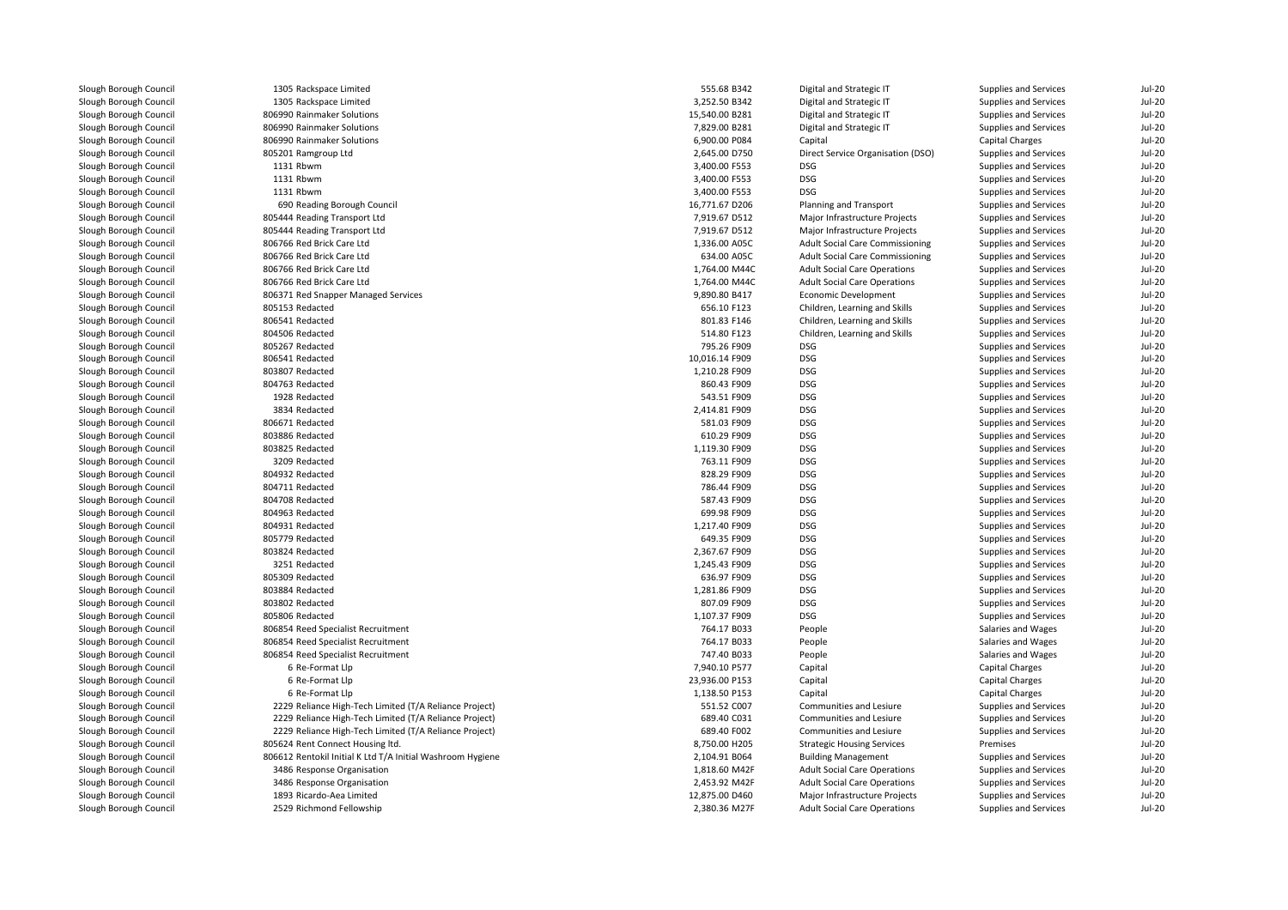| Slough Borough Council | 1305 Rackspace Limited                                     | 555.68 B342    | Digital and Strategic IT               | Supplies and Services  | <b>Jul-20</b> |
|------------------------|------------------------------------------------------------|----------------|----------------------------------------|------------------------|---------------|
| Slough Borough Council | 1305 Rackspace Limited                                     | 3,252.50 B342  | Digital and Strategic IT               | Supplies and Services  | <b>Jul-20</b> |
| Slough Borough Council | 806990 Rainmaker Solutions                                 | 15,540.00 B281 | Digital and Strategic IT               | Supplies and Services  | $Jul-20$      |
| Slough Borough Council | 806990 Rainmaker Solutions                                 | 7,829.00 B281  | Digital and Strategic IT               | Supplies and Services  | $Jul-20$      |
| Slough Borough Council | 806990 Rainmaker Solutions                                 | 6,900.00 P084  | Capital                                | <b>Capital Charges</b> | <b>Jul-20</b> |
| Slough Borough Council | 805201 Ramgroup Ltd                                        | 2,645.00 D750  | Direct Service Organisation (DSO)      | Supplies and Services  | $Jul-20$      |
| Slough Borough Council | 1131 Rbwm                                                  | 3,400.00 F553  | DSG                                    | Supplies and Services  | $Jul-20$      |
| Slough Borough Council | 1131 Rbwm                                                  | 3,400.00 F553  | <b>DSG</b>                             | Supplies and Services  | $Jul-20$      |
| Slough Borough Council | 1131 Rbwm                                                  | 3,400.00 F553  | DSG                                    | Supplies and Services  | <b>Jul-20</b> |
| Slough Borough Council | 690 Reading Borough Council                                | 16,771.67 D206 | Planning and Transport                 | Supplies and Services  | <b>Jul-20</b> |
| Slough Borough Council | 805444 Reading Transport Ltd                               | 7,919.67 D512  | Major Infrastructure Projects          | Supplies and Services  | $Jul-20$      |
| Slough Borough Council | 805444 Reading Transport Ltd                               | 7,919.67 D512  | Major Infrastructure Projects          | Supplies and Services  | $Jul-20$      |
| Slough Borough Council | 806766 Red Brick Care Ltd                                  | 1,336.00 A05C  | <b>Adult Social Care Commissioning</b> | Supplies and Services  | <b>Jul-20</b> |
| Slough Borough Council | 806766 Red Brick Care Ltd                                  | 634.00 A05C    | <b>Adult Social Care Commissioning</b> | Supplies and Services  | $Jul-20$      |
| Slough Borough Council | 806766 Red Brick Care Ltd                                  | 1,764.00 M44C  | <b>Adult Social Care Operations</b>    | Supplies and Services  | <b>Jul-20</b> |
| Slough Borough Council | 806766 Red Brick Care Ltd                                  | 1,764.00 M44C  | <b>Adult Social Care Operations</b>    | Supplies and Services  | $Jul-20$      |
| Slough Borough Council | 806371 Red Snapper Managed Services                        | 9,890.80 B417  | <b>Economic Development</b>            | Supplies and Services  | $Jul-20$      |
| Slough Borough Council | 805153 Redacted                                            | 656.10 F123    | Children, Learning and Skills          | Supplies and Services  | <b>Jul-20</b> |
| Slough Borough Council | 806541 Redacted                                            | 801.83 F146    | Children, Learning and Skills          | Supplies and Services  | $Jul-20$      |
| Slough Borough Council | 804506 Redacted                                            | 514.80 F123    | Children, Learning and Skills          | Supplies and Services  | <b>Jul-20</b> |
| Slough Borough Council | 805267 Redacted                                            | 795.26 F909    | <b>DSG</b>                             | Supplies and Services  | $Jul-20$      |
| Slough Borough Council | 806541 Redacted                                            | 10,016.14 F909 | <b>DSG</b>                             | Supplies and Services  | <b>Jul-20</b> |
|                        | 803807 Redacted                                            |                | <b>DSG</b>                             |                        | $Jul-20$      |
| Slough Borough Council |                                                            | 1,210.28 F909  |                                        | Supplies and Services  |               |
| Slough Borough Council | 804763 Redacted                                            | 860.43 F909    | <b>DSG</b>                             | Supplies and Services  | $Jul-20$      |
| Slough Borough Council | 1928 Redacted                                              | 543.51 F909    | <b>DSG</b>                             | Supplies and Services  | <b>Jul-20</b> |
| Slough Borough Council | 3834 Redacted                                              | 2,414.81 F909  | <b>DSG</b>                             | Supplies and Services  | <b>Jul-20</b> |
| Slough Borough Council | 806671 Redacted                                            | 581.03 F909    | <b>DSG</b>                             | Supplies and Services  | $Jul-20$      |
| Slough Borough Council | 803886 Redacted                                            | 610.29 F909    | <b>DSG</b>                             | Supplies and Services  | <b>Jul-20</b> |
| Slough Borough Council | 803825 Redacted                                            | 1,119.30 F909  | <b>DSG</b>                             | Supplies and Services  | <b>Jul-20</b> |
| Slough Borough Council | 3209 Redacted                                              | 763.11 F909    | <b>DSG</b>                             | Supplies and Services  | $Jul-20$      |
| Slough Borough Council | 804932 Redacted                                            | 828.29 F909    | <b>DSG</b>                             | Supplies and Services  | <b>Jul-20</b> |
| Slough Borough Council | 804711 Redacted                                            | 786.44 F909    | <b>DSG</b>                             | Supplies and Services  | $Jul-20$      |
| Slough Borough Council | 804708 Redacted                                            | 587.43 F909    | DSG                                    | Supplies and Services  | $Jul-20$      |
| Slough Borough Council | 804963 Redacted                                            | 699.98 F909    | <b>DSG</b>                             | Supplies and Services  | <b>Jul-20</b> |
| Slough Borough Council | 804931 Redacted                                            | 1,217.40 F909  | DSG                                    | Supplies and Services  | $Jul-20$      |
| Slough Borough Council | 805779 Redacted                                            | 649.35 F909    | <b>DSG</b>                             | Supplies and Services  | $Jul-20$      |
| Slough Borough Council | 803824 Redacted                                            | 2,367.67 F909  | <b>DSG</b>                             | Supplies and Services  | <b>Jul-20</b> |
| Slough Borough Council | 3251 Redacted                                              | 1,245.43 F909  | <b>DSG</b>                             | Supplies and Services  | <b>Jul-20</b> |
| Slough Borough Council | 805309 Redacted                                            | 636.97 F909    | <b>DSG</b>                             | Supplies and Services  | $Jul-20$      |
| Slough Borough Council | 803884 Redacted                                            | 1,281.86 F909  | <b>DSG</b>                             | Supplies and Services  | $Jul-20$      |
| Slough Borough Council | 803802 Redacted                                            | 807.09 F909    | <b>DSG</b>                             | Supplies and Services  | $Jul-20$      |
| Slough Borough Council | 805806 Redacted                                            | 1,107.37 F909  | DSG                                    | Supplies and Services  | $Jul-20$      |
| Slough Borough Council | 806854 Reed Specialist Recruitment                         | 764.17 B033    | People                                 | Salaries and Wages     | $Jul-20$      |
| Slough Borough Council | 806854 Reed Specialist Recruitment                         | 764.17 B033    | People                                 | Salaries and Wages     | $Jul-20$      |
| Slough Borough Council | 806854 Reed Specialist Recruitment                         | 747.40 B033    | People                                 | Salaries and Wages     | $Jul-20$      |
| Slough Borough Council | 6 Re-Format Llp                                            | 7,940.10 P577  | Capital                                | Capital Charges        | <b>Jul-20</b> |
| Slough Borough Council | 6 Re-Format Llp                                            | 23,936.00 P153 | Capital                                | Capital Charges        | $Jul-20$      |
| Slough Borough Council | 6 Re-Format Llp                                            | 1,138.50 P153  | Capital                                | Capital Charges        | $Jul-20$      |
| Slough Borough Council | 2229 Reliance High-Tech Limited (T/A Reliance Project)     | 551.52 C007    | Communities and Lesiure                | Supplies and Services  | <b>Jul-20</b> |
| Slough Borough Council | 2229 Reliance High-Tech Limited (T/A Reliance Project)     | 689.40 C031    | Communities and Lesiure                | Supplies and Services  | <b>Jul-20</b> |
| Slough Borough Council | 2229 Reliance High-Tech Limited (T/A Reliance Project)     | 689.40 F002    | Communities and Lesiure                | Supplies and Services  | $Jul-20$      |
| Slough Borough Council | 805624 Rent Connect Housing ltd.                           | 8,750.00 H205  | <b>Strategic Housing Services</b>      | Premises               | $Jul-20$      |
| Slough Borough Council | 806612 Rentokil Initial K Ltd T/A Initial Washroom Hygiene | 2,104.91 B064  | <b>Building Management</b>             | Supplies and Services  | $Jul-20$      |
| Slough Borough Council | 3486 Response Organisation                                 | 1,818.60 M42F  | <b>Adult Social Care Operations</b>    | Supplies and Services  | $Jul-20$      |
| Slough Borough Council | 3486 Response Organisation                                 | 2,453.92 M42F  | <b>Adult Social Care Operations</b>    | Supplies and Services  | $Jul-20$      |
| Slough Borough Council | 1893 Ricardo-Aea Limited                                   | 12,875.00 D460 | Major Infrastructure Projects          | Supplies and Services  | $Jul-20$      |
| Slough Borough Council | 2529 Richmond Fellowship                                   | 2,380.36 M27F  | <b>Adult Social Care Operations</b>    | Supplies and Services  | <b>Jul-20</b> |
|                        |                                                            |                |                                        |                        |               |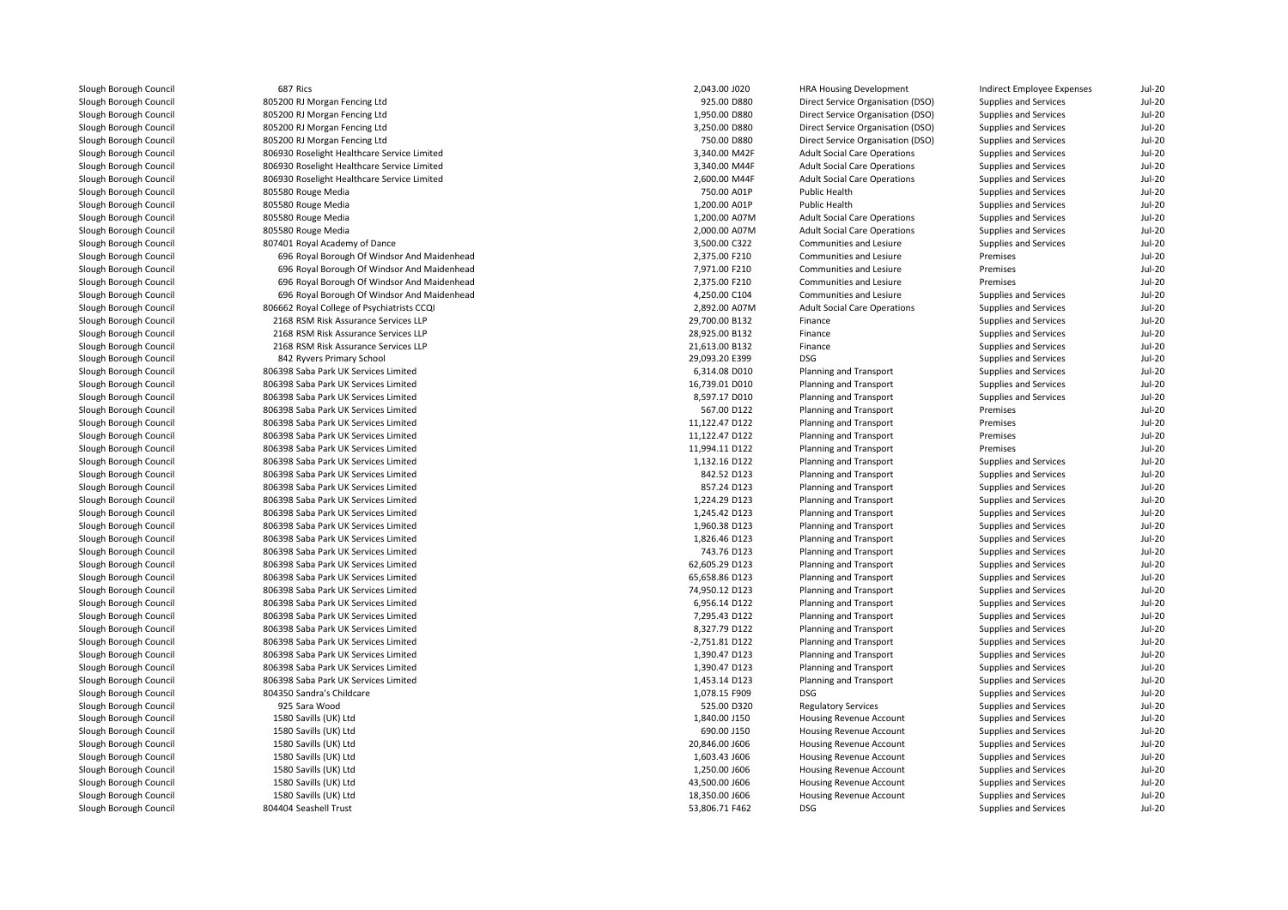| Slough Borough Council | 687 Rics                                    | 2,043.00 J020  | <b>HRA Housing Development</b>      | Indirect Employee Expenses | $Jul-20$      |
|------------------------|---------------------------------------------|----------------|-------------------------------------|----------------------------|---------------|
| Slough Borough Council | 805200 RJ Morgan Fencing Ltd                | 925.00 D880    | Direct Service Organisation (DSO)   | Supplies and Services      | <b>Jul-20</b> |
| Slough Borough Council | 805200 RJ Morgan Fencing Ltd                | 1,950.00 D880  | Direct Service Organisation (DSO)   | Supplies and Services      | <b>Jul-20</b> |
| Slough Borough Council | 805200 RJ Morgan Fencing Ltd                | 3,250.00 D880  | Direct Service Organisation (DSO)   | Supplies and Services      | <b>Jul-20</b> |
| Slough Borough Council | 805200 RJ Morgan Fencing Ltd                | 750.00 D880    | Direct Service Organisation (DSO)   | Supplies and Services      | <b>Jul-20</b> |
| Slough Borough Council | 806930 Roselight Healthcare Service Limited | 3,340.00 M42F  | <b>Adult Social Care Operations</b> | Supplies and Services      | <b>Jul-20</b> |
| Slough Borough Council | 806930 Roselight Healthcare Service Limited | 3,340.00 M44F  | <b>Adult Social Care Operations</b> | Supplies and Services      | <b>Jul-20</b> |
| Slough Borough Council | 806930 Roselight Healthcare Service Limited | 2,600.00 M44F  | <b>Adult Social Care Operations</b> | Supplies and Services      | <b>Jul-20</b> |
| Slough Borough Council | 805580 Rouge Media                          | 750.00 A01P    | Public Health                       | Supplies and Services      | <b>Jul-20</b> |
| Slough Borough Council | 805580 Rouge Media                          | 1,200.00 A01P  | Public Health                       | Supplies and Services      | $Jul-20$      |
| Slough Borough Council | 805580 Rouge Media                          | 1,200.00 A07M  | <b>Adult Social Care Operations</b> | Supplies and Services      | <b>Jul-20</b> |
| Slough Borough Council | 805580 Rouge Media                          | 2,000.00 A07M  | <b>Adult Social Care Operations</b> | Supplies and Services      | <b>Jul-20</b> |
| Slough Borough Council | 807401 Royal Academy of Dance               | 3,500.00 C322  | Communities and Lesiure             | Supplies and Services      | <b>Jul-20</b> |
| Slough Borough Council | 696 Royal Borough Of Windsor And Maidenhead | 2,375.00 F210  | Communities and Lesiure             | Premises                   | <b>Jul-20</b> |
| Slough Borough Council | 696 Royal Borough Of Windsor And Maidenhead | 7,971.00 F210  | Communities and Lesiure             | Premises                   | $Jul-20$      |
| Slough Borough Council | 696 Royal Borough Of Windsor And Maidenhead | 2,375.00 F210  | Communities and Lesiure             | Premises                   | <b>Jul-20</b> |
| Slough Borough Council | 696 Royal Borough Of Windsor And Maidenhead | 4,250.00 C104  | Communities and Lesiure             | Supplies and Services      | <b>Jul-20</b> |
| Slough Borough Council | 806662 Royal College of Psychiatrists CCQI  | 2,892.00 A07M  | <b>Adult Social Care Operations</b> | Supplies and Services      | $Jul-20$      |
| Slough Borough Council | 2168 RSM Risk Assurance Services LLP        | 29,700.00 B132 | Finance                             | Supplies and Services      | <b>Jul-20</b> |
| Slough Borough Council | 2168 RSM Risk Assurance Services LLP        | 28,925.00 B132 | Finance                             | Supplies and Services      | <b>Jul-20</b> |
|                        | 2168 RSM Risk Assurance Services LLP        | 21,613.00 B132 | Finance                             |                            | <b>Jul-20</b> |
| Slough Borough Council |                                             |                |                                     | Supplies and Services      |               |
| Slough Borough Council | 842 Ryvers Primary School                   | 29,093.20 E399 | DSG                                 | Supplies and Services      | <b>Jul-20</b> |
| Slough Borough Council | 806398 Saba Park UK Services Limited        | 6,314.08 D010  | Planning and Transport              | Supplies and Services      | <b>Jul-20</b> |
| Slough Borough Council | 806398 Saba Park UK Services Limited        | 16,739.01 D010 | Planning and Transport              | Supplies and Services      | $Jul-20$      |
| Slough Borough Council | 806398 Saba Park UK Services Limited        | 8,597.17 D010  | Planning and Transport              | Supplies and Services      | <b>Jul-20</b> |
| Slough Borough Council | 806398 Saba Park UK Services Limited        | 567.00 D122    | Planning and Transport              | Premises                   | $Jul-20$      |
| Slough Borough Council | 806398 Saba Park UK Services Limited        | 11,122.47 D122 | Planning and Transport              | Premises                   | <b>Jul-20</b> |
| Slough Borough Council | 806398 Saba Park UK Services Limited        | 11,122.47 D122 | Planning and Transport              | Premises                   | <b>Jul-20</b> |
| Slough Borough Council | 806398 Saba Park UK Services Limited        | 11,994.11 D122 | Planning and Transport              | Premises                   | $Jul-20$      |
| Slough Borough Council | 806398 Saba Park UK Services Limited        | 1,132.16 D122  | Planning and Transport              | Supplies and Services      | <b>Jul-20</b> |
| Slough Borough Council | 806398 Saba Park UK Services Limited        | 842.52 D123    | Planning and Transport              | Supplies and Services      | <b>Jul-20</b> |
| Slough Borough Council | 806398 Saba Park UK Services Limited        | 857.24 D123    | Planning and Transport              | Supplies and Services      | <b>Jul-20</b> |
| Slough Borough Council | 806398 Saba Park UK Services Limited        | 1,224.29 D123  | Planning and Transport              | Supplies and Services      | <b>Jul-20</b> |
| Slough Borough Council | 806398 Saba Park UK Services Limited        | 1,245.42 D123  | Planning and Transport              | Supplies and Services      | <b>Jul-20</b> |
| Slough Borough Council | 806398 Saba Park UK Services Limited        | 1,960.38 D123  | Planning and Transport              | Supplies and Services      | <b>Jul-20</b> |
| Slough Borough Council | 806398 Saba Park UK Services Limited        | 1,826.46 D123  | Planning and Transport              | Supplies and Services      | <b>Jul-20</b> |
| Slough Borough Council | 806398 Saba Park UK Services Limited        | 743.76 D123    | Planning and Transport              | Supplies and Services      | $Jul-20$      |
| Slough Borough Council | 806398 Saba Park UK Services Limited        | 62,605.29 D123 | Planning and Transport              | Supplies and Services      | $Jul-20$      |
| Slough Borough Council | 806398 Saba Park UK Services Limited        | 65,658.86 D123 | Planning and Transport              | Supplies and Services      | <b>Jul-20</b> |
| Slough Borough Council | 806398 Saba Park UK Services Limited        | 74,950.12 D123 | Planning and Transport              | Supplies and Services      | <b>Jul-20</b> |
| Slough Borough Council | 806398 Saba Park UK Services Limited        | 6,956.14 D122  | Planning and Transport              | Supplies and Services      | $Jul-20$      |
| Slough Borough Council | 806398 Saba Park UK Services Limited        | 7,295.43 D122  | Planning and Transport              | Supplies and Services      | <b>Jul-20</b> |
| Slough Borough Council | 806398 Saba Park UK Services Limited        | 8,327.79 D122  | Planning and Transport              | Supplies and Services      | $Jul-20$      |
| Slough Borough Council | 806398 Saba Park UK Services Limited        | -2,751.81 D122 | Planning and Transport              | Supplies and Services      | <b>Jul-20</b> |
| Slough Borough Council | 806398 Saba Park UK Services Limited        | 1,390.47 D123  | Planning and Transport              | Supplies and Services      | <b>Jul-20</b> |
| Slough Borough Council | 806398 Saba Park UK Services Limited        | 1,390.47 D123  | Planning and Transport              | Supplies and Services      | $Jul-20$      |
| Slough Borough Council | 806398 Saba Park UK Services Limited        | 1,453.14 D123  | Planning and Transport              | Supplies and Services      | <b>Jul-20</b> |
| Slough Borough Council | 804350 Sandra's Childcare                   | 1,078.15 F909  | DSG                                 | Supplies and Services      | <b>Jul-20</b> |
| Slough Borough Council | 925 Sara Wood                               | 525.00 D320    | <b>Regulatory Services</b>          | Supplies and Services      | $Jul-20$      |
| Slough Borough Council | 1580 Savills (UK) Ltd                       | 1,840.00 J150  | Housing Revenue Account             | Supplies and Services      | <b>Jul-20</b> |
| Slough Borough Council | 1580 Savills (UK) Ltd                       | 690.00 J150    | Housing Revenue Account             | Supplies and Services      | <b>Jul-20</b> |
| Slough Borough Council | 1580 Savills (UK) Ltd                       | 20,846.00 J606 | Housing Revenue Account             | Supplies and Services      | <b>Jul-20</b> |
| Slough Borough Council | 1580 Savills (UK) Ltd                       | 1,603.43 J606  | Housing Revenue Account             | Supplies and Services      | <b>Jul-20</b> |
| Slough Borough Council | 1580 Savills (UK) Ltd                       | 1,250.00 J606  | Housing Revenue Account             | Supplies and Services      | <b>Jul-20</b> |
| Slough Borough Council | 1580 Savills (UK) Ltd                       | 43,500.00 J606 | Housing Revenue Account             | Supplies and Services      | <b>Jul-20</b> |
| Slough Borough Council | 1580 Savills (UK) Ltd                       | 18,350.00 J606 | Housing Revenue Account             | Supplies and Services      | <b>Jul-20</b> |
| Slough Borough Council | 804404 Seashell Trust                       | 53.806.71 F462 | DSG.                                | Supplies and Services      | $Jul-20$      |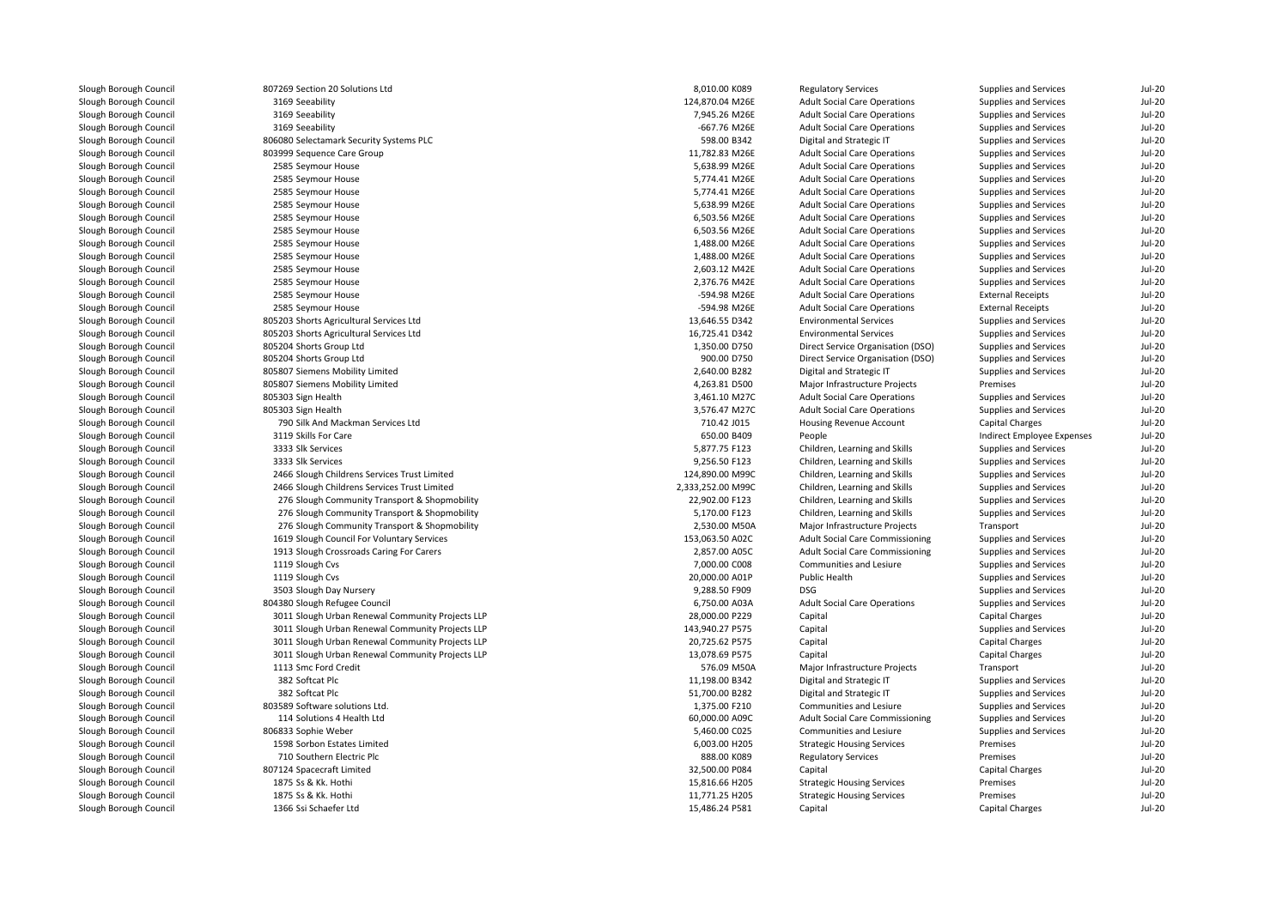| Slough Borough Council | 807269 Section 20 Solutions Ltd                  | 8,010.00 K089     | <b>Regulatory Services</b>          | Supplies and Services        | Jul-20        |
|------------------------|--------------------------------------------------|-------------------|-------------------------------------|------------------------------|---------------|
| Slough Borough Council | 3169 Seeability                                  | 124,870.04 M26E   | <b>Adult Social Care Operations</b> | Supplies and Services        | <b>Jul-20</b> |
| Slough Borough Council | 3169 Seeability                                  | 7,945.26 M26E     | <b>Adult Social Care Operations</b> | Supplies and Services        | $Jul-20$      |
| Slough Borough Council | 3169 Seeability                                  | -667.76 M26E      | <b>Adult Social Care Operations</b> | Supplies and Services        | <b>Jul-20</b> |
| Slough Borough Council | 806080 Selectamark Security Systems PLC          | 598.00 B342       | Digital and Strategic IT            | Supplies and Services        | $Jul-20$      |
| Slough Borough Council | 803999 Sequence Care Group                       | 11,782.83 M26E    | <b>Adult Social Care Operations</b> | Supplies and Services        | <b>Jul-20</b> |
| Slough Borough Council | 2585 Seymour House                               | 5,638.99 M26E     | <b>Adult Social Care Operations</b> | Supplies and Services        | <b>Jul-20</b> |
| Slough Borough Council | 2585 Seymour House                               | 5,774.41 M26E     | <b>Adult Social Care Operations</b> | Supplies and Services        | $Jul-20$      |
| Slough Borough Council | 2585 Seymour House                               | 5,774.41 M26E     | <b>Adult Social Care Operations</b> | Supplies and Services        | <b>Jul-20</b> |
| Slough Borough Council | 2585 Seymour House                               | 5,638.99 M26E     | <b>Adult Social Care Operations</b> | Supplies and Services        | <b>Jul-20</b> |
| Slough Borough Council | 2585 Seymour House                               | 6,503.56 M26E     | <b>Adult Social Care Operations</b> | Supplies and Services        | <b>Jul-20</b> |
| Slough Borough Council | 2585 Seymour House                               | 6,503.56 M26E     | <b>Adult Social Care Operations</b> | Supplies and Services        | <b>Jul-20</b> |
| Slough Borough Council | 2585 Seymour House                               | 1,488.00 M26E     | <b>Adult Social Care Operations</b> | Supplies and Services        | $Jul-20$      |
| Slough Borough Council | 2585 Seymour House                               | 1,488.00 M26E     | <b>Adult Social Care Operations</b> | Supplies and Services        | <b>Jul-20</b> |
| Slough Borough Council | 2585 Seymour House                               | 2,603.12 M42E     | <b>Adult Social Care Operations</b> | Supplies and Services        | <b>Jul-20</b> |
| Slough Borough Council | 2585 Seymour House                               | 2,376.76 M42E     | <b>Adult Social Care Operations</b> | Supplies and Services        | $Jul-20$      |
| Slough Borough Council | 2585 Seymour House                               | -594.98 M26E      | <b>Adult Social Care Operations</b> | <b>External Receipts</b>     | <b>Jul-20</b> |
| Slough Borough Council | 2585 Seymour House                               | -594.98 M26E      | <b>Adult Social Care Operations</b> | <b>External Receipts</b>     | <b>Jul-20</b> |
| Slough Borough Council | 805203 Shorts Agricultural Services Ltd          | 13,646.55 D342    | <b>Environmental Services</b>       | Supplies and Services        | $Jul-20$      |
| Slough Borough Council | 805203 Shorts Agricultural Services Ltd          | 16,725.41 D342    | <b>Environmental Services</b>       | Supplies and Services        | <b>Jul-20</b> |
| Slough Borough Council | 805204 Shorts Group Ltd                          | 1,350.00 D750     | Direct Service Organisation (DSO)   | Supplies and Services        | <b>Jul-20</b> |
| Slough Borough Council | 805204 Shorts Group Ltd                          | 900.00 D750       | Direct Service Organisation (DSO)   | Supplies and Services        | <b>Jul-20</b> |
|                        |                                                  | 2,640.00 B282     |                                     |                              | <b>Jul-20</b> |
| Slough Borough Council | 805807 Siemens Mobility Limited                  |                   | Digital and Strategic IT            | Supplies and Services        |               |
| Slough Borough Council | 805807 Siemens Mobility Limited                  | 4,263.81 D500     | Major Infrastructure Projects       | Premises                     | $Jul-20$      |
| Slough Borough Council | 805303 Sign Health                               | 3,461.10 M27C     | <b>Adult Social Care Operations</b> | Supplies and Services        | <b>Jul-20</b> |
| Slough Borough Council | 805303 Sign Health                               | 3,576.47 M27C     | <b>Adult Social Care Operations</b> | Supplies and Services        | <b>Jul-20</b> |
| Slough Borough Council | 790 Silk And Mackman Services Ltd                | 710.42 J015       | Housing Revenue Account             | Capital Charges              | $Jul-20$      |
| Slough Borough Council | 3119 Skills For Care                             | 650.00 B409       | People                              | Indirect Employee Expenses   | $Jul-20$      |
| Slough Borough Council | 3333 Slk Services                                | 5,877.75 F123     | Children, Learning and Skills       | <b>Supplies and Services</b> | <b>Jul-20</b> |
| Slough Borough Council | 3333 Slk Services                                | 9,256.50 F123     | Children, Learning and Skills       | Supplies and Services        | $Jul-20$      |
| Slough Borough Council | 2466 Slough Childrens Services Trust Limited     | 124,890.00 M99C   | Children, Learning and Skills       | Supplies and Services        | <b>Jul-20</b> |
| Slough Borough Council | 2466 Slough Childrens Services Trust Limited     | 2,333,252.00 M99C | Children, Learning and Skills       | Supplies and Services        | <b>Jul-20</b> |
| Slough Borough Council | 276 Slough Community Transport & Shopmobility    | 22,902.00 F123    | Children, Learning and Skills       | Supplies and Services        | <b>Jul-20</b> |
| Slough Borough Council | 276 Slough Community Transport & Shopmobility    | 5,170.00 F123     | Children, Learning and Skills       | Supplies and Services        | <b>Jul-20</b> |
| Slough Borough Council | 276 Slough Community Transport & Shopmobility    | 2,530.00 M50A     | Major Infrastructure Projects       | Transport                    | $Jul-20$      |
| Slough Borough Council | 1619 Slough Council For Voluntary Services       | 153,063.50 A02C   | Adult Social Care Commissioning     | Supplies and Services        | <b>Jul-20</b> |
| Slough Borough Council | 1913 Slough Crossroads Caring For Carers         | 2,857.00 A05C     | Adult Social Care Commissioning     | Supplies and Services        | <b>Jul-20</b> |
| Slough Borough Council | 1119 Slough Cvs                                  | 7,000.00 C008     | Communities and Lesiure             | Supplies and Services        | $Jul-20$      |
| Slough Borough Council | 1119 Slough Cvs                                  | 20,000.00 A01P    | Public Health                       | Supplies and Services        | <b>Jul-20</b> |
| Slough Borough Council | 3503 Slough Day Nursery                          | 9,288.50 F909     | DSG                                 | Supplies and Services        | <b>Jul-20</b> |
| Slough Borough Council | 804380 Slough Refugee Council                    | 6,750.00 A03A     | <b>Adult Social Care Operations</b> | Supplies and Services        | $Jul-20$      |
| Slough Borough Council | 3011 Slough Urban Renewal Community Projects LLP | 28,000.00 P229    | Capital                             | <b>Capital Charges</b>       | <b>Jul-20</b> |
| Slough Borough Council | 3011 Slough Urban Renewal Community Projects LLP | 143,940.27 P575   | Capital                             | Supplies and Services        | <b>Jul-20</b> |
| Slough Borough Council | 3011 Slough Urban Renewal Community Projects LLP | 20,725.62 P575    | Capital                             | Capital Charges              | <b>Jul-20</b> |
| Slough Borough Council | 3011 Slough Urban Renewal Community Projects LLP | 13,078.69 P575    | Capital                             | <b>Capital Charges</b>       | <b>Jul-20</b> |
| Slough Borough Council | 1113 Smc Ford Credit                             | 576.09 M50A       | Major Infrastructure Projects       | Transport                    | $Jul-20$      |
| Slough Borough Council | 382 Softcat Plc                                  | 11,198.00 B342    | Digital and Strategic IT            | Supplies and Services        | <b>Jul-20</b> |
| Slough Borough Council | 382 Softcat Plc                                  | 51,700.00 B282    | Digital and Strategic IT            | Supplies and Services        | <b>Jul-20</b> |
| Slough Borough Council | 803589 Software solutions Ltd.                   | 1,375.00 F210     | Communities and Lesiure             | Supplies and Services        | $Jul-20$      |
| Slough Borough Council | 114 Solutions 4 Health Ltd                       | 60,000.00 A09C    | Adult Social Care Commissioning     | Supplies and Services        | <b>Jul-20</b> |
| Slough Borough Council | 806833 Sophie Weber                              | 5,460.00 C025     | Communities and Lesiure             | Supplies and Services        | <b>Jul-20</b> |
| Slough Borough Council | 1598 Sorbon Estates Limited                      | 6,003.00 H205     | <b>Strategic Housing Services</b>   | Premises                     | $Jul-20$      |
| Slough Borough Council | 710 Southern Electric Plc                        | 888.00 K089       | <b>Regulatory Services</b>          | Premises                     | $Jul-20$      |
| Slough Borough Council | 807124 Spacecraft Limited                        | 32,500.00 P084    | Capital                             | Capital Charges              | <b>Jul-20</b> |
| Slough Borough Council | 1875 Ss & Kk. Hothi                              | 15,816.66 H205    | <b>Strategic Housing Services</b>   | Premises                     | <b>Jul-20</b> |
| Slough Borough Council | 1875 Ss & Kk. Hothi                              | 11,771.25 H205    | <b>Strategic Housing Services</b>   | Premises                     | $Jul-20$      |
| Slough Borough Council | 1366 Ssi Schaefer Ltd                            | 15,486.24 P581    |                                     | Capital Charges              | <b>Jul-20</b> |
|                        |                                                  |                   | Capital                             |                              |               |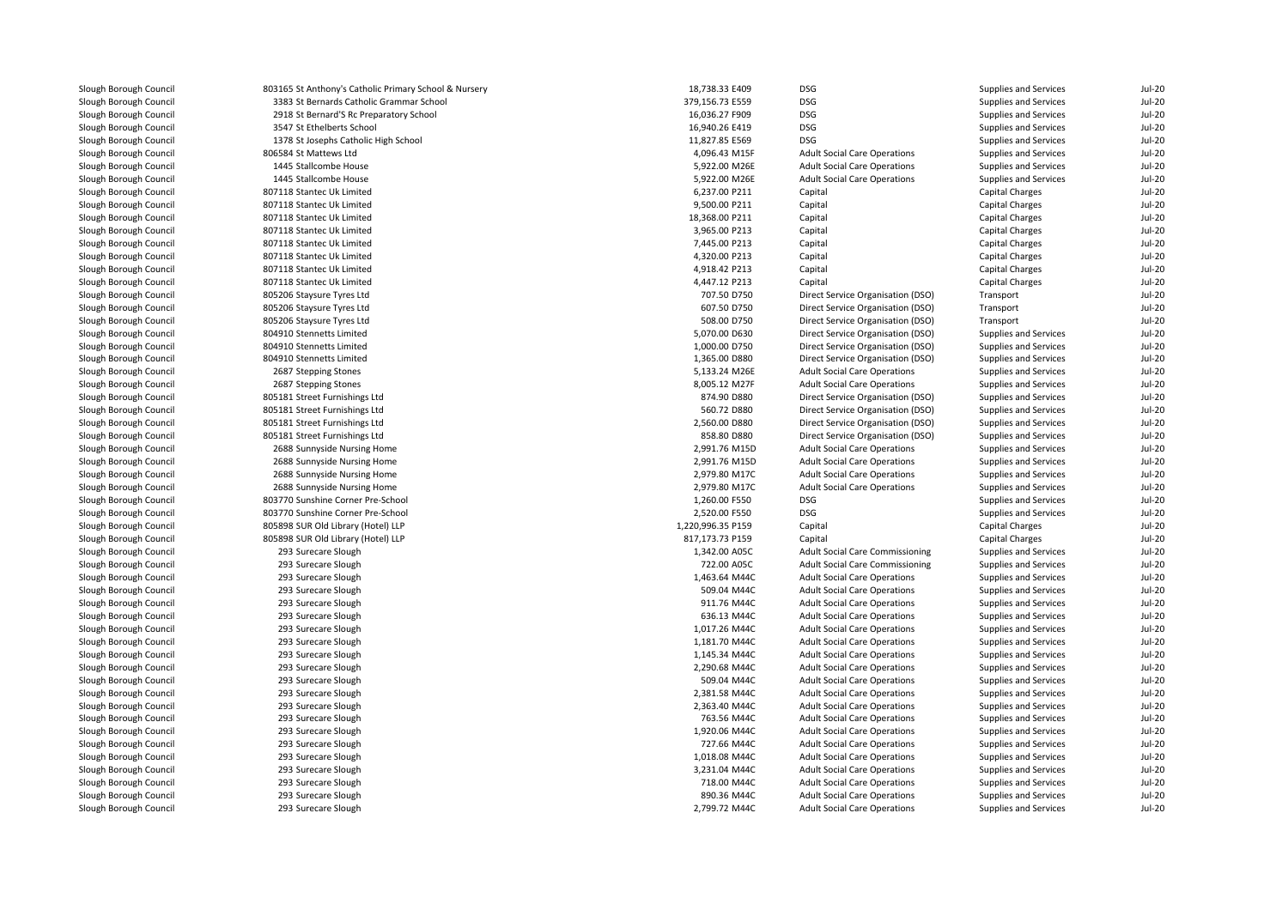| Slough Borough Council | 803165 St Anthony's Catholic Primary School & Nursery | 18,738.33 E409    | DSG                                    | Supplies and Services | Jul-20        |
|------------------------|-------------------------------------------------------|-------------------|----------------------------------------|-----------------------|---------------|
| Slough Borough Council | 3383 St Bernards Catholic Grammar School              | 379,156.73 E559   | <b>DSG</b>                             | Supplies and Services | <b>Jul-20</b> |
| Slough Borough Council | 2918 St Bernard'S Rc Preparatory School               | 16,036.27 F909    | <b>DSG</b>                             | Supplies and Services | <b>Jul-20</b> |
| Slough Borough Council | 3547 St Ethelberts School                             | 16,940.26 E419    | <b>DSG</b>                             | Supplies and Services | <b>Jul-20</b> |
| Slough Borough Council | 1378 St Josephs Catholic High School                  | 11,827.85 E569    | <b>DSG</b>                             | Supplies and Services | $Jul-20$      |
| Slough Borough Council | 806584 St Mattews Ltd                                 | 4,096.43 M15F     | <b>Adult Social Care Operations</b>    | Supplies and Services | <b>Jul-20</b> |
| Slough Borough Council | 1445 Stallcombe House                                 | 5,922.00 M26E     | <b>Adult Social Care Operations</b>    | Supplies and Services | <b>Jul-20</b> |
| Slough Borough Council | 1445 Stallcombe House                                 | 5,922.00 M26E     | <b>Adult Social Care Operations</b>    | Supplies and Services | <b>Jul-20</b> |
| Slough Borough Council | 807118 Stantec Uk Limited                             | 6,237.00 P211     | Capital                                | Capital Charges       | <b>Jul-20</b> |
| Slough Borough Council | 807118 Stantec Uk Limited                             | 9.500.00 P211     | Capital                                | Capital Charges       | <b>Jul-20</b> |
| Slough Borough Council | 807118 Stantec Uk Limited                             | 18,368.00 P211    | Capital                                | Capital Charges       | $Jul-20$      |
| Slough Borough Council | 807118 Stantec Uk Limited                             | 3,965.00 P213     | Capital                                | Capital Charges       | $Jul-20$      |
| Slough Borough Council | 807118 Stantec Uk Limited                             | 7,445.00 P213     | Capital                                | Capital Charges       | <b>Jul-20</b> |
| Slough Borough Council | 807118 Stantec Uk Limited                             | 4,320.00 P213     | Capital                                | Capital Charges       | $Jul-20$      |
| Slough Borough Council | 807118 Stantec Uk Limited                             | 4,918.42 P213     | Capital                                | Capital Charges       | $Jul-20$      |
| Slough Borough Council | 807118 Stantec Uk Limited                             | 4,447.12 P213     | Capital                                | Capital Charges       | <b>Jul-20</b> |
| Slough Borough Council | 805206 Staysure Tyres Ltd                             | 707.50 D750       | Direct Service Organisation (DSO)      | Transport             | $Jul-20$      |
| Slough Borough Council | 805206 Staysure Tyres Ltd                             | 607.50 D750       | Direct Service Organisation (DSO)      | Transport             | <b>Jul-20</b> |
| Slough Borough Council | 805206 Staysure Tyres Ltd                             | 508.00 D750       | Direct Service Organisation (DSO)      | Transport             | <b>Jul-20</b> |
| Slough Borough Council | 804910 Stennetts Limited                              | 5,070.00 D630     | Direct Service Organisation (DSO)      | Supplies and Services | <b>Jul-20</b> |
| Slough Borough Council | 804910 Stennetts Limited                              | 1,000.00 D750     | Direct Service Organisation (DSO)      | Supplies and Services | <b>Jul-20</b> |
| Slough Borough Council | 804910 Stennetts Limited                              | 1,365.00 D880     | Direct Service Organisation (DSO)      | Supplies and Services | <b>Jul-20</b> |
| Slough Borough Council | 2687 Stepping Stones                                  | 5,133.24 M26E     | <b>Adult Social Care Operations</b>    | Supplies and Services | <b>Jul-20</b> |
|                        |                                                       |                   |                                        |                       |               |
| Slough Borough Council | 2687 Stepping Stones                                  | 8,005.12 M27F     | <b>Adult Social Care Operations</b>    | Supplies and Services | <b>Jul-20</b> |
| Slough Borough Council | 805181 Street Furnishings Ltd                         | 874.90 D880       | Direct Service Organisation (DSO)      | Supplies and Services | <b>Jul-20</b> |
| Slough Borough Council | 805181 Street Furnishings Ltd                         | 560.72 D880       | Direct Service Organisation (DSO)      | Supplies and Services | <b>Jul-20</b> |
| Slough Borough Council | 805181 Street Furnishings Ltd                         | 2,560.00 D880     | Direct Service Organisation (DSO)      | Supplies and Services | <b>Jul-20</b> |
| Slough Borough Council | 805181 Street Furnishings Ltd                         | 858.80 D880       | Direct Service Organisation (DSO)      | Supplies and Services | <b>Jul-20</b> |
| Slough Borough Council | 2688 Sunnyside Nursing Home                           | 2,991.76 M15D     | <b>Adult Social Care Operations</b>    | Supplies and Services | <b>Jul-20</b> |
| Slough Borough Council | 2688 Sunnyside Nursing Home                           | 2,991.76 M15D     | <b>Adult Social Care Operations</b>    | Supplies and Services | $Jul-20$      |
| Slough Borough Council | 2688 Sunnyside Nursing Home                           | 2,979.80 M17C     | <b>Adult Social Care Operations</b>    | Supplies and Services | <b>Jul-20</b> |
| Slough Borough Council | 2688 Sunnyside Nursing Home                           | 2,979.80 M17C     | <b>Adult Social Care Operations</b>    | Supplies and Services | <b>Jul-20</b> |
| Slough Borough Council | 803770 Sunshine Corner Pre-School                     | 1,260.00 F550     | <b>DSG</b>                             | Supplies and Services | $Jul-20$      |
| Slough Borough Council | 803770 Sunshine Corner Pre-School                     | 2,520.00 F550     | <b>DSG</b>                             | Supplies and Services | <b>Jul-20</b> |
| Slough Borough Council | 805898 SUR Old Library (Hotel) LLP                    | 1,220,996.35 P159 | Capital                                | Capital Charges       | $Jul-20$      |
| Slough Borough Council | 805898 SUR Old Library (Hotel) LLP                    | 817,173.73 P159   | Capital                                | Capital Charges       | <b>Jul-20</b> |
| Slough Borough Council | 293 Surecare Slough                                   | 1,342.00 A05C     | <b>Adult Social Care Commissioning</b> | Supplies and Services | <b>Jul-20</b> |
| Slough Borough Council | 293 Surecare Slough                                   | 722.00 A05C       | <b>Adult Social Care Commissioning</b> | Supplies and Services | <b>Jul-20</b> |
| Slough Borough Council | 293 Surecare Slough                                   | 1,463.64 M44C     | <b>Adult Social Care Operations</b>    | Supplies and Services | <b>Jul-20</b> |
| Slough Borough Council | 293 Surecare Slough                                   | 509.04 M44C       | <b>Adult Social Care Operations</b>    | Supplies and Services | <b>Jul-20</b> |
| Slough Borough Council | 293 Surecare Slough                                   | 911.76 M44C       | <b>Adult Social Care Operations</b>    | Supplies and Services | <b>Jul-20</b> |
| Slough Borough Council | 293 Surecare Slough                                   | 636.13 M44C       | <b>Adult Social Care Operations</b>    | Supplies and Services | <b>Jul-20</b> |
| Slough Borough Council | 293 Surecare Slough                                   | 1,017.26 M44C     | <b>Adult Social Care Operations</b>    | Supplies and Services | <b>Jul-20</b> |
| Slough Borough Council | 293 Surecare Slough                                   | 1,181.70 M44C     | <b>Adult Social Care Operations</b>    | Supplies and Services | $Jul-20$      |
| Slough Borough Council | 293 Surecare Slough                                   | 1,145.34 M44C     | <b>Adult Social Care Operations</b>    | Supplies and Services | <b>Jul-20</b> |
| Slough Borough Council | 293 Surecare Slough                                   | 2,290.68 M44C     | <b>Adult Social Care Operations</b>    | Supplies and Services | <b>Jul-20</b> |
| Slough Borough Council | 293 Surecare Slough                                   | 509.04 M44C       | <b>Adult Social Care Operations</b>    | Supplies and Services | <b>Jul-20</b> |
| Slough Borough Council | 293 Surecare Slough                                   | 2,381.58 M44C     | <b>Adult Social Care Operations</b>    | Supplies and Services | $Jul-20$      |
| Slough Borough Council | 293 Surecare Slough                                   | 2,363.40 M44C     | <b>Adult Social Care Operations</b>    | Supplies and Services | <b>Jul-20</b> |
| Slough Borough Council | 293 Surecare Slough                                   | 763.56 M44C       | <b>Adult Social Care Operations</b>    | Supplies and Services | <b>Jul-20</b> |
| Slough Borough Council | 293 Surecare Slough                                   | 1,920.06 M44C     | <b>Adult Social Care Operations</b>    | Supplies and Services | <b>Jul-20</b> |
| Slough Borough Council | 293 Surecare Slough                                   | 727.66 M44C       | <b>Adult Social Care Operations</b>    | Supplies and Services | <b>Jul-20</b> |
| Slough Borough Council | 293 Surecare Slough                                   | 1,018.08 M44C     | <b>Adult Social Care Operations</b>    | Supplies and Services | <b>Jul-20</b> |
| Slough Borough Council | 293 Surecare Slough                                   | 3,231.04 M44C     | <b>Adult Social Care Operations</b>    | Supplies and Services | <b>Jul-20</b> |
| Slough Borough Council | 293 Surecare Slough                                   | 718.00 M44C       | <b>Adult Social Care Operations</b>    | Supplies and Services | <b>Jul-20</b> |
| Slough Borough Council | 293 Surecare Slough                                   | 890.36 M44C       | <b>Adult Social Care Operations</b>    | Supplies and Services | <b>Jul-20</b> |
| Slough Borough Council | 293 Surecare Slough                                   | 2,799.72 M44C     | <b>Adult Social Care Operations</b>    | Supplies and Services | <b>Jul-20</b> |
|                        |                                                       |                   |                                        |                       |               |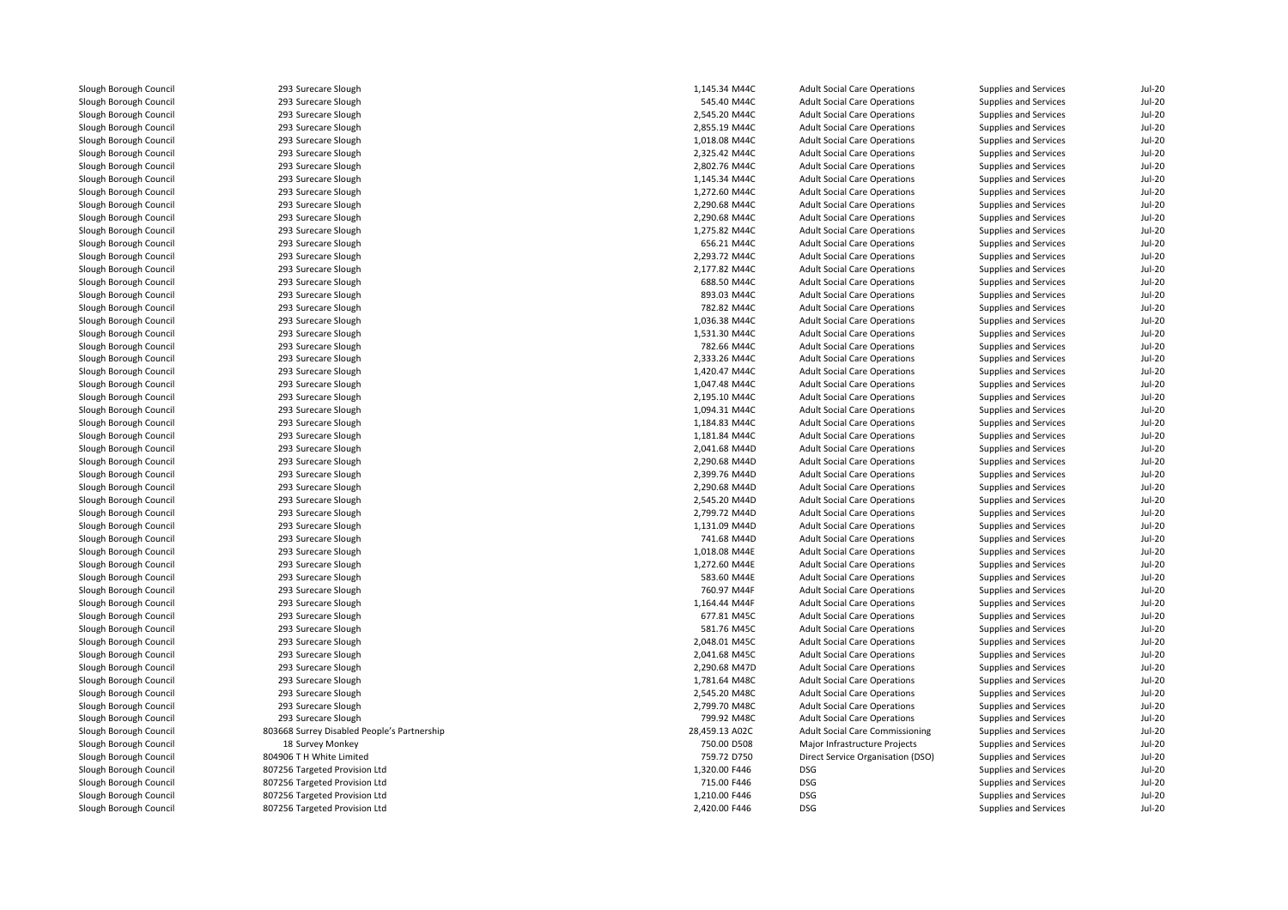| Slough Borough Council                           | 293 Surecare Slough                         | 1,145.34 M44C                  | <b>Adult Social Care Operations</b> | Supplies and Services        | <b>Jul-20</b>                  |
|--------------------------------------------------|---------------------------------------------|--------------------------------|-------------------------------------|------------------------------|--------------------------------|
| Slough Borough Council                           | 293 Surecare Slough                         | 545.40 M44C                    | <b>Adult Social Care Operations</b> | Supplies and Services        | <b>Jul-20</b>                  |
| Slough Borough Council                           | 293 Surecare Slough                         | 2,545.20 M44C                  | <b>Adult Social Care Operations</b> | Supplies and Services        | <b>Jul-20</b>                  |
| Slough Borough Council                           | 293 Surecare Slough                         | 2,855.19 M44C                  | <b>Adult Social Care Operations</b> | Supplies and Services        | $Jul-20$                       |
| Slough Borough Council                           | 293 Surecare Slough                         | 1,018.08 M44C                  | <b>Adult Social Care Operations</b> | Supplies and Services        | <b>Jul-20</b>                  |
| Slough Borough Council                           | 293 Surecare Slough                         | 2,325.42 M44C                  | <b>Adult Social Care Operations</b> | Supplies and Services        | <b>Jul-20</b>                  |
| Slough Borough Council                           | 293 Surecare Slough                         | 2,802.76 M44C                  | <b>Adult Social Care Operations</b> | Supplies and Services        | <b>Jul-20</b>                  |
| Slough Borough Council                           | 293 Surecare Slough                         | 1,145.34 M44C                  | <b>Adult Social Care Operations</b> | Supplies and Services        | <b>Jul-20</b>                  |
| Slough Borough Council                           | 293 Surecare Slough                         | 1,272.60 M44C                  | <b>Adult Social Care Operations</b> | Supplies and Services        | <b>Jul-20</b>                  |
| Slough Borough Council                           | 293 Surecare Slough                         | 2,290.68 M44C                  | <b>Adult Social Care Operations</b> | Supplies and Services        | <b>Jul-20</b>                  |
| Slough Borough Council                           | 293 Surecare Slough                         | 2,290.68 M44C                  | <b>Adult Social Care Operations</b> | Supplies and Services        | <b>Jul-20</b>                  |
| Slough Borough Council                           | 293 Surecare Slough                         | 1,275.82 M44C                  | <b>Adult Social Care Operations</b> | <b>Supplies and Services</b> | <b>Jul-20</b>                  |
| Slough Borough Council                           | 293 Surecare Slough                         | 656.21 M44C                    | <b>Adult Social Care Operations</b> | Supplies and Services        | <b>Jul-20</b>                  |
| Slough Borough Council                           | 293 Surecare Slough                         | 2,293.72 M44C                  | <b>Adult Social Care Operations</b> | Supplies and Services        | <b>Jul-20</b>                  |
| Slough Borough Council                           | 293 Surecare Slough                         | 2,177.82 M44C                  | <b>Adult Social Care Operations</b> | <b>Supplies and Services</b> | <b>Jul-20</b>                  |
| Slough Borough Council                           | 293 Surecare Slough                         | 688.50 M44C                    | <b>Adult Social Care Operations</b> | Supplies and Services        | <b>Jul-20</b>                  |
| Slough Borough Council                           | 293 Surecare Slough                         | 893.03 M44C                    | <b>Adult Social Care Operations</b> | Supplies and Services        | <b>Jul-20</b>                  |
| Slough Borough Council                           | 293 Surecare Slough                         | 782.82 M44C                    | <b>Adult Social Care Operations</b> | Supplies and Services        | <b>Jul-20</b>                  |
| Slough Borough Council                           | 293 Surecare Slough                         | 1,036.38 M44C                  | <b>Adult Social Care Operations</b> | Supplies and Services        | <b>Jul-20</b>                  |
| Slough Borough Council                           | 293 Surecare Slough                         | 1,531.30 M44C                  | <b>Adult Social Care Operations</b> | Supplies and Services        | <b>Jul-20</b>                  |
| Slough Borough Council                           | 293 Surecare Slough                         | 782.66 M44C                    | <b>Adult Social Care Operations</b> | Supplies and Services        | <b>Jul-20</b>                  |
| Slough Borough Council                           | 293 Surecare Slough                         | 2,333.26 M44C                  | <b>Adult Social Care Operations</b> | Supplies and Services        | <b>Jul-20</b>                  |
| Slough Borough Council                           | 293 Surecare Slough                         | 1,420.47 M44C                  | <b>Adult Social Care Operations</b> | Supplies and Services        | <b>Jul-20</b>                  |
| Slough Borough Council                           | 293 Surecare Slough                         | 1,047.48 M44C                  | <b>Adult Social Care Operations</b> | Supplies and Services        | <b>Jul-20</b>                  |
| Slough Borough Council                           | 293 Surecare Slough                         | 2,195.10 M44C                  | <b>Adult Social Care Operations</b> | Supplies and Services        | $Jul-20$                       |
| Slough Borough Council                           | 293 Surecare Slough                         | 1,094.31 M44C                  | <b>Adult Social Care Operations</b> | Supplies and Services        | <b>Jul-20</b>                  |
| Slough Borough Council                           | 293 Surecare Slough                         | 1,184.83 M44C                  | <b>Adult Social Care Operations</b> | Supplies and Services        | <b>Jul-20</b>                  |
| Slough Borough Council                           | 293 Surecare Slough                         | 1,181.84 M44C                  | <b>Adult Social Care Operations</b> | Supplies and Services        | <b>Jul-20</b>                  |
| Slough Borough Council                           | 293 Surecare Slough                         | 2,041.68 M44D                  | <b>Adult Social Care Operations</b> | Supplies and Services        | <b>Jul-20</b>                  |
|                                                  |                                             |                                |                                     |                              |                                |
| Slough Borough Council<br>Slough Borough Council | 293 Surecare Slough                         | 2,290.68 M44D<br>2,399.76 M44D | <b>Adult Social Care Operations</b> | Supplies and Services        | <b>Jul-20</b><br><b>Jul-20</b> |
|                                                  | 293 Surecare Slough                         |                                | <b>Adult Social Care Operations</b> | Supplies and Services        |                                |
| Slough Borough Council                           | 293 Surecare Slough                         | 2.290.68 M44D                  | <b>Adult Social Care Operations</b> | Supplies and Services        | <b>Jul-20</b>                  |
| Slough Borough Council                           | 293 Surecare Slough                         | 2,545.20 M44D                  | <b>Adult Social Care Operations</b> | Supplies and Services        | $Jul-20$                       |
| Slough Borough Council                           | 293 Surecare Slough                         | 2,799.72 M44D                  | <b>Adult Social Care Operations</b> | Supplies and Services        | <b>Jul-20</b>                  |
| Slough Borough Council                           | 293 Surecare Slough                         | 1,131.09 M44D                  | <b>Adult Social Care Operations</b> | Supplies and Services        | <b>Jul-20</b>                  |
| Slough Borough Council                           | 293 Surecare Slough                         | 741.68 M44D                    | <b>Adult Social Care Operations</b> | Supplies and Services        | <b>Jul-20</b>                  |
| Slough Borough Council                           | 293 Surecare Slough                         | 1,018.08 M44E                  | <b>Adult Social Care Operations</b> | Supplies and Services        | <b>Jul-20</b>                  |
| Slough Borough Council                           | 293 Surecare Slough                         | 1,272.60 M44E                  | <b>Adult Social Care Operations</b> | Supplies and Services        | <b>Jul-20</b>                  |
| Slough Borough Council                           | 293 Surecare Slough                         | 583.60 M44E                    | <b>Adult Social Care Operations</b> | <b>Supplies and Services</b> | $Jul-20$                       |
| Slough Borough Council                           | 293 Surecare Slough                         | 760.97 M44F                    | <b>Adult Social Care Operations</b> | Supplies and Services        | <b>Jul-20</b>                  |
| Slough Borough Council                           | 293 Surecare Slough                         | 1,164.44 M44F                  | <b>Adult Social Care Operations</b> | Supplies and Services        | <b>Jul-20</b>                  |
| Slough Borough Council                           | 293 Surecare Slough                         | 677.81 M45C                    | <b>Adult Social Care Operations</b> | Supplies and Services        | <b>Jul-20</b>                  |
| Slough Borough Council                           | 293 Surecare Slough                         | 581.76 M45C                    | <b>Adult Social Care Operations</b> | Supplies and Services        | <b>Jul-20</b>                  |
| Slough Borough Council                           | 293 Surecare Slough                         | 2.048.01 M45C                  | <b>Adult Social Care Operations</b> | Supplies and Services        | <b>Jul-20</b>                  |
| Slough Borough Council                           | 293 Surecare Slough                         | 2,041.68 M45C                  | <b>Adult Social Care Operations</b> | Supplies and Services        | <b>Jul-20</b>                  |
| Slough Borough Council                           | 293 Surecare Slough                         | 2,290.68 M47D                  | <b>Adult Social Care Operations</b> | Supplies and Services        | <b>Jul-20</b>                  |
| Slough Borough Council                           | 293 Surecare Slough                         | 1,781.64 M48C                  | <b>Adult Social Care Operations</b> | Supplies and Services        | <b>Jul-20</b>                  |
| Slough Borough Council                           | 293 Surecare Slough                         | 2,545.20 M48C                  | <b>Adult Social Care Operations</b> | Supplies and Services        | <b>Jul-20</b>                  |
| Slough Borough Council                           | 293 Surecare Slough                         | 2,799.70 M48C                  | <b>Adult Social Care Operations</b> | Supplies and Services        | <b>Jul-20</b>                  |
| Slough Borough Council                           | 293 Surecare Slough                         | 799.92 M48C                    | <b>Adult Social Care Operations</b> | Supplies and Services        | <b>Jul-20</b>                  |
| Slough Borough Council                           | 803668 Surrey Disabled People's Partnership | 28,459.13 A02C                 | Adult Social Care Commissioning     | Supplies and Services        | <b>Jul-20</b>                  |
| Slough Borough Council                           | 18 Survey Monkey                            | 750.00 D508                    | Major Infrastructure Projects       | Supplies and Services        | <b>Jul-20</b>                  |
| Slough Borough Council                           | 804906 T H White Limited                    | 759.72 D750                    | Direct Service Organisation (DSO)   | Supplies and Services        | <b>Jul-20</b>                  |
| Slough Borough Council                           | 807256 Targeted Provision Ltd               | 1,320.00 F446                  | <b>DSG</b>                          | Supplies and Services        | <b>Jul-20</b>                  |
| Slough Borough Council                           | 807256 Targeted Provision Ltd               | 715.00 F446                    | <b>DSG</b>                          | Supplies and Services        | <b>Jul-20</b>                  |
| Slough Borough Council                           | 807256 Targeted Provision Ltd               | 1.210.00 F446                  | <b>DSG</b>                          | Supplies and Services        | <b>Jul-20</b>                  |
| Slough Borough Council                           | 807256 Targeted Provision Ltd               | 2,420.00 F446                  | <b>DSG</b>                          | Supplies and Services        | <b>Jul-20</b>                  |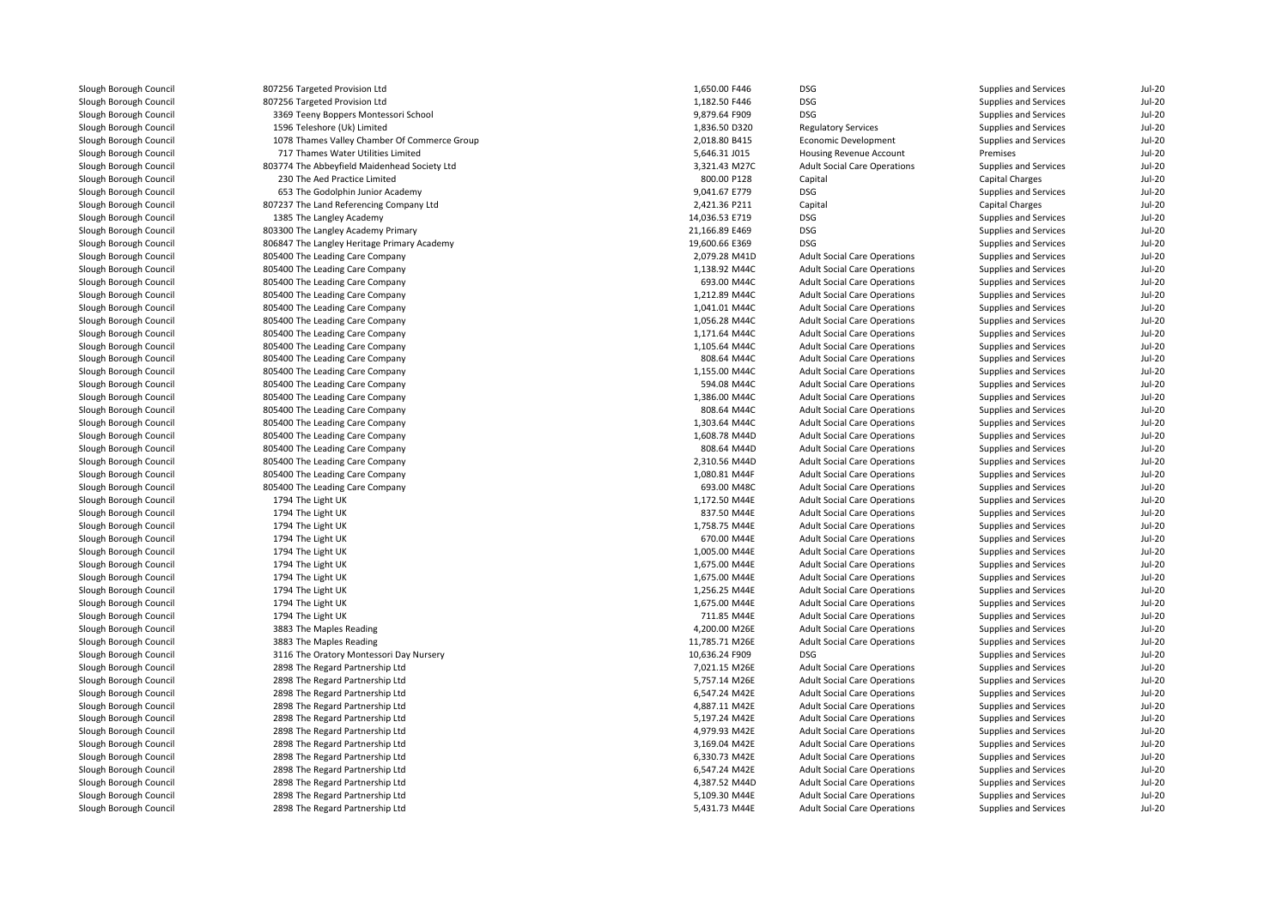| Slough Borough Council | 807256 Targeted Provision Ltd                                      | 1,650.00 F446                    | DSG                                               | Supplies and Services        | $Jul-20$      |
|------------------------|--------------------------------------------------------------------|----------------------------------|---------------------------------------------------|------------------------------|---------------|
| Slough Borough Council | 807256 Targeted Provision Ltd                                      | 1,182.50 F446                    | <b>DSG</b>                                        | Supplies and Services        | $Jul-20$      |
| Slough Borough Council | 3369 Teeny Boppers Montessori School                               | 9,879.64 F909                    | <b>DSG</b>                                        | Supplies and Services        | $Jul-20$      |
| Slough Borough Council | 1596 Teleshore (Uk) Limited                                        | 1,836.50 D320                    | <b>Regulatory Services</b>                        | Supplies and Services        | $Jul-20$      |
| Slough Borough Council | 1078 Thames Valley Chamber Of Commerce Group                       | 2,018.80 B415                    | Economic Development                              | Supplies and Services        | $Jul-20$      |
| Slough Borough Council | 717 Thames Water Utilities Limited                                 | 5,646.31 J015                    | Housing Revenue Account                           | Premises                     | $Jul-20$      |
| Slough Borough Council | 803774 The Abbeyfield Maidenhead Society Ltd                       | 3,321.43 M27C                    | <b>Adult Social Care Operations</b>               | Supplies and Services        | $Jul-20$      |
| Slough Borough Council | 230 The Aed Practice Limited                                       | 800.00 P128                      | Capital                                           | Capital Charges              | $Jul-20$      |
| Slough Borough Council | 653 The Godolphin Junior Academy                                   | 9,041.67 E779                    | DSG                                               | Supplies and Services        | $Jul-20$      |
| Slough Borough Council | 807237 The Land Referencing Company Ltd                            | 2,421.36 P211                    | Capital                                           | Capital Charges              | $Jul-20$      |
| Slough Borough Council | 1385 The Langley Academy                                           | 14,036.53 E719                   | <b>DSG</b>                                        | Supplies and Services        | <b>Jul-20</b> |
| Slough Borough Council | 803300 The Langley Academy Primary                                 | 21,166.89 E469                   | <b>DSG</b>                                        | Supplies and Services        | $Jul-20$      |
| Slough Borough Council | 806847 The Langley Heritage Primary Academy                        | 19,600.66 E369                   | <b>DSG</b>                                        | Supplies and Services        | $Jul-20$      |
| Slough Borough Council | 805400 The Leading Care Company                                    | 2,079.28 M41D                    | <b>Adult Social Care Operations</b>               | Supplies and Services        | $Jul-20$      |
| Slough Borough Council | 805400 The Leading Care Company                                    | 1,138.92 M44C                    | <b>Adult Social Care Operations</b>               | Supplies and Services        | $Jul-20$      |
| Slough Borough Council | 805400 The Leading Care Company                                    | 693.00 M44C                      | <b>Adult Social Care Operations</b>               | Supplies and Services        | $Jul-20$      |
| Slough Borough Council | 805400 The Leading Care Company                                    | 1,212.89 M44C                    | <b>Adult Social Care Operations</b>               | Supplies and Services        | $Jul-20$      |
| Slough Borough Council | 805400 The Leading Care Company                                    | 1,041.01 M44C                    | <b>Adult Social Care Operations</b>               | Supplies and Services        | $Jul-20$      |
| Slough Borough Council | 805400 The Leading Care Company                                    | 1.056.28 M44C                    | <b>Adult Social Care Operations</b>               | <b>Supplies and Services</b> | $Jul-20$      |
| Slough Borough Council | 805400 The Leading Care Company                                    | 1,171.64 M44C                    | <b>Adult Social Care Operations</b>               | Supplies and Services        | $Jul-20$      |
| Slough Borough Council | 805400 The Leading Care Company                                    | 1,105.64 M44C                    | <b>Adult Social Care Operations</b>               | Supplies and Services        | $Jul-20$      |
| Slough Borough Council | 805400 The Leading Care Company                                    | 808.64 M44C                      | <b>Adult Social Care Operations</b>               | Supplies and Services        | $Jul-20$      |
| Slough Borough Council | 805400 The Leading Care Company                                    | 1,155.00 M44C                    | <b>Adult Social Care Operations</b>               | Supplies and Services        | $Jul-20$      |
| Slough Borough Council | 805400 The Leading Care Company                                    | 594.08 M44C                      | <b>Adult Social Care Operations</b>               | Supplies and Services        | <b>Jul-20</b> |
| Slough Borough Council | 805400 The Leading Care Company                                    | 1,386.00 M44C                    | <b>Adult Social Care Operations</b>               | Supplies and Services        | $Jul-20$      |
| Slough Borough Council | 805400 The Leading Care Company                                    | 808.64 M44C                      | <b>Adult Social Care Operations</b>               | Supplies and Services        | $Jul-20$      |
| Slough Borough Council | 805400 The Leading Care Company                                    | 1,303.64 M44C                    | <b>Adult Social Care Operations</b>               | Supplies and Services        | $Jul-20$      |
| Slough Borough Council | 805400 The Leading Care Company                                    | 1,608.78 M44D                    | <b>Adult Social Care Operations</b>               | Supplies and Services        | $Jul-20$      |
| Slough Borough Council | 805400 The Leading Care Company                                    | 808.64 M44D                      | <b>Adult Social Care Operations</b>               | <b>Supplies and Services</b> | $Jul-20$      |
| Slough Borough Council | 805400 The Leading Care Company                                    | 2,310.56 M44D                    | <b>Adult Social Care Operations</b>               | Supplies and Services        | $Jul-20$      |
| Slough Borough Council | 805400 The Leading Care Company                                    | 1,080.81 M44F                    | <b>Adult Social Care Operations</b>               | Supplies and Services        | $Jul-20$      |
| Slough Borough Council | 805400 The Leading Care Company                                    | 693.00 M48C                      | <b>Adult Social Care Operations</b>               | Supplies and Services        | <b>Jul-20</b> |
| Slough Borough Council | 1794 The Light UK                                                  | 1,172.50 M44E                    | <b>Adult Social Care Operations</b>               | Supplies and Services        | $Jul-20$      |
| Slough Borough Council | 1794 The Light UK                                                  | 837.50 M44E                      | <b>Adult Social Care Operations</b>               | Supplies and Services        | $Jul-20$      |
| Slough Borough Council | 1794 The Light UK                                                  | 1,758.75 M44E                    | <b>Adult Social Care Operations</b>               | Supplies and Services        | $Jul-20$      |
| Slough Borough Council | 1794 The Light UK                                                  | 670.00 M44E                      | <b>Adult Social Care Operations</b>               | Supplies and Services        | $Jul-20$      |
| Slough Borough Council | 1794 The Light UK                                                  | 1,005.00 M44E                    | <b>Adult Social Care Operations</b>               | Supplies and Services        | $Jul-20$      |
| Slough Borough Council | 1794 The Light UK                                                  | 1,675.00 M44E                    | <b>Adult Social Care Operations</b>               | Supplies and Services        | $Jul-20$      |
| Slough Borough Council | 1794 The Light UK                                                  | 1,675.00 M44E                    | <b>Adult Social Care Operations</b>               | Supplies and Services        | $Jul-20$      |
| Slough Borough Council | 1794 The Light UK                                                  | 1,256.25 M44E                    | <b>Adult Social Care Operations</b>               | Supplies and Services        | $Jul-20$      |
| Slough Borough Council | 1794 The Light UK                                                  | 1,675.00 M44E                    | <b>Adult Social Care Operations</b>               | Supplies and Services        | $Jul-20$      |
| Slough Borough Council | 1794 The Light UK                                                  | 711.85 M44E                      | <b>Adult Social Care Operations</b>               | Supplies and Services        | $Jul-20$      |
| Slough Borough Council | 3883 The Maples Reading                                            | 4,200.00 M26E                    | <b>Adult Social Care Operations</b>               | Supplies and Services        | $Jul-20$      |
|                        |                                                                    |                                  |                                                   |                              | $Jul-20$      |
| Slough Borough Council | 3883 The Maples Reading<br>3116 The Oratory Montessori Day Nursery | 11,785.71 M26E<br>10,636.24 F909 | <b>Adult Social Care Operations</b><br><b>DSG</b> | Supplies and Services        | $Jul-20$      |
| Slough Borough Council |                                                                    |                                  |                                                   | Supplies and Services        |               |
| Slough Borough Council | 2898 The Regard Partnership Ltd                                    | 7,021.15 M26E                    | <b>Adult Social Care Operations</b>               | Supplies and Services        | $Jul-20$      |
| Slough Borough Council | 2898 The Regard Partnership Ltd                                    | 5,757.14 M26E                    | <b>Adult Social Care Operations</b>               | <b>Supplies and Services</b> | $Jul-20$      |
| Slough Borough Council | 2898 The Regard Partnership Ltd                                    | 6,547.24 M42E                    | <b>Adult Social Care Operations</b>               | Supplies and Services        | $Jul-20$      |
| Slough Borough Council | 2898 The Regard Partnership Ltd                                    | 4,887.11 M42E                    | <b>Adult Social Care Operations</b>               | Supplies and Services        | $Jul-20$      |
| Slough Borough Council | 2898 The Regard Partnership Ltd                                    | 5,197.24 M42E                    | <b>Adult Social Care Operations</b>               | Supplies and Services        | <b>Jul-20</b> |
| Slough Borough Council | 2898 The Regard Partnership Ltd                                    | 4,979.93 M42E                    | <b>Adult Social Care Operations</b>               | <b>Supplies and Services</b> | $Jul-20$      |
| Slough Borough Council | 2898 The Regard Partnership Ltd                                    | 3,169.04 M42E                    | <b>Adult Social Care Operations</b>               | Supplies and Services        | $Jul-20$      |
| Slough Borough Council | 2898 The Regard Partnership Ltd                                    | 6,330.73 M42E                    | <b>Adult Social Care Operations</b>               | Supplies and Services        | $Jul-20$      |
| Slough Borough Council | 2898 The Regard Partnership Ltd                                    | 6,547.24 M42E                    | <b>Adult Social Care Operations</b>               | Supplies and Services        | <b>Jul-20</b> |
| Slough Borough Council | 2898 The Regard Partnership Ltd                                    | 4,387.52 M44D                    | <b>Adult Social Care Operations</b>               | <b>Supplies and Services</b> | $Jul-20$      |
| Slough Borough Council | 2898 The Regard Partnership Ltd                                    | 5,109.30 M44E                    | <b>Adult Social Care Operations</b>               | Supplies and Services        | $Jul-20$      |
| Slough Borough Council | 2898 The Regard Partnership Ltd                                    | 5,431.73 M44E                    | <b>Adult Social Care Operations</b>               | Supplies and Services        | $Jul-20$      |

 $Jul-20$ 

Jul-20

 $Jul-20$ 

 $Jul-20$ 

 $\text{Iul-20}$ 

Jul-20

 $Jul-20$ 

 $Jul-20$ 

 $Jul-20$ 

 $Jul-20$ 

 $Jul-20$ 

 $Jul-20$ 

 $Jul-20$ 

 $Jul-20$ 

 $\text{In}$ -20

 $Jul-20$ 

 $Jul-20$ 

 $Jul-20$ 

Jul-20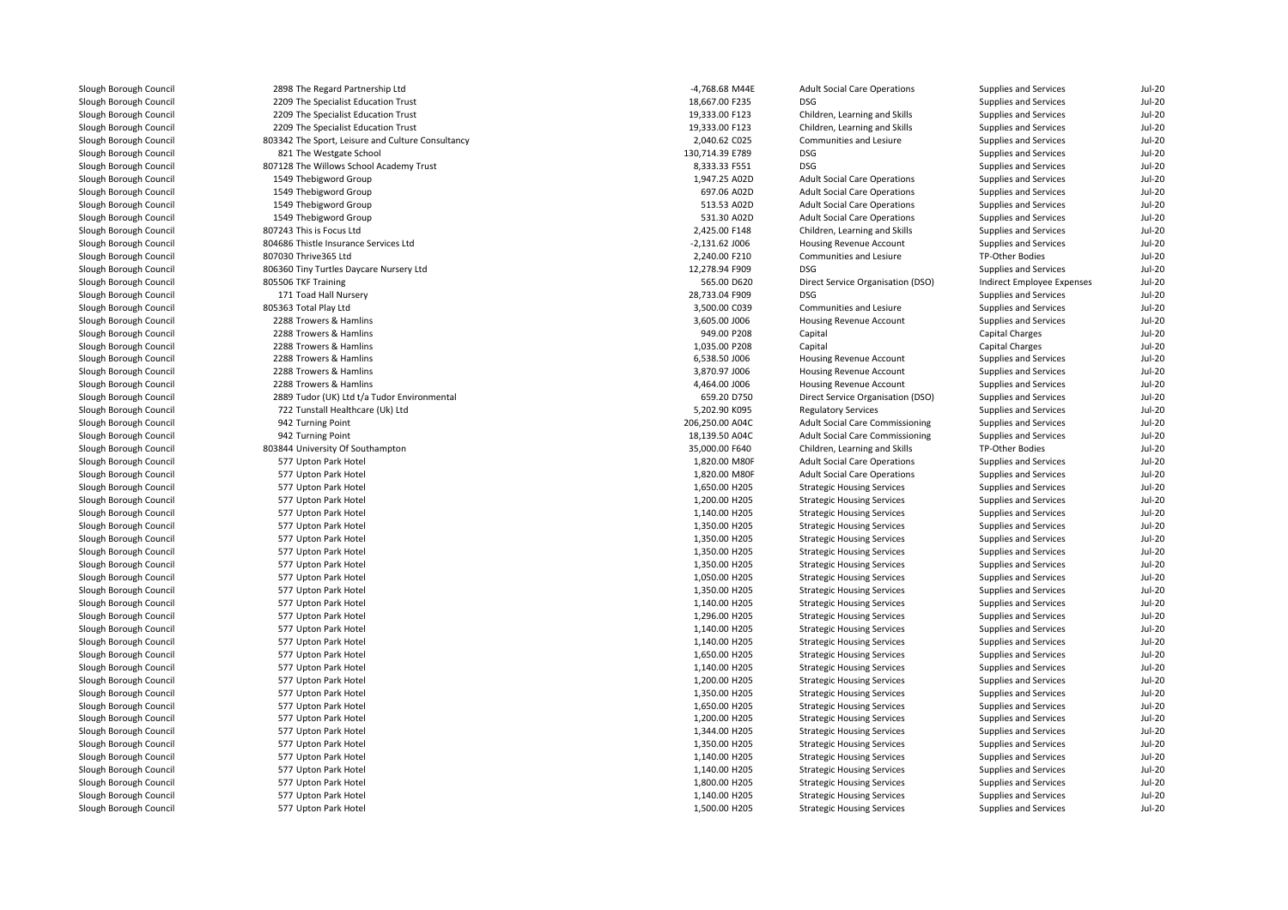| Slough Borough Council | 2898 The Regard Partnership Ltd                   | -4,768.68 M44E   | <b>Adult Social Care Operations</b>                          | Supplies and Services      | <b>Jul-20</b> |
|------------------------|---------------------------------------------------|------------------|--------------------------------------------------------------|----------------------------|---------------|
| Slough Borough Council | 2209 The Specialist Education Trust               | 18,667.00 F235   | <b>DSG</b>                                                   | Supplies and Services      | Jul-20        |
| Slough Borough Council | 2209 The Specialist Education Trust               | 19,333.00 F123   | Children, Learning and Skills                                | Supplies and Services      | Jul-20        |
| Slough Borough Council | 2209 The Specialist Education Trust               | 19,333.00 F123   | Children, Learning and Skills                                | Supplies and Services      | <b>Jul-20</b> |
| Slough Borough Council | 803342 The Sport, Leisure and Culture Consultancy | 2,040.62 C025    | Communities and Lesiure                                      | Supplies and Services      | Jul-20        |
| Slough Borough Council | 821 The Westgate School                           | 130,714.39 E789  | <b>DSG</b>                                                   | Supplies and Services      | <b>Jul-20</b> |
| Slough Borough Council | 807128 The Willows School Academy Trust           | 8,333.33 F551    | <b>DSG</b>                                                   | Supplies and Services      | Jul-20        |
| Slough Borough Council | 1549 Thebigword Group                             | 1,947.25 A02D    | <b>Adult Social Care Operations</b>                          | Supplies and Services      | Jul-20        |
| Slough Borough Council | 1549 Thebigword Group                             | 697.06 A02D      | <b>Adult Social Care Operations</b>                          | Supplies and Services      | Jul-20        |
| Slough Borough Council | 1549 Thebigword Group                             | 513.53 A02D      | <b>Adult Social Care Operations</b>                          | Supplies and Services      | Jul-20        |
| Slough Borough Council | 1549 Thebigword Group                             | 531.30 A02D      | <b>Adult Social Care Operations</b>                          | Supplies and Services      | <b>Jul-20</b> |
| Slough Borough Council | 807243 This is Focus Ltd                          | 2,425.00 F148    | Children, Learning and Skills                                | Supplies and Services      | Jul-20        |
| Slough Borough Council | 804686 Thistle Insurance Services Ltd             | $-2,131.62$ J006 | <b>Housing Revenue Account</b>                               | Supplies and Services      | Jul-20        |
| Slough Borough Council | 807030 Thrive365 Ltd                              | 2,240.00 F210    | Communities and Lesiure                                      | TP-Other Bodies            | Jul-20        |
| Slough Borough Council | 806360 Tiny Turtles Daycare Nursery Ltd           | 12,278.94 F909   | <b>DSG</b>                                                   | Supplies and Services      | <b>Jul-20</b> |
| Slough Borough Council | 805506 TKF Training                               | 565.00 D620      | Direct Service Organisation (DSO)                            | Indirect Employee Expenses | <b>Jul-20</b> |
| Slough Borough Council | 171 Toad Hall Nursery                             | 28,733.04 F909   | <b>DSG</b>                                                   | Supplies and Services      | Jul-20        |
| Slough Borough Council | 805363 Total Play Ltd                             | 3,500.00 C039    | Communities and Lesiure                                      | Supplies and Services      | Jul-20        |
| Slough Borough Council | 2288 Trowers & Hamlins                            | 3,605.00 J006    | <b>Housing Revenue Account</b>                               | Supplies and Services      | Jul-20        |
| Slough Borough Council | 2288 Trowers & Hamlins                            | 949.00 P208      | Capital                                                      | Capital Charges            | <b>Jul-20</b> |
| Slough Borough Council | 2288 Trowers & Hamlins                            | 1,035.00 P208    | Capital                                                      | Capital Charges            | Jul-20        |
| Slough Borough Council | 2288 Trowers & Hamlins                            | 6,538.50 J006    | Housing Revenue Account                                      | Supplies and Services      | Jul-20        |
| Slough Borough Council | 2288 Trowers & Hamlins                            | 3,870.97 J006    | Housing Revenue Account                                      | Supplies and Services      | Jul-20        |
| Slough Borough Council | 2288 Trowers & Hamlins                            | 4,464.00 J006    |                                                              | Supplies and Services      | <b>Jul-20</b> |
| Slough Borough Council | 2889 Tudor (UK) Ltd t/a Tudor Environmental       | 659.20 D750      | Housing Revenue Account<br>Direct Service Organisation (DSO) | Supplies and Services      | Jul-20        |
|                        |                                                   |                  |                                                              |                            | <b>Jul-20</b> |
| Slough Borough Council | 722 Tunstall Healthcare (Uk) Ltd                  | 5,202.90 K095    | <b>Regulatory Services</b>                                   | Supplies and Services      |               |
| Slough Borough Council | 942 Turning Point                                 | 206,250.00 A04C  | Adult Social Care Commissioning                              | Supplies and Services      | Jul-20        |
| Slough Borough Council | 942 Turning Point                                 | 18,139.50 A04C   | <b>Adult Social Care Commissioning</b>                       | Supplies and Services      | Jul-20        |
| Slough Borough Council | 803844 University Of Southampton                  | 35,000.00 F640   | Children, Learning and Skills                                | TP-Other Bodies            | <b>Jul-20</b> |
| Slough Borough Council | 577 Upton Park Hotel                              | 1,820.00 M80F    | <b>Adult Social Care Operations</b>                          | Supplies and Services      | Jul-20        |
| Slough Borough Council | 577 Upton Park Hotel                              | 1,820.00 M80F    | <b>Adult Social Care Operations</b>                          | Supplies and Services      | <b>Jul-20</b> |
| Slough Borough Council | 577 Upton Park Hotel                              | 1,650.00 H205    | <b>Strategic Housing Services</b>                            | Supplies and Services      | <b>Jul-20</b> |
| Slough Borough Council | 577 Upton Park Hotel                              | 1,200.00 H205    | <b>Strategic Housing Services</b>                            | Supplies and Services      | <b>Jul-20</b> |
| Slough Borough Council | 577 Upton Park Hotel                              | 1,140.00 H205    | <b>Strategic Housing Services</b>                            | Supplies and Services      | <b>Jul-20</b> |
| Slough Borough Council | 577 Upton Park Hotel                              | 1,350.00 H205    | <b>Strategic Housing Services</b>                            | Supplies and Services      | <b>Jul-20</b> |
| Slough Borough Council | 577 Upton Park Hotel                              | 1,350.00 H205    | <b>Strategic Housing Services</b>                            | Supplies and Services      | <b>Jul-20</b> |
| Slough Borough Council | 577 Upton Park Hotel                              | 1,350.00 H205    | <b>Strategic Housing Services</b>                            | Supplies and Services      | <b>Jul-20</b> |
| Slough Borough Council | 577 Upton Park Hotel                              | 1,350.00 H205    | <b>Strategic Housing Services</b>                            | Supplies and Services      | <b>Jul-20</b> |
| Slough Borough Council | 577 Upton Park Hotel                              | 1,050.00 H205    | <b>Strategic Housing Services</b>                            | Supplies and Services      | <b>Jul-20</b> |
| Slough Borough Council | 577 Upton Park Hotel                              | 1,350.00 H205    | <b>Strategic Housing Services</b>                            | Supplies and Services      | <b>Jul-20</b> |
| Slough Borough Council | 577 Upton Park Hotel                              | 1,140.00 H205    | <b>Strategic Housing Services</b>                            | Supplies and Services      | <b>Jul-20</b> |
| Slough Borough Council | 577 Upton Park Hotel                              | 1,296.00 H205    | <b>Strategic Housing Services</b>                            | Supplies and Services      | <b>Jul-20</b> |
| Slough Borough Council | 577 Upton Park Hotel                              | 1,140.00 H205    | <b>Strategic Housing Services</b>                            | Supplies and Services      | <b>Jul-20</b> |
| Slough Borough Council | 577 Upton Park Hotel                              | 1,140.00 H205    | <b>Strategic Housing Services</b>                            | Supplies and Services      | <b>Jul-20</b> |
| Slough Borough Council | 577 Upton Park Hotel                              | 1,650.00 H205    | <b>Strategic Housing Services</b>                            | Supplies and Services      | <b>Jul-20</b> |
| Slough Borough Council | 577 Upton Park Hotel                              | 1,140.00 H205    | <b>Strategic Housing Services</b>                            | Supplies and Services      | <b>Jul-20</b> |
| Slough Borough Council | 577 Upton Park Hotel                              | 1,200.00 H205    | <b>Strategic Housing Services</b>                            | Supplies and Services      | <b>Jul-20</b> |
| Slough Borough Council | 577 Upton Park Hotel                              | 1,350.00 H205    | <b>Strategic Housing Services</b>                            | Supplies and Services      | <b>Jul-20</b> |
| Slough Borough Council | 577 Upton Park Hotel                              | 1,650.00 H205    | <b>Strategic Housing Services</b>                            | Supplies and Services      | <b>Jul-20</b> |
| Slough Borough Council | 577 Upton Park Hotel                              | 1,200.00 H205    | <b>Strategic Housing Services</b>                            | Supplies and Services      | <b>Jul-20</b> |
| Slough Borough Council | 577 Upton Park Hotel                              | 1,344.00 H205    | <b>Strategic Housing Services</b>                            | Supplies and Services      | <b>Jul-20</b> |
| Slough Borough Council | 577 Upton Park Hotel                              | 1,350.00 H205    | <b>Strategic Housing Services</b>                            | Supplies and Services      | <b>Jul-20</b> |
| Slough Borough Council | 577 Upton Park Hotel                              | 1,140.00 H205    | <b>Strategic Housing Services</b>                            | Supplies and Services      | <b>Jul-20</b> |
| Slough Borough Council | 577 Upton Park Hotel                              | 1,140.00 H205    | <b>Strategic Housing Services</b>                            | Supplies and Services      | <b>Jul-20</b> |
| Slough Borough Council | 577 Upton Park Hotel                              | 1,800.00 H205    | <b>Strategic Housing Services</b>                            | Supplies and Services      | <b>Jul-20</b> |
| Slough Borough Council | 577 Upton Park Hotel                              | 1,140.00 H205    | <b>Strategic Housing Services</b>                            | Supplies and Services      | <b>Jul-20</b> |
| Slough Borough Council | 577 Upton Park Hotel                              | 1,500.00 H205    | <b>Strategic Housing Services</b>                            | Supplies and Services      | <b>Jul-20</b> |
|                        |                                                   |                  |                                                              |                            |               |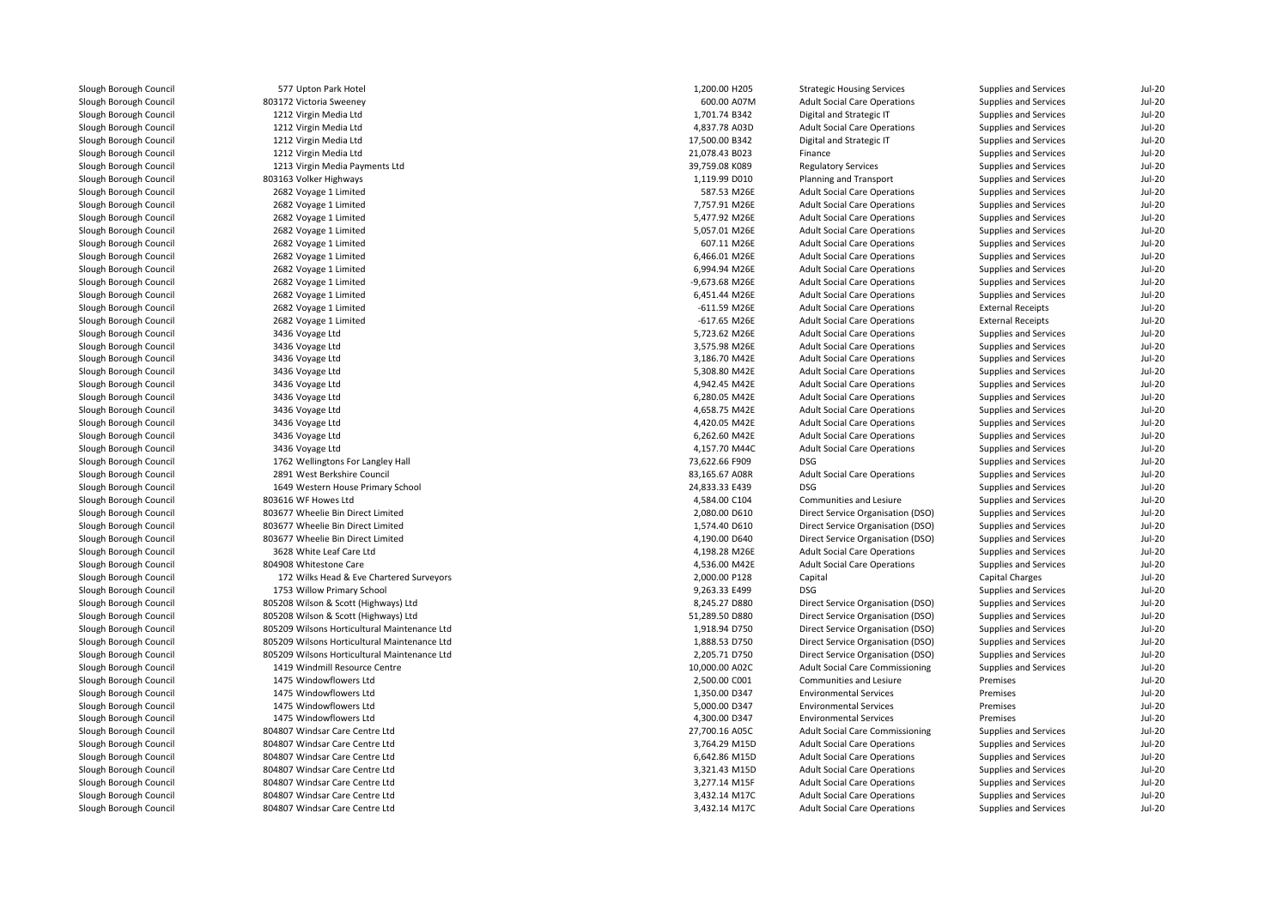| Slough Borough Council | 577 Upton Park Hotel                         | 1,200.00 H205  | <b>Strategic Housing Services</b>      | Supplies and Services        | <b>Jul-20</b> |
|------------------------|----------------------------------------------|----------------|----------------------------------------|------------------------------|---------------|
| Slough Borough Council | 803172 Victoria Sweeney                      | 600.00 A07M    | <b>Adult Social Care Operations</b>    | Supplies and Services        | <b>Jul-20</b> |
| Slough Borough Council | 1212 Virgin Media Ltd                        | 1,701.74 B342  | Digital and Strategic IT               | Supplies and Services        | <b>Jul-20</b> |
| Slough Borough Council | 1212 Virgin Media Ltd                        | 4,837.78 A03D  | <b>Adult Social Care Operations</b>    | Supplies and Services        | <b>Jul-20</b> |
| Slough Borough Council | 1212 Virgin Media Ltd                        | 17,500.00 B342 | Digital and Strategic IT               | Supplies and Services        | <b>Jul-20</b> |
| Slough Borough Council | 1212 Virgin Media Ltd                        | 21,078.43 B023 | Finance                                | Supplies and Services        | <b>Jul-20</b> |
| Slough Borough Council | 1213 Virgin Media Payments Ltd               | 39,759.08 K089 | <b>Regulatory Services</b>             | <b>Supplies and Services</b> | $Jul-20$      |
| Slough Borough Council | 803163 Volker Highways                       | 1,119.99 D010  | Planning and Transport                 | Supplies and Services        | <b>Jul-20</b> |
| Slough Borough Council | 2682 Voyage 1 Limited                        | 587.53 M26E    | <b>Adult Social Care Operations</b>    | Supplies and Services        | <b>Jul-20</b> |
| Slough Borough Council | 2682 Voyage 1 Limited                        | 7,757.91 M26E  | <b>Adult Social Care Operations</b>    | Supplies and Services        | <b>Jul-20</b> |
| Slough Borough Council | 2682 Voyage 1 Limited                        | 5,477.92 M26E  | <b>Adult Social Care Operations</b>    | Supplies and Services        | <b>Jul-20</b> |
| Slough Borough Council | 2682 Voyage 1 Limited                        | 5,057.01 M26E  | <b>Adult Social Care Operations</b>    | Supplies and Services        | <b>Jul-20</b> |
| Slough Borough Council | 2682 Voyage 1 Limited                        | 607.11 M26E    | <b>Adult Social Care Operations</b>    | Supplies and Services        | <b>Jul-20</b> |
| Slough Borough Council | 2682 Voyage 1 Limited                        | 6,466.01 M26E  | <b>Adult Social Care Operations</b>    | Supplies and Services        | <b>Jul-20</b> |
| Slough Borough Council | 2682 Voyage 1 Limited                        | 6,994.94 M26E  | <b>Adult Social Care Operations</b>    | Supplies and Services        | <b>Jul-20</b> |
| Slough Borough Council | 2682 Voyage 1 Limited                        | -9,673.68 M26E | <b>Adult Social Care Operations</b>    | Supplies and Services        | <b>Jul-20</b> |
| Slough Borough Council | 2682 Voyage 1 Limited                        | 6,451.44 M26E  | <b>Adult Social Care Operations</b>    | Supplies and Services        | <b>Jul-20</b> |
| Slough Borough Council | 2682 Voyage 1 Limited                        | -611.59 M26E   | <b>Adult Social Care Operations</b>    | <b>External Receipts</b>     | <b>Jul-20</b> |
| Slough Borough Council | 2682 Voyage 1 Limited                        | -617.65 M26E   | <b>Adult Social Care Operations</b>    | <b>External Receipts</b>     | <b>Jul-20</b> |
| Slough Borough Council |                                              | 5,723.62 M26E  | <b>Adult Social Care Operations</b>    | Supplies and Services        | <b>Jul-20</b> |
| Slough Borough Council | 3436 Voyage Ltd                              | 3,575.98 M26E  | <b>Adult Social Care Operations</b>    | Supplies and Services        | <b>Jul-20</b> |
|                        | 3436 Voyage Ltd                              |                |                                        |                              |               |
| Slough Borough Council | 3436 Voyage Ltd                              | 3,186.70 M42E  | <b>Adult Social Care Operations</b>    | Supplies and Services        | <b>Jul-20</b> |
| Slough Borough Council | 3436 Voyage Ltd                              | 5,308.80 M42E  | <b>Adult Social Care Operations</b>    | Supplies and Services        | <b>Jul-20</b> |
| Slough Borough Council | 3436 Voyage Ltd                              | 4,942.45 M42E  | <b>Adult Social Care Operations</b>    | Supplies and Services        | <b>Jul-20</b> |
| Slough Borough Council | 3436 Voyage Ltd                              | 6,280.05 M42E  | <b>Adult Social Care Operations</b>    | Supplies and Services        | <b>Jul-20</b> |
| Slough Borough Council | 3436 Voyage Ltd                              | 4,658.75 M42E  | <b>Adult Social Care Operations</b>    | Supplies and Services        | <b>Jul-20</b> |
| Slough Borough Council | 3436 Voyage Ltd                              | 4,420.05 M42E  | <b>Adult Social Care Operations</b>    | Supplies and Services        | <b>Jul-20</b> |
| Slough Borough Council | 3436 Voyage Ltd                              | 6,262.60 M42E  | <b>Adult Social Care Operations</b>    | Supplies and Services        | <b>Jul-20</b> |
| Slough Borough Council | 3436 Voyage Ltd                              | 4,157.70 M44C  | <b>Adult Social Care Operations</b>    | Supplies and Services        | <b>Jul-20</b> |
| Slough Borough Council | 1762 Wellingtons For Langley Hall            | 73,622.66 F909 | <b>DSG</b>                             | Supplies and Services        | <b>Jul-20</b> |
| Slough Borough Council | 2891 West Berkshire Council                  | 83,165.67 A08R | <b>Adult Social Care Operations</b>    | Supplies and Services        | <b>Jul-20</b> |
| Slough Borough Council | 1649 Western House Primary School            | 24,833.33 E439 | <b>DSG</b>                             | Supplies and Services        | <b>Jul-20</b> |
| Slough Borough Council | 803616 WF Howes Ltd                          | 4,584.00 C104  | Communities and Lesiure                | Supplies and Services        | <b>Jul-20</b> |
| Slough Borough Council | 803677 Wheelie Bin Direct Limited            | 2,080.00 D610  | Direct Service Organisation (DSO)      | Supplies and Services        | <b>Jul-20</b> |
| Slough Borough Council | 803677 Wheelie Bin Direct Limited            | 1,574.40 D610  | Direct Service Organisation (DSO)      | Supplies and Services        | <b>Jul-20</b> |
| Slough Borough Council | 803677 Wheelie Bin Direct Limited            | 4,190.00 D640  | Direct Service Organisation (DSO)      | Supplies and Services        | <b>Jul-20</b> |
| Slough Borough Council | 3628 White Leaf Care Ltd                     | 4,198.28 M26E  | <b>Adult Social Care Operations</b>    | Supplies and Services        | <b>Jul-20</b> |
| Slough Borough Council | 804908 Whitestone Care                       | 4,536.00 M42E  | <b>Adult Social Care Operations</b>    | Supplies and Services        | <b>Jul-20</b> |
| Slough Borough Council | 172 Wilks Head & Eve Chartered Surveyors     | 2,000.00 P128  | Capital                                | Capital Charges              | <b>Jul-20</b> |
| Slough Borough Council | 1753 Willow Primary School                   | 9,263.33 E499  | <b>DSG</b>                             | Supplies and Services        | <b>Jul-20</b> |
| Slough Borough Council | 805208 Wilson & Scott (Highways) Ltd         | 8,245.27 D880  | Direct Service Organisation (DSO)      | Supplies and Services        | <b>Jul-20</b> |
| Slough Borough Council | 805208 Wilson & Scott (Highways) Ltd         | 51,289.50 D880 | Direct Service Organisation (DSO)      | Supplies and Services        | <b>Jul-20</b> |
| Slough Borough Council | 805209 Wilsons Horticultural Maintenance Ltd | 1,918.94 D750  | Direct Service Organisation (DSO)      | Supplies and Services        | <b>Jul-20</b> |
| Slough Borough Council | 805209 Wilsons Horticultural Maintenance Ltd | 1,888.53 D750  | Direct Service Organisation (DSO)      | Supplies and Services        | <b>Jul-20</b> |
| Slough Borough Council | 805209 Wilsons Horticultural Maintenance Ltd | 2,205.71 D750  | Direct Service Organisation (DSO)      | Supplies and Services        | <b>Jul-20</b> |
| Slough Borough Council | 1419 Windmill Resource Centre                | 10,000.00 A02C | Adult Social Care Commissioning        | Supplies and Services        | <b>Jul-20</b> |
| Slough Borough Council | 1475 Windowflowers Ltd                       | 2,500.00 C001  | <b>Communities and Lesiure</b>         | Premises                     | <b>Jul-20</b> |
| Slough Borough Council | 1475 Windowflowers Ltd                       | 1,350.00 D347  | <b>Environmental Services</b>          | Premises                     | $Jul-20$      |
| Slough Borough Council | 1475 Windowflowers Ltd                       | 5,000.00 D347  | <b>Environmental Services</b>          | Premises                     | <b>Jul-20</b> |
| Slough Borough Council | 1475 Windowflowers Ltd                       | 4,300.00 D347  | <b>Environmental Services</b>          | Premises                     | <b>Jul-20</b> |
| Slough Borough Council | 804807 Windsar Care Centre Ltd               | 27,700.16 A05C | <b>Adult Social Care Commissioning</b> | Supplies and Services        | <b>Jul-20</b> |
| Slough Borough Council | 804807 Windsar Care Centre Ltd               | 3,764.29 M15D  | <b>Adult Social Care Operations</b>    | Supplies and Services        | <b>Jul-20</b> |
| Slough Borough Council | 804807 Windsar Care Centre Ltd               | 6,642.86 M15D  | <b>Adult Social Care Operations</b>    | Supplies and Services        | <b>Jul-20</b> |
| Slough Borough Council | 804807 Windsar Care Centre Ltd               | 3,321.43 M15D  | <b>Adult Social Care Operations</b>    | Supplies and Services        | <b>Jul-20</b> |
| Slough Borough Council | 804807 Windsar Care Centre Ltd               | 3,277.14 M15F  | <b>Adult Social Care Operations</b>    | Supplies and Services        | <b>Jul-20</b> |
| Slough Borough Council | 804807 Windsar Care Centre Ltd               | 3,432.14 M17C  | <b>Adult Social Care Operations</b>    | Supplies and Services        | <b>Jul-20</b> |
| Slough Borough Council | 804807 Windsar Care Centre Ltd               | 3,432.14 M17C  | <b>Adult Social Care Operations</b>    | Supplies and Services        | <b>Jul-20</b> |
|                        |                                              |                |                                        |                              |               |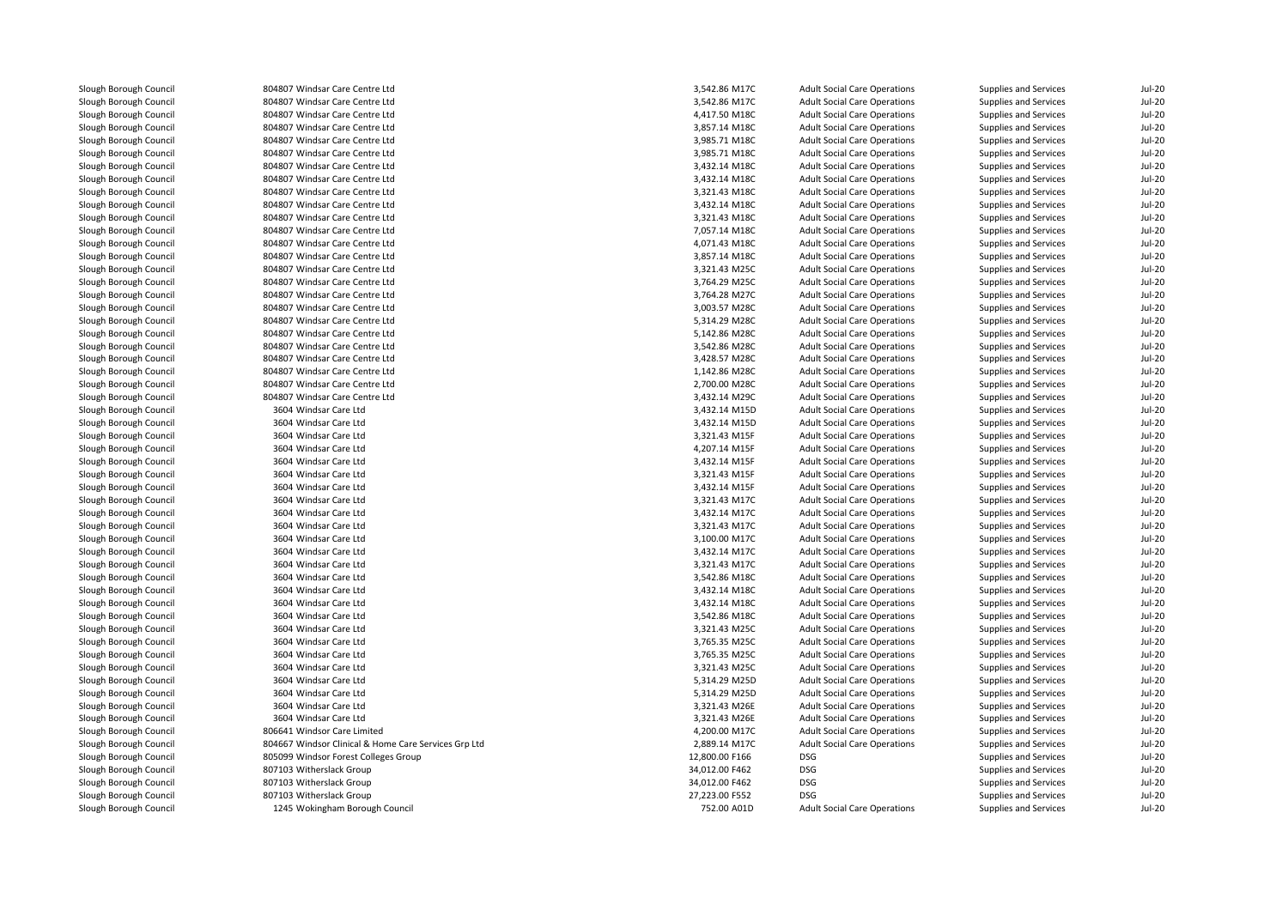| Slough Borough Council | 804807 Windsar Care Centre Ltd                       | 3,542.86 M17C  | <b>Adult Social Care Operations</b> | Supplies and Services        | $Jul-20$ |
|------------------------|------------------------------------------------------|----------------|-------------------------------------|------------------------------|----------|
| Slough Borough Council | 804807 Windsar Care Centre Ltd                       | 3,542.86 M17C  | <b>Adult Social Care Operations</b> | Supplies and Services        | $Jul-20$ |
| Slough Borough Council | 804807 Windsar Care Centre Ltd                       | 4,417.50 M18C  | <b>Adult Social Care Operations</b> | <b>Supplies and Services</b> | $Jul-20$ |
| Slough Borough Council | 804807 Windsar Care Centre Ltd                       | 3,857.14 M18C  | <b>Adult Social Care Operations</b> | <b>Supplies and Services</b> | $Jul-20$ |
| Slough Borough Council | 804807 Windsar Care Centre Ltd                       | 3,985.71 M18C  | <b>Adult Social Care Operations</b> | <b>Supplies and Services</b> | $Jul-20$ |
| Slough Borough Council | 804807 Windsar Care Centre Ltd                       | 3,985.71 M18C  | <b>Adult Social Care Operations</b> | <b>Supplies and Services</b> | $Jul-20$ |
| Slough Borough Council | 804807 Windsar Care Centre Ltd                       | 3,432.14 M18C  | <b>Adult Social Care Operations</b> | <b>Supplies and Services</b> | $Jul-20$ |
| Slough Borough Council | 804807 Windsar Care Centre Ltd                       | 3,432.14 M18C  | <b>Adult Social Care Operations</b> | <b>Supplies and Services</b> | $Jul-20$ |
| Slough Borough Council | 804807 Windsar Care Centre Ltd                       | 3,321.43 M18C  | <b>Adult Social Care Operations</b> | <b>Supplies and Services</b> | $Jul-20$ |
| Slough Borough Council | 804807 Windsar Care Centre Ltd                       | 3,432.14 M18C  | <b>Adult Social Care Operations</b> | Supplies and Services        | $Jul-20$ |
| Slough Borough Council | 804807 Windsar Care Centre Ltd                       | 3,321.43 M18C  | <b>Adult Social Care Operations</b> | <b>Supplies and Services</b> | $Jul-20$ |
| Slough Borough Council | 804807 Windsar Care Centre Ltd                       | 7,057.14 M18C  | <b>Adult Social Care Operations</b> | <b>Supplies and Services</b> | $Jul-20$ |
| Slough Borough Council | 804807 Windsar Care Centre Ltd                       | 4,071.43 M18C  | <b>Adult Social Care Operations</b> | Supplies and Services        | $Jul-20$ |
| Slough Borough Council | 804807 Windsar Care Centre Ltd                       | 3,857.14 M18C  | <b>Adult Social Care Operations</b> | <b>Supplies and Services</b> | $Jul-20$ |
| Slough Borough Council | 804807 Windsar Care Centre Ltd                       | 3,321.43 M25C  | <b>Adult Social Care Operations</b> | Supplies and Services        | $Jul-20$ |
| Slough Borough Council | 804807 Windsar Care Centre Ltd                       | 3,764.29 M25C  | <b>Adult Social Care Operations</b> | <b>Supplies and Services</b> | $Jul-20$ |
| Slough Borough Council | 804807 Windsar Care Centre Ltd                       | 3,764.28 M27C  | <b>Adult Social Care Operations</b> | <b>Supplies and Services</b> | $Jul-20$ |
| Slough Borough Council | 804807 Windsar Care Centre Ltd                       | 3,003.57 M28C  | <b>Adult Social Care Operations</b> | <b>Supplies and Services</b> | Jul-20   |
| Slough Borough Council | 804807 Windsar Care Centre Ltd                       | 5,314.29 M28C  | <b>Adult Social Care Operations</b> | <b>Supplies and Services</b> | $Jul-20$ |
| Slough Borough Council | 804807 Windsar Care Centre Ltd                       | 5,142.86 M28C  | <b>Adult Social Care Operations</b> | <b>Supplies and Services</b> | $Jul-20$ |
| Slough Borough Council | 804807 Windsar Care Centre Ltd                       | 3,542.86 M28C  | <b>Adult Social Care Operations</b> | <b>Supplies and Services</b> | $Jul-20$ |
| Slough Borough Council | 804807 Windsar Care Centre Ltd                       | 3,428.57 M28C  | <b>Adult Social Care Operations</b> | <b>Supplies and Services</b> | $Jul-20$ |
| Slough Borough Council | 804807 Windsar Care Centre Ltd                       | 1,142.86 M28C  | <b>Adult Social Care Operations</b> | <b>Supplies and Services</b> | $Jul-20$ |
|                        | 804807 Windsar Care Centre Ltd                       |                |                                     |                              |          |
| Slough Borough Council |                                                      | 2,700.00 M28C  | <b>Adult Social Care Operations</b> | <b>Supplies and Services</b> | $Jul-20$ |
| Slough Borough Council | 804807 Windsar Care Centre Ltd                       | 3,432.14 M29C  | <b>Adult Social Care Operations</b> | <b>Supplies and Services</b> | $Jul-20$ |
| Slough Borough Council | 3604 Windsar Care Ltd                                | 3,432.14 M15D  | <b>Adult Social Care Operations</b> | <b>Supplies and Services</b> | $Jul-20$ |
| Slough Borough Council | 3604 Windsar Care Ltd                                | 3,432.14 M15D  | <b>Adult Social Care Operations</b> | <b>Supplies and Services</b> | $Jul-20$ |
| Slough Borough Council | 3604 Windsar Care Ltd                                | 3,321.43 M15F  | <b>Adult Social Care Operations</b> | <b>Supplies and Services</b> | $Jul-20$ |
| Slough Borough Council | 3604 Windsar Care Ltd                                | 4,207.14 M15F  | <b>Adult Social Care Operations</b> | <b>Supplies and Services</b> | $Jul-20$ |
| Slough Borough Council | 3604 Windsar Care Ltd                                | 3,432.14 M15F  | <b>Adult Social Care Operations</b> | <b>Supplies and Services</b> | $Jul-20$ |
| Slough Borough Council | 3604 Windsar Care Ltd                                | 3,321.43 M15F  | <b>Adult Social Care Operations</b> | <b>Supplies and Services</b> | $Jul-20$ |
| Slough Borough Council | 3604 Windsar Care Ltd                                | 3,432.14 M15F  | <b>Adult Social Care Operations</b> | <b>Supplies and Services</b> | $Jul-20$ |
| Slough Borough Council | 3604 Windsar Care Ltd                                | 3,321.43 M17C  | <b>Adult Social Care Operations</b> | Supplies and Services        | $Jul-20$ |
| Slough Borough Council | 3604 Windsar Care Ltd                                | 3,432.14 M17C  | <b>Adult Social Care Operations</b> | <b>Supplies and Services</b> | $Jul-20$ |
| Slough Borough Council | 3604 Windsar Care Ltd                                | 3,321.43 M17C  | <b>Adult Social Care Operations</b> | Supplies and Services        | $Jul-20$ |
| Slough Borough Council | 3604 Windsar Care Ltd                                | 3,100.00 M17C  | <b>Adult Social Care Operations</b> | Supplies and Services        | $Jul-20$ |
| Slough Borough Council | 3604 Windsar Care Ltd                                | 3,432.14 M17C  | <b>Adult Social Care Operations</b> | <b>Supplies and Services</b> | $Jul-20$ |
| Slough Borough Council | 3604 Windsar Care Ltd                                | 3,321.43 M17C  | <b>Adult Social Care Operations</b> | Supplies and Services        | $Jul-20$ |
| Slough Borough Council | 3604 Windsar Care Ltd                                | 3,542.86 M18C  | <b>Adult Social Care Operations</b> | <b>Supplies and Services</b> | $Jul-20$ |
| Slough Borough Council | 3604 Windsar Care Ltd                                | 3,432.14 M18C  | <b>Adult Social Care Operations</b> | <b>Supplies and Services</b> | $Jul-20$ |
| Slough Borough Council | 3604 Windsar Care Ltd                                | 3,432.14 M18C  | <b>Adult Social Care Operations</b> | <b>Supplies and Services</b> | $Jul-20$ |
| Slough Borough Council | 3604 Windsar Care Ltd                                | 3,542.86 M18C  | <b>Adult Social Care Operations</b> | <b>Supplies and Services</b> | $Jul-20$ |
| Slough Borough Council | 3604 Windsar Care Ltd                                | 3,321.43 M25C  | <b>Adult Social Care Operations</b> | <b>Supplies and Services</b> | $Jul-20$ |
| Slough Borough Council | 3604 Windsar Care Ltd                                | 3,765.35 M25C  | <b>Adult Social Care Operations</b> | Supplies and Services        | $Jul-20$ |
| Slough Borough Council | 3604 Windsar Care Ltd                                | 3,765.35 M25C  | <b>Adult Social Care Operations</b> | <b>Supplies and Services</b> | $Jul-20$ |
| Slough Borough Council | 3604 Windsar Care Ltd                                | 3,321.43 M25C  | <b>Adult Social Care Operations</b> | <b>Supplies and Services</b> | $Jul-20$ |
| Slough Borough Council | 3604 Windsar Care Ltd                                | 5,314.29 M25D  | <b>Adult Social Care Operations</b> | Supplies and Services        | $Jul-20$ |
| Slough Borough Council | 3604 Windsar Care Ltd                                | 5,314.29 M25D  | <b>Adult Social Care Operations</b> | <b>Supplies and Services</b> | $Jul-20$ |
| Slough Borough Council | 3604 Windsar Care Ltd                                | 3,321.43 M26E  | <b>Adult Social Care Operations</b> | Supplies and Services        | $Jul-20$ |
| Slough Borough Council | 3604 Windsar Care Ltd                                | 3,321.43 M26E  | <b>Adult Social Care Operations</b> | Supplies and Services        | $Jul-20$ |
| Slough Borough Council | 806641 Windsor Care Limited                          | 4,200.00 M17C  | <b>Adult Social Care Operations</b> | <b>Supplies and Services</b> | $Jul-20$ |
| Slough Borough Council | 804667 Windsor Clinical & Home Care Services Grp Ltd | 2,889.14 M17C  | <b>Adult Social Care Operations</b> | <b>Supplies and Services</b> | $Jul-20$ |
| Slough Borough Council | 805099 Windsor Forest Colleges Group                 | 12,800.00 F166 | <b>DSG</b>                          | Supplies and Services        | $Jul-20$ |
| Slough Borough Council | 807103 Witherslack Group                             | 34,012.00 F462 | <b>DSG</b>                          | Supplies and Services        | $Jul-20$ |
| Slough Borough Council | 807103 Witherslack Group                             | 34,012.00 F462 | <b>DSG</b>                          | Supplies and Services        | $Jul-20$ |
| Slough Borough Council | 807103 Witherslack Group                             | 27,223.00 F552 | <b>DSG</b>                          | Supplies and Services        | $Jul-20$ |
| Slough Borough Council | 1245 Wokingham Borough Council                       | 752.00 A01D    | <b>Adult Social Care Operations</b> | <b>Supplies and Services</b> | $Jul-20$ |
|                        |                                                      |                |                                     |                              |          |